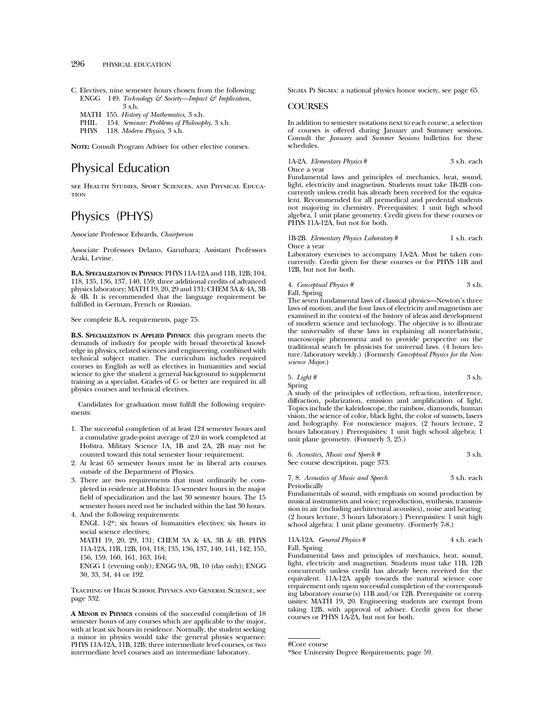- C. Electives, nine semester hours chosen from the following: ENGG 149. *Technology & Society—Impact & Implication*, 3 s.h.
	- MATH 155. *History of Mathematics*, 3 s.h.
	- PHIL 154. *Seminar: Problems of Philosophy*, 3 s.h.
	- PHYS 118. *Modern Physics*, 3 s.h.

**NOTE:** Consult Program Adviser for other elective courses.

# Physical Education

see Health Studies, Sport Sciences, and Physical Educa-**TION** 

## Physics (PHYS)

Associate Professor Edwards, *Chairperson*

Associate Professors Delano, Garuthara; Assistant Professors Araki, Levine.

**B.A. SPECIALIZATION IN PHYSICS**: PHYS 11A-12A and 11B, 12B; 104, 118, 135, 136, 137, 140, 159; three additional credits of advanced physics laboratory; MATH 19, 20, 29 and 131; CHEM 3A & 4A, 3B & 4B. It is recommended that the language requirement be fulfilled in German, French or Russian.

See complete B.A. requirements, page 75.

**B.S. SPECIALIZATION IN APPLIED PHYSICS**: this program meets the demands of industry for people with broad theoretical knowledge in physics, related sciences and engineering, combined with technical subject matter. The curriculum includes required courses in English as well as electives in humanities and social science to give the student a general background to supplement training as a specialist. Grades of C- or better are required in all physics courses and technical electives.

Candidates for graduation must fulfill the following requirements:

- 1. The successful completion of at least 124 semester hours and a cumulative grade-point average of 2.0 in work completed at Hofstra. Military Science 1A, 1B and 2A, 2B may not be counted toward this total semester hour requirement.
- 2. At least 65 semester hours must be in liberal arts courses outside of the Department of Physics.
- 3. There are two requirements that must ordinarily be completed in residence at Hofstra: 15 semester hours in the major field of specialization and the last 30 semester hours. The 15 semester hours need not be included within the last 30 hours.
- 4. And the following requirements: ENGL 1-2\*; six hours of humanities electives; six hours in social science electives; MATH 19, 20, 29, 131; CHEM 3A & 4A, 3B & 4B; PHYS 11A-12A, 11B, 12B, 104, 118, 135, 136, 137, 140, 141, 142, 155, 156, 159, 160, 161, 163, 164; ENGG 1 (evening only); ENGG 9A, 9B, 10 (day only); ENGG 30, 33, 34, 44 or 192.

Teaching of High School Physics and General Science, see page 332.

**A MINOR IN PHYSICS** consists of the successful completion of 18 semester hours of any courses which are applicable to the major, with at least six hours in residence. Normally, the student seeking a minor in physics would take the general physics sequence: PHYS 11A-12A, 11B, 12B; three intermediate level courses, or two intermediate level courses and an intermediate laboratory.

Sigma Pi Sigma: a national physics honor society, see page 65.

## COURSES

In addition to semester notations next to each course, a selection of courses is offered during January and Summer sessions. Consult the *January* and *Summer Sessions* bulletins for these schedules.

1A-2A. *Elementary Physics* # 3 s.h. each Once a year

Fundamental laws and principles of mechanics, heat, sound, light, electricity and magnetism. Students must take 1B-2B concurrently unless credit has already been received for the equivalent. Recommended for all premedical and predental students not majoring in chemistry. Prerequisites: 1 unit high school algebra, 1 unit plane geometry. Credit given for these courses or PHYS 11A-12A, but not for both.

1B-2B. *Elementary Physics Laboratory* # 1 s.h. each Once a year

Laboratory exercises to accompany 1A-2A. Must be taken concurrently. Credit given for these courses or for PHYS 11B and 12B, but not for both.

4. *Conceptual Physics #* 3 s.h. Fall, Spring

The seven fundamental laws of classical physics—Newton's three laws of motion, and the four laws of electricity and magnetism are examined in the context of the history of ideas and development of modern science and technology. The objective is to illustrate the universality of these laws in explaining all nonrelativistic, macroscopic phenomena and to provide perspective on the traditional search by physicists for universal laws. (4 hours lecture/laboratory weekly.) (Formerly *Conceptual Physics for the Nonscience Major*.)

5. *Light #* 3 s.h. Spring

A study of the principles of reflection, refraction, interference, diffraction, polarization, emission and amplification of light. Topics include the kaleidoscope, the rainbow, diamonds, human vision, the science of color, black light, the color of sunsets, lasers and holography. For nonscience majors. (2 hours lecture, 2 hours laboratory.) Prerequisites: 1 unit high school algebra; 1 unit plane geometry. (Formerly 3, 25.)

6. *Acoustics, Music and Speech #* 3 s.h. See course description, page 373.

7, 8. *Acoustics of Music and Speech* 3 s.h. each Periodically

Fundamentals of sound, with emphasis on sound production by musical instruments and voice; reproduction, synthesis, transmission in air (including architectural acoustics), noise and hearing. (2 hours lecture, 3 hours laboratory.) Prerequisites: 1 unit high school algebra; 1 unit plane geometry. (Formerly 7-8.)

11A-12A. *General Physics* # 4 s.h. each Fall, Spring

Fundamental laws and principles of mechanics, heat, sound, light, electricity and magnetism. Students must take 11B, 12B concurrently unless credit has already been received for the equivalent. 11A-12A apply towards the natural science core requirement only upon successful completion of the corresponding laboratory course(s) 11B and/or 12B. Prerequisite or corequisites: MATH 19, 20. Engineering students are exempt from taking 12B, with approval of adviser. Credit given for these courses or PHYS 1A-2A, but not for both.

#Core course

<sup>\*</sup>See University Degree Requirements, page 59.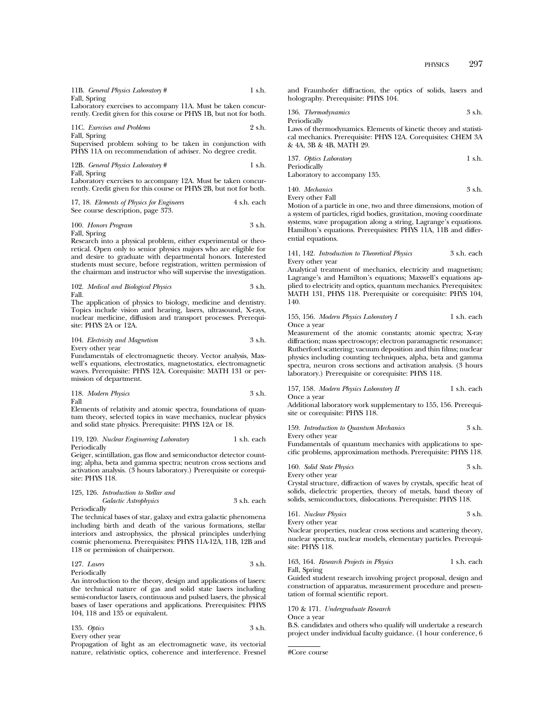| 11B. General Physics Laboratory # | 1 s.h. |
|-----------------------------------|--------|
| Fall, Spring                      |        |

Laboratory exercises to accompany 11A. Must be taken concurrently. Credit given for this course or PHYS 1B, but not for both.

11C. *Exercises and Problems* 2 s.h. Fall, Spring

Supervised problem solving to be taken in conjunction with PHYS 11A on recommendation of adviser. No degree credit.

12B. *General Physics Laboratory #* 1 s.h. Fall, Spring

Laboratory exercises to accompany 12A. Must be taken concurrently. Credit given for this course or PHYS 2B, but not for both.

17, 18. *Elements of Physics for Engineers* 4 s.h. each See course description, page 373.

100. *Honors Program* 3 s.h. Fall, Spring

Research into a physical problem, either experimental or theoretical. Open only to senior physics majors who are eligible for and desire to graduate with departmental honors. Interested students must secure, before registration, written permission of the chairman and instructor who will supervise the investigation.

102. *Medical and Biological Physics* 3 s.h. Fall.

The application of physics to biology, medicine and dentistry. Topics include vision and hearing, lasers, ultrasound, X-rays, nuclear medicine, diffusion and transport processes. Prerequisite: PHYS 2A or 12A.

104. *Electricity and Magnetism* 3 s.h. Every other year

Fundamentals of electromagnetic theory. Vector analysis, Maxwell's equations, electrostatics, magnetostatics, electromagnetic waves. Prerequisite: PHYS 12A. Corequisite: MATH 131 or permission of department.

118. *Modern Physics* 3 s.h. Fall

Elements of relativity and atomic spectra, foundations of quantum theory, selected topics in wave mechanics, nuclear physics and solid state physics. Prerequisite: PHYS 12A or 18.

119, 120. *Nuclear Engineering Laboratory* 1 s.h. each Periodically

Geiger, scintillation, gas flow and semiconductor detector counting; alpha, beta and gamma spectra; neutron cross sections and activation analysis. (3 hours laboratory.) Prerequisite or corequisite: PHYS 118.

|              | 125, 126. Introduction to Stellar and |             |
|--------------|---------------------------------------|-------------|
|              | Galactic Astrophysics                 | 3 s.h. each |
| Periodically |                                       |             |

The technical bases of star, galaxy and extra galactic phenomena including birth and death of the various formations, stellar interiors and astrophysics, the physical principles underlying cosmic phenomena. Prerequisites: PHYS 11A-12A, 11B, 12B and 118 or permission of chairperson.

127. *Lasers* 3 s.h. Periodically

An introduction to the theory, design and applications of lasers: the technical nature of gas and solid state lasers including semi-conductor lasers, continuous and pulsed lasers, the physical bases of laser operations and applications. Prerequisites: PHYS 104, 118 and 135 or equivalent.

135. *Optics* 3 s.h. Every other year

Propagation of light as an electromagnetic wave, its vectorial nature, relativistic optics, coherence and interference. Fresnel and Fraunhofer diffraction, the optics of solids, lasers and holography. Prerequisite: PHYS 104.

136. *Thermodynamics* 3 s.h. Periodically

Laws of thermodynamics. Elements of kinetic theory and statistical mechanics. Prerequisite: PHYS 12A. Corequisites: CHEM 3A & 4A, 3B & 4B, MATH 29.

137. *Optics Laboratory* 1 s.h. Periodically

Laboratory to accompany 135.

140. *Mechanics* 3 s.h. Every other Fall

Motion of a particle in one, two and three dimensions, motion of a system of particles, rigid bodies, gravitation, moving coordinate systems, wave propagation along a string, Lagrange's equations. Hamilton's equations. Prerequisites: PHYS 11A, 11B and differential equations.

141, 142. *Introduction to Theoretical Physics* 3 s.h. each Every other year

Analytical treatment of mechanics, electricity and magnetism; Lagrange's and Hamilton's equations; Maxwell's equations applied to electricity and optics, quantum mechanics. Prerequisites: MATH 131, PHYS 118. Prerequisite or corequisite: PHYS 104, 140.

#### 155, 156. *Modern Physics Laboratory I* 1 s.h. each Once a year

Measurement of the atomic constants; atomic spectra; X-ray diffraction; mass spectroscopy; electron paramagnetic resonance; Rutherford scattering; vacuum deposition and thin films; nuclear physics including counting techniques, alpha, beta and gamma spectra, neuron cross sections and activation analysis. (3 hours laboratory.) Prerequisite or corequisite: PHYS 118.

```
157, 158. Modern Physics Laboratory II 1 s.h. each
Once a year
```
Additional laboratory work supplementary to 155, 156. Prerequisite or corequisite: PHYS 118.

159. *Introduction to Quantum Mechanics* 3 s.h. Every other year

Fundamentals of quantum mechanics with applications to specific problems, approximation methods. Prerequisite: PHYS 118.

160. *Solid State Physics* 3 s.h. Every other year

Crystal structure, diffraction of waves by crystals, specific heat of solids, dielectric properties, theory of metals, band theory of solids, semiconductors, dislocations. Prerequisite: PHYS 118.

161. *Nuclear Physics* 3 s.h.

Nuclear properties, nuclear cross sections and scattering theory, nuclear spectra, nuclear models, elementary particles. Prerequisite: PHYS 118.

163, 164. *Research Projects in Physics* 1 s.h. each Fall, Spring

Guided student research involving project proposal, design and construction of apparatus, measurement procedure and presentation of formal scientific report.

170 & 171. *Undergraduate Research*

Once a year

Every other year

B.S. candidates and others who qualify will undertake a research project under individual faculty guidance. (1 hour conference, 6

#Core course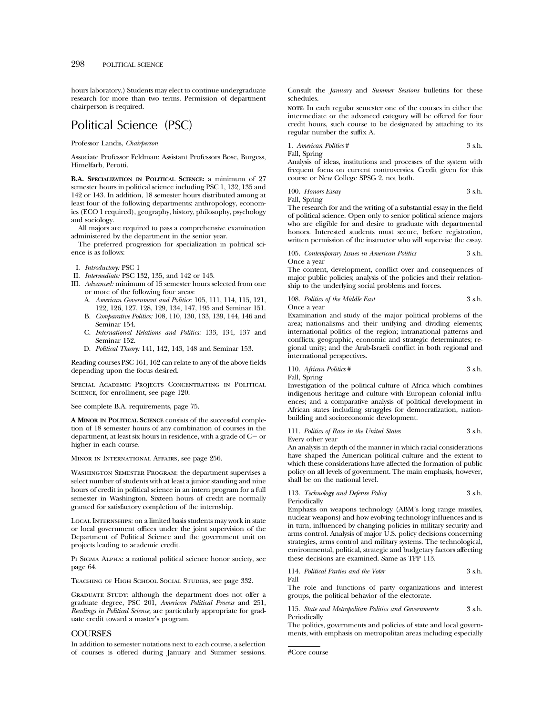hours laboratory.) Students may elect to continue undergraduate research for more than two terms. Permission of department chairperson is required.

# Political Science (PSC)

Professor Landis, *Chairperson*

Associate Professor Feldman; Assistant Professors Bose, Burgess, Himelfarb, Perotti.

**B.A. SPECIALIZATION IN POLITICAL SCIENCE:** a minimum of 27 semester hours in political science including PSC 1, 132, 135 and 142 or 143. In addition, 18 semester hours distributed among at least four of the following departments: anthropology, economics (ECO 1 required), geography, history, philosophy, psychology and sociology.

All majors are required to pass a comprehensive examination administered by the department in the senior year.

The preferred progression for specialization in political science is as follows:

- I. *Introductory:* PSC 1
- II. *Intermediate:* PSC 132, 135, and 142 or 143.
- III. *Advanced:* minimum of 15 semester hours selected from one or more of the following four areas:
	- A. *American Government and Politics:* 105, 111, 114, 115, 121, 122, 126, 127, 128, 129, 134, 147, 195 and Seminar 151.
	- B. *Comparative Politics:* 108, 110, 130, 133, 139, 144, 146 and Seminar 154.
	- C. *International Relations and Politics:* 133, 134, 137 and Seminar 152.
	- D. *Political Theory:* 141, 142, 143, 148 and Seminar 153.

Reading courses PSC 161, 162 can relate to any of the above fields depending upon the focus desired.

SPECIAL ACADEMIC PROJECTS CONCENTRATING IN POLITICAL SCIENCE, for enrollment, see page 120.

See complete B.A. requirements, page 75.

**A MINOR IN POLITICAL SCIENCE** consists of the successful completion of 18 semester hours of any combination of courses in the department, at least six hours in residence, with a grade of  $C-$  or higher in each course.

Minor in International Affairs, see page 256.

Washington Semester Program: the department supervises a select number of students with at least a junior standing and nine hours of credit in political science in an intern program for a full semester in Washington. Sixteen hours of credit are normally granted for satisfactory completion of the internship.

Local Internships: on a limited basis students may work in state or local government offices under the joint supervision of the Department of Political Science and the government unit on projects leading to academic credit.

PI SIGMA ALPHA: a national political science honor society, see page 64.

Teaching of High School Social Studies, see page 332.

GRADUATE STUDY: although the department does not offer a graduate degree, PSC 201, *American Political Process* and 251, *Readings in Political Science,* are particularly appropriate for graduate credit toward a master's program.

## **COURSES**

In addition to semester notations next to each course, a selection of courses is offered during January and Summer sessions.

Consult the *January* and *Summer Sessions* bulletins for these schedules.

**NOTE:** In each regular semester one of the courses in either the intermediate or the advanced category will be offered for four credit hours, such course to be designated by attaching to its regular number the suffix A.

1. *American Politics* # 3 s.h.

Fall, Spring

Analysis of ideas, institutions and processes of the system with frequent focus on current controversies. Credit given for this course or New College SPSG 2, not both.

100. *Honors Essay* 3 s.h. Fall, Spring

The research for and the writing of a substantial essay in the field of political science. Open only to senior political science majors who are eligible for and desire to graduate with departmental honors. Interested students must secure, before registration, written permission of the instructor who will supervise the essay.

105. *Contemporary Issues in American Politics* 3 s.h. Once a year

The content, development, conflict over and consequences of major public policies; analysis of the policies and their relationship to the underlying social problems and forces.

108. *Politics of the Middle East* 3 s.h. Once a year

Examination and study of the major political problems of the area; nationalisms and their unifying and dividing elements; international politics of the region; intranational patterns and conflicts; geographic, economic and strategic determinates; regional unity; and the Arab-Israeli conflict in both regional and international perspectives.

110. *African Politics* # 3 s.h. Fall, Spring

Investigation of the political culture of Africa which combines indigenous heritage and culture with European colonial influences; and a comparative analysis of political development in African states including struggles for democratization, nationbuilding and socioeconomic development.

111. *Politics of Race in the United States* 3 s.h. Every other year

An analysis in depth of the manner in which racial considerations have shaped the American political culture and the extent to which these considerations have affected the formation of public policy on all levels of government. The main emphasis, however, shall be on the national level.

113. *Technology and Defense Policy* 3 s.h. Periodically

Emphasis on weapons technology (ABM's long range missiles, nuclear weapons) and how evolving technology influences and is in turn, influenced by changing policies in military security and arms control. Analysis of major U.S. policy decisions concerning strategies, arms control and military systems. The technological, environmental, political, strategic and budgetary factors affecting these decisions are examined. Same as TPP 113.

114. *Political Parties and the Voter* 3 s.h. Fall

The role and functions of party organizations and interest groups, the political behavior of the electorate.

115. *State and Metropolitan Politics and Governments* 3 s.h. Periodically

The politics, governments and policies of state and local governments, with emphasis on metropolitan areas including especially

```
#Core course
```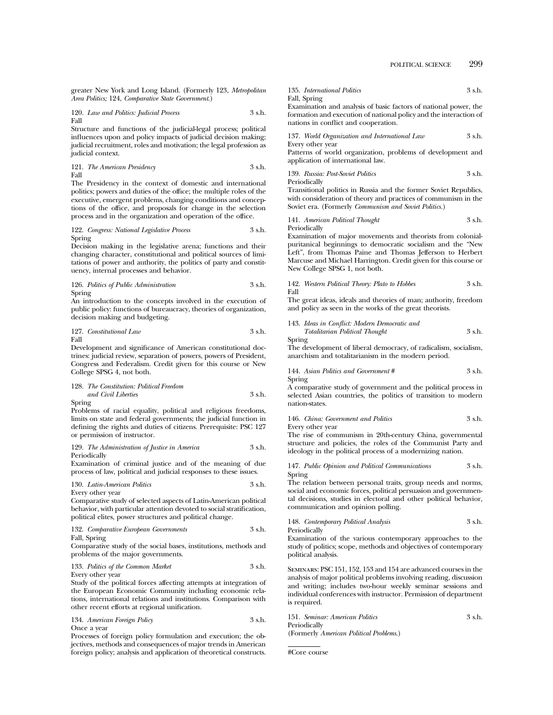greater New York and Long Island. (Formerly 123, *Metropolitan Area Politics;* 124, *Comparative State Government*.)

120. *Law and Politics: Judicial Process* 3 s.h. Fall

Structure and functions of the judicial-legal process; political influences upon and policy impacts of judicial decision making; judicial recruitment, roles and motivation; the legal profession as judicial context.

121. *The American Presidency* 3 s.h. Fall

The Presidency in the context of domestic and international politics; powers and duties of the office; the multiple roles of the executive, emergent problems, changing conditions and conceptions of the office, and proposals for change in the selection process and in the organization and operation of the office.

122. *Congress: National Legislative Process* 3 s.h. Spring

Decision making in the legislative arena; functions and their changing character, constitutional and political sources of limitations of power and authority, the politics of party and constituency, internal processes and behavior.

126. *Politics of Public Administration* 3 s.h. Spring

An introduction to the concepts involved in the execution of public policy: functions of bureaucracy, theories of organization, decision making and budgeting.

127. *Constitutional Law* 3 s.h. Fall

Development and significance of American constitutional doctrines: judicial review, separation of powers, powers of President, Congress and Federalism. Credit given for this course or New College SPSG 4, not both.

128. *The Constitution: Political Freedom and Civil Liberties* 3 s.h.

Spring

Problems of racial equality, political and religious freedoms, limits on state and federal governments; the judicial function in defining the rights and duties of citizens. Prerequisite: PSC 127 or permission of instructor.

129. *The Administration of Justice in America* 3 s.h. Periodically

Examination of criminal justice and of the meaning of due process of law, political and judicial responses to these issues.

130. *Latin-American Politics* 3 s.h.

Every other year

Comparative study of selected aspects of Latin-American political behavior, with particular attention devoted to social stratification, political elites, power structures and political change.

132. *Comparative European Governments* 3 s.h.

Fall, Spring

Comparative study of the social bases, institutions, methods and problems of the major governments.

133. *Politics of the Common Market* 3 s.h. Every other year

Study of the political forces affecting attempts at integration of the European Economic Community including economic relations, international relations and institutions. Comparison with other recent efforts at regional unification.

134. *American Foreign Policy* 3 s.h. Once a year

Processes of foreign policy formulation and execution; the objectives, methods and consequences of major trends in American foreign policy; analysis and application of theoretical constructs.

135. *International Politics* 3 s.h. Fall, Spring

Examination and analysis of basic factors of national power, the formation and execution of national policy and the interaction of nations in conflict and cooperation.

137. *World Organization and International Law* 3 s.h. Every other year

Patterns of world organization, problems of development and application of international law.

139. *Russia: Post-Soviet Politics* 3 s.h. Periodically

Transitional politics in Russia and the former Soviet Republics, with consideration of theory and practices of communism in the Soviet era. (Formerly *Communism and Soviet Politics.*)

141. *American Political Thought* 3 s.h. Periodically

Examination of major movements and theorists from colonialpuritanical beginnings to democratic socialism and the "New Left", from Thomas Paine and Thomas Jefferson to Herbert Marcuse and Michael Harrington. Credit given for this course or New College SPSG 1, not both.

#### 142. *Western Political Theory: Plato to Hobbes* 3 s.h. Fall

The great ideas, ideals and theories of man; authority, freedom and policy as seen in the works of the great theorists.

#### 143. *Ideas in Conflict: Modern Democratic and*

*Totalitarian Political Thought* 3 s.h. Spring

The development of liberal democracy, of radicalism, socialism, anarchism and totalitarianism in the modern period.

144. *Asian Politics and Government #* 3 s.h. Spring

A comparative study of government and the political process in selected Asian countries, the politics of transition to modern nation-states.

146. *China: Government and Politics* 3 s.h. Every other year

The rise of communism in 20th-century China, governmental structure and policies, the roles of the Communist Party and ideology in the political process of a modernizing nation.

147. *Public Opinion and Political Communications* 3 s.h. Spring

The relation between personal traits, group needs and norms, social and economic forces, political persuasion and governmental decisions, studies in electoral and other political behavior, communication and opinion polling.

148. *Contemporary Political Analysis* 3 s.h. Periodically

Examination of the various contemporary approaches to the study of politics; scope, methods and objectives of contemporary political analysis.

Seminars: PSC 151, 152, 153 and 154 are advanced courses in the analysis of major political problems involving reading, discussion and writing; includes two-hour weekly seminar sessions and individual conferences with instructor. Permission of department is required.

151. *Seminar: American Politics* 3 s.h. Periodically (Formerly *American Political Problems*.)

#Core course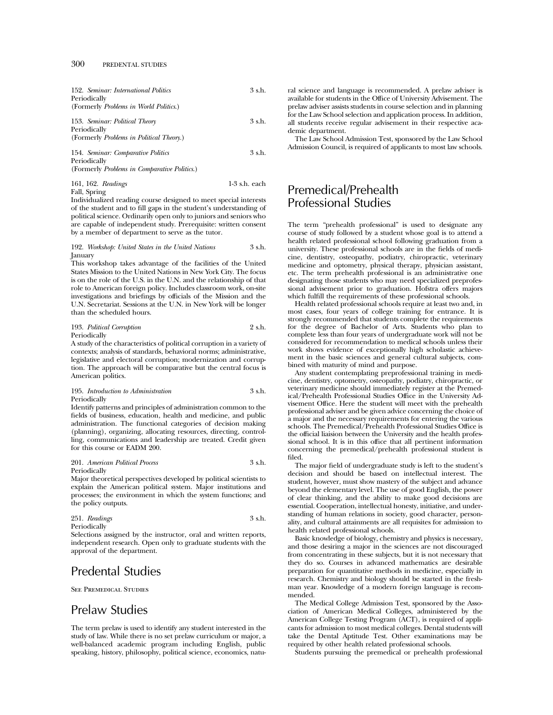## 300 PREDENTAL STUDIES

Fall, Spring

| 152. Seminar: International Politics                 | 3 s.h.        |
|------------------------------------------------------|---------------|
| Periodically                                         |               |
| (Formerly Problems in World Politics.)               |               |
| 153. Seminar: Political Theory                       | 3 s.h.        |
| Periodically                                         |               |
| (Formerly <i>Problems in Political Theory.</i> )     |               |
| 154. Seminar: Comparative Politics                   | 3 s.h.        |
| Periodically                                         |               |
| (Formerly <i>Problems in Comparative Politics.</i> ) |               |
| 161, 162. Readings                                   | 1-3 s.h. each |
|                                                      |               |

Individualized reading course designed to meet special interests of the student and to fill gaps in the student's understanding of political science. Ordinarily open only to juniors and seniors who are capable of independent study. Prerequisite: written consent by a member of department to serve as the tutor.

#### 192. *Workshop: United States in the United Nations* 3 s.h. January

This workshop takes advantage of the facilities of the United States Mission to the United Nations in New York City. The focus is on the role of the U.S. in the U.N. and the relationship of that role to American foreign policy. Includes classroom work, on-site investigations and briefings by officials of the Mission and the U.N. Secretariat. Sessions at the U.N. in New York will be longer than the scheduled hours.

193. *Political Corruption* 2 s.h. Periodically

A study of the characteristics of political corruption in a variety of contexts; analysis of standards, behavioral norms; administrative, legislative and electoral corruption; modernization and corruption. The approach will be comparative but the central focus is American politics.

195. *Introduction to Administration* 3 s.h. Periodically

Identify patterns and principles of administration common to the fields of business, education, health and medicine, and public administration. The functional categories of decision making (planning), organizing, allocating resources, directing, controlling, communications and leadership are treated. Credit given for this course or EADM 200.

201. *American Political Process* 3 s.h. Periodically

Major theoretical perspectives developed by political scientists to explain the American political system. Major institutions and processes; the environment in which the system functions; and the policy outputs.

251. *Readings* 3 s.h. Periodically

Selections assigned by the instructor, oral and written reports, independent research. Open only to graduate students with the approval of the department.

## Predental Studies

See Premedical Studies

## Prelaw Studies

The term prelaw is used to identify any student interested in the study of law. While there is no set prelaw curriculum or major, a well-balanced academic program including English, public speaking, history, philosophy, political science, economics, natural science and language is recommended. A prelaw adviser is available for students in the Office of University Advisement. The prelaw adviser assists students in course selection and in planning for the Law School selection and application process. In addition, all students receive regular advisement in their respective academic department.

The Law School Admission Test, sponsored by the Law School Admission Council, is required of applicants to most law schools.

## Premedical/Prehealth Professional Studies

The term "prehealth professional" is used to designate any course of study followed by a student whose goal is to attend a health related professional school following graduation from a university. These professional schools are in the fields of medicine, dentistry, osteopathy, podiatry, chiropractic, veterinary medicine and optometry, physical therapy, physician assistant, etc. The term prehealth professional is an administrative one designating those students who may need specialized preprofessional advisement prior to graduation. Hofstra offers majors which fulfill the requirements of these professional schools.

Health related professional schools require at least two and, in most cases, four years of college training for entrance. It is strongly recommended that students complete the requirements for the degree of Bachelor of Arts. Students who plan to complete less than four years of undergraduate work will not be considered for recommendation to medical schools unless their work shows evidence of exceptionally high scholastic achievement in the basic sciences and general cultural subjects, combined with maturity of mind and purpose.

Any student contemplating preprofessional training in medicine, dentistry, optometry, osteopathy, podiatry, chiropractic, or veterinary medicine should immediately register at the Premedical/Prehealth Professional Studies Office in the University Advisement Office. Here the student will meet with the prehealth professional adviser and be given advice concerning the choice of a major and the necessary requirements for entering the various schools. The Premedical/Prehealth Professional Studies Office is the official liaision between the University and the health professional school. It is in this office that all pertinent information concerning the premedical/prehealth professional student is filed.

The major field of undergraduate study is left to the student's decision and should be based on intellectual interest. The student, however, must show mastery of the subject and advance beyond the elementary level. The use of good English, the power of clear thinking, and the ability to make good decisions are essential. Cooperation, intellectual honesty, initiative, and understanding of human relations in society, good character, personality, and cultural attainments are all requisites for admission to health related professional schools.

Basic knowledge of biology, chemistry and physics is necessary, and those desiring a major in the sciences are not discouraged from concentrating in these subjects, but it is not necessary that they do so. Courses in advanced mathematics are desirable preparation for quantitative methods in medicine, especially in research. Chemistry and biology should be started in the freshman year. Knowledge of a modern foreign language is recommended.

The Medical College Admission Test, sponsored by the Association of American Medical Colleges, administered by the American College Testing Program (ACT), is required of applicants for admission to most medical colleges. Dental students will take the Dental Aptitude Test. Other examinations may be required by other health related professional schools.

Students pursuing the premedical or prehealth professional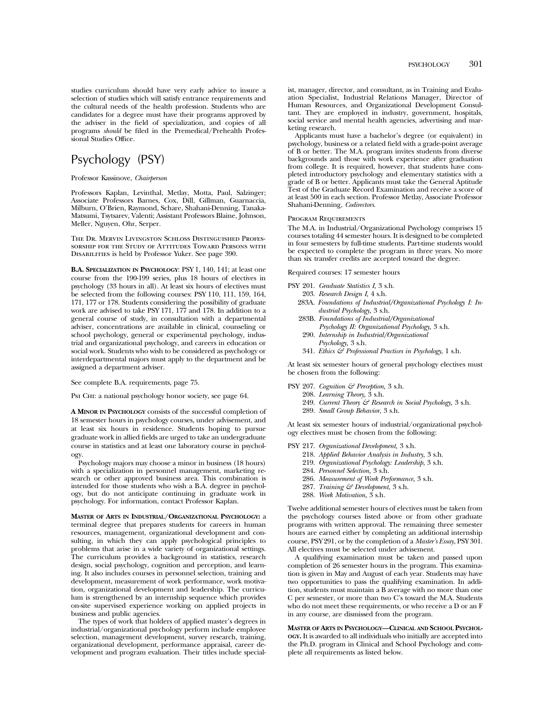studies curriculum should have very early advice to insure a selection of studies which will satisfy entrance requirements and the cultural needs of the health profession. Students who are candidates for a degree must have their programs approved by the adviser in the field of specialization, and copies of all programs *should* be filed in the Premedical/Prehealth Professional Studies Office.

# Psychology (PSY)

#### Professor Kassinove, *Chairperson*

Professors Kaplan, Levinthal, Metlay, Motta, Paul, Salzinger; Associate Professors Barnes, Cox, Dill, Gillman, Guarnaccia, Milburn, O'Brien, Raymond, Schare, Shahani-Denning, Tanaka-Matsumi, Tsytsarev, Valenti; Assistant Professors Blaine, Johnson, Meller, Nguyen, Ohr, Serper.

The Dr. Mervin Livingston Schloss Distinguished Professorship for the Study of Attitudes Toward Persons with Disabilities is held by Professor Yuker. See page 390.

**B.A. SPECIALIZATION IN PSYCHOLOGY**: PSY 1, 140, 141; at least one course from the 190-199 series, plus 18 hours of electives in psychology (33 hours in all). At least six hours of electives must be selected from the following courses: PSY 110, 111, 159, 164, 171, 177 or 178. Students considering the possibility of graduate work are advised to take PSY 171, 177 and 178. In addition to a general course of study, in consultation with a departmental adviser, concentrations are available in clinical, counseling or school psychology, general or experimental psychology, industrial and organizational psychology, and careers in education or social work. Students who wish to be considered as psychology or interdepartmental majors must apply to the department and be assigned a department adviser.

See complete B.A. requirements, page 75.

Psi Chi: a national psychology honor society, see page 64.

**A MINOR IN PSYCHOLOGY** consists of the successful completion of 18 semester hours in psychology courses, under advisement, and at least six hours in residence. Students hoping to pursue graduate work in allied fields are urged to take an undergraduate course in statistics and at least one laboratory course in psychology.

Psychology majors may choose a minor in business (18 hours) with a specialization in personnel management, marketing research or other approved business area. This combination is intended for those students who wish a B.A. degree in psychology, but do not anticipate continuing in graduate work in psychology. For information, contact Professor Kaplan.

**MASTER OF ARTS IN INDUSTRIAL/ORGANIZATIONAL PSYCHOLOGY:** a terminal degree that prepares students for careers in human resources, management, organizational development and consulting, in which they can apply psychological principles to problems that arise in a wide variety of organizational settings. The curriculum provides a background in statistics, research design, social psychology, cognition and perception, and learning. It also includes courses in personnel selection, training and development, measurement of work performance, work motivation, organizational development and leadership. The curriculum is strengthened by an internship sequence which provides on-site supervised experience working on applied projects in business and public agencies.

The types of work that holders of applied master's degrees in industrial/organizational psychology perform include employee selection, management development, survey research, training, organizational development, performance appraisal, career development and program evaluation. Their titles include specialist, manager, director, and consultant, as in Training and Evaluation Specialist, Industrial Relations Manager, Director of Human Resources, and Organizational Development Consultant. They are employed in industry, government, hospitals, social service and mental health agencies, advertising and marketing research.

Applicants must have a bachelor's degree (or equivalent) in psychology, business or a related field with a grade-point average of B or better. The M.A. program invites students from diverse backgrounds and those with work experience after graduation from college. It is required, however, that students have completed introductory psychology and elementary statistics with a grade of B or better. Applicants must take the General Aptitude Test of the Graduate Record Examination and receive a score of at least 500 in each section. Professor Metlay, Associate Professor Shahani-Denning, *Codirectors.*

#### Program Requirements

The M.A. in Industrial/Organizational Psychology comprises 15 courses totaling 44 semester hours. It is designed to be completed in four semesters by full-time students. Part-time students would be expected to complete the program in three years. No more than six transfer credits are accepted toward the degree.

Required courses: 17 semester hours

- PSY 201. *Graduate Statistics I,* 3 s.h.
	- 203. *Research Design I,* 4 s.h.
	- 283A. *Foundations of Industrial/Organizational Psychology I: Industrial Psychology,* 3 s.h.
	- 283B. *Foundations of Industrial/Organizational Psychology II: Organizational Psychology,* 3 s.h.
	- 290. *Internship in Industrial/Organizational Psychology,* 3 s.h.
	- 341. *Ethics & Professional Practices in Psychology*, 1 s.h.

At least six semester hours of general psychology electives must be chosen from the following:

- PSY 207. *Cognition & Perception,* 3 s.h.
	- 208. *Learning Theory,* 3 s.h.
	- 249. *Current Theory & Research in Social Psychology,* 3 s.h.
	- 289. *Small Group Behavior,* 3 s.h.

At least six semester hours of industrial/organizational psychology electives must be chosen from the following:

- PSY 217. *Organizational Development,* 3 s.h.
	- 218. *Applied Behavior Analysis in Industry,* 3 s.h.
	- 219. *Organizational Psychology: Leadership*, 3 s.h.
	- 284. *Personnel Selection,* 3 s.h.
	- 286. *Measurement of Work Performance,* 3 s.h.
	- 287. *Training & Development,* 3 s.h.
	- 288. *Work Motivation,* 3 s.h.

Twelve additional semester hours of electives must be taken from the psychology courses listed above or from other graduate programs with written approval. The remaining three semester hours are earned either by completing an additional internship course, PSY 291, or by the completion of a *Master's Essay*, PSY 301. All electives must be selected under advisement.

A qualifying examination must be taken and passed upon completion of 26 semester hours in the program. This examination is given in May and August of each year. Students may have two opportunities to pass the qualifying examination. In addition, students must maintain a B average with no more than one C per semester, or more than two C's toward the M.A. Students who do not meet these requirements, or who receive a D or an F in any course, are dismissed from the program.

**MASTER OF ARTS IN PSYCHOLOGY—CLINICAL AND SCHOOL PSYCHOL-OGY.** It is awarded to all individuals who initially are accepted into the Ph.D. program in Clinical and School Psychology and complete all requirements as listed below.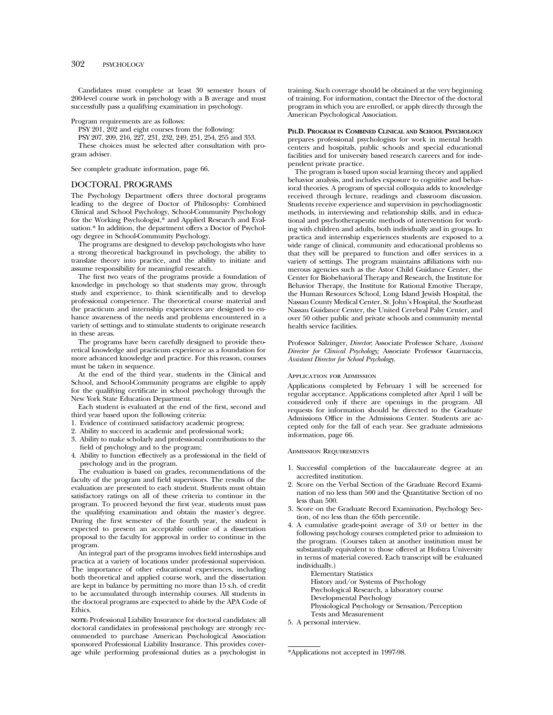Candidates must complete at least 30 semester hours of 200-level course work in psychology with a B average and must successfully pass a qualifying examination in psychology.

Program requirements are as follows:

PSY 201, 202 and eight courses from the following:

PSY 207, 209, 216, 227, 231, 232, 249, 251, 254, 255 and 353. These choices must be selected after consultation with program adviser.

See complete graduate information, page 66.

#### DOCTORAL PROGRAMS

The Psychology Department offers three doctoral programs leading to the degree of Doctor of Philosophy: Combined Clinical and School Psychology, School-Community Psychology for the Working Psychologist,\* and Applied Research and Evaluation.\* In addition, the department offers a Doctor of Psychology degree in School-Community Psychology.

The programs are designed to develop psychologists who have a strong theoretical background in psychology, the ability to translate theory into practice, and the ability to initiate and assume responsibility for meaningful research.

The first two years of the programs provide a foundation of knowledge in psychology so that students may grow, through study and experience, to think scientifically and to develop professional competence. The theoretical course material and the practicum and internship experiences are designed to enhance awareness of the needs and problems encountered in a variety of settings and to stimulate students to originate research in these areas.

The programs have been carefully designed to provide theoretical knowledge and practicum experience as a foundation for more advanced knowledge and practice. For this reason, courses must be taken in sequence.

At the end of the third year, students in the Clinical and School, and School-Community programs are eligible to apply for the qualifying certificate in school psychology through the New York State Education Department.

Each student is evaluated at the end of the first, second and third year based upon the following criteria:

- 1. Evidence of continued satisfactory academic progress;
- 2. Ability to succeed in academic and professional work;
- 3. Ability to make scholarly and professional contributions to the field of psychology and to the program;
- 4. Ability to function effectively as a professional in the field of psychology and in the program.

The evaluation is based on grades, recommendations of the faculty of the program and field supervisors. The results of the evaluation are presented to each student. Students must obtain satisfactory ratings on all of these criteria to continue in the program. To proceed beyond the first year, students must pass the qualifying examination and obtain the master's degree. During the first semester of the fourth year, the student is expected to present an acceptable outline of a dissertation proposal to the faculty for approval in order to continue in the program.

An integral part of the programs involves field internships and practica at a variety of locations under professional supervision. The importance of other educational experiences, including both theoretical and applied course work, and the dissertation are kept in balance by permitting no more than 15 s.h. of credit to be accumulated through internship courses. All students in the doctoral programs are expected to abide by the APA Code of Ethics.

**NOTE:** Professional Liability Insurance for doctoral candidates: all doctoral candidates in professional psychology are strongly recommended to purchase American Psychological Association sponsored Professional Liability Insurance. This provides coverage while performing professional duties as a psychologist in

training. Such coverage should be obtained at the very beginning of training. For information, contact the Director of the doctoral program in which you are enrolled, or apply directly through the American Psychological Association.

**PH.D. PROGRAM IN COMBINED CLINICAL AND SCHOOL PSYCHOLOGY** prepares professional psychologists for work in mental health centers and hospitals, public schools and special educational facilities and for university based research careers and for independent private practice.

The program is based upon social learning theory and applied behavior analysis, and includes exposure to cognitive and behavioral theories. A program of special colloquia adds to knowledge received through lecture, readings and classroom discussion. Students receive experience and supervision in psychodiagnostic methods, in interviewing and relationship skills, and in educational and psychotherapeutic methods of intervention for working with children and adults, both individually and in groups. In practica and internship experiences students are exposed to a wide range of clinical, community and educational problems so that they will be prepared to function and offer services in a variety of settings. The program maintains affiliations with numerous agencies such as the Astor Child Guidance Center, the Center for Biobehavioral Therapy and Research, the Institute for Behavior Therapy, the Institute for Rational Emotive Therapy, the Human Resources School, Long Island Jewish Hospital, the Nassau County Medical Center, St. John's Hospital, the Southeast Nassau Guidance Center, the United Cerebral Palsy Center, and over 50 other public and private schools and community mental health service facilities.

Professor Salzinger, *Director*; Associate Professor Schare, *Assisant Director for Clinical Psychology;* Associate Professor Guarnaccia, *Assistant Director for School Psychology*.

#### Application for Admission

Applications completed by February 1 will be screened for regular acceptance. Applications completed after April 1 will be considered only if there are openings in the program. All requests for information should be directed to the Graduate Admissions Office in the Admissions Center. Students are accepted only for the fall of each year. See graduate admissions information, page 66.

#### Admission Requirements

- 1. Successful completion of the baccalaureate degree at an accredited institution.
- 2. Score on the Verbal Section of the Graduate Record Examination of no less than 500 and the Quantitative Section of no less than 500.
- 3. Score on the Graduate Record Examination, Psychology Section, of no less than the 65th percentile.
- 4. A cumulative grade-point average of 3.0 or better in the following psychology courses completed prior to admission to the program. (Courses taken at another institution must be substantially equivalent to those offered at Hofstra University in terms of material covered. Each transcript will be evaluated individually.)

Elementary Statistics History and/or Systems of Psychology Psychological Research, a laboratory course Developmental Psychology Physiological Psychology or Sensation/Perception

- Tests and Measurement
- 5. A personal interview.

\*Applications not accepted in 1997-98.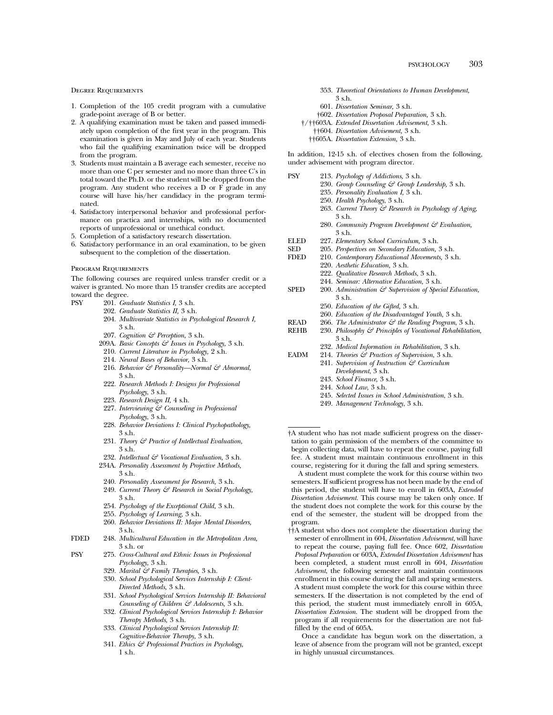#### Degree Requirements

- 1. Completion of the 105 credit program with a cumulative grade-point average of B or better.
- 2. A qualifying examination must be taken and passed immediately upon completion of the first year in the program. This examination is given in May and July of each year. Students who fail the qualifying examination twice will be dropped from the program.
- 3. Students must maintain a B average each semester, receive no more than one C per semester and no more than three C's in total toward the Ph.D. or the student will be dropped from the program. Any student who receives a D or F grade in any course will have his/her candidacy in the program terminated.
- 4. Satisfactory interpersonal behavior and professional performance on practica and internships, with no documented reports of unprofessional or unethical conduct.
- 5. Completion of a satisfactory research dissertation.
- 6. Satisfactory performance in an oral examination, to be given subsequent to the completion of the dissertation.

#### Program Requirements

The following courses are required unless transfer credit or a waiver is granted. No more than 15 transfer credits are accepted toward the degree.

- PSY 201. *Graduate Statistics I,* 3 s.h.
	- 202. *Graduate Statistics II,* 3 s.h.
		- 204. *Multivariate Statistics in Psychological Research I,* 3 s.h.
		- 207. *Cognition & Perception,* 3 s.h.
	- 209A. *Basic Concepts & Issues in Psychology,* 3 s.h.
	- 210. *Current Literature in Psychology,* 2 s.h.
	- 214. *Neural Bases of Behavior,* 3 s.h.
	- 216. *Behavior & Personality—Normal & Abnormal*, 3 s.h.
	- 222. *Research Methods I: Designs for Professional Psychology*, 3 s.h.
	- 223. *Research Design II,* 4 s.h.
	- 227. *Interviewing & Counseling in Professional Psychology*, 3 s.h.
	- 228. *Behavior Deviations I: Clinical Psychopathology,* 3 s.h.
	- 231. *Theory & Practice of Intellectual Evaluation,* 3 s.h.
	- 232. *Intellectual & Vocational Evaluation,* 3 s.h.
	- 234A. *Personality Assessment by Projective Methods,* 3 s.h.
	- 240. *Personality Assessment for Research,* 3 s.h.
	- 249. *Current Theory & Research in Social Psychology,* 3 s.h.
	- 254. *Psychology of the Exceptional Child,* 3 s.h.
	- 255. *Psychology of Learning,* 3 s.h.
	- 260. *Behavior Deviations II: Major Mental Disorders,* 3 s.h.
- FDED 248. *Multicultural Education in the Metropolitan Area,* 3 s.h. or
- PSY 275. *Cross-Cultural and Ethnic Issues in Professional Psychology,* 3 s.h.
	- 329. *Marital & Family Therapies,* 3 s.h.
	- 330. *School Psychological Services Internship I: Client-Directed Methods,* 3 s.h.
	- 331. *School Psychological Services Internship II: Behavioral Counseling of Children & Adolescents,* 3 s.h.
	- 332. *Clinical Psychological Services Internship I: Behavior Therapy Methods,* 3 s.h.
	- 333. *Clinical Psychological Services Internship II: Cognitive-Behavior Therapy,* 3 s.h.
	- 341. *Ethics & Professional Practices in Psychology,* 1 s.h.
- 353. *Theoretical Orientations to Human Development,* 3 s.h.
- 601. *Dissertation Seminar,* 3 s.h.
- †602. *Dissertation Proposal Preparation,* 3 s.h.
- †/††603A. *Extended Dissertation Advisement,* 3 s.h.
	- ††604. *Dissertation Advisement,* 3 s.h.
	- ††605A. *Dissertation Extension,* 3 s.h.

In addition, 12-15 s.h. of electives chosen from the following, under advisement with program director.

| PSY  | 213. Psychology of Addictions, 3 s.h.                               |
|------|---------------------------------------------------------------------|
|      | 230. Group Counseling & Group Leadership, 3 s.h.                    |
|      | 235. Personality Evaluation I, 3 s.h.                               |
|      | 250. Health Psychology, 3 s.h.                                      |
|      | 263. Current Theory & Research in Psychology of Aging,              |
|      | 3 s.h.                                                              |
|      | 280. Community Program Development & Evaluation,                    |
|      | 3 s.h.                                                              |
| ELED | 227. Elementary School Curriculum, 3 s.h.                           |
| SED  | 205. Perspectives on Secondary Education, 3 s.h.                    |
| FDED | 210. Contemporary Educational Movements, 3 s.h.                     |
|      | 220. Aesthetic Education, 3 s.h.                                    |
|      | 222. Qualitative Research Methods, 3 s.h.                           |
|      | 244. Seminar: Alternative Education, 3 s.h.                         |
| SPED | 200. Administration $\mathcal{C}$ Supervision of Special Education, |
|      | 3 s.h.                                                              |
|      | 250. Education of the Gifted, 3 s.h.                                |
|      | 260. Education of the Disadvantaged Youth, 3 s.h.                   |
| READ | 266. The Administrator $\mathcal{C}$ the Reading Program, 3 s.h.    |
| REHB | 230. Philosophy & Principles of Vocational Rehabilitation,          |
|      | 3 s.h.                                                              |
|      | 232. Medical Information in Rehabilitation, 3 s.h.                  |
| EADM | 214. Theories $\mathcal G$ Practices of Supervision, 3 s.h.         |
|      | 241. Supervision of Instruction $\mathcal{C}$ Curriculum            |
|      | Development, 3 s.h.                                                 |
|      | 243. School Finance, 3 s.h.                                         |
|      | 244. School Law, 3 s.h.                                             |
|      | 245. Selected Issues in School Administration, 3 s.h.               |
|      |                                                                     |

- 249. *Management Technology*, 3 s.h.
- 

†A student who has not made sufficient progress on the dissertation to gain permission of the members of the committee to begin collecting data, will have to repeat the course, paying full fee. A student must maintain continuous enrollment in this course, registering for it during the fall and spring semesters.

A student must complete the work for this course within two semesters. If sufficient progress has not been made by the end of this period, the student will have to enroll in 603A, *Extended Dissertation Advisement.* This course may be taken only once. If the student does not complete the work for this course by the end of the semester, the student will be dropped from the program.

††A student who does not complete the dissertation during the semester of enrollment in 604, *Dissertation Advisement*, will have to repeat the course, paying full fee. Once 602, *Dissertation Proposal Preparation* or 603A, *Extended Dissertation Advisement* has been completed, a student must enroll in 604, *Dissertation Advisement*, the following semester and maintain continuous enrollment in this course during the fall and spring semesters. A student must complete the work for this course within three semesters. If the dissertation is not completed by the end of this period, the student must immediately enroll in 605A, *Dissertation Extension*. The student will be dropped from the program if all requirements for the dissertation are not fulfilled by the end of 605A.

Once a candidate has begun work on the dissertation, a leave of absence from the program will not be granted, except in highly unusual circumstances.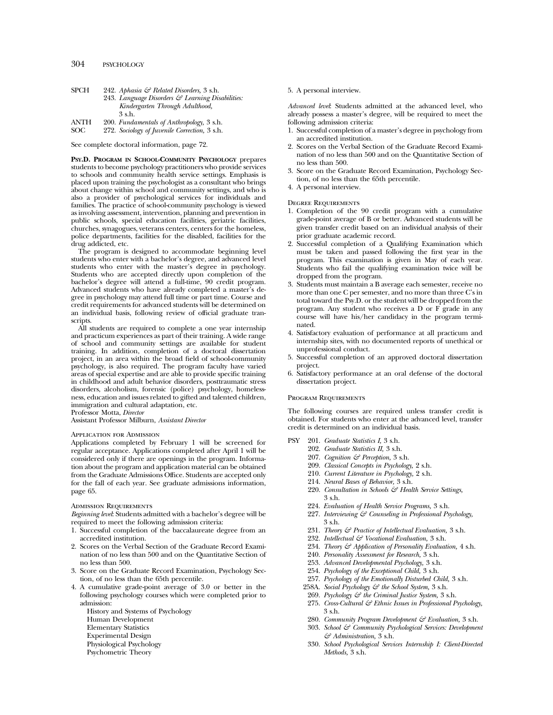| <b>SPCH</b> | 242. Aphasia $\mathcal{C}$ Related Disorders, 3 s.h. |
|-------------|------------------------------------------------------|
|             | 243. Language Disorders & Learning Disabilities:     |
|             | Kindergarten Through Adulthood,                      |
|             | 3 s.h.                                               |

- ANTH 200. *Fundamentals of Anthropology,* 3 s.h.
- SOC 272. *Sociology of Juvenile Correction,* 3 s.h.

See complete doctoral information, page 72.

**PSY.D. PROGRAM IN SCHOOL-COMMUNITY PSYCHOLOGY** prepares students to become psychology practitioners who provide services to schools and community health service settings. Emphasis is placed upon training the psychologist as a consultant who brings about change within school and community settings, and who is also a provider of psychological services for individuals and families. The practice of school-community psychology is viewed as involving assessment, intervention, planning and prevention in public schools, special education facilities, geriatric facilities, churches, synagogues, veterans centers, centers for the homeless, police departments, facilities for the disabled, facilities for the drug addicted, etc.

The program is designed to accommodate beginning level students who enter with a bachelor's degree, and advanced level students who enter with the master's degree in psychology. Students who are accepted directly upon completion of the bachelor's degree will attend a full-time, 90 credit program. Advanced students who have already completed a master's degree in psychology may attend full time or part time. Course and credit requirements for advanced students will be determined on an individual basis, following review of official graduate transcripts.

All students are required to complete a one year internship and practicum experiences as part of their training. A wide range of school and community settings are available for student training. In addition, completion of a doctoral dissertation project, in an area within the broad field of school-community psychology, is also required. The program faculty have varied areas of special expertise and are able to provide specific training in childhood and adult behavior disorders, posttraumatic stress disorders, alcoholism, forensic (police) psychology, homelessness, education and issues related to gifted and talented children, immigration and cultural adaptation, etc.

Professor Motta, *Director*

## Assistant Professor Milburn, *Assistant Director*

#### Application for Admission

Applications completed by February 1 will be screened for regular acceptance. Applications completed after April 1 will be considered only if there are openings in the program. Information about the program and application material can be obtained from the Graduate Admissions Office. Students are accepted only for the fall of each year. See graduate admissions information, page 65.

#### Admission Requirements

*Beginning level*: Students admitted with a bachelor's degree will be required to meet the following admission criteria:

- 1. Successful completion of the baccalaureate degree from an accredited institution.
- 2. Scores on the Verbal Section of the Graduate Record Examination of no less than 500 and on the Quantitative Section of no less than 500.
- 3. Score on the Graduate Record Examination, Psychology Section, of no less than the 65th percentile.
- 4. A cumulative grade-point average of 3.0 or better in the following psychology courses which were completed prior to admission:

History and Systems of Psychology Human Development Elementary Statistics Experimental Design Physiological Psychology Psychometric Theory

#### 5. A personal interview.

*Advanced level*: Students admitted at the advanced level, who already possess a master's degree, will be required to meet the following admission criteria:

- 1. Successful completion of a master's degree in psychology from an accredited institution.
- 2. Scores on the Verbal Section of the Graduate Record Examination of no less than 500 and on the Quantitative Section of no less than 500.
- 3. Score on the Graduate Record Examination, Psychology Section, of no less than the 65th percentile.
- 4. A personal interview.

## Degree Requirements

- 1. Completion of the 90 credit program with a cumulative grade-point average of B or better. Advanced students will be given transfer credit based on an individual analysis of their prior graduate academic record.
- 2. Successful completion of a Qualifying Examination which must be taken and passed following the first year in the program. This examination is given in May of each year. Students who fail the qualifying examination twice will be dropped from the program.
- 3. Students must maintain a B average each semester, receive no more than one C per semester, and no more than three C's in total toward the Psy.D. or the student will be dropped from the program. Any student who receives a D or F grade in any course will have his/her candidacy in the program terminated.
- 4. Satisfactory evaluation of performance at all practicum and internship sites, with no documented reports of unethical or unprofessional conduct.
- 5. Successful completion of an approved doctoral dissertation project.
- 6. Satisfactory performance at an oral defense of the doctoral dissertation project.

#### Program Requirements

The following courses are required unless transfer credit is obtained. For students who enter at the advanced level, transfer credit is determined on an individual basis.

- PSY 201. *Graduate Statistics I,* 3 s.h.
	- 202. *Graduate Statistics II,* 3 s.h.
	- 207. *Cognition & Perception,* 3 s.h.
	- 209. *Classical Concepts in Psychology,* 2 s.h.
	- 210. *Current Literature in Psychology,* 2 s.h.
	- 214. *Neural Bases of Behavior,* 3 s.h.
	- 220. *Consultation in Schools & Health Service Settings,* 3 s.h.
	- 224. *Evaluation of Health Service Programs,* 3 s.h.
	- 227. *Interviewing & Counseling in Professional Psychology,* 3 s.h.
	- 231. *Theory & Practice of Intellectual Evaluation,* 3 s.h.
	- 232. *Intellectual & Vocational Evaluation,* 3 s.h.
	- 234. *Theory & Application of Personality Evaluation,* 4 s.h.
	- 240. *Personality Assessment for Research,* 3 s.h.
	- 253. *Advanced Developmental Psychology,* 3 s.h.
	- 254. *Psychology of the Exceptional Child,* 3 s.h.
	- 257. *Psychology of the Emotionally Disturbed Child,* 3 s.h.
	- 258A. *Social Psychology & the School System,* 3 s.h.
	- 269. *Psychology & the Criminal Justice System,* 3 s.h.
	- 275. *Cross-Cultural & Ethnic Issues in Professional Psychology,* 3 s.h.
	- 280. *Community Program Development & Evaluation,* 3 s.h.
	- 303. *School & Community Psychological Services: Development & Administration,* 3 s.h.
	- 330. *School Psychological Services Internship I: Client-Directed Methods,* 3 s.h.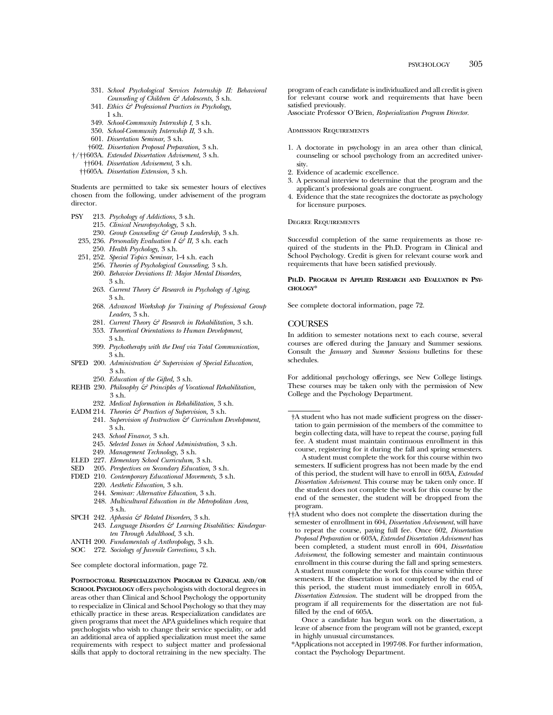- 331. *School Psychological Services Internship II: Behavioral Counseling of Children & Adolescents,* 3 s.h.
- 341. *Ethics & Professional Practices in Psychology,* 1 s.h.
- 349. *School-Community Internship I,* 3 s.h.
- 350. *School-Community Internship II,* 3 s.h.
- 601. *Dissertation Seminar,* 3 s.h.
- †602. *Dissertation Proposal Preparation,* 3 s.h.
- †/††603A. *Extended Dissertation Advisement,* 3 s.h.
	- ††604. *Dissertation Advisement,* 3 s.h.
	- ††605A. *Dissertation Extension,* 3 s.h.

Students are permitted to take six semester hours of electives chosen from the following, under advisement of the program director.

- PSY 213. *Psychology of Addictions,* 3 s.h.
	- 215. *Clinical Neuropsychology,* 3 s.h.
	- 230. *Group Counseling & Group Leadership,* 3 s.h.
	- 235, 236. *Personality Evaluation I & II,* 3 s.h. each
	- 250. *Health Psychology,* 3 s.h.
	- 251, 252. *Special Topics Seminar,* 1-4 s.h. each
		- 256. *Theories of Psychological Counseling,* 3 s.h. 260. *Behavior Deviations II: Major Mental Disorders,* 3 s.h.
		- 263. *Current Theory & Research in Psychology of Aging,* 3 s.h.
		- 268. *Advanced Workshop for Training of Professional Group Leaders,* 3 s.h.
		- 281. *Current Theory & Research in Rehabilitation,* 3 s.h.
		- 353. *Theoretical Orientations to Human Development,* 3 s.h.
		- 399. *Psychotherapy with the Deaf via Total Communication,* 3 s.h.
- SPED 200. Administration  $\mathcal{F}$  Supervision of Special Education, 3 s.h.
	- 250. *Education of the Gifted,* 3 s.h.
- REHB 230. *Philosophy & Principles of Vocational Rehabilitation,* 3 s.h.
	- 232. *Medical Information in Rehabilitation,* 3 s.h.
- EADM 214. *Theories & Practices of Supervision,* 3 s.h.
	- 241. *Supervision of Instruction & Curriculum Development,* 3 s.h.
	- 243. *School Finance,* 3 s.h.
	- 245. *Selected Issues in School Administration,* 3 s.h.
	- 249. *Management Technology,* 3 s.h.
- ELED 227. *Elementary School Curriculum,* 3 s.h.
- SED 205. *Perspectives on Secondary Education,* 3 s.h.
- FDED 210. *Contemporary Educational Movements,* 3 s.h.
	- 220. *Aesthetic Education,* 3 s.h.
	- 244. *Seminar: Alternative Education,* 3 s.h.
	- 248. *Multicultural Education in the Metropolitan Area,* 3 s.h.
- SPCH 242. *Aphasia & Related Disorders,* 3 s.h.
	- 243. *Language Disorders & Learning Disabilities: Kindergarten Through Adulthood,* 3 s.h.
- ANTH 200. *Fundamentals of Anthropology,* 3 s.h.
- SOC 272. *Sociology of Juvenile Corrections,* 3 s.h.

See complete doctoral information, page 72.

**POSTDOCTORAL RESPECIALIZATION PROGRAM IN CLINICAL AND/OR SCHOOL PSYCHOLOGY** offers psychologists with doctoral degrees in areas other than Clinical and School Psychology the opportunity to respecialize in Clinical and School Psychology so that they may ethically practice in these areas. Respecialization candidates are given programs that meet the APA guidelines which require that psychologists who wish to change their service speciality, or add an additional area of applied specialization must meet the same requirements with respect to subject matter and professional skills that apply to doctoral retraining in the new specialty. The

program of each candidate is individualized and all credit is given for relevant course work and requirements that have been satisfied previously.

Associate Professor O'Brien, *Respecialization Program Director.*

#### Admission Requirements

- 1. A doctorate in psychology in an area other than clinical, counseling or school psychology from an accredited university.
- 2. Evidence of academic excellence.
- 3. A personal interview to determine that the program and the applicant's professional goals are congruent.
- 4. Evidence that the state recognizes the doctorate as psychology for licensure purposes.

#### Degree Requirements

Successful completion of the same requirements as those required of the students in the Ph.D. Program in Clinical and School Psychology. Credit is given for relevant course work and requirements that have been satisfied previously.

#### **PH.D. PROGRAM IN APPLIED RESEARCH AND EVALUATION IN PSY-CHOLOGY**\*

See complete doctoral information, page 72.

### **COURSES**

In addition to semester notations next to each course, several courses are offered during the January and Summer sessions. Consult the *January* and *Summer Sessions* bulletins for these schedules.

For additional psychology offerings, see New College listings. These courses may be taken only with the permission of New College and the Psychology Department.

††A student who does not complete the dissertation during the semester of enrollment in 604, *Dissertation Advisement*, will have to repeat the course, paying full fee. Once 602, *Dissertation Proposal Preparation* or 603A, *Extended Dissertation Advisement* has been completed, a student must enroll in 604, *Dissertation Advisement*, the following semester and maintain continuous enrollment in this course during the fall and spring semesters. A student must complete the work for this course within three semesters. If the dissertation is not completed by the end of this period, the student must immediately enroll in 605A, *Dissertation Extension*. The student will be dropped from the program if all requirements for the dissertation are not fulfilled by the end of 605A.

Once a candidate has begun work on the dissertation, a leave of absence from the program will not be granted, except in highly unusual circumstances.

\*Applications not accepted in 1997-98. For further information, contact the Psychology Department.

<sup>†</sup>A student who has not made sufficient progress on the dissertation to gain permission of the members of the committee to begin collecting data, will have to repeat the course, paying full fee. A student must maintain continuous enrollment in this course, registering for it during the fall and spring semesters.

A student must complete the work for this course within two semesters. If sufficient progress has not been made by the end of this period, the student will have to enroll in 603A, *Extended Dissertation Advisement.* This course may be taken only once. If the student does not complete the work for this course by the end of the semester, the student will be dropped from the program.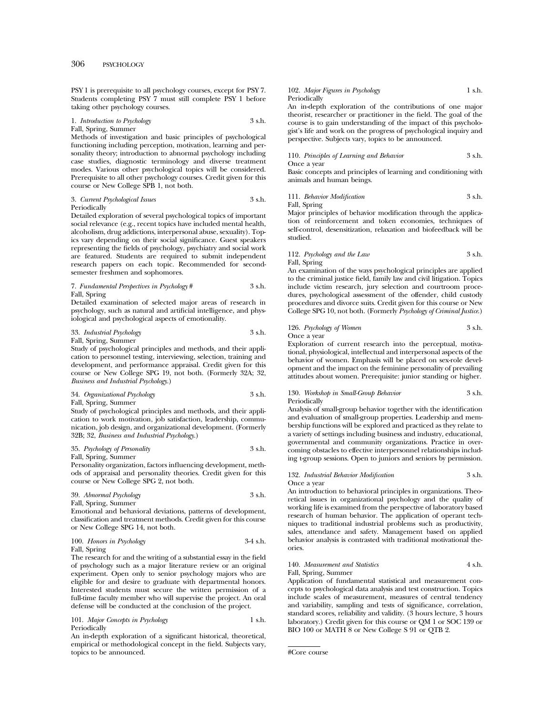PSY 1 is prerequisite to all psychology courses, except for PSY 7. Students completing PSY 7 must still complete PSY 1 before taking other psychology courses.

1. *Introduction to Psychology* 3 s.h. Fall, Spring, Summer

Methods of investigation and basic principles of psychological functioning including perception, motivation, learning and personality theory; introduction to abnormal psychology including case studies, diagnostic terminology and diverse treatment modes. Various other psychological topics will be considered. Prerequisite to all other psychology courses. Credit given for this course or New College SPB 1, not both.

#### 3. *Current Psychological Issues* 3 s.h. Periodically

Detailed exploration of several psychological topics of important social relevance (e.g., recent topics have included mental health, alcoholism, drug addictions, interpersonal abuse, sexuality). Topics vary depending on their social significance. Guest speakers representing the fields of psychology, psychiatry and social work are featured. Students are required to submit independent research papers on each topic. Recommended for secondsemester freshmen and sophomores.

7. *Fundamental Perspectives in Psychology* # 3 s.h. Fall, Spring

Detailed examination of selected major areas of research in psychology, such as natural and artificial intelligence, and physiological and psychological aspects of emotionality.

33. *Industrial Psychology* 3 s.h. Fall, Spring, Summer

Study of psychological principles and methods, and their application to personnel testing, interviewing, selection, training and development, and performance appraisal. Credit given for this course or New College SPG 19, not both. (Formerly 32A; 32, *Business and Industrial Psychology*.)

34. *Organizational Psychology* 3 s.h. Fall, Spring, Summer

Study of psychological principles and methods, and their application to work motivation, job satisfaction, leadership, communication, job design, and organizational development. (Formerly 32B; 32, *Business and Industrial Psychology*.)

35. *Psychology of Personality* 3 s.h. Fall, Spring, Summer

Personality organization, factors influencing development, methods of appraisal and personality theories. Credit given for this course or New College SPG 2, not both.

39. *Abnormal Psychology* 3 s.h. Fall, Spring, Summer

Emotional and behavioral deviations, patterns of development, classification and treatment methods. Credit given for this course or New College SPG 14, not both.

100. *Honors in Psychology* 3-4 s.h. Fall, Spring

The research for and the writing of a substantial essay in the field of psychology such as a major literature review or an original experiment. Open only to senior psychology majors who are eligible for and desire to graduate with departmental honors. Interested students must secure the written permission of a full-time faculty member who will supervise the project. An oral defense will be conducted at the conclusion of the project.

101. *Major Concepts in Psychology* 1 s.h. Periodically

An in-depth exploration of a significant historical, theoretical, empirical or methodological concept in the field. Subjects vary, topics to be announced.

102. *Major Figures in Psychology* 1 s.h. Periodically

An in-depth exploration of the contributions of one major theorist, researcher or practitioner in the field. The goal of the course is to gain understanding of the impact of this psychologist's life and work on the progress of psychological inquiry and perspective. Subjects vary, topics to be announced.

110. *Principles of Learning and Behavior* 3 s.h. Once a year

Basic concepts and principles of learning and conditioning with animals and human beings.

111. *Behavior Modification* 3 s.h. Fall, Spring

Major principles of behavior modification through the application of reinforcement and token economies, techniques of self-control, desensitization, relaxation and biofeedback will be studied.

112. *Psychology and the Law* 3 s.h. Fall, Spring

An examination of the ways psychological principles are applied to the criminal justice field, family law and civil litigation. Topics include victim research, jury selection and courtroom procedures, psychological assessment of the offender, child custody procedures and divorce suits. Credit given for this course or New College SPG 10, not both. (Formerly *Psychology of Criminal Justice*.)

126. *Psychology of Women* 3 s.h. Once a year

Exploration of current research into the perceptual, motivational, physiological, intellectual and interpersonal aspects of the behavior of women. Emphasis will be placed on sex-role development and the impact on the feminine personality of prevailing attitudes about women. Prerequisite: junior standing or higher.

#### 130. *Workshop in Small-Group Behavior* 3 s.h. Periodically

Analysis of small-group behavior together with the identification and evaluation of small-group properties. Leadership and membership functions will be explored and practiced as they relate to a variety of settings including business and industry, educational, governmental and community organizations. Practice in overcoming obstacles to effective interpersonnel relationships including t-group sessions. Open to juniors and seniors by permission.

#### 132. *Industrial Behavior Modification* 3 s.h. Once a year

An introduction to behavioral principles in organizations. Theoretical issues in organizational psychology and the quality of working life is examined from the perspective of laboratory based research of human behavior. The application of operant techniques to traditional industrial problems such as productivity, sales, attendance and safety. Management based on applied behavior analysis is contrasted with traditional motivational theories.

### 140. *Measurement and Statistics* 4 s.h. Fall, Spring, Summer

Application of fundamental statistical and measurement concepts to psychological data analysis and test construction. Topics include scales of measurement, measures of central tendency and variability, sampling and tests of significance, correlation, standard scores, reliability and validity. (3 hours lecture, 3 hours laboratory.) Credit given for this course or QM 1 or SOC 139 or BIO 100 or MATH 8 or New College S 91 or QTB 2.

<sup>#</sup>Core course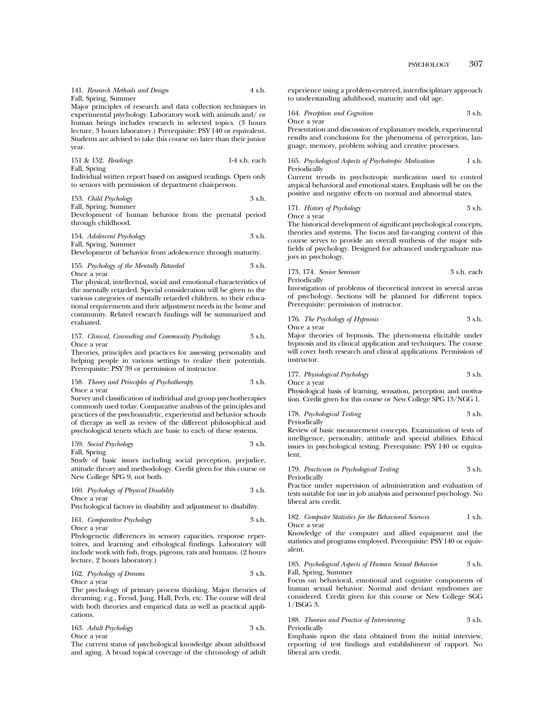141. *Research Methods and Design* 4 s.h. Fall, Spring, Summer

Major principles of research and data collection techniques in experimental psychology. Laboratory work with animals and/ or human beings includes research in selected topics. (3 hours lecture, 3 hours laboratory.) Prerequisite: PSY 140 or equivalent. Students are advised to take this course no later than their junior year.

151 & 152. *Readings* 1-4 s.h. each Fall, Spring

Individual written report based on assigned readings. Open only to seniors with permission of department chairperson.

153. *Child Psychology* 3 s.h. Fall, Spring, Summer

Development of human behavior from the prenatal period through childhood.

154. *Adolescent Psychology* 3 s.h. Fall, Spring, Summer

Development of behavior from adolescence through maturity.

155. *Psychology of the Mentally Retarded* 3 s.h. Once a year

The physical, intellectual, social and emotional characteristics of the mentally retarded. Special consideration will be given to the various categories of mentally retarded children, to their educational requirements and their adjustment needs in the home and community. Related research findings will be summarized and evaluated.

157. *Clinical, Counseling and Community Psychology* 3 s.h. Once a year

Theories, principles and practices for assessing personality and helping people in various settings to realize their potentials. Prerequisite: PSY 39 or permission of instructor.

158. *Theory and Principles of Psychotherapy* 3 s.h. Once a year

Survey and classification of individual and group psychotherapies commonly used today. Comparative analysis of the principles and practices of the psychoanalytic, experiential and behavior schools of therapy as well as review of the different philosophical and psychological tenets which are basic to each of these systems.

159. *Social Psychology* 3 s.h. Fall, Spring

Study of basic issues including social perception, prejudice, attitude theory and methodology. Credit given for this course or New College SPG 9, not both.

160. *Psychology of Physical Disability* 3 s.h. Once a year

Psychological factors in disability and adjustment to disability.

161. *Comparative Psychology* 3 s.h. Once a year

Phylogenetic differences in sensory capacities, response repertoires, and learning and ethological findings. Laboratory will include work with fish, frogs, pigeons, rats and humans. (2 hours lecture, 2 hours laboratory.)

162. *Psychology of Dreams* 3 s.h. Once a year

The psychology of primary process thinking. Major theories of dreaming, e.g., Freud, Jung, Hall, Perls, etc. The course will deal with both theories and empirical data as well as practical applications.

| 163. Adult Psychology | 3 s.h. |
|-----------------------|--------|
| Once a vear           |        |

The current status of psychological knowledge about adulthood and aging. A broad topical coverage of the chronology of adult

experience using a problem-centered, interdisciplinary approach to understanding adulthood, maturity and old age.

164. *Perception and Cognition* 3 s.h. Once a year

Presentation and discussion of explanatory models, experimental results and conclusions for the phenomena of perception, language, memory, problem solving and creative processes.

165. *Psychological Aspects of Psychotropic Medication* 1 s.h. Periodically

Current trends in psychotropic medication used to control atypical behavioral and emotional states. Emphasis will be on the positive and negative effects on normal and abnormal states.

171. *History of Psychology* 3 s.h. Once a year

The historical development of significant psychological concepts, theories and systems. The focus and far-ranging content of this course serves to provide an overall synthesis of the major subfields of psychology. Designed for advanced undergraduate majors in psychology.

173, 174. *Senior Seminar* 3 s.h. each Periodically

Investigation of problems of theoretical interest in several areas of psychology. Sections will be planned for different topics. Prerequisite: permission of instructor.

176. *The Psychology of Hypnosis* 3 s.h.

Once a year

Major theories of hypnosis. The phenomena elicitable under hypnosis and its clinical application and techniques. The course will cover both research and clinical applications. Permission of instructor.

177. *Physiological Psychology* 3 s.h. Once a year

Physiological basis of learning, sensation, perception and motivation. Credit given for this course or New College SPG 13/NGG 1.

178. *Psychological Testing* 3 s.h. **Periodically** 

Review of basic measurement concepts. Examination of tests of intelligence, personality, attitude and special abilities. Ethical issues in psychological testing. Prerequisite: PSY 140 or equivalent.

179. *Practicum in Psychological Testing* 3 s.h. Periodically

Practice under supervision of administration and evaluation of tests suitable for use in job analysis and personnel psychology. No liberal arts credit.

182. *Computer Statistics for the Behavioral Sciences* 1 s.h. Once a year

Knowledge of the computer and allied equipment and the statistics and programs employed. Prerequisite: PSY 140 or equivalent.

185. *Psychological Aspects of Human Sexual Behavior* 3 s.h. Fall, Spring, Summer

Focus on behavioral, emotional and cognitive components of human sexual behavior. Normal and deviant syndromes are considered. Credit given for this course or New College SGG 1/ISGG 3.

## 188. *Theories and Practice of Interviewing* 3 s.h. Periodically

Emphasis upon the data obtained from the initial interview, reporting of test findings and establishment of rapport. No liberal arts credit.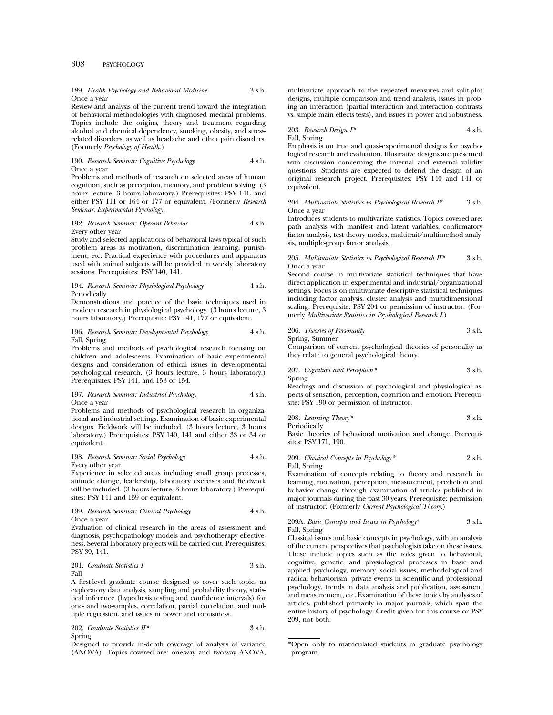## 308 PSYCHOLOGY

#### 189. *Health Psychology and Behavioral Medicine* 3 s.h. Once a year

Review and analysis of the current trend toward the integration of behavioral methodologies with diagnosed medical problems. Topics include the origins, theory and treatment regarding alcohol and chemical dependency, smoking, obesity, and stressrelated disorders, as well as headache and other pain disorders. (Formerly *Psychology of Health.*)

190. *Research Seminar: Cognitive Psychology* 4 s.h. Once a year

Problems and methods of research on selected areas of human cognition, such as perception, memory, and problem solving. (3 hours lecture, 3 hours laboratory.) Prerequisites: PSY 141, and either PSY 111 or 164 or 177 or equivalent. (Formerly *Research Seminar: Experimental Psychology.*

#### 192. *Research Seminar: Operant Behavior* 4 s.h. Every other year

Study and selected applications of behavioral laws typical of such problem areas as motivation, discrimination learning, punishment, etc. Practical experience with procedures and apparatus used with animal subjects will be provided in weekly laboratory sessions. Prerequisites: PSY 140, 141.

#### 194. *Research Seminar: Physiological Psychology* 4 s.h. Periodically

Demonstrations and practice of the basic techniques used in modern research in physiological psychology. (3 hours lecture, 3 hours laboratory.) Prerequisite: PSY 141, 177 or equivalent.

#### 196. *Research Seminar: Developmental Psychology* 4 s.h. Fall, Spring

Problems and methods of psychological research focusing on children and adolescents. Examination of basic experimental designs and consideration of ethical issues in developmental psychological research. (3 hours lecture, 3 hours laboratory.) Prerequisites: PSY 141, and 153 or 154.

#### 197. *Research Seminar: Industrial Psychology* 4 s.h. Once a year

Problems and methods of psychological research in organizational and industrial settings. Examination of basic experimental designs. Fieldwork will be included. (3 hours lecture, 3 hours laboratory.) Prerequisites: PSY 140, 141 and either 33 or 34 or equivalent.

#### 198. *Research Seminar: Social Psychology* 4 s.h. Every other year

Experience in selected areas including small group processes, attitude change, leadership, laboratory exercises and fieldwork will be included. (3 hours lecture, 3 hours laboratory.) Prerequisites: PSY 141 and 159 or equivalent.

#### 199. *Research Seminar: Clinical Psychology* 4 s.h. Once a year

Evaluation of clinical research in the areas of assessment and diagnosis, psychopathology models and psychotherapy effectiveness. Several laboratory projects will be carried out. Prerequisites: PSY 39, 141.

$$
201. \quad \textit{Graduate Statistics I}\\ \hspace*{2.2cm} 3 \text{ s.h.}\\ \text{Fall}\\ \hspace*{2.2cm}
$$

A first-level graduate course designed to cover such topics as exploratory data analysis, sampling and probability theory, statistical inference (hypothesis testing and confidence intervals) for one- and two-samples, correlation, partial correlation, and multiple regression, and issues in power and robustness.

202. *Graduate Statistics II\** 3 s.h. Spring

Designed to provide in-depth coverage of analysis of variance (ANOVA). Topics covered are: one-way and two-way ANOVA,

multivariate approach to the repeated measures and split-plot designs, multiple comparison and trend analysis, issues in probing an interaction (partial interaction and interaction contrasts vs. simple main effects tests), and issues in power and robustness.

## 203. *Research Design I\** 4 s.h. Fall, Spring

Emphasis is on true and quasi-experimental designs for psychological research and evaluation. Illustrative designs are presented with discussion concerning the internal and external validity questions. Students are expected to defend the design of an original research project. Prerequisites: PSY 140 and 141 or equivalent.

#### 204. *Multivariate Statistics in Psychological Research I\** 3 s.h. Once a year

Introduces students to multivariate statistics. Topics covered are: path analysis with manifest and latent variables, confirmatory factor analysis, test theory modes, multitrait/multimethod analysis, multiple-group factor analysis.

#### 205. *Multivariate Statistics in Psychological Research II\** 3 s.h. Once a year

Second course in multivariate statistical techniques that have direct application in experimental and industrial/organizational settings. Focus is on multivariate descriptive statistical techniques including factor analysis, cluster analysis and multidimensional scaling. Prerequisite: PSY 204 or permission of instructor. (Formerly *Multivariate Statistics in Psychological Research I.*)

206. *Theories of Personality* 3 s.h. Spring, Summer

Comparison of current psychological theories of personality as they relate to general psychological theory.

207. *Cognition and Perception\** 3 s.h. Spring

Readings and discussion of psychological and physiological aspects of sensation, perception, cognition and emotion. Prerequisite: PSY 190 or permission of instructor.

208. *Learning Theory\** 3 s.h. Periodically

Basic theories of behavioral motivation and change. Prerequisites: PSY 171, 190.

209. *Classical Concepts in Psychology\** 2 s.h. Fall, Spring

Examination of concepts relating to theory and research in learning, motivation, perception, measurement, prediction and behavior change through examination of articles published in major journals during the past 30 years. Prerequisite: permission of instructor. (Formerly *Current Psychological Theory.*)

209A. *Basic Concepts and Issues in Psychology*\* 3 s.h. Fall, Spring

Classical issues and basic concepts in psychology, with an analysis of the current perspectives that psychologists take on these issues. These include topics such as the roles given to behavioral, cognitive, genetic, and physiological processes in basic and applied psychology, memory, social issues, methodological and radical behaviorism, private events in scientific and professional psychology, trends in data analysis and publication, assessment and measurement, etc. Examination of these topics by analyses of articles, published primarily in major journals, which span the entire history of psychology. Credit given for this course or PSY 209, not both.

<sup>\*</sup>Open only to matriculated students in graduate psychology program.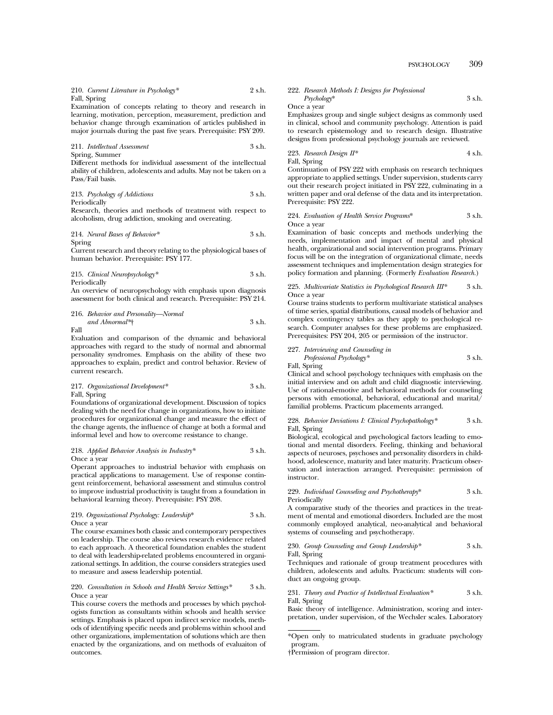210. *Current Literature in Psychology\** 2 s.h. Fall, Spring

Examination of concepts relating to theory and research in learning, motivation, perception, measurement, prediction and behavior change through examination of articles published in major journals during the past five years. Prerequisite: PSY 209.

211. *Intellectual Assessment* 3 s.h. Spring, Summer

Different methods for individual assessment of the intellectual ability of children, adolescents and adults. May not be taken on a Pass/Fail basis.

213. *Psychology of Addictions* 3 s.h. Periodically

Research, theories and methods of treatment with respect to alcoholism, drug addiction, smoking and overeating.

214. *Neural Bases of Behavior\** 3 s.h. Spring

Current research and theory relating to the physiological bases of human behavior. Prerequisite: PSY 177.

215. *Clinical Neuropsychology\** 3 s.h. Periodically

An overview of neuropsychology with emphasis upon diagnosis assessment for both clinical and research. Prerequisite: PSY 214.

216. *Behavior and Personality—Normal and Abnormal\**† 3 s.h.

Fall

Evaluation and comparison of the dynamic and behavioral approaches with regard to the study of normal and abnormal personality syndromes. Emphasis on the ability of these two approaches to explain, predict and control behavior. Review of current research.

217. *Organizational Development\** 3 s.h. Fall, Spring

Foundations of organizational development. Discussion of topics dealing with the need for change in organizations, how to initiate procedures for organizational change and measure the effect of the change agents, the influence of change at both a formal and informal level and how to overcome resistance to change.

218. *Applied Behavior Analysis in Industry\** 3 s.h. Once a year

Operant approaches to industrial behavior with emphasis on practical applications to management. Use of response contingent reinforcement, behavioral assessment and stimulus control to improve industrial productivity is taught from a foundation in behavioral learning theory. Prerequisite: PSY 208.

219. *Organizational Psychology: Leadership*\* 3 s.h. Once a year

The course examines both classic and contemporary perspectives on leadership. The course also reviews research evidence related to each approach. A theoretical foundation enables the student to deal with leadership-related problems encountered in organizational settings. In addition, the course considers strategies used to measure and assess leadership potential.

#### 220. *Consultation in Schools and Health Service Settings\** 3 s.h. Once a year

This course covers the methods and processes by which psychologists function as consultants within schools and health service settings. Emphasis is placed upon indirect service models, methods of identifying specific needs and problems within school and other organizations, implementation of solutions which are then enacted by the organizations, and on methods of evaluaiton of outcomes.

222. *Research Methods I: Designs for Professional Psychology*\* 3 s.h.

Once a year

Emphasizes group and single subject designs as commonly used in clinical, school and community psychology. Attention is paid to research epistemology and to research design. Illustrative designs from professional psychology journals are reviewed.

223. *Research Design II\** 4 s.h. Fall, Spring

Continuation of PSY 222 with emphasis on research techniques appropriate to applied settings. Under supervision, students carry out their research project initiated in PSY 222, culminating in a written paper and oral defense of the data and its interpretation. Prerequisite: PSY 222.

#### 224. *Evaluation of Health Service Programs*\* 3 s.h. Once a year

Examination of basic concepts and methods underlying the needs, implementation and impact of mental and physical health, organizational and social intervention programs. Primary focus will be on the integration of organizational climate, needs assessment techniques and implementation design strategies for policy formation and planning. (Formerly *Evaluation Research.*)

225. *Multivariate Statistics in Psychological Research III\** 3 s.h. Once a year

Course trains students to perform multivariate statistical analyses of time series, spatial distributions, causal models of behavior and complex contingency tables as they apply to psychological research. Computer analyses for these problems are emphasized. Prerequisites: PSY 204, 205 or permission of the instructor.

#### 227. *Interviewing and Counseling in*

*Professional Psychology\** 3 s.h. Fall, Spring

Clinical and school psychology techniques with emphasis on the initial interview and on adult and child diagnostic interviewing. Use of rational-emotive and behavioral methods for counseling persons with emotional, behavioral, educational and marital $\bar{a}$ familial problems. Practicum placements arranged.

#### 228. *Behavior Deviations I: Clinical Psychopathology\** 3 s.h. Fall, Spring

Biological, ecological and psychological factors leading to emotional and mental disorders. Feeling, thinking and behavioral aspects of neuroses, psychoses and personality disorders in childhood, adolescence, maturity and later maturity. Practicum observation and interaction arranged. Prerequisite: permission of instructor.

#### 229. *Individual Counseling and Psychotherapy*\* 3 s.h. Periodically

A comparative study of the theories and practices in the treatment of mental and emotional disorders. Included are the most commonly employed analytical, neo-analytical and behavioral systems of counseling and psychotherapy.

230. *Group Counseling and Group Leadership*<sup>\*</sup> 3 s.h. Fall, Spring

Techniques and rationale of group treatment procedures with children, adolescents and adults. Practicum: students will conduct an ongoing group.

231. *Theory and Practice of Intellectual Evaluation\** 3 s.h. Fall, Spring

Basic theory of intelligence. Administration, scoring and interpretation, under supervision, of the Wechsler scales. Laboratory

\*Open only to matriculated students in graduate psychology program.

<sup>†</sup>Permission of program director.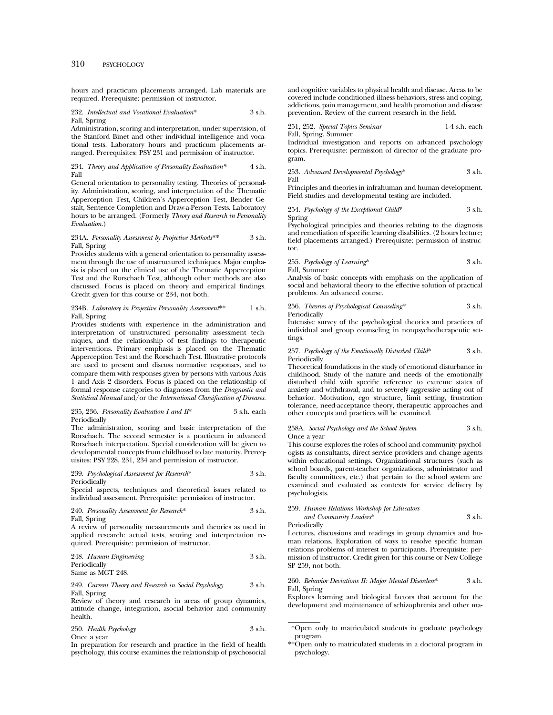hours and practicum placements arranged. Lab materials are required. Prerequisite: permission of instructor.

232. *Intellectual and Vocational Evaluation*\* 3 s.h. Fall, Spring

Administration, scoring and interpretation, under supervision, of the Stanford Binet and other individual intelligence and vocational tests. Laboratory hours and practicum placements arranged. Prerequisites: PSY 231 and permission of instructor.

#### 234. *Theory and Application of Personality Evaluation\** 4 s.h. Fall

General orientation to personality testing. Theories of personality. Administration, scoring, and interpretation of the Thematic Apperception Test, Children's Apperception Test, Bender Gestalt, Sentence Completion and Draw-a-Person Tests. Laboratory hours to be arranged. (Formerly *Theory and Research in Personality Evaluation.*)

#### 234A. *Personality Assessment by Projective Methods*\*\* 3 s.h. Fall, Spring

Provides students with a general orientation to personality assessment through the use of unstructured techniques. Major emphasis is placed on the clinical use of the Thematic Apperception Test and the Rorschach Test, although other methods are also discussed. Focus is placed on theory and empirical findings. Credit given for this course or 234, not both.

### 234B. *Laboratory in Projective Personality Assessment*\*\* 1 s.h. Fall, Spring

Provides students with experience in the administration and interpretation of unstructured personality assessment techniques, and the relationship of test findings to therapeutic interventions. Primary emphasis is placed on the Thematic Apperception Test and the Rorschach Test. Illustrative protocols are used to present and discuss normative responses, and to compare them with responses given by persons with various Axis 1 and Axis 2 disorders. Focus is placed on the relationship of formal response categories to diagnoses from the *Diagnostic and Statistical Manual* and/or the *International Classification of Diseases.*

#### 235, 236. *Personality Evaluation I and II*\* 3 s.h. each Periodically

The administration, scoring and basic interpretation of the Rorschach. The second semester is a practicum in advanced Rorschach interpretation. Special consideration will be given to developmental concepts from childhood to late maturity. Prerequisites: PSY 228, 231, 234 and permission of instructor.

239. *Psychological Assessment for Research*\* 3 s.h. Periodically

Special aspects, techniques and theoretical issues related to individual assessment. Prerequisite: permission of instructor.

240. *Personality Assessment for Research*\* 3 s.h. Fall, Spring

A review of personality measurements and theories as used in applied research: actual tests, scoring and interpretation required. Prerequisite: permission of instructor.

248. *Human Engineering* 3 s.h. Periodically

Same as MGT 248.

249. *Current Theory and Research in Social Psychology* 3 s.h. Fall, Spring

Review of theory and research in areas of group dynamics, attitude change, integration, asocial behavior and community health.

| 250. Health Psychology | 3 s.h. |
|------------------------|--------|
| Once a vear            |        |

In preparation for research and practice in the field of health psychology, this course examines the relationship of psychosocial and cognitive variables to physical health and disease. Areas to be covered include conditioned illness behaviors, stress and coping, addictions, pain management, and health promotion and disease prevention. Review of the current research in the field.

251, 252. *Special Topics Seminar* 1-4 s.h. each Fall, Spring, Summer

Individual investigation and reports on advanced psychology topics. Prerequisite: permission of director of the graduate program.

253. *Advanced Developmental Psychology*\* 3 s.h. Fall

Principles and theories in infrahuman and human development. Field studies and developmental testing are included.

254. *Psychology of the Exceptional Child*\* 3 s.h. Spring

Psychological principles and theories relating to the diagnosis and remediation of specific learning disabilities. (2 hours lecture; field placements arranged.) Prerequisite: permission of instructor.

255. *Psychology of Learning*\* 3 s.h.

Fall, Summer

Analysis of basic concepts with emphasis on the application of social and behavioral theory to the effective solution of practical problems. An advanced course.

256. *Theories of Psychological Counseling*\* 3 s.h. Periodically

Intensive survey of the psychological theories and practices of individual and group counseling in nonpsychotherapeutic settings.

257. *Psychology of the Emotionally Disturbed Child*\* 3 s.h. Periodically

Theoretical foundations in the study of emotional disturbance in childhood. Study of the nature and needs of the emotionally disturbed child with specific reference to extreme states of anxiety and withdrawal, and to severely aggressive acting out of behavior. Motivation, ego structure, limit setting, frustration tolerance, need-acceptance theory, therapeutic approaches and other concepts and practices will be examined.

258A. *Social Psychology and the School System* 3 s.h. Once a year

This course explores the roles of school and community psychologists as consultants, direct service providers and change agents within educational settings. Organizational structures (such as school boards, parent-teacher organizations, administrator and faculty committees, etc.) that pertain to the school system are examined and evaluated as contexts for service delivery by psychologists.

### 259. *Human Relations Workshop for Educators and Community Leaders*\* 3 s.h.

Periodically

Lectures, discussions and readings in group dynamics and human relations. Exploration of ways to resolve specific human relations problems of interest to participants. Prerequisite: permission of instructor. Credit given for this course or New College SP 259, not both.

260. *Behavior Deviations II: Major Mental Disorders*\* 3 s.h. Fall, Spring

Explores learning and biological factors that account for the development and maintenance of schizophrenia and other ma-

<sup>\*</sup>Open only to matriculated students in graduate psychology program.

<sup>\*\*</sup>Open only to matriculated students in a doctoral program in psychology.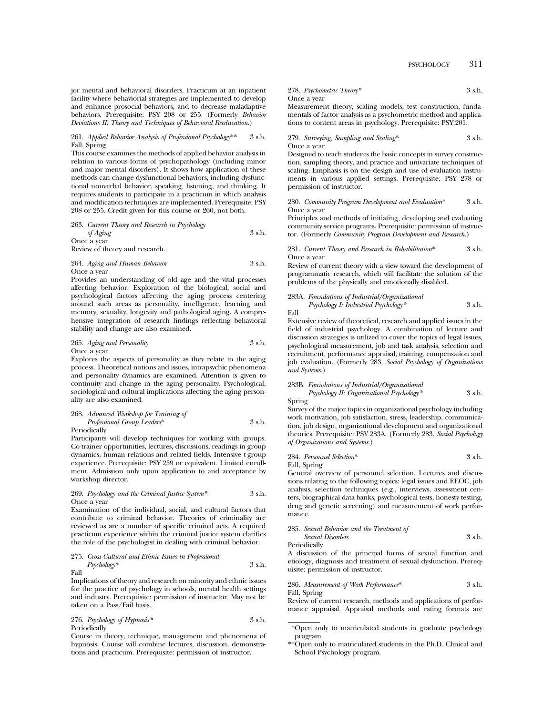jor mental and behavioral disorders. Practicum at an inpatient facility where behaviorial strategies are implemented to develop and enhance prosocial behaviors, and to decrease maladaptive behaviors. Prerequisite: PSY 208 or 255. (Formerly *Behavior Deviations II: Theory and Techniques of Behavioral Reeducation*.)

#### 261. *Applied Behavior Analysis of Professional Psychology*\*\* 3 s.h. Fall, Spring

This course examines the methods of applied behavior analysis in relation to various forms of psychopathology (including minor and major mental disorders). It shows how application of these methods can change dysfunctional behaviors, including dysfunctional nonverbal behavior, speaking, listening, and thinking. It requires students to participate in a practicum in which analysis and modification techniques are implemented. Prerequisite: PSY 208 or 255. Credit given for this course or 260, not both.

263. *Current Theory and Research in Psychology of Aging* 3 s.h. Once a year Review of theory and research.

264. *Aging and Human Behavior* 3 s.h. Once a year

Provides an understanding of old age and the vital processes affecting behavior. Exploration of the biological, social and psychological factors affecting the aging process centering around such areas as personality, intelligence, learning and memory, sexuality, longevity and pathological aging. A comprehensive integration of research findings reflecting behavioral stability and change are also examined.

265. *Aging and Personality* 3 s.h. Once a year

Explores the aspects of personality as they relate to the aging process. Theoretical notions and issues, intrapsychic phenomena and personality dynamics are examined. Attention is given to continuity and change in the aging personality. Psychological, sociological and cultural implications affecting the aging personality are also examined.

268. *Advanced Workshop for Training of Professional Group Leaders*\* 3 s.h.

Periodically

Participants will develop techniques for working with groups. Co-trainer opportunities, lectures, discussions, readings in group dynamics, human relations and related fields. Intensive t-group experience. Prerequisite: PSY 259 or equivalent. Limited enrollment. Admission only upon application to and acceptance by workshop director.

#### 269. *Psychology and the Criminal Justice System\** 3 s.h. Once a year

Examination of the individual, social, and cultural factors that contribute to criminal behavior. Theories of criminality are reviewed as are a number of specific criminal acts. A required practicum experience within the criminal justice system clarifies the role of the psychologist in dealing with criminal behavior.

275. *Cross-Cultural and Ethnic Issues in Professional Psychology\** 3 s.h. Fall

Implications of theory and research on minority and ethnic issues for the practice of psychology in schools, mental health settings and industry. Prerequisite: permission of instructor. May not be taken on a Pass/Fail basis.

276. *Psychology of Hypnosis\** 3 s.h. Periodically

Course in theory, technique, management and phenomena of hypnosis. Course will combine lectures, discussion, demonstrations and practicum. Prerequisite: permission of instructor.

278. *Psychometric Theory\** 3 s.h. Once a year

Measurement theory, scaling models, test construction, fundamentals of factor analysis as a psychometric method and applications to content areas in psychology. Prerequisite: PSY 201.

279. *Surveying, Sampling and Scaling*\* 3 s.h. Once a year

Designed to teach students the basic concepts in survey construction, sampling theory, and practice and univariate techniques of scaling. Emphasis is on the design and use of evaluation instruments in various applied settings. Prerequisite: PSY 278 or permission of instructor.

#### 280. *Community Program Development and Evaluation*\* 3 s.h. Once a year

Principles and methods of initiating, developing and evaluating community service programs. Prerequisite: permission of instructor. (Formerly *Community Program Development and Research.*)

#### 281. *Current Theory and Research in Rehabilitation*\* 3 s.h. Once a year

Review of current theory with a view toward the development of programmatic research, which will facilitate the solution of the problems of the physically and emotionally disabled.

## 283A. *Foundations of Industrial/Organizational Psychology I: Industrial Psychology\** 3 s.h.

Fall

Extensive review of theoretical, research and applied issues in the field of industrial psychology. A combination of lecture and discussion strategies is utilized to cover the topics of legal issues, psychological measurement, job and task analysis, selection and recruitment, performance appraisal, training, compensation and job evaluation. (Formerly 283, *Social Psychology of Organizations and Systems.*)

#### 283B. *Foundations of Industrial/Organizational Psychology II: Organizational Psychology\** 3 s.h.

Spring

Survey of the major topics in organizational psychology including work motivation, job satisfaction, stress, leadership, communication, job design, organizational development and organizational theories. Prerequisite: PSY 283A. (Formerly 283, *Social Psychology of Organizations and Systems.*)

284. *Personnel Selection*\* 3 s.h. Fall, Spring

General overview of personnel selection. Lectures and discussions relating to the following topics: legal issues and EEOC, job analysis, selection techniques (e.g., interviews, assessment centers, biographical data banks, psychological tests, honesty testing, drug and genetic screening) and measurement of work performance.

#### 285. *Sexual Behavior and the Treatment of Sexual Disorders* 3 s.h.

Periodically

A discussion of the principal forms of sexual function and etiology, diagnosis and treatment of sexual dysfunction. Prerequisite: permission of instructor.

286. *Measurement of Work Performance*\* 3 s.h. Fall, Spring

Review of current research, methods and applications of performance appraisal. Appraisal methods and rating formats are

<sup>\*</sup>Open only to matriculated students in graduate psychology program.

<sup>\*\*</sup>Open only to matriculated students in the Ph.D. Clinical and School Psychology program.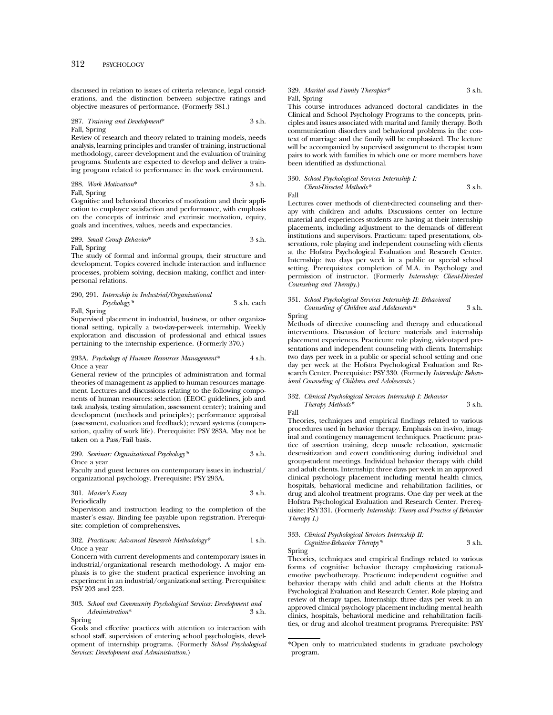discussed in relation to issues of criteria relevance, legal considerations, and the distinction between subjective ratings and objective measures of performance. (Formerly 381.)

287. *Training and Development*\* 3 s.h. Fall, Spring

Review of research and theory related to training models, needs analysis, learning principles and transfer of training, instructional methodology, career development and the evaluation of training programs. Students are expected to develop and deliver a training program related to performance in the work environment.

288. *Work Motivation*\* 3 s.h. Fall, Spring

Cognitive and behavioral theories of motivation and their application to employee satisfaction and performance, with emphasis on the concepts of intrinsic and extrinsic motivation, equity, goals and incentives, values, needs and expectancies.

289. *Small Group Behavior*\* 3 s.h. Fall, Spring

The study of formal and informal groups, their structure and development. Topics covered include interaction and influence processes, problem solving, decision making, conflict and interpersonal relations.

290, 291. *Internship in Industrial/Organizational Psychology\** 3 s.h. each Fall, Spring

Supervised placement in industrial, business, or other organizational setting, typically a two-day-per-week internship. Weekly exploration and discussion of professional and ethical issues pertaining to the internship experience. (Formerly 370.)

#### 293A. *Psychology of Human Resources Management\** 4 s.h. Once a year

General review of the principles of administration and formal theories of management as applied to human resources management. Lectures and discussions relating to the following components of human resources: selection (EEOC guidelines, job and task analysis, testing simulation, assessment center); training and development (methods and principles); performance appraisal (assessment, evaluation and feedback); reward systems (compensation, quality of work life). Prerequisite: PSY 283A. May not be taken on a Pass/Fail basis.

299. *Seminar: Organizational Psychology\** 3 s.h.

Once a year Faculty and guest lectures on contemporary issues in industrial/

organizational psychology. Prerequisite: PSY 293A.

301. *Master's Essay* 3 s.h. Periodically

Supervision and instruction leading to the completion of the master's essay. Binding fee payable upon registration. Prerequisite: completion of comprehensives.

#### 302. *Practicum: Advanced Research Methodology*\* 1 s.h. Once a year

Concern with current developments and contemporary issues in industrial/organizational research methodology. A major emphasis is to give the student practical experience involving an experiment in an industrial/organizational setting. Prerequisites: PSY 203 and 223.

303. *School and Community Psychological Services: Development and Administration*\* 3 s.h. Spring

Goals and effective practices with attention to interaction with school staff, supervision of entering school psychologists, development of internship programs. (Formerly *School Psychological Services: Development and Administration.*)

329. *Marital and Family Therapies\** 3 s.h. Fall, Spring

This course introduces advanced doctoral candidates in the Clinical and School Psychology Programs to the concepts, principles and issues associated with marital and family therapy. Both communication disorders and behavioral problems in the context of marriage and the family will be emphasized. The lecture will be accompanied by supervised assignment to therapist team pairs to work with families in which one or more members have been identified as dysfunctional.

330. *School Psychological Services Internship I: Client-Directed Methods\** 3 s.h.

Fall

Lectures cover methods of client-directed counseling and therapy with children and adults. Discussions center on lecture material and experiences students are having at their internship placements, including adjustment to the demands of different institutions and supervisors. Practicum: taped presentations, observations, role playing and independent counseling with clients at the Hofstra Psychological Evaluation and Research Center. Internship: two days per week in a public or special school setting. Prerequisites: completion of M.A. in Psychology and permission of instructor. (Formerly *Internship: Client-Directed Counseling and Therapy.*)

#### 331. *School Psychological Services Internship II: Behavioral Counseling of Children and Adolescents\** 3 s.h. Spring

Methods of directive counseling and therapy and educational interventions. Discussion of lecture materials and internship placement experiences. Practicum: role playing, videotaped presentations and independent counseling with clients. Internship: two days per week in a public or special school setting and one day per week at the Hofstra Psychological Evaluation and Research Center. Prerequisite: PSY 330. (Formerly *Internship: Behavioral Counseling of Children and Adolescents*.)

#### 332. *Clinical Psychological Services Internship I: Behavior Therapy Methods\** 3 s.h. Fall

Theories, techniques and empirical findings related to various procedures used in behavior therapy. Emphasis on in-vivo, imaginal and contingency management techniques. Practicum: practice of assertion training, deep muscle relaxation, systematic desensitization and covert conditioning during individual and group-student meetings. Individual behavior therapy with child and adult clients. Internship: three days per week in an approved clinical psychology placement including mental health clinics, hospitals, behavioral medicine and rehabilitation facilities, or drug and alcohol treatment programs. One day per week at the Hofstra Psychological Evaluation and Research Center. Prerequisite: PSY 331. (Formerly *Internship: Theory and Practice of Behavior Therapy I.)*

### 333. *Clinical Psychological Services Internship II: Cognitive-Behavior Therapy\** 3 s.h.

Spring

Theories, techniques and empirical findings related to various forms of cognitive behavior therapy emphasizing rationalemotive psychotherapy. Practicum: independent cognitive and behavior therapy with child and adult clients at the Hofstra Psychological Evaluation and Research Center. Role playing and review of therapy tapes. Internship: three days per week in an approved clinical psychology placement including mental health clinics, hospitals, behavioral medicine and rehabilitation facilities, or drug and alcohol treatment programs. Prerequisite: PSY

<sup>\*</sup>Open only to matriculated students in graduate psychology program.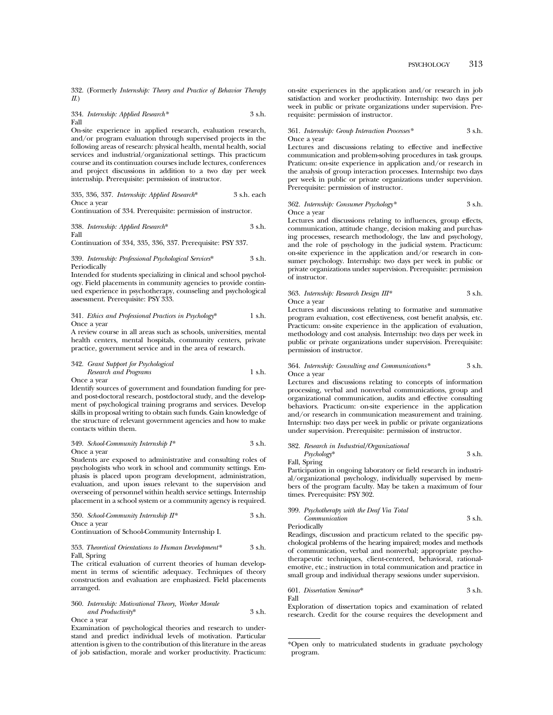332. (Formerly *Internship: Theory and Practice of Behavior Therapy II*.)

#### 334. *Internship: Applied Research\** 3 s.h. Fall

On-site experience in applied research, evaluation research, and/or program evaluation through supervised projects in the following areas of research: physical health, mental health, social services and industrial/organizational settings. This practicum course and its continuation courses include lectures, conferences and project discussions in addition to a two day per week internship. Prerequisite: permission of instructor.

335, 336, 337. *Internship: Applied Research*\* 3 s.h. each Once a year

Continuation of 334. Prerequisite: permission of instructor.

338. *Internship: Applied Research*\* 3 s.h. Fall

Continuation of 334, 335, 336, 337. Prerequisite: PSY 337.

339. *Internship: Professional Psychological Services*\* 3 s.h. Periodically

Intended for students specializing in clinical and school psychology. Field placements in community agencies to provide continued experience in psychotherapy, counseling and psychological assessment. Prerequisite: PSY 333.

341. *Ethics and Professional Practices in Psychology*\* 1 s.h. Once a year

A review course in all areas such as schools, universities, mental health centers, mental hospitals, community centers, private practice, government service and in the area of research.

342. *Grant Support for Psychological Research and Programs* 1 s.h. Once a year

Identify sources of government and foundation funding for preand post-doctoral research, postdoctoral study, and the development of psychological training programs and services. Develop skills in proposal writing to obtain such funds. Gain knowledge of the structure of relevant government agencies and how to make contacts within them.

349. *School-Community Internship I\** 3 s.h. Once a year

Students are exposed to administrative and consulting roles of psychologists who work in school and community settings. Emphasis is placed upon program development, administration, evaluation, and upon issues relevant to the supervision and overseeing of personnel within health service settings. Internship placement in a school system or a community agency is required.

350. *School-Community Internship II\** 3 s.h.

Once a year

Continuation of School-Community Internship I.

353. *Theoretical Orientations to Human Development\** 3 s.h. Fall, Spring

The critical evaluation of current theories of human development in terms of scientific adequacy. Techniques of theory construction and evaluation are emphasized. Field placements arranged.

360. *Internship: Motivational Theory, Worker Morale and Productivity*\* 3 s.h.

$$
\frac{a_{na}}{\text{Once a year}}
$$

Examination of psychological theories and research to understand and predict individual levels of motivation. Particular attention is given to the contribution of this literature in the areas of job satisfaction, morale and worker productivity. Practicum: on-site experiences in the application and/or research in job satisfaction and worker productivity. Internship: two days per week in public or private organizations under supervision. Prerequisite: permission of instructor.

#### 361. *Internship: Group Interaction Processes\** 3 s.h. Once a year

Lectures and discussions relating to effective and ineffective communication and problem-solving procedures in task groups. Praticum: on-site experience in application and/or research in the analysis of group interaction processes. Internship: two days per week in public or private organizations under supervision. Prerequisite: permission of instructor.

#### 362. *Internship: Consumer Psychology\** 3 s.h. Once a year

Lectures and discussions relating to influences, group effects, communication, attitude change, decision making and purchasing processes, research methodology, the law and psychology, and the role of psychology in the judicial system. Practicum: on-site experience in the application and/or research in consumer psychology. Internship: two days per week in public or private organizations under supervision. Prerequisite: permission of instructor.

## 363. *Internship: Research Design III\** 3 s.h. Once a year

Lectures and discussions relating to formative and summative program evaluation, cost effectiveness, cost benefit analysis, etc. Practicum: on-site experience in the application of evaluation, methodology and cost analysis. Internship: two days per week in public or private organizations under supervision. Prerequisite: permission of instructor.

#### 364. *Internship: Consulting and Communications\** 3 s.h. Once a year

Lectures and discussions relating to concepts of information processing, verbal and nonverbal communications, group and organizational communication, audits and effective consulting behaviors. Practicum: on-site experience in the application and/or research in communication measurement and training. Internship: two days per week in public or private organizations under supervision. Prerequisite: permission of instructor.

### 382. *Research in Industrial/Organizational Psychology*\* 3 s.h.

Fall, Spring

Participation in ongoing laboratory or field research in industrial/organizational psychology, individually supervised by members of the program faculty. May be taken a maximum of four times. Prerequisite: PSY 302.

399. *Psychotherapy with the Deaf Via Total Communication* 3 s.h.

Periodically

Readings, discussion and practicum related to the specific psychological problems of the hearing impaired; modes and methods of communication, verbal and nonverbal; appropriate psychotherapeutic techniques, client-centered, behavioral, rationalemotive, etc.; instruction in total communication and practice in small group and individual therapy sessions under supervision.

601. *Dissertation Seminar*\* 3 s.h. Fall

Exploration of dissertation topics and examination of related research. Credit for the course requires the development and

<sup>\*</sup>Open only to matriculated students in graduate psychology program.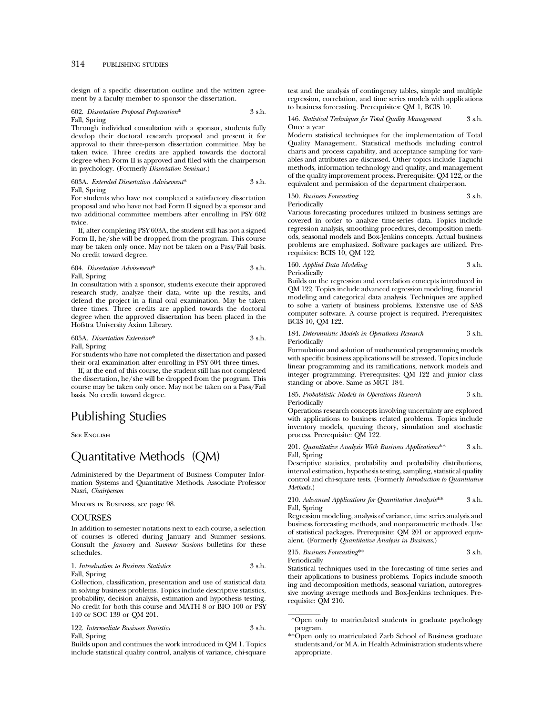## 314 PUBLISHING STUDIES

design of a specific dissertation outline and the written agreement by a faculty member to sponsor the dissertation.

602. *Dissertation Proposal Preparation*\* 3 s.h. Fall, Spring

Through individual consultation with a sponsor, students fully develop their doctoral research proposal and present it for approval to their three-person dissertation committee. May be taken twice. Three credits are applied towards the doctoral degree when Form II is approved and filed with the chairperson in psychology. (Formerly *Dissertation Seminar.*)

603A. *Extended Dissertation Advisement*\* 3 s.h. Fall, Spring

For students who have not completed a satisfactory dissertation proposal and who have not had Form II signed by a sponsor and two additional committee members after enrolling in PSY 602 twice.

If, after completing PSY 603A, the student still has not a signed Form II, he/she will be dropped from the program. This course may be taken only once. May not be taken on a Pass/Fail basis. No credit toward degree.

604. *Dissertation Advisement*\* 3 s.h. Fall, Spring

In consultation with a sponsor, students execute their approved research study, analyze their data, write up the results, and defend the project in a final oral examination. May be taken three times. Three credits are applied towards the doctoral degree when the approved dissertation has been placed in the Hofstra University Axinn Library.

605A. *Dissertation Extension*\* 3 s.h. Fall, Spring

For students who have not completed the dissertation and passed their oral examination after enrolling in PSY 604 three times.

If, at the end of this course, the student still has not completed the dissertation, he/she will be dropped from the program. This course may be taken only once. May not be taken on a Pass/Fail basis. No credit toward degree.

## Publishing Studies

SEE ENGLISH

## Quantitative Methods (QM)

Administered by the Department of Business Computer Information Systems and Quantitative Methods. Associate Professor Nasri, *Chairperson*

Minors in Business, see page 98.

## **COURSES**

In addition to semester notations next to each course, a selection of courses is offered during January and Summer sessions. Consult the *January* and *Summer Sessions* bulletins for these schedules.

1. *Introduction to Business Statistics* 3 s.h. Fall, Spring

Collection, classification, presentation and use of statistical data in solving business problems. Topics include descriptive statistics, probability, decision analysis, estimation and hypothesis testing. No credit for both this course and MATH 8 or BIO 100 or PSY 140 or SOC 139 or QM 201.

122. *Intermediate Business Statistics* 3 s.h. Fall, Spring

Builds upon and continues the work introduced in QM 1. Topics include statistical quality control, analysis of variance, chi-square test and the analysis of contingency tables, simple and multiple regression, correlation, and time series models with applications to business forecasting. Prerequisites: QM 1, BCIS 10.

146. *Statistical Techniques for Total Quality Management* 3 s.h. Once a year

Modern statistical techniques for the implementation of Total Quality Management. Statistical methods including control charts and process capability, and acceptance sampling for variables and attributes are discussed. Other topics include Taguchi methods, information technology and quality, and management of the quality improvement process. Prerequisite: QM 122, or the equivalent and permission of the department chairperson.

#### 150. *Business Forecasting* 3 s.h. Periodically

Various forecasting procedures utilized in business settings are covered in order to analyze time-series data. Topics include regression analysis, smoothing procedures, decomposition methods, seasonal models and Box-Jenkins concepts. Actual business problems are emphasized. Software packages are utilized. Prerequisites: BCIS 10, QM 122.

160. *Applied Data Modeling* 3 s.h. Periodically

Builds on the regression and correlation concepts introduced in QM 122. Topics include advanced regression modeling, financial modeling and categorical data analysis. Techniques are applied to solve a variety of business problems. Extensive use of SAS computer software. A course project is required. Prerequisites: BCIS 10, QM 122.

184. *Deterministic Models in Operations Research* 3 s.h. Periodically

Formulation and solution of mathematical programming models with specific business applications will be stressed. Topics include linear programming and its ramifications, network models and integer programming. Prerequisites: QM 122 and junior class standing or above. Same as MGT 184.

185. *Probabilistic Models in Operations Research* 3 s.h. Periodically

Operations research concepts involving uncertainty are explored with applications to business related problems. Topics include inventory models, queuing theory, simulation and stochastic process. Prerequisite: QM 122.

201. *Quantitative Analysis With Business Applications*\*\* 3 s.h. Fall, Spring

Descriptive statistics, probability and probability distributions, interval estimation, hypothesis testing, sampling, statistical quality control and chi-square tests. (Formerly *Introduction to Quantitative Methods.*)

210. *Advanced Applications for Quantitative Analysis*\*\* 3 s.h. Fall, Spring

Regression modeling, analysis of variance, time series analysis and business forecasting methods, and nonparametric methods. Use of statistical packages. Prerequisite: QM 201 or approved equivalent. (Formerly *Quantitative Analysis in Business*.)

215. *Business Forecasting*\*\* 3 s.h. Periodically

Statistical techniques used in the forecasting of time series and their applications to business problems. Topics include smooth ing and decomposition methods, seasonal variation, autoregressive moving average methods and Box-Jenkins techniques. Prerequisite: QM 210.

<sup>\*</sup>Open only to matriculated students in graduate psychology program.

<sup>\*\*</sup>Open only to matriculated Zarb School of Business graduate students and/or M.A. in Health Administration students where appropriate.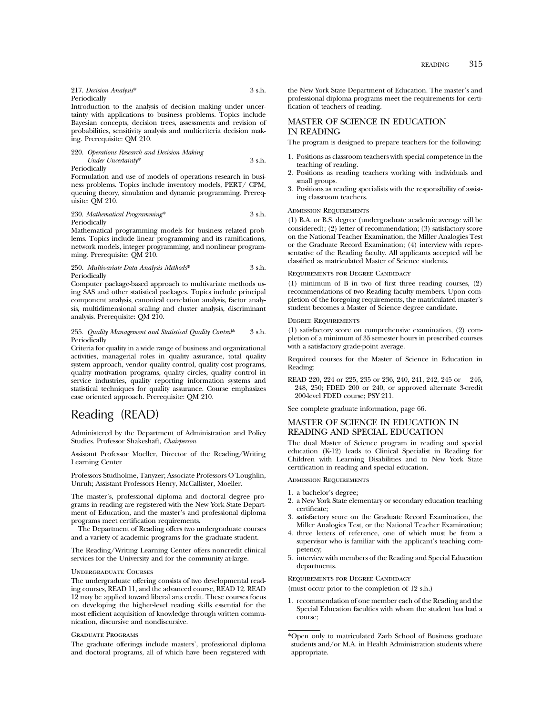217. *Decision Analysis*\* 3 s.h. Periodically

Introduction to the analysis of decision making under uncertainty with applications to business problems. Topics include Bayesian concepts, decision trees, assessments and revision of probabilities, sensitivity analysis and multicriteria decision making. Prerequisite: QM 210.

#### 220. *Operations Research and Decision Making*

*Under Uncertainty*\* 3 s.h. Periodically

Formulation and use of models of operations research in business problems. Topics include inventory models, PERT/ CPM, queuing theory, simulation and dynamic programming. Prerequisite: QM 210.

### 230. *Mathematical Programming*\* 3 s.h. Periodically

Mathematical programming models for business related problems. Topics include linear programming and its ramifications, network models, integer programming, and nonlinear programming. Prerequisite: QM 210.

#### 250. *Multivariate Data Analysis Methods*\* 3 s.h. Periodically

Computer package-based approach to multivariate methods using SAS and other statistical packages. Topics include principal component analysis, canonical correlation analysis, factor analysis, multidimensional scaling and cluster analysis, discriminant analysis. Prerequisite: QM 210.

### 255. *Quality Management and Statistical Quality Control*\* 3 s.h. Periodically

Criteria for quality in a wide range of business and organizational activities, managerial roles in quality assurance, total quality system approach, vendor quality control, quality cost programs, quality motivation programs, quality circles, quality control in service industries, quality reporting information systems and statistical techniques for quality assurance. Course emphasizes case oriented approach. Prerequisite: QM 210.

## Reading (READ)

Administered by the Department of Administration and Policy Studies. Professor Shakeshaft, *Chairperson*

Assistant Professor Moeller, Director of the Reading/Writing Learning Center

Professors Studholme, Tanyzer; Associate Professors O'Loughlin, Unruh; Assistant Professors Henry, McCallister, Moeller.

The master's, professional diploma and doctoral degree programs in reading are registered with the New York State Department of Education, and the master's and professional diploma programs meet certification requirements.

The Department of Reading offers two undergraduate courses and a variety of academic programs for the graduate student.

The Reading/Writing Learning Center offers noncredit clinical services for the University and for the community at-large.

#### Undergraduate Courses

The undergraduate offering consists of two developmental reading courses, READ 11, and the advanced course, READ 12. READ 12 may be applied toward liberal arts credit. These courses focus on developing the higher-level reading skills essential for the most efficient acquisition of knowledge through written communication, discursive and nondiscursive.

#### Graduate Programs

The graduate offerings include masters', professional diploma and doctoral programs, all of which have been registered with

the New York State Department of Education. The master's and professional diploma programs meet the requirements for certification of teachers of reading.

## MASTER OF SCIENCE IN EDUCATION IN READING

The program is designed to prepare teachers for the following:

- 1. Positions as classroom teachers with special competence in the teaching of reading.
- 2. Positions as reading teachers working with individuals and small groups.
- 3. Positions as reading specialists with the responsibility of assisting classroom teachers.

#### ADMISSION REQUIREMENTS

(1) B.A. or B.S. degree (undergraduate academic average will be considered); (2) letter of recommendation; (3) satisfactory score on the National Teacher Examination, the Miller Analogies Test or the Graduate Record Examination; (4) interview with representative of the Reading faculty. All applicants accepted will be classified as matriculated Master of Science students.

#### Requirements for Degree Candidacy

(1) minimum of B in two of first three reading courses, (2) recommendations of two Reading faculty members. Upon completion of the foregoing requirements, the matriculated master's student becomes a Master of Science degree candidate.

#### Degree Requirements

(1) satisfactory score on comprehensive examination, (2) completion of a minimum of 35 semester hours in prescribed courses with a satisfactory grade-point average.

Required courses for the Master of Science in Education in Reading:

READ 220, 224 or 225, 235 or 236, 240, 241, 242, 245 or 246, 248, 250; FDED 200 or 240, or approved alternate 3-credit 200-level FDED course; PSY 211.

See complete graduate information, page 66.

## MASTER OF SCIENCE IN EDUCATION IN READING AND SPECIAL EDUCATION

The dual Master of Science program in reading and special education (K-12) leads to Clinical Specialist in Reading for Children with Learning Disabilities and to New York State certification in reading and special education.

Admission Requirements

- 1. a bachelor's degree;
- 2. a New York State elementary or secondary education teaching certificate;
- 3. satisfactory score on the Graduate Record Examination, the Miller Analogies Test, or the National Teacher Examination;
- 4. three letters of reference, one of which must be from a supervisor who is familiar with the applicant's teaching competency;
- 5. interview with members of the Reading and Special Education departments.

#### Requirements for Degree Candidacy

(must occur prior to the completion of 12 s.h.)

1. recommendation of one member each of the Reading and the Special Education faculties with whom the student has had a course;

<sup>\*</sup>Open only to matriculated Zarb School of Business graduate students and/or M.A. in Health Administration students where appropriate.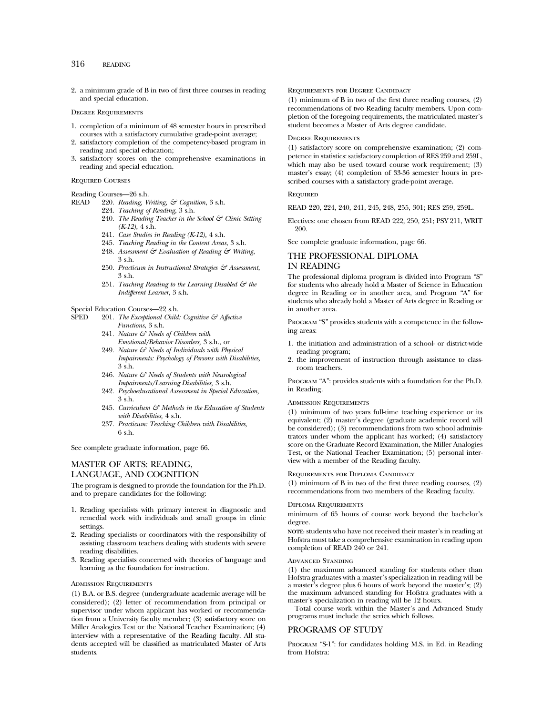## 316 READING

2. a minimum grade of B in two of first three courses in reading and special education.

#### Degree Requirements

- 1. completion of a minimum of 48 semester hours in prescribed courses with a satisfactory cumulative grade-point average;
- 2. satisfactory completion of the competency-based program in reading and special education;
- 3. satisfactory scores on the comprehensive examinations in reading and special education.

#### Required Courses

# Reading Courses—26 s.h.<br>READ 220. Reading, W

- 220. *Reading, Writing, & Cognition*, 3 s.h.
	- 224. *Teaching of Reading*, 3 s.h.
	- 240. *The Reading Teacher in the School & Clinic Setting (K-12)*, 4 s.h.
	- 241. *Case Studies in Reading (K-12),* 4 s.h.
	- 245. *Teaching Reading in the Content Areas*, 3 s.h.
	- 248. *Assessment & Evaluation of Reading & Writing*, 3 s.h.
	- 250. *Practicum in Instructional Strategies & Assessment*, 3 s.h.
	- 251. *Teaching Reading to the Learning Disabled & the Indifferent Learner*, 3 s.h.

# Special Education Courses—22 s.h.<br>SPED 201 The Exceptional Child

- 201. *The Exceptional Child: Cognitive & Affective* 
	- *Functions*, 3 s.h. 241. *Nature & Needs of Children with Emotional/Behavior Disorders,* 3 s.h., or
	- 249. *Nature & Needs of Individuals with Physical Impairments: Psychology of Persons with Disabilities,* 3 s.h.
	- 246. *Nature & Needs of Students with Neurological Impairments/Learning Disabilities,* 3 s.h.
	- 242. *Psychoeducational Assessment in Special Education,* 3 s.h.
	- 245. *Curriculum & Methods in the Education of Students with Disabilities,* 4 s.h.
	- 237. *Practicum: Teaching Children with Disabilities,* 6 s.h.

See complete graduate information, page 66.

## MASTER OF ARTS: READING, LANGUAGE, AND COGNITION

The program is designed to provide the foundation for the Ph.D. and to prepare candidates for the following:

- 1. Reading specialists with primary interest in diagnostic and remedial work with individuals and small groups in clinic settings.
- 2. Reading specialists or coordinators with the responsibility of assisting classroom teachers dealing with students with severe reading disabilities.
- 3. Reading specialists concerned with theories of language and learning as the foundation for instruction.

#### Admission Requirements

(1) B.A. or B.S. degree (undergraduate academic average will be considered); (2) letter of recommendation from principal or supervisor under whom applicant has worked or recommendation from a University faculty member; (3) satisfactory score on Miller Analogies Test or the National Teacher Examination; (4) interview with a representative of the Reading faculty. All students accepted will be classified as matriculated Master of Arts students.

#### Requirements for Degree Candidacy

(1) minimum of B in two of the first three reading courses, (2) recommendations of two Reading faculty members. Upon completion of the foregoing requirements, the matriculated master's student becomes a Master of Arts degree candidate.

## Degree Requirements

(1) satisfactory score on comprehensive examination; (2) competence in statistics: satisfactory completion of RES 259 and 259L, which may also be used toward course work requirement; (3) master's essay; (4) completion of 33-36 semester hours in prescribed courses with a satisfactory grade-point average.

## Required

READ 220, 224, 240, 241, 245, 248, 255, 301; RES 259, 259L.

Electives: one chosen from READ 222, 250, 251; PSY 211, WRIT 200.

See complete graduate information, page 66.

## THE PROFESSIONAL DIPLOMA IN READING

The professional diploma program is divided into Program "S" for students who already hold a Master of Science in Education degree in Reading or in another area, and Program "A" for students who already hold a Master of Arts degree in Reading or in another area.

PROGRAM "S" provides students with a competence in the following areas:

- 1. the initiation and administration of a school- or district-wide reading program;
- 2. the improvement of instruction through assistance to classroom teachers.

Program "A": provides students with a foundation for the Ph.D. in Reading.

#### Admission Requirements

(1) minimum of two years full-time teaching experience or its equivalent; (2) master's degree (graduate academic record will be considered); (3) recommendations from two school administrators under whom the applicant has worked; (4) satisfactory score on the Graduate Record Examination, the Miller Analogies Test, or the National Teacher Examination; (5) personal interview with a member of the Reading faculty.

#### Requirements for Diploma Candidacy

(1) minimum of B in two of the first three reading courses, (2) recommendations from two members of the Reading faculty.

### Diploma Requirements

minimum of 65 hours of course work beyond the bachelor's degree.

**NOTE:** students who have not received their master's in reading at Hofstra must take a comprehensive examination in reading upon completion of READ 240 or 241.

#### Advanced Standing

(1) the maximum advanced standing for students other than Hofstra graduates with a master's specialization in reading will be a master's degree plus 6 hours of work beyond the master's; (2) the maximum advanced standing for Hofstra graduates with a master's specialization in reading will be 12 hours.

Total course work within the Master's and Advanced Study programs must include the series which follows.

## PROGRAMS OF STUDY

Program "S-1": for candidates holding M.S. in Ed. in Reading from Hofstra: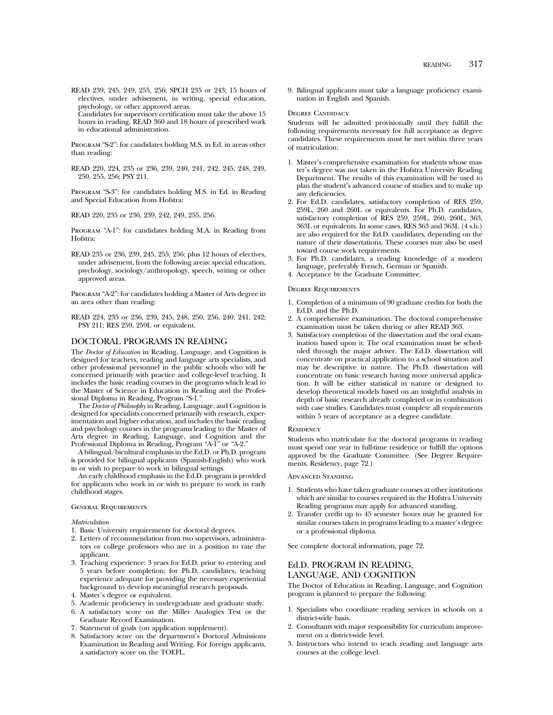- READ 239, 245, 249, 255, 256; SPCH 235 or 243; 15 hours of electives, under advisement, in writing, special education, psychology, or other approved areas. Candidates for supervisory certification must take the above 15
	- hours in reading, READ 360 and 18 hours of prescribed work in educational administration.

Program "S-2": for candidates holding M.S. in Ed. in areas other than reading:

READ 220, 224, 235 or 236, 239, 240, 241, 242, 245, 248, 249, 250, 255, 256; PSY 211.

Program "S-3": for candidates holding M.S. in Ed. in Reading and Special Education from Hofstra:

READ 220, 235 or 236, 239, 242, 249, 255, 256.

Program "A-1": for candidates holding M.A. in Reading from Hofstra:

READ 235 or 236, 239, 245, 255, 256; plus 12 hours of electives, under advisement, from the following areas: special education, psychology, sociology/anthropology, speech, writing or other approved areas.

Program "A-2": for candidates holding a Master of Arts degree in an area other than reading:

READ 224, 235 or 236, 239, 245, 248, 250, 256, 240, 241, 242; PSY 211; RES 259, 259L or equivalent.

### DOCTORAL PROGRAMS IN READING

The *Doctor of Education* in Reading, Language, and Cognition is designed for teachers, reading and language arts specialists, and other professional personnel in the public schools who will be concerned primarily with practice and college-level teaching. It includes the basic reading courses in the programs which lead to the Master of Science in Education in Reading and the Professional Diploma in Reading, Program "S-1."

The *Doctor of Philosophy* in Reading, Language, and Cognition is designed for specialists concerned primarily with research, experimentation and higher education, and includes the basic reading and psychology courses in the programs leading to the Master of Arts degree in Reading, Language, and Cognition and the Professional Diploma in Reading, Program "A-1" or "A-2."

A bilingual/bicultural emphasis in the Ed.D. or Ph.D. program is provided for bilingual applicants (Spanish-English) who work in or wish to prepare to work in bilingual settings.

An early childhood emphasis in the Ed.D. program is provided for applicants who work in or wish to prepare to work in early childhood stages.

#### General Requirements

*Matriculation*

- 1. Basic University requirements for doctoral degrees.
- 2. Letters of recommendation from two supervisors, administrators or college professors who are in a position to rate the applicant.
- 3. Teaching experience: 3 years for Ed.D. prior to entering and 5 years before completion; for Ph.D. candidates, teaching experience adequate for providing the necessary experiential background to develop meaningful research proposals.
- 4. Master's degree or equivalent.
- 5. Academic proficiency in undergraduate and graduate study.
- 6. A satisfactory score on the Miller Analogies Test or the Graduate Record Examination.
- 7. Statement of goals (on application supplement).
- 8. Satisfactory score on the department's Doctoral Admissions Examination in Reading and Writing. For foreign applicants, a satisfactory score on the TOEFL.

9. Bilingual applicants must take a language proficiency examination in English and Spanish.

#### DEGREE CANDIDACY

Students will be admitted provisionally until they fulfill the following requirements necessary for full acceptance as degree candidates. These requirements must be met within three years of matriculation:

- 1. Master's comprehensive examination for students whose master's degree was not taken in the Hofstra University Reading Department. The results of this examination will be used to plan the student's advanced course of studies and to make up any deficiencies.
- 2. For Ed.D. candidates, satisfactory completion of RES 259, 259L, 260 and 260L or equivalents. For Ph.D. candidates, satisfactory completion of RES 259, 259L, 260, 260L, 363, 363L or equivalents. In some cases, RES 363 and 363L (4 s.h.) are also required for the Ed.D. candidates, depending on the nature of their dissertations. These courses may also be used toward course work requirements.
- 3. For Ph.D. candidates, a reading knowledge of a modern language, preferably French, German or Spanish.
- 4. Acceptance by the Graduate Committee.

#### Degree Requirements

- 1. Completion of a minimum of 90 graduate credits for both the Ed.D. and the Ph.D.
- 2. A comprehensive examination. The doctoral comprehensive examination must be taken during or after READ 363.
- 3. Satisfactory completion of the dissertation and the oral examination based upon it. The oral examination must be scheduled through the major adviser. The Ed.D. dissertation will concentrate on practical application to a school situation and may be descriptive in nature. The Ph.D. dissertation will concentrate on basic research having more universal application. It will be either statistical in nature or designed to develop theoretical models based on an insightful analysis in depth of basic research already completed or in combination with case studies. Candidates must complete all requirements within 5 years of acceptance as a degree candidate.

#### **RESIDENCY**

Students who matriculate for the doctoral programs in reading must spend one year in full-time residence or fulfill the options approved by the Graduate Committee. (See Degree Requirements, Residency, page 72.)

#### Advanced Standing

- 1. Students who have taken graduate courses at other institutions which are similar to courses required in the Hofstra University Reading programs may apply for advanced standing.
- 2. Transfer credit up to 45 semester hours may be granted for similar courses taken in programs leading to a master's degree or a professional diploma.

See complete doctoral information, page 72.

## Ed.D. PROGRAM IN READING, LANGUAGE, AND COGNITION

The Doctor of Education in Reading, Language, and Cognition program is planned to prepare the following:

- 1. Specialists who coordinate reading services in schools on a district-wide basis.
- 2. Consultants with major responsibility for curriculum improvement on a district-wide level.
- 3. Instructors who intend to teach reading and language arts courses at the college level.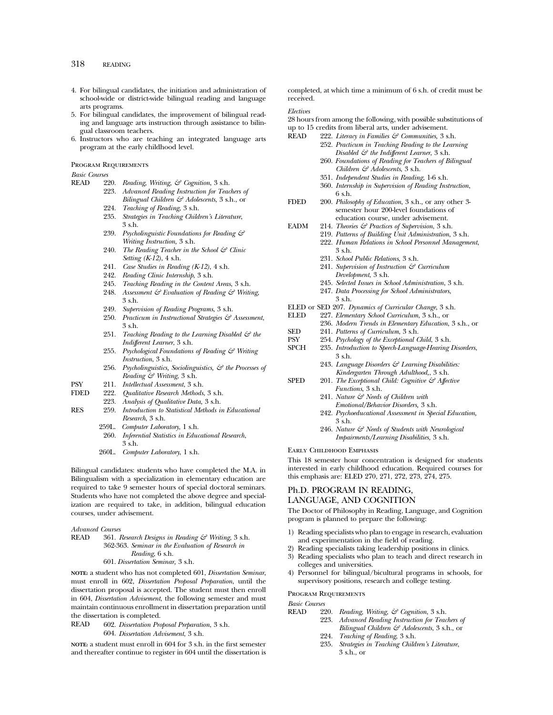### 318 READING

- 4. For bilingual candidates, the initiation and administration of school-wide or district-wide bilingual reading and language arts programs.
- 5. For bilingual candidates, the improvement of bilingual reading and language arts instruction through assistance to bilingual classroom teachers.
- 6. Instructors who are teaching an integrated language arts program at the early childhood level.

### Program Requirements

# *Basic Courses*

- 220. *Reading, Writing, & Cognition*, 3 s.h.
	- 223. *Advanced Reading Instruction for Teachers of Bilingual Children & Adolescents*, 3 s.h., or
	- 224. *Teaching of Reading*, 3 s.h.
	- 235. *Strategies in Teaching Children's Literature*, 3 s.h.
	- 239. *Psycholinguistic Foundations for Reading & Writing Instruction,* 3 s.h.
	- 240. *The Reading Teacher in the School & Clinic Setting (K-12)*, 4 s.h.
	- 241. *Case Studies in Reading (K-12)*, 4 s.h.
	- 242. *Reading Clinic Internship*, 3 s.h.
	- 245. *Teaching Reading in the Content Areas*, 3 s.h. 248. *Assessment & Evaluation of Reading & Writing*,
	- 3 s.h. 249. *Supervision of Reading Programs*, 3 s.h.
	- 250. *Practicum in Instructional Strategies & Assessment*, 3 s.h.
	- 251. *Teaching Reading to the Learning Disabled & the Indifferent Learner*, 3 s.h.
	- 255. *Psychological Foundations of Reading & Writing Instruction*, 3 s.h.
	- 256. *Psycholinguistics, Sociolinguistics, & the Processes of Reading & Writing*, 3 s.h.
- PSY 211. *Intellectual Assessment*, 3 s.h.
	- FDED 222. *Qualitative Research Methods*, 3 s.h.
	- 223. *Analysis of Qualitative Data,* 3 s.h.
- RES 259. *Introduction to Statistical Methods in Educational Research*, 3 s.h.
	- 259L. *Computer Laboratory*, 1 s.h.
	- 260. *Inferential Statistics in Educational Research*, 3 s.h.
	- 260L. *Computer Laboratory*, 1 s.h.

Bilingual candidates: students who have completed the M.A. in Bilingualism with a specialization in elementary education are required to take 9 semester hours of special doctoral seminars. Students who have not completed the above degree and specialization are required to take, in addition, bilingual education courses, under advisement.

*Advanced Courses*

READ 361. *Research Designs in Reading & Writing*, 3 s.h. 362-363. *Seminar in the Evaluation of Research in Reading*, 6 s.h. 601. *Dissertation Seminar,* 3 s.h.

**NOTE:** a student who has not completed 601, *Dissertation Seminar*, must enroll in 602, *Dissertation Proposal Preparation*, until the dissertation proposal is accepted. The student must then enroll in 604, *Dissertation Advisement*, the following semester and must maintain continuous enrollment in dissertation preparation until the dissertation is completed.<br>READ 602. Dissertation Pro

- READ 602. *Dissertation Proposal Preparation*, 3 s.h.
	- 604. *Dissertation Advisement*, 3 s.h.

**NOTE:** a student must enroll in 604 for 3 s.h. in the first semester and thereafter continue to register in 604 until the dissertation is

completed, at which time a minimum of 6 s.h. of credit must be received.

#### *Electives*

28 hours from among the following, with possible substitutions of

- up to 15 credits from liberal arts, under advisement.<br>READ 222. Literacy in Families  $\Im$  Communities, 3 s READ 222. *Literacy in Families & Communities,* 3 s.h.
	- 252. *Practicum in Teaching Reading to the Learning Disabled & the Indifferent Learner*, 3 s.h.
		- 260. *Foundations of Reading for Teachers of Bilingual Children & Adolescents*, 3 s.h.
		- 351. *Independent Studies in Reading*, 1-6 s.h.
		- 360. *Internship in Supervision of Reading Instruction*,  $6sh$
- FDED 200. *Philosophy of Education*, 3 s.h., or any other 3 semester hour 200-level foundations of education course, under advisement.
- EADM 214. *Theories & Practices of Supervision*, 3 s.h.
	- 219. *Patterns of Building Unit Administration*, 3 s.h. 222. *Human Relations in School Personnel Management*,
		- 3 s.h. 231. *School Public Relations*, 3 s.h.
		-
		- 241. *Supervision of Instruction & Curriculum Development*, 3 s.h.
		- 245. *Selected Issues in School Administration*, 3 s.h. 247. *Data Processing for School Administrators*,
	- 3 s.h.
- ELED or SED 207. *Dynamics of Curricular Change*, 3 s.h.
- 227. *Elementary School Curriculum*, 3 s.h., or
- 236. *Modern Trends in Elementary Education*, 3 s.h., or
- SED 241. *Patterns of Curriculum*, 3 s.h.
- PSY 254. *Psychology of the Exceptional Child*, 3 s.h.
- 235. *Introduction to Speech-Language-Hearing Disorders*,  $3$  s.h.
	- 243. *Language Disorders & Learning Disabilities: Kindergarten Through Adulthood,*, 3 s.h.
- SPED 201. *The Exceptional Child: Cognitive & Affective Functions*, 3 s.h.
	- 241. *Nature & Needs of Children with Emotional/Behavior Disorders,* 3 s.h.
	- 242. *Psychoeducational Assessment in Special Education,* 3 s.h.
	- 246. *Nature & Needs of Students with Neurological Impairments/Learning Disabilities,* 3 s.h.

## Early Childhood Emphasis

This 18 semester hour concentration is designed for students interested in early childhood education. Required courses for this emphasis are: ELED 270, 271, 272, 273, 274, 275.

## Ph.D. PROGRAM IN READING, LANGUAGE, AND COGNITION

The Doctor of Philosophy in Reading, Language, and Cognition program is planned to prepare the following:

- 1) Reading specialists who plan to engage in research, evaluation and experimentation in the field of reading.
- Reading specialists taking leadership positions in clinics.
- 3) Reading specialists who plan to teach and direct research in colleges and universities.
- 4) Personnel for bilingual/bicultural programs in schools, for supervisory positions, research and college testing.

#### Program Requirements

*Basic Courses*

- 
- READ 220. *Reading, Writing, & Cognition*, 3 s.h. 223. *Advanced Reading Instruction for Teachers of Bilingual Children & Adolescents*, 3 s.h., or
	- 224. *Teaching of Reading*, 3 s.h.
	- 235. *Strategies in Teaching Children's Literature*, 3 s.h., or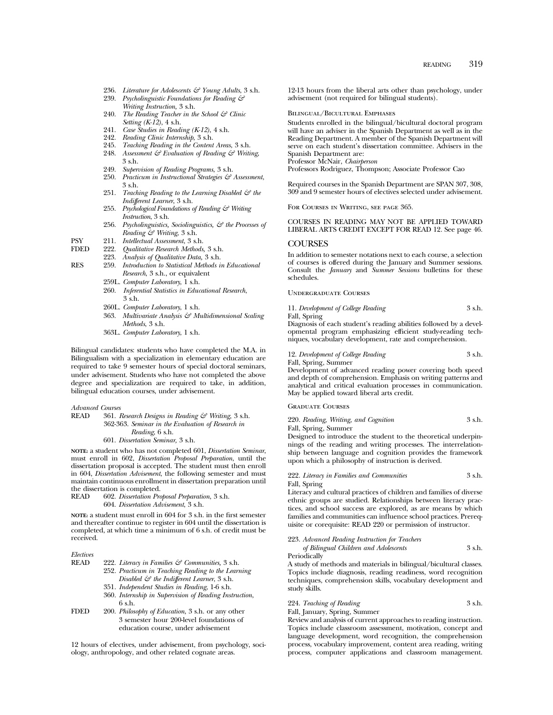- 236. *Literature for Adolescents & Young Adults*, 3 s.h.<br>239. *Psycholinguistic Foundations for Reading &*
- 239. *Psycholinguistic Foundations for Reading & Writing Instruction,* 3 s.h.
- 240. *The Reading Teacher in the School & Clinic Setting (K-12)*, 4 s.h.
- 241. *Case Studies in Reading (K-12)*, 4 s.h.
- 242. *Reading Clinic Internship*, 3 s.h.
- 245. *Teaching Reading in the Content Areas*, 3 s.h.
- 248. *Assessment & Evaluation of Reading & Writing*, 3 s.h.
- 249. *Supervision of Reading Programs*, 3 s.h.
- 250. *Practicum in Instructional Strategies & Assessment*, 3 s.h.
- 251. *Teaching Reading to the Learning Disabled & the Indifferent Learner*, 3 s.h.
- 255. *Psychological Foundations of Reading & Writing Instruction*, 3 s.h.
- 256. *Psycholinguistics, Sociolinguistics, & the Processes of Reading & Writing*, 3 s.h.
- PSY 211. *Intellectual Assessment*, 3 s.h.
	- FDED 222. *Qualitative Research Methods,* 3 s.h.
	- 223. *Analysis of Qualitative Data,* 3 s.h.
- RES 259. *Introduction to Statistical Methods in Educational Research*, 3 s.h., or equivalent
	- 259L. *Computer Laboratory*, 1 s.h.
	- 260. *Inferential Statistics in Educational Research*, 3 s.h.
	- 260L. *Computer Laboratory*, 1 s.h.
	- 363. *Multivariate Analysis & Multidimensional Scaling Methods*, 3 s.h.
	- 363L. *Computer Laboratory*, 1 s.h.

Bilingual candidates: students who have completed the M.A. in Bilingualism with a specialization in elementary education are required to take 9 semester hours of special doctoral seminars, under advisement. Students who have not completed the above degree and specialization are required to take, in addition, bilingual education courses, under advisement.

*Advanced Courses*

READ 361. *Research Designs in Reading & Writing,* 3 s.h. 362-363. *Seminar in the Evaluation of Research in Reading*, 6 s.h. 601. *Dissertation Seminar,* 3 s.h.

**NOTE:** a student who has not completed 601, *Dissertation Seminar*, must enroll in 602, *Dissertation Proposal Preparation*, until the dissertation proposal is accepted. The student must then enroll in 604, *Dissertation Advisement*, the following semester and must maintain continuous enrollment in dissertation preparation until the dissertation is completed.

READ 602. *Dissertation Proposal Preparation*, 3 s.h. 604. *Dissertation Advisement*, 3 s.h.

**NOTE:** a student must enroll in 604 for 3 s.h. in the first semester and thereafter continue to register in 604 until the dissertation is completed, at which time a minimum of 6 s.h. of credit must be received.

# *Electives*

READ 222. *Literacy in Families & Communities,* 3 s.h.

- 252. *Practicum in Teaching Reading to the Learning Disabled & the Indifferent Learner*, 3 s.h.
- 351. *Independent Studies in Reading*, 1-6 s.h.
- 360. *Internship in Supervision of Reading Instruction*, 6 s.h.
- FDED 200. *Philosophy of Education*, 3 s.h. or any other 3 semester hour 200-level foundations of education course, under advisement

12 hours of electives, under advisement, from psychology, sociology, anthropology, and other related cognate areas.

12-13 hours from the liberal arts other than psychology, under advisement (not required for bilingual students).

Bilingual/Bicultural Emphases

Students enrolled in the bilingual/bicultural doctoral program will have an adviser in the Spanish Department as well as in the Reading Department. A member of the Spanish Department will serve on each student's dissertation committee. Advisers in the Spanish Department are:

Professor McNair, *Chairperson*

Professors Rodriguez, Thompson; Associate Professor Cao

Required courses in the Spanish Department are SPAN 307, 308, 309 and 9 semester hours of electives selected under advisement.

For Courses in Writing, see page 365.

COURSES IN READING MAY NOT BE APPLIED TOWARD LIBERAL ARTS CREDIT EXCEPT FOR READ 12. See page 46.

#### COURSES

In addition to semester notations next to each course, a selection of courses is offered during the January and Summer sessions. Consult the *January* and *Summer Sessions* bulletins for these schedules.

Undergraduate Courses

11. *Development of College Reading* 3 s.h. Fall, Spring

Diagnosis of each student's reading abilities followed by a developmental program emphasizing efficient study-reading techniques, vocabulary development, rate and comprehension.

### 12. *Development of College Reading* 3 s.h.

Fall, Spring, Summer Development of advanced reading power covering both speed and depth of comprehension. Emphasis on writing patterns and analytical and critical evaluation processes in communication. May be applied toward liberal arts credit.

Graduate Courses

220. *Reading, Writing, and Cognition* 3 s.h. Fall, Spring, Summer

Designed to introduce the student to the theoretical underpinnings of the reading and writing processes. The interrelationship between language and cognition provides the framework upon which a philosophy of instruction is derived.

#### 222. *Literacy in Families and Communities* 3 s.h. Fall, Spring

Literacy and cultural practices of children and families of diverse ethnic groups are studied. Relationships between literacy practices, and school success are explored, as are means by which families and communities can influence school practices. Prerequisite or corequisite: READ 220 or permission of instructor.

223. *Advanced Reading Instruction for Teachers*

*of Bilingual Children and Adolescents* 3 s.h. **Periodically** 

A study of methods and materials in bilingual/bicultural classes. Topics include diagnosis, reading readiness, word recognition techniques, comprehension skills, vocabulary development and study skills.

224. *Teaching of Reading* 3 s.h.

Fall, January, Spring, Summer

Review and analysis of current approaches to reading instruction. Topics include classroom assessment, motivation, concept and language development, word recognition, the comprehension process, vocabulary improvement, content area reading, writing process, computer applications and classroom management.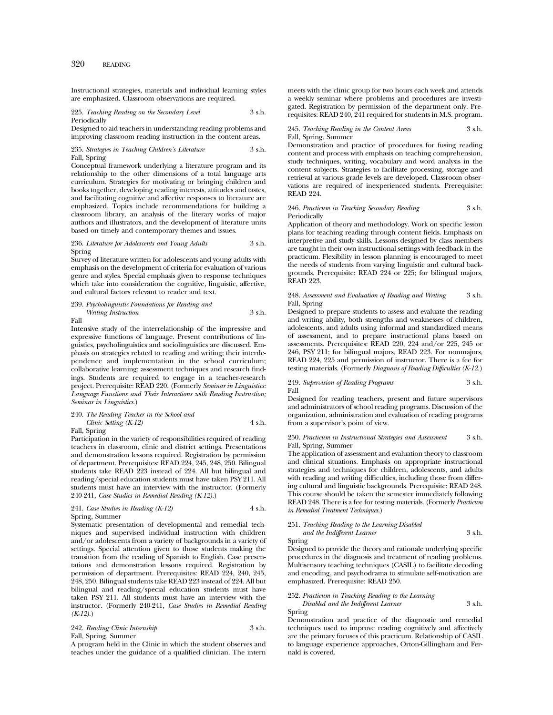## 320 READING

Instructional strategies, materials and individual learning styles are emphasized. Classroom observations are required.

225. *Teaching Reading on the Secondary Level* 3 s.h. Periodically

Designed to aid teachers in understanding reading problems and improving classroom reading instruction in the content areas.

235. *Strategies in Teaching Children's Literature* 3 s.h. Fall, Spring

Conceptual framework underlying a literature program and its relationship to the other dimensions of a total language arts curriculum. Strategies for motivating or bringing children and books together, developing reading interests, attitudes and tastes, and facilitating cognitive and affective responses to literature are emphasized. Topics include recommendations for building a classroom library, an analysis of the literary works of major authors and illustrators, and the development of literature units based on timely and contemporary themes and issues.

#### 236. *Literature for Adolescents and Young Adults* 3 s.h. Spring

Survey of literature written for adolescents and young adults with emphasis on the development of criteria for evaluation of various genre and styles. Special emphasis given to response techniques which take into consideration the cognitive, linguistic, affective, and cultural factors relevant to reader and text.

239. *Psycholinguistic Foundations for Reading and Writing Instruction* 3 s.h.

Fall

Intensive study of the interrelationship of the impressive and expressive functions of language. Present contributions of linguistics, psycholinguistics and sociolinguistics are discussed. Emphasis on strategies related to reading and writing; their interdependence and implementation in the school curriculum; collaborative learning; assessment techniques and research findings. Students are required to engage in a teacher-research project. Prerequisite: READ 220. (Formerly *Seminar in Linguistics: Language Functions and Their Interactions with Reading Instruction; Seminar in Linguistics*.)

240. *The Reading Teacher in the School and Clinic Setting (K-12)* 4 s.h.

Fall, Spring

Participation in the variety of responsibilities required of reading teachers in classroom, clinic and district settings. Presentations and demonstration lessons required. Registration by permission of department. Prerequisites: READ 224, 245, 248, 250. Bilingual students take READ 223 instead of 224. All but bilingual and reading/special education students must have taken PSY 211. All students must have an interview with the instructor. (Formerly 240-241, *Case Studies in Remedial Reading (K-12)*.)

241. *Case Studies in Reading (K-12)* 4 s.h. Spring, Summer

Systematic presentation of developmental and remedial techniques and supervised individual instruction with children and/or adolescents from a variety of backgrounds in a variety of settings. Special attention given to those students making the transition from the reading of Spanish to English. Case presentations and demonstration lessons required. Registration by permission of department. Prerequisites: READ 224, 240, 245, 248, 250. Bilingual students take READ 223 instead of 224. All but bilingual and reading/special education students must have taken PSY 211. All students must have an interview with the instructor. (Formerly 240-241, *Case Studies in Remedial Reading (K-12)*.)

242. *Reading Clinic Internship* 3 s.h. Fall, Spring, Summer

A program held in the Clinic in which the student observes and teaches under the guidance of a qualified clinician. The intern

meets with the clinic group for two hours each week and attends a weekly seminar where problems and procedures are investigated. Registration by permission of the department only. Prerequisites: READ 240, 241 required for students in M.S. program.

#### 245. *Teaching Reading in the Content Areas* 3 s.h. Fall, Spring, Summer

Demonstration and practice of procedures for fusing reading content and process with emphasis on teaching comprehension, study techniques, writing, vocabulary and word analysis in the content subjects. Strategies to facilitate processing, storage and retrieval at various grade levels are developed. Classroom observations are required of inexperienced students. Prerequisite: READ 224.

246. *Practicum in Teaching Secondary Reading* 3 s.h. Periodically

Application of theory and methodology. Work on specific lesson plans for teaching reading through content fields. Emphasis on interpretive and study skills. Lessons designed by class members are taught in their own instructional settings with feedback in the practicum. Flexibility in lesson planning is encouraged to meet the needs of students from varying linguistic and cultural backgrounds. Prerequisite: READ 224 or 225; for bilingual majors, READ 223.

248. *Assessment and Evaluation of Reading and Writing* 3 s.h. Fall, Spring

Designed to prepare students to assess and evaluate the reading and writing ability, both strengths and weaknesses of children, adolescents, and adults using informal and standardized means of assessment, and to prepare instructional plans based on assessments. Prerequisites: READ 220, 224 and/or 225, 245 or 246, PSY 211; for bilingual majors, READ 223. For nonmajors, READ 224, 225 and permission of instructor. There is a fee for testing materials. (Formerly *Diagnosis of Reading Difficulties (K-12.*)

249. *Supervision of Reading Programs* 3 s.h. Fall

Designed for reading teachers, present and future supervisors and administrators of school reading programs. Discussion of the organization, administration and evaluation of reading programs from a supervisor's point of view.

#### 250. *Practicum in Instructional Strategies and Assessment* 3 s.h. Fall, Spring, Summer

The application of assessment and evaluation theory to classroom and clinical situations. Emphasis on appropriate instructional strategies and techniques for children, adolescents, and adults with reading and writing difficulties, including those from differing cultural and linguistic backgrounds. Prerequisite: READ 248. This course should be taken the semester immediately following READ 248. There is a fee for testing materials. (Formerly *Practicum in Remedial Treatment Techniques.*)

## 251. *Teaching Reading to the Learning Disabled and the Indifferent Learner* 3 s.h.

Spring

Designed to provide the theory and rationale underlying specific procedures in the diagnosis and treatment of reading problems. Multisensory teaching techniques (CASIL) to facilitate decoding and encoding, and psychodrama to stimulate self-motivation are emphasized. Prerequisite: READ 250.

#### 252. *Practicum in Teaching Reading to the Learning Disabled and the Indifferent Learner* 3 s.h.

Spring

Demonstration and practice of the diagnostic and remedial techniques used to improve reading cognitively and affectively are the primary focuses of this practicum. Relationship of CASIL to language experience approaches, Orton-Gillingham and Fernald is covered.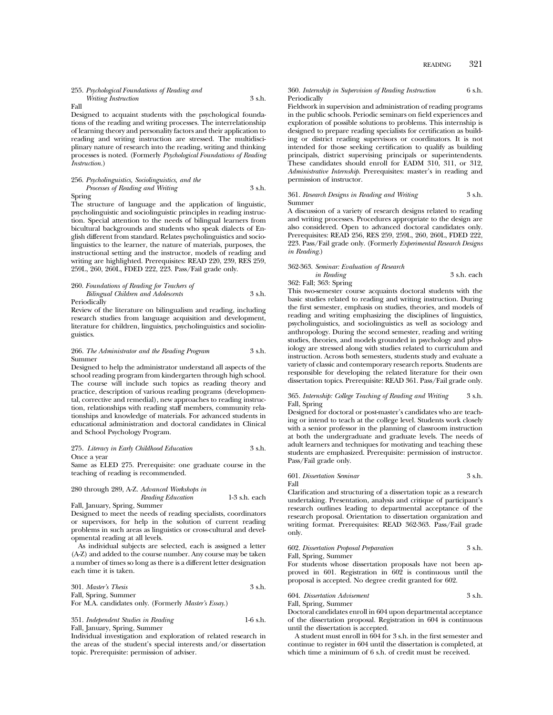#### 255. *Psychological Foundations of Reading and Writing Instruction* 3 s.h. Fall

Designed to acquaint students with the psychological foundations of the reading and writing processes. The interrelationship of learning theory and personality factors and their application to reading and writing instruction are stressed. The multidisciplinary nature of research into the reading, writing and thinking processes is noted. (Formerly *Psychological Foundations of Reading Instruction.*)

#### 256. *Psycholinguistics, Sociolinguistics, and the Processes of Reading and Writing* 3 s.h. Spring

The structure of language and the application of linguistic, psycholinguistic and sociolinguistic principles in reading instruction. Special attention to the needs of bilingual learners from bicultural backgrounds and students who speak dialects of English different from standard. Relates psycholinguistics and sociolinguistics to the learner, the nature of materials, purposes, the instructional setting and the instructor, models of reading and writing are highlighted. Prerequisites: READ 220, 239, RES 259, 259L, 260, 260L, FDED 222, 223. Pass/Fail grade only.

## 260. *Foundations of Reading for Teachers of*

*Bilingual Children and Adolescents* 3 s.h. Periodically

Review of the literature on bilingualism and reading, including research studies from language acquisition and development, literature for children, linguistics, psycholinguistics and sociolinguistics.

#### 266. *The Administrator and the Reading Program* 3 s.h. Summer

Designed to help the administrator understand all aspects of the school reading program from kindergarten through high school. The course will include such topics as reading theory and practice, description of various reading programs (developmental, corrective and remedial), new approaches to reading instruction, relationships with reading staff members, community relationships and knowledge of materials. For advanced students in educational administration and doctoral candidates in Clinical and School Psychology Program.

#### 275. *Literacy in Early Childhood Education* 3 s.h. Once a year

Same as ELED 275. Prerequisite: one graduate course in the teaching of reading is recommended.

#### 280 through 289, A-Z. *Advanced Workshops in Reading Education* 1-3 s.h. each Fall, January, Spring, Summer

Designed to meet the needs of reading specialists, coordinators or supervisors, for help in the solution of current reading problems in such areas as linguistics or cross-cultural and developmental reading at all levels.

As individual subjects are selected, each is assigned a letter (A-Z) and added to the course number. Any course may be taken a number of times so long as there is a different letter designation each time it is taken.

301. *Master's Thesis* 3 s.h. Fall, Spring, Summer For M.A. candidates only. (Formerly *Master's Essay.*)

351. *Independent Studies in Reading* 1-6 s.h. Fall, January, Spring, Summer

Individual investigation and exploration of related research in the areas of the student's special interests and/or dissertation topic. Prerequisite: permission of adviser.

#### 360. *Internship in Supervision of Reading Instruction* 6 s.h. Periodically

Fieldwork in supervision and administration of reading programs in the public schools. Periodic seminars on field experiences and exploration of possible solutions to problems. This internship is designed to prepare reading specialists for certification as building or district reading supervisors or coordinators. It is not intended for those seeking certification to qualify as building principals, district supervising principals or superintendents. These candidates should enroll for EADM 310, 311, or 312, *Administrative Internship*. Prerequisites: master's in reading and permission of instructor.

#### 361. *Research Designs in Reading and Writing* 3 s.h. Summer

A discussion of a variety of research designs related to reading and writing processes. Procedures appropriate to the design are also considered. Open to advanced doctoral candidates only. Prerequisites: READ 256, RES 259, 259L, 260, 260L, FDED 222, 223. Pass/Fail grade only. (Formerly *Experimental Research Designs in Reading*.)

362-363. *Seminar: Evaluation of Research*

*in Reading* 3 s.h. each

## 362: Fall; 363: Spring

This two-semester course acquaints doctoral students with the basic studies related to reading and writing instruction. During the first semester, emphasis on studies, theories, and models of reading and writing emphasizing the disciplines of linguistics, psycholinguistics, and sociolinguistics as well as sociology and anthropology. During the second semester, reading and writing studies, theories, and models grounded in psychology and physiology are stressed along with studies related to curriculum and instruction. Across both semesters, students study and evaluate a variety of classic and contemporary research reports. Students are responsible for developing the related literature for their own dissertation topics. Prerequisite: READ 361. Pass/Fail grade only.

365. *Internship: College Teaching of Reading and Writing* 3 s.h. Fall, Spring

Designed for doctoral or post-master's candidates who are teaching or intend to teach at the college level. Students work closely with a senior professor in the planning of classroom instruction at both the undergraduate and graduate levels. The needs of adult learners and techniques for motivating and teaching these students are emphasized. Prerequisite: permission of instructor. Pass/Fail grade only.

$$
\begin{minipage}{.4\linewidth} 601. Discentration Seminar & 3 s.h. \end{minipage} \vspace{0.3cm}
$$

Clarification and structuring of a dissertation topic as a research undertaking. Presentation, analysis and critique of participant's research outlines leading to departmental acceptance of the research proposal. Orientation to dissertation organization and writing format. Prerequisites: READ 362-363. Pass/Fail grade only.

#### 602. *Dissertation Proposal Preparation* 3 s.h. Fall, Spring, Summer

For students whose dissertation proposals have not been approved in 601. Registration in 602 is continuous until the proposal is accepted. No degree credit granted for 602.

604. *Dissertation Advisement* 3 s.h. Fall, Spring, Summer

Doctoral candidates enroll in 604 upon departmental acceptance of the dissertation proposal. Registration in 604 is continuous until the dissertation is accepted.

A student must enroll in 604 for 3 s.h. in the first semester and continue to register in 604 until the dissertation is completed, at which time a minimum of 6 s.h. of credit must be received.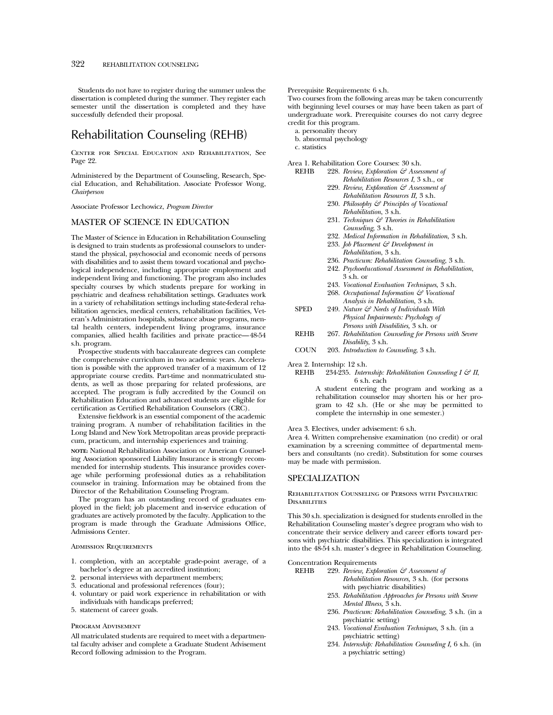## 322 REHABILITATION COUNSELING

Students do not have to register during the summer unless the dissertation is completed during the summer. They register each semester until the dissertation is completed and they have successfully defended their proposal.

## Rehabilitation Counseling (REHB)

Center for Special Education and Rehabilitation, See Page 22.

Administered by the Department of Counseling, Research, Special Education, and Rehabilitation. Associate Professor Wong, *Chairperson*

Associate Professor Lechowicz, *Program Director*

## MASTER OF SCIENCE IN EDUCATION

The Master of Science in Education in Rehabilitation Counseling is designed to train students as professional counselors to understand the physical, psychosocial and economic needs of persons with disabilities and to assist them toward vocational and psychological independence, including appropriate employment and independent living and functioning. The program also includes specialty courses by which students prepare for working in psychiatric and deafness rehabilitation settings. Graduates work in a variety of rehabilitation settings including state-federal rehabilitation agencies, medical centers, rehabilitation facilities, Veteran's Administration hospitals, substance abuse programs, mental health centers, independent living programs, insurance companies, allied health facilities and private practice—48-54 s.h. program.

Prospective students with baccalaureate degrees can complete the comprehensive curriculum in two academic years. Acceleration is possible with the approved transfer of a maximum of 12 appropriate course credits. Part-time and nonmatriculated students, as well as those preparing for related professions, are accepted. The program is fully accredited by the Council on Rehabilitation Education and advanced students are eligible for certification as Certified Rehabilitation Counselors (CRC).

Extensive fieldwork is an essential component of the academic training program. A number of rehabilitation facilities in the Long Island and New York Metropolitan areas provide prepracticum, practicum, and internship experiences and training.

**NOTE:** National Rehabilitation Association or American Counseling Association sponsored Liability Insurance is strongly recommended for internship students. This insurance provides coverage while performing professional duties as a rehabilitation counselor in training. Information may be obtained from the Director of the Rehabilitation Counseling Program.

The program has an outstanding record of graduates employed in the field; job placement and in-service education of graduates are actively promoted by the faculty. Application to the program is made through the Graduate Admissions Office, Admissions Center.

#### Admission Requirements

- 1. completion, with an acceptable grade-point average, of a bachelor's degree at an accredited institution;
- 2. personal interviews with department members;
- 3. educational and professional references (four);
- 4. voluntary or paid work experience in rehabilitation or with individuals with handicaps preferred;
- 5. statement of career goals.

#### Program Advisement

All matriculated students are required to meet with a departmental faculty adviser and complete a Graduate Student Advisement Record following admission to the Program.

Prerequisite Requirements: 6 s.h.

Two courses from the following areas may be taken concurrently with beginning level courses or may have been taken as part of undergraduate work. Prerequisite courses do not carry degree credit for this program.

- a. personality theory
- b. abnormal psychology
- c. statistics

Area 1. Rehabilitation Core Courses: 30 s.h.<br>REHB 228. Review. Exploration  $\Im$  Asses

- 228. Review, Exploration & Assessment of *Rehabilitation Resources I*, 3 s.h., or 229. *Review, Exploration & Assessment of*
- *Rehabilitation Resources II,* 3 s.h.
- 230. *Philosophy & Principles of Vocational Rehabilitation*, 3 s.h.
- 231. *Techniques & Theories in Rehabilitation Counseling*, 3 s.h.
- 232. *Medical Information in Rehabilitation*, 3 s.h.
- 233. *Job Placement & Development in*
- *Rehabilitation*, 3 s.h.
- 236. *Practicum: Rehabilitation Counseling*, 3 s.h.
- 242. *Psychoeducational Assessment in Rehabilitation*, 3 s.h. or
- 243. *Vocational Evaluation Techniques*, 3 s.h.
- 268. *Occupational Information & Vocational Analysis in Rehabilitation*, 3 s.h.
- SPED 249. *Nature & Needs of Individuals With Physical Impairments: Psychology of Persons with Disabilities,* 3 s.h. or
- REHB 267. *Rehabilitation Counseling for Persons with Severe Disability*, 3 s.h.
- COUN 203. *Introduction to Counseling*, 3 s.h.

Area 2. Internship: 12 s.h.

#### REHB 234-235. *Internship: Rehabilitation Counseling I & II*, 6 s.h. each

A student entering the program and working as a rehabilitation counselor may shorten his or her program to 42 s.h. (He or she may be permitted to complete the internship in one semester.)

Area 3. Electives, under advisement: 6 s.h.

Area 4. Written comprehensive examination (no credit) or oral examination by a screening committee of departmental members and consultants (no credit). Substitution for some courses may be made with permission.

#### SPECIALIZATION

Rehabilitation Counseling of Persons with Psychiatric DISABILITIES

This 30 s.h. specialization is designed for students enrolled in the Rehabilitation Counseling master's degree program who wish to concentrate their service delivery and career efforts toward persons with psychiatric disabilities. This specialization is integrated into the 48-54 s.h. master's degree in Rehabilitation Counseling.

Concentration Requirements

- REHB 229. *Review, Exploration & Assessment of*
	- *Rehabilitation Resources,* 3 s.h. (for persons with psychiatric disabilities)
	- 253. *Rehabilitation Approaches for Persons with Severe Mental Illness,* 3 s.h.
	- 236. *Practicum: Rehabilitation Counseling,* 3 s.h. (in a psychiatric setting)
	- 243. *Vocational Evaluation Techniques,* 3 s.h. (in a psychiatric setting)
	- 234. *Internship: Rehabilitation Counseling I,* 6 s.h. (in a psychiatric setting)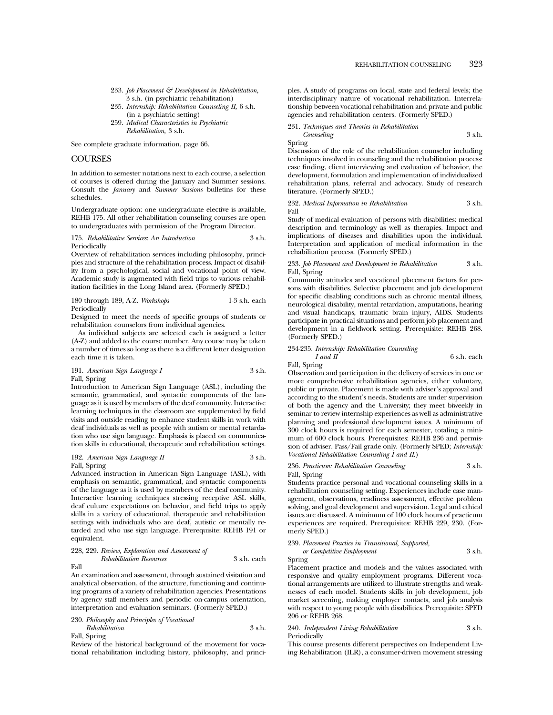- 233. *Job Placement & Development in Rehabilitation,* 3 s.h. (in psychiatric rehabilitation)
- 235. *Internship: Rehabilitation Counseling II,* 6 s.h. (in a psychiatric setting)
- 259. *Medical Characteristics in Psychiatric Rehabilitation,* 3 s.h.

See complete graduate information, page 66.

## **COURSES**

In addition to semester notations next to each course, a selection of courses is offered during the January and Summer sessions. Consult the *January* and *Summer Sessions* bulletins for these schedules.

Undergraduate option: one undergraduate elective is available, REHB 175. All other rehabilitation counseling courses are open to undergraduates with permission of the Program Director.

175. *Rehabilitative Services*: *An Introduction* 3 s.h. Periodically

Overview of rehabilitation services including philosophy, principles and structure of the rehabilitation process. Impact of disability from a psychological, social and vocational point of view. Academic study is augmented with field trips to various rehabilitation facilities in the Long Island area. (Formerly SPED.)

180 through 189, A-Z. *Workshops* 1-3 s.h. each Periodically

Designed to meet the needs of specific groups of students or rehabilitation counselors from individual agencies.

As individual subjects are selected each is assigned a letter (A-Z) and added to the course number. Any course may be taken a number of times so long as there is a different letter designation each time it is taken.

191. *American Sign Language I* 3 s.h. Fall, Spring

Introduction to American Sign Language (ASL), including the semantic, grammatical, and syntactic components of the language as it is used by members of the deaf community. Interactive learning techniques in the classroom are supplemented by field visits and outside reading to enhance student skills in work with deaf individuals as well as people with autism or mental retardation who use sign language. Emphasis is placed on communication skills in educational, therapeutic and rehabilitation settings.

#### 192. *American Sign Language II* 3 s.h. Fall, Spring

Advanced instruction in American Sign Language (ASL), with emphasis on semantic, grammatical, and syntactic components of the language as it is used by members of the deaf community. Interactive learning techniques stressing receptive ASL skills, deaf culture expectations on behavior, and field trips to apply skills in a variety of educational, therapeutic and rehabilitation settings with individuals who are deaf, autistic or mentally retarded and who use sign language. Prerequisite: REHB 191 or equivalent.

228, 229. *Review, Exploration and Assessment of Rehabilitation Resources* 3 s.h. each Fall

An examination and assessment, through sustained visitation and analytical observation, of the structure, functioning and continuing programs of a variety of rehabilitation agencies. Presentations by agency staff members and periodic on-campus orientation, interpretation and evaluation seminars. (Formerly SPED.)

230. *Philosophy and Principles of Vocational Rehabilitation* 3 s.h.

Fall, Spring

Review of the historical background of the movement for vocational rehabilitation including history, philosophy, and principles. A study of programs on local, state and federal levels; the interdisciplinary nature of vocational rehabilitation. Interrelationship between vocational rehabilitation and private and public agencies and rehabilitation centers. (Formerly SPED.)

#### 231. *Techniques and Theories in Rehabilitation*

*Counseling* 3 s.h. Spring

Discussion of the role of the rehabilitation counselor including techniques involved in counseling and the rehabilitation process: case finding, client interviewing and evaluation of behavior, the development, formulation and implementation of individualized rehabilitation plans, referral and advocacy. Study of research literature. (Formerly SPED.)

#### 232. *Medical Information in Rehabilitation* 3 s.h. Fall

Study of medical evaluation of persons with disabilities: medical description and terminology as well as therapies. Impact and implications of diseases and disabilities upon the individual. Interpretation and application of medical information in the rehabilitation process. (Formerly SPED.)

233. *Job Placement and Development in Rehabilitation* 3 s.h. Fall, Spring

Community attitudes and vocational placement factors for persons with disabilities. Selective placement and job development for specific disabling conditions such as chronic mental illness, neurological disability, mental retardation, amputations, hearing and visual handicaps, traumatic brain injury, AIDS. Students participate in practical situations and perform job placement and development in a fieldwork setting. Prerequisite: REHB 268. (Formerly SPED.)

#### 234-235. *Internship: Rehabilitation Counseling*

*I* and *II* 6 s.h. each Fall, Spring

Observation and participation in the delivery of services in one or more comprehensive rehabilitation agencies, either voluntary, public or private. Placement is made with adviser's approval and according to the student's needs. Students are under supervision of both the agency and the University; they meet biweekly in seminar to review internship experiences as well as administrative planning and professional development issues. A minimum of 300 clock hours is required for each semester, totaling a minimum of 600 clock hours. Prerequisites: REHB 236 and permission of adviser. Pass/Fail grade only. (Formerly SPED; *Internship: Vocational Rehabilitation Counseling I and II*.)

#### 236. *Practicum: Rehabilitation Counseling* 3 s.h. Fall, Spring

Students practice personal and vocational counseling skills in a rehabilitation counseling setting. Experiences include case management, observations, readiness assessment, effective problem solving, and goal development and supervision. Legal and ethical issues are discussed. A minimum of 100 clock hours of practicum experiences are required. Prerequisites: REHB 229, 230. (Formerly SPED.)

239. *Placement Practice in Transitional, Supported,*

*or Competitive Employment* 3 s.h. Spring

Placement practice and models and the values associated with responsive and quality employment programs. Different vocational arrangements are utilized to illustrate strengths and weaknesses of each model. Students skills in job development, job market screening, making employer contacts, and job analysis with respect to young people with disabilities. Prerequisite: SPED 206 or REHB 268.

#### 240. *Independent Living Rehabilitation* 3 s.h. Periodically

This course presents different perspectives on Independent Living Rehabilitation (ILR), a consumer-driven movement stressing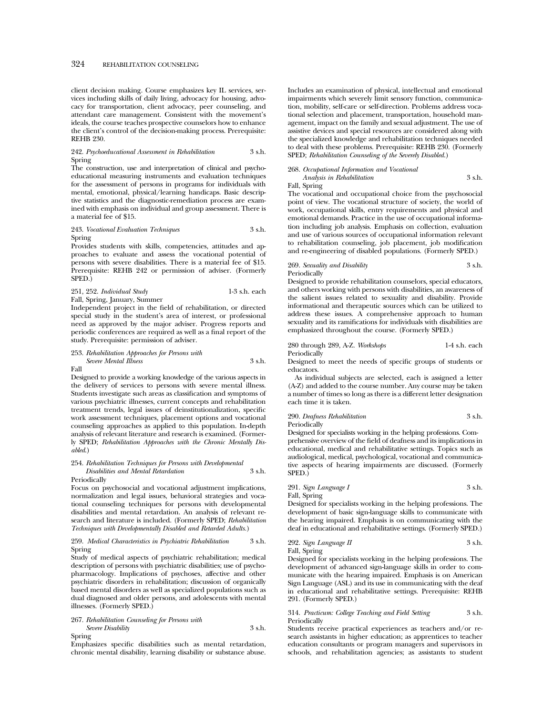## 324 REHABILITATION COUNSELING

client decision making. Course emphasizes key IL services, services including skills of daily living, advocacy for housing, advocacy for transportation, client advocacy, peer counseling, and attendant care management. Consistent with the movement's ideals, the course teaches prospective counselors how to enhance the client's control of the decision-making process. Prerequisite: REHB 230.

#### 242. *Psychoeducational Assessment in Rehabilitation* 3 s.h. Spring

The construction, use and interpretation of clinical and psychoeducational measuring instruments and evaluation techniques for the assessment of persons in programs for individuals with mental, emotional, physical/learning handicaps. Basic descriptive statistics and the diagnostic-remediation process are examined with emphasis on individual and group assessment. There is a material fee of \$15.

#### 243. *Vocational Evaluation Techniques* 3 s.h. Spring

Provides students with skills, competencies, attitudes and approaches to evaluate and assess the vocational potential of persons with severe disabilities. There is a material fee of \$15. Prerequisite: REHB 242 or permission of adviser. (Formerly SPED.)

| 251, 252. Individual Study    | 1-3 s.h. each |
|-------------------------------|---------------|
| Fall, Spring, January, Summer |               |

Independent project in the field of rehabilitation, or directed special study in the student's area of interest, or professional need as approved by the major adviser. Progress reports and periodic conferences are required as well as a final report of the

study. Prerequisite: permission of adviser.

253. *Rehabilitation Approaches for Persons with Severe Mental Illness* 3 s.h. Fall

Designed to provide a working knowledge of the various aspects in the delivery of services to persons with severe mental illness. Students investigate such areas as classification and symptoms of various psychiatric illnesses, current concepts and rehabilitation treatment trends, legal issues of deinstitutionalization, specific work assessment techniques, placement options and vocational counseling approaches as applied to this population. In-depth analysis of relevant literature and research is examined. (Formerly SPED; *Rehabilitation Approaches with the Chronic Mentally Disabled*.)

#### 254. *Rehabilitation Techniques for Persons with Developmental Disabilities and Mental Retardation* 3 s.h. Periodically

Focus on psychosocial and vocational adjustment implications, normalization and legal issues, behavioral strategies and vocational counseling techniques for persons with developmental disabilities and mental retardation. An analysis of relevant research and literature is included. (Formerly SPED; *Rehabilitation Techniques with Developmentally Disabled and Retarded Adults.*)

## 259. *Medical Characteristics in Psychiatric Rehabilitation* 3 s.h. Spring

Study of medical aspects of psychiatric rehabilitation; medical description of persons with psychiatric disabilities; use of psychopharmacology. Implications of psychoses, affective and other psychiatric disorders in rehabilitation; discussion of organically based mental disorders as well as specialized populations such as dual diagnosed and older persons, and adolescents with mental illnesses. (Formerly SPED.)

### 267. *Rehabilitation Counseling for Persons with Severe Disability* 3 s.h. Spring

Emphasizes specific disabilities such as mental retardation, chronic mental disability, learning disability or substance abuse.

Includes an examination of physical, intellectual and emotional impairments which severely limit sensory function, communication, mobility, self-care or self-direction. Problems address vocational selection and placement, transportation, household management, impact on the family and sexual adjustment. The use of assistive devices and special resources are considered along with the specialized knowledge and rehabilitation techniques needed to deal with these problems. Prerequisite: REHB 230. (Formerly SPED; *Rehabilitation Counseling of the Severely Disabled*.)

## 268. *Occupational Information and Vocational*

*Analysis in Rehabilitation* 3 s.h. Fall, Spring

The vocational and occupational choice from the psychosocial point of view. The vocational structure of society, the world of work, occupational skills, entry requirements and physical and emotional demands. Practice in the use of occupational information including job analysis. Emphasis on collection, evaluation and use of various sources of occupational information relevant to rehabilitation counseling, job placement, job modification and re-engineering of disabled populations. (Formerly SPED.)

#### 269. *Sexuality and Disability* 3 s.h. Periodically

Designed to provide rehabilitation counselors, special educators, and others working with persons with disabilities, an awareness of the salient issues related to sexuality and disability. Provide informational and therapeutic sources which can be utilized to address these issues. A comprehensive approach to human sexuality and its ramifications for individuals with disabilities are emphasized throughout the course. (Formerly SPED.)

280 through 289, A-Z. *Workshops* 1-4 s.h. each Periodically

Designed to meet the needs of specific groups of students or educators.

As individual subjects are selected, each is assigned a letter (A-Z) and added to the course number. Any course may be taken a number of times so long as there is a different letter designation each time it is taken.

290. *Deafness Rehabilitation* 3 s.h. Periodically

Designed for specialists working in the helping professions. Comprehensive overview of the field of deafness and its implications in educational, medical and rehabilitative settings. Topics such as audiological, medical, psychological, vocational and communicative aspects of hearing impairments are discussed. (Formerly SPED.)

291. *Sign Language I* 3 s.h. Fall, Spring

Designed for specialists working in the helping professions. The development of basic sign-language skills to communicate with the hearing impaired. Emphasis is on communicating with the deaf in educational and rehabilitative settings. (Formerly SPED.)

292. *Sign Language II* 3 s.h. Fall, Spring

Designed for specialists working in the helping professions. The development of advanced sign-language skills in order to communicate with the hearing impaired. Emphasis is on American Sign Language (ASL) and its use in communicating with the deaf in educational and rehabilitative settings. Prerequisite: REHB 291. (Formerly SPED.)

#### 314. *Practicum: College Teaching and Field Setting* 3 s.h. Periodically

Students receive practical experiences as teachers and/or research assistants in higher education; as apprentices to teacher education consultants or program managers and supervisors in schools, and rehabilitation agencies; as assistants to student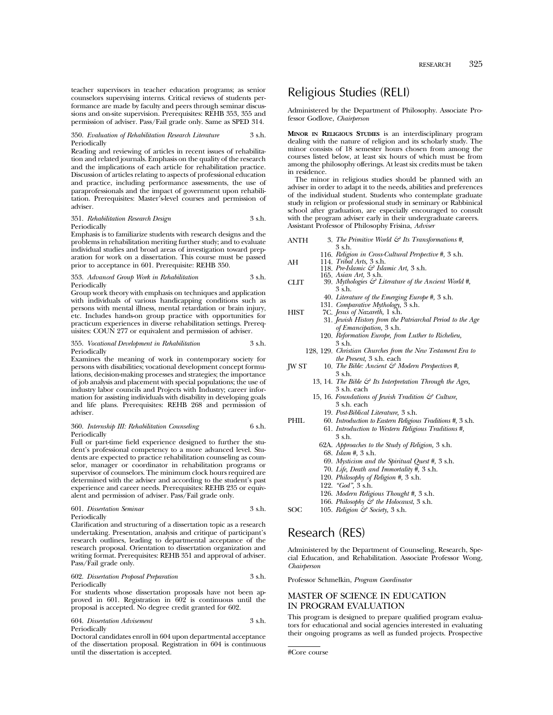teacher supervisors in teacher education programs; as senior counselors supervising interns. Critical reviews of students performance are made by faculty and peers through seminar discussions and on-site supervision. Prerequisites: REHB 353, 355 and permission of adviser. Pass/Fail grade only. Same as SPED 314.

#### 350. *Evaluation of Rehabilitation Research Literature* 3 s.h. Periodically

Reading and reviewing of articles in recent issues of rehabilitation and related journals. Emphasis on the quality of the research and the implications of each article for rehabilitation practice. Discussion of articles relating to aspects of professional education and practice, including performance assessments, the use of paraprofessionals and the impact of government upon rehabilitation. Prerequisites: Master's-level courses and permission of adviser.

#### 351. *Rehabilitation Research Design* 3 s.h. Periodically

Emphasis is to familiarize students with research designs and the problems in rehabilitation meriting further study; and to evaluate individual studies and broad areas of investigation toward preparation for work on a dissertation. This course must be passed prior to acceptance in 601. Prerequisite: REHB 350.

### 353. *Advanced Group Work in Rehabilitation* 3 s.h. Periodically

Group work theory with emphasis on techniques and application with individuals of various handicapping conditions such as persons with mental illness, mental retardation or brain injury, etc. Includes hands-on group practice with opportunities for practicum experiences in diverse rehabilitation settings. Prerequisites: COUN 277 or equivalent and permission of adviser.

#### 355. *Vocational Development in Rehabilitation* 3 s.h. Periodically

Examines the meaning of work in contemporary society for persons with disabilities; vocational development concept formulations, decision-making processes and strategies; the importance of job analysis and placement with special populations; the use of industry labor councils and Projects with Industry; career information for assisting individuals with disability in developing goals and life plans. Prerequisites: REHB 268 and permission of adviser.

#### 360. *Internship III: Rehabilitation Counseling* 6 s.h. Periodically

Full or part-time field experience designed to further the student's professional competency to a more advanced level. Students are expected to practice rehabilitation counseling as counselor, manager or coordinator in rehabilitation programs or supervisor of counselors. The minimum clock hours required are determined with the adviser and according to the student's past experience and career needs. Prerequisites: REHB 235 or equivalent and permission of adviser. Pass/Fail grade only.

#### 601. *Dissertation Seminar* 3 s.h. Periodically

Clarification and structuring of a dissertation topic as a research undertaking. Presentation, analysis and critique of participant's research outlines, leading to departmental acceptance of the research proposal. Orientation to dissertation organization and writing format. Prerequisites: REHB 351 and approval of adviser. Pass/Fail grade only.

## 602. *Dissertation Proposal Preparation* 3 s.h. Periodically

For students whose dissertation proposals have not been approved in 601. Registration in 602 is continuous until the proposal is accepted. No degree credit granted for 602.

604. *Dissertation Advisement* 3 s.h. Periodically

Doctoral candidates enroll in 604 upon departmental acceptance of the dissertation proposal. Registration in 604 is continuous until the dissertation is accepted.

## Religious Studies (RELI)

Administered by the Department of Philosophy. Associate Professor Godlove, *Chairperson*

**MINOR IN RELIGIOUS STUDIES** is an interdisciplinary program dealing with the nature of religion and its scholarly study. The minor consists of 18 semester hours chosen from among the courses listed below, at least six hours of which must be from among the philosophy offerings. At least six credits must be taken in residence.

The minor in religious studies should be planned with an adviser in order to adapt it to the needs, abilities and preferences of the individual student. Students who contemplate graduate study in religion or professional study in seminary or Rabbinical school after graduation, are especially encouraged to consult with the program adviser early in their undergraduate careers. Assistant Professor of Philosophy Frisina, *Adviser*

- ANTH 3. *The Primitive World & Its Transformations #,* 3 s.h. 116. *Religion in Cross-Cultural Perspective #,* 3 s.h. AH 114. *Tribal Arts,* 3 s.h. 118. *Pre-Islamic & Islamic Art,* 3 s.h. 165. *Asian Art,* 3 s.h.
- CLIT 39. *Mythologies & Literature of the Ancient World #,* 3 s.h.
	- 40. *Literature of the Emerging Europe #,* 3 s.h.
	- 131. *Comparative Mythology,* 3 s.h.
- HIST 7C. *Jesus of Nazareth,* 1 s.h.
	- 31. *Jewish History from the Patriarchal Period to the Age of Emancipation,* 3 s.h.
		- 120. *Reformation Europe, from Luther to Richelieu,* 3 s.h.
	- 128, 129. *Christian Churches from the New Testament Era to the Present,* 3 s.h. each
- JW ST 10. *The Bible: Ancient & Modern Perspectives #,* 3 s.h.
	- 13, 14. *The Bible & Its Interpretation Through the Ages,* 3 s.h. each
	- 15, 16. *Foundations of Jewish Tradition & Culture,* 3 s.h. each
	- 19. *Post-Biblical Literature,* 3 s.h.
- PHIL 60. *Introduction to Eastern Religious Traditions #,* 3 s.h. 61. *Introduction to Western Religious Traditions #,* 3 s.h.
	- 62A. *Approaches to the Study of Religion,* 3 s.h.
	- 68. *Islam #,* 3 s.h.
	- 69. *Mysticism and the Spiritual Quest #,* 3 s.h.
	- 70. *Life, Death and Immortality #,* 3 s.h.
	- 120. *Philosophy of Religion #,* 3 s.h.
	- 122. *"God",* 3 s.h.
	- 126. *Modern Religious Thought #,* 3 s.h.
	- 166. *Philosophy & the Holocaust*, 3 s.h.

SOC 105. *Religion & Society,* 3 s.h.

## Research (RES)

Administered by the Department of Counseling, Research, Special Education, and Rehabilitation. Associate Professor Wong, *Chairperson*

Professor Schmelkin, *Program Coordinator*

## MASTER OF SCIENCE IN EDUCATION IN PROGRAM EVALUATION

This program is designed to prepare qualified program evaluators for educational and social agencies interested in evaluating their ongoing programs as well as funded projects. Prospective

<sup>#</sup>Core course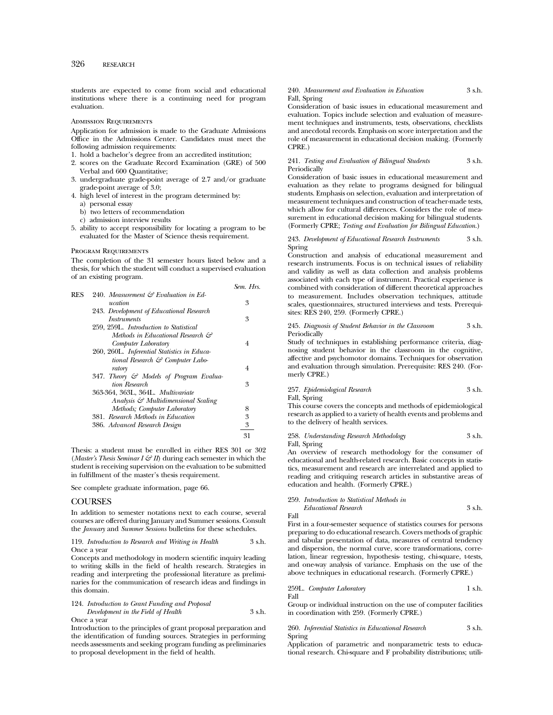students are expected to come from social and educational institutions where there is a continuing need for program evaluation.

#### Admission Requirements

Application for admission is made to the Graduate Admissions Office in the Admissions Center. Candidates must meet the following admission requirements:

- 1. hold a bachelor's degree from an accredited institution;
- 2. scores on the Graduate Record Examination (GRE) of 500 Verbal and 600 Quantitative;
- 3. undergraduate grade-point average of 2.7 and/or graduate grade-point average of 3.0;
- 4. high level of interest in the program determined by:
	- a) personal essay
	- b) two letters of recommendation
	- c) admission interview results
- 5. ability to accept responsibility for locating a program to be evaluated for the Master of Science thesis requirement.

### Program Requirements

The completion of the 31 semester hours listed below and a thesis, for which the student will conduct a supervised evaluation of an existing program.

|     |                                              | Sem. Hrs. |
|-----|----------------------------------------------|-----------|
| RES | 240. Measurement & Evaluation in Ed-         |           |
|     | ucation                                      | 3         |
|     | 243. Development of Educational Research     |           |
|     | <i>Instruments</i>                           | 3         |
|     | 259, 259L. Introduction to Statistical       |           |
|     | Methods in Educational Research &            |           |
|     | Computer Laboratory                          | 4         |
|     | 260, 260L. Inferential Statistics in Educa-  |           |
|     | tional Research $\mathcal{C}$ Computer Labo- |           |
|     | ratory                                       | 4         |
|     | 347. Theory & Models of Program Evalua-      |           |
|     | tion Research                                | 3         |
|     | 363-364, 363L, 364L, Multivariate            |           |
|     | Analysis & Multidimensional Scaling          |           |
|     | Methods; Computer Laboratory                 | 8         |
|     | 381. Research Methods in Education           | 3         |
|     | 386. Advanced Research Design                | 3         |
|     |                                              | 31        |
|     |                                              |           |

Thesis: a student must be enrolled in either RES 301 or 302 (*Master's Thesis Seminar I*  $\mathcal{C}$ *'II*) during each semester in which the student is receiving supervision on the evaluation to be submitted in fulfillment of the master's thesis requirement.

See complete graduate information, page 66.

### **COURSES**

In addition to semester notations next to each course, several courses are offered during January and Summer sessions. Consult the *January* and *Summer Sessions* bulletins for these schedules.

#### 119. *Introduction to Research and Writing in Health* 3 s.h. Once a year

Concepts and methodology in modern scientific inquiry leading to writing skills in the field of health research. Strategies in reading and interpreting the professional literature as preliminaries for the communication of research ideas and findings in this domain.

124. *Introduction to Grant Funding and Proposal*

*Development in the Field of Health* 3 s.h. Once a year

Introduction to the principles of grant proposal preparation and the identification of funding sources. Strategies in performing needs assessments and seeking program funding as preliminaries to proposal development in the field of health.

240. *Measurement and Evaluation in Education* 3 s.h. Fall, Spring

Consideration of basic issues in educational measurement and evaluation. Topics include selection and evaluation of measurement techniques and instruments, tests, observations, checklists and anecdotal records. Emphasis on score interpretation and the role of measurement in educational decision making. (Formerly CPRE.)

#### 241. *Testing and Evaluation of Bilingual Students* 3 s.h. Periodically

Consideration of basic issues in educational measurement and evaluation as they relate to programs designed for bilingual students. Emphasis on selection, evaluation and interpretation of measurement techniques and construction of teacher-made tests, which allow for cultural differences. Considers the role of measurement in educational decision making for bilingual students. (Formerly CPRE; *Testing and Evaluation for Bilingual Education*.)

243. *Development of Educational Research Instruments* 3 s.h. Spring

Construction and analysis of educational measurement and research instruments. Focus is on technical issues of reliability and validity as well as data collection and analysis problems associated with each type of instrument. Practical experience is combined with consideration of different theoretical approaches to measurement. Includes observation techniques, attitude scales, questionnaires, structured interviews and tests. Prerequisites: RES 240, 259. (Formerly CPRE.)

245. *Diagnosis of Student Behavior in the Classroom* 3 s.h. Periodically

Study of techniques in establishing performance criteria, diagnosing student behavior in the classroom in the cognitive, affective and psychomotor domains. Techniques for observation and evaluation through simulation. Prerequisite: RES 240. (Formerly CPRE.)

257. *Epidemiological Research* 3 s.h. Fall, Spring

This course covers the concepts and methods of epidemiological research as applied to a variety of health events and problems and to the delivery of health services.

258. *Understanding Research Methodology* 3 s.h. Fall, Spring

An overview of research methodology for the consumer of educational and health-related research. Basic concepts in statistics, measurement and research are interrelated and applied to reading and critiquing research articles in substantive areas of education and health. (Formerly CPRE.)

259. *Introduction to Statistical Methods in Educational Research* 3 s.h.

Fall

First in a four-semester sequence of statistics courses for persons preparing to do educational research. Covers methods of graphic and tabular presentation of data, measures of central tendency and dispersion, the normal curve, score transformations, correlation, linear regression, hypothesis- testing, chi-square, t-tests, and one-way analysis of variance. Emphasis on the use of the above techniques in educational research. (Formerly CPRE.)

259L. *Computer Laboratory* 1 s.h. Fall

Group or individual instruction on the use of computer facilities in coordination with 259. (Formerly CPRE.)

260. *Inferential Statistics in Educational Research* 3 s.h. Spring

Application of parametric and nonparametric tests to educational research. Chi-square and F probability distributions; utili-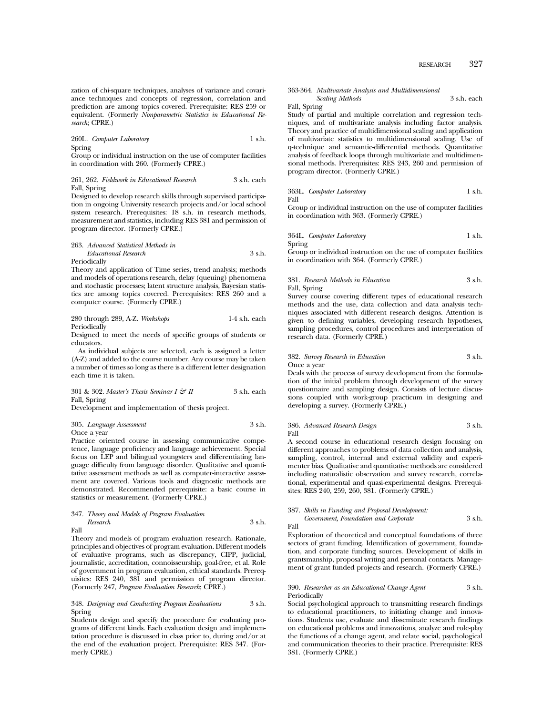zation of chi-square techniques, analyses of variance and covariance techniques and concepts of regression, correlation and prediction are among topics covered. Prerequisite: RES 259 or equivalent. (Formerly *Nonparametric Statistics in Educational Research*; CPRE.)

260L. *Computer Laboratory* 1 s.h. Spring

Group or individual instruction on the use of computer facilities in coordination with 260. (Formerly CPRE.)

261, 262. *Fieldwork in Educational Research* 3 s.h. each Fall, Spring

Designed to develop research skills through supervised participation in ongoing University research projects and/or local school system research. Prerequisites: 18 s.h. in research methods, measurement and statistics, including RES 381 and permission of program director. (Formerly CPRE.)

263. *Advanced Statistical Methods in Educational Research* 3 s.h.

Periodically

Theory and application of Time series, trend analysis; methods and models of operations research, delay (queuing) phenomena and stochastic processes; latent structure analysis, Bayesian statistics are among topics covered. Prerequisites: RES 260 and a computer course. (Formerly CPRE.)

280 through 289, A-Z. *Workshops* 1-4 s.h. each Periodically

Designed to meet the needs of specific groups of students or educators.

As individual subjects are selected, each is assigned a letter (A-Z) and added to the course number. Any course may be taken a number of times so long as there is a different letter designation each time it is taken.

301 & 302. *Master's Thesis Seminar I & II* 3 s.h. each Fall, Spring

Development and implementation of thesis project.

305. *Language Assessment* 3 s.h. Once a year

Practice oriented course in assessing communicative competence, language proficiency and language achievement. Special focus on LEP and bilingual youngsters and differentiating language difficulty from language disorder. Qualitative and quantitative assessment methods as well as computer-interactive assessment are covered. Various tools and diagnostic methods are demonstrated. Recommended prerequisite: a basic course in statistics or measurement. (Formerly CPRE.)

347. *Theory and Models of Program Evaluation Research* 3 s.h. Fall

Theory and models of program evaluation research. Rationale, principles and objectives of program evaluation. Different models of evaluative programs, such as discrepancy, CIPP, judicial, journalistic, accreditation, connoisseurship, goal-free, et al. Role of government in program evaluation, ethical standards. Prerequisites: RES 240, 381 and permission of program director. (Formerly 247, *Program Evaluation Research*; CPRE.)

#### 348. *Designing and Conducting Program Evaluations* 3 s.h. Spring

Students design and specify the procedure for evaluating programs of different kinds. Each evaluation design and implementation procedure is discussed in class prior to, during and/or at the end of the evaluation project. Prerequisite: RES 347. (Formerly CPRE.)

363-364. *Multivariate Analysis and Multidimensional Scaling Methods* 3 s.h. each

Fall, Spring

Study of partial and multiple correlation and regression techniques, and of multivariate analysis including factor analysis. Theory and practice of multidimensional scaling and application of multivariate statistics to multidimensional scaling. Use of q-technique and semantic-differential methods. Quantitative analysis of feedback loops through multivariate and multidimensional methods. Prerequisites: RES 243, 260 and permission of program director. (Formerly CPRE.)

363L. *Computer Laboratory* 1 s.h. Fall

Group or individual instruction on the use of computer facilities in coordination with 363. (Formerly CPRE.)

364L. *Computer Laboratory* 1 s.h. Spring

Group or individual instruction on the use of computer facilities in coordination with 364. (Formerly CPRE.)

#### 381. *Research Methods in Education* 3 s.h. Fall, Spring

Survey course covering different types of educational research methods and the use, data collection and data analysis techniques associated with different research designs. Attention is given to defining variables, developing research hypotheses, sampling procedures, control procedures and interpretation of research data. (Formerly CPRE.)

382. *Survey Research in Education* 3 s.h. Once a year

Deals with the process of survey development from the formulation of the initial problem through development of the survey questionnaire and sampling design. Consists of lecture discussions coupled with work-group practicum in designing and developing a survey. (Formerly CPRE.)

386. *Advanced Research Design* 3 s.h. Fall

A second course in educational research design focusing on different approaches to problems of data collection and analysis, sampling, control, internal and external validity and experimenter bias. Qualitative and quantitative methods are considered including naturalistic observation and survey research, correlational, experimental and quasi-experimental designs. Prerequisites: RES 240, 259, 260, 381. (Formerly CPRE.)

387. *Skills in Funding and Proposal Development: Government, Foundation and Corporate* 3 s.h. Fall

Exploration of theoretical and conceptual foundations of three sectors of grant funding. Identification of government, foundation, and corporate funding sources. Development of skills in grantsmanship, proposal writing and personal contacts. Management of grant funded projects and research. (Formerly CPRE.)

#### 390. *Researcher as an Educational Change Agent* 3 s.h. Periodically

Social psychological approach to transmitting research findings to educational practitioners, to initiating change and innovations. Students use, evaluate and disseminate research findings on educational problems and innovations, analyze and role-play the functions of a change agent, and relate social, psychological and communication theories to their practice. Prerequisite: RES 381. (Formerly CPRE.)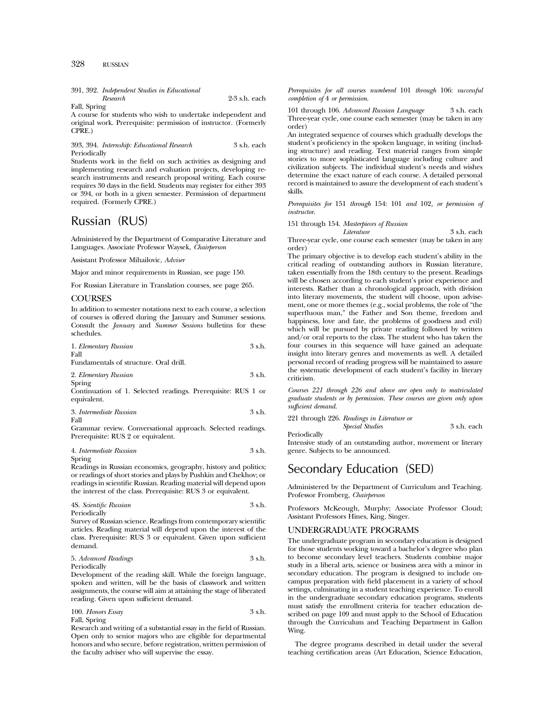391, 392. *Independent Studies in Educational Research* 2-3 s.h. each

Fall, Spring A course for students who wish to undertake independent and original work. Prerequisite: permission of instructor. (Formerly CPRE.)

393, 394. *Internship: Educational Research* 3 s.h. each Periodically

Students work in the field on such activities as designing and implementing research and evaluation projects, developing research instruments and research proposal writing. Each course requires 30 days in the field. Students may register for either 393 or 394, or both in a given semester. Permission of department required. (Formerly CPRE.)

## Russian (RUS)

Administered by the Department of Comparative Literature and Languages. Associate Professor Waysek, *Chairperson*

Assistant Professor Mihailovic, *Adviser*

Major and minor requirements in Russian, see page 150.

For Russian Literature in Translation courses, see page 265.

#### **COURSES**

In addition to semester notations next to each course, a selection of courses is offered during the January and Summer sessions. Consult the *January* and *Summer Sessions* bulletins for these schedules.

| 1. Elementary Russian                  | 3 s.h. |
|----------------------------------------|--------|
| Fall                                   |        |
| Fundamentals of structure. Oral drill. |        |

| 2. Elementary Russian | 3 s.h. |
|-----------------------|--------|
| Spring                |        |

Continuation of 1. Selected readings. Prerequisite: RUS 1 or equivalent.

|  | 3. Intermediate Russian |  | 3 s.h. |  |
|--|-------------------------|--|--------|--|
|--|-------------------------|--|--------|--|

Fall

Grammar review. Conversational approach. Selected readings. Prerequisite: RUS 2 or equivalent.

| 4. Intermediate Russian | 3 s.h. |
|-------------------------|--------|
|                         |        |

Spring Readings in Russian economics, geography, history and politics; or readings of short stories and plays by Pushkin and Chekhov; or readings in scientific Russian. Reading material will depend upon the interest of the class. Prerequisite: RUS 3 or equivalent.

| 4S. Scientific Russian | 3 s.h. |
|------------------------|--------|
| Periodically           |        |

Survey of Russian science. Readings from contemporary scientific articles. Reading material will depend upon the interest of the class. Prerequisite: RUS 3 or equivalent. Given upon sufficient demand.

5. *Advanced Readings* 3 s.h. Periodically

Development of the reading skill. While the foreign language, spoken and written, will be the basis of classwork and written assignments, the course will aim at attaining the stage of liberated reading. Given upon sufficient demand.

100. *Honors Essay* 3 s.h. Fall, Spring

Research and writing of a substantial essay in the field of Russian. Open only to senior majors who are eligible for departmental honors and who secure, before registration, written permission of the faculty adviser who will supervise the essay.

*Prerequisites for all courses numbered* 101 *through* 106: *successful completion of* 4 *or permission*.

101 through 106. *Advanced Russian Language* 3 s.h. each Three-year cycle, one course each semester (may be taken in any order)

An integrated sequence of courses which gradually develops the student's proficiency in the spoken language, in writing (including structure) and reading. Text material ranges from simple stories to more sophisticated language including culture and civilization subjects. The individual student's needs and wishes determine the exact nature of each course. A detailed personal record is maintained to assure the development of each student's skills.

*Prerequisites for* 151 *through* 154: 101 *and* 102*, or permission of instructor*.

151 through 154. *Masterpieces of Russian*

*Literature* 3 s.h. each

Three-year cycle, one course each semester (may be taken in any order)

The primary objective is to develop each student's ability in the critical reading of outstanding authors in Russian literature, taken essentially from the 18th century to the present. Readings will be chosen according to each student's prior experience and interests. Rather than a chronological approach, with division into literary movements, the student will choose, upon advisement, one or more themes (e.g., social problems, the role of "the superfluous man," the Father and Son theme, freedom and happiness, love and fate, the problems of goodness and evil) which will be pursued by private reading followed by written and/or oral reports to the class. The student who has taken the four courses in this sequence will have gained an adequate insight into literary genres and movements as well. A detailed personal record of reading progress will be maintained to assure the systematic development of each student's facility in literary criticism.

*Courses 221 through 226 and above are open only to matriculated graduate students or by permission. These courses are given only upon sufficient demand*.

221 through 226. *Readings in Literature or Special Studies* 3 s.h. each

Periodically

Intensive study of an outstanding author, movement or literary genre. Subjects to be announced.

## Secondary Education (SED)

Administered by the Department of Curriculum and Teaching. Professor Fromberg, *Chairperson*

Professors McKeough, Murphy; Associate Professor Cloud; Assistant Professors Hines, King, Singer.

## UNDERGRADUATE PROGRAMS

The undergraduate program in secondary education is designed for those students working toward a bachelor's degree who plan to become secondary level teachers. Students combine major study in a liberal arts, science or business area with a minor in secondary education. The program is designed to include oncampus preparation with field placement in a variety of school settings, culminating in a student teaching experience. To enroll in the undergraduate secondary education programs, students must satisfy the enrollment criteria for teacher education described on page 109 and must apply to the School of Education through the Curriculum and Teaching Department in Gallon Wing.

The degree programs described in detail under the several teaching certification areas (Art Education, Science Education,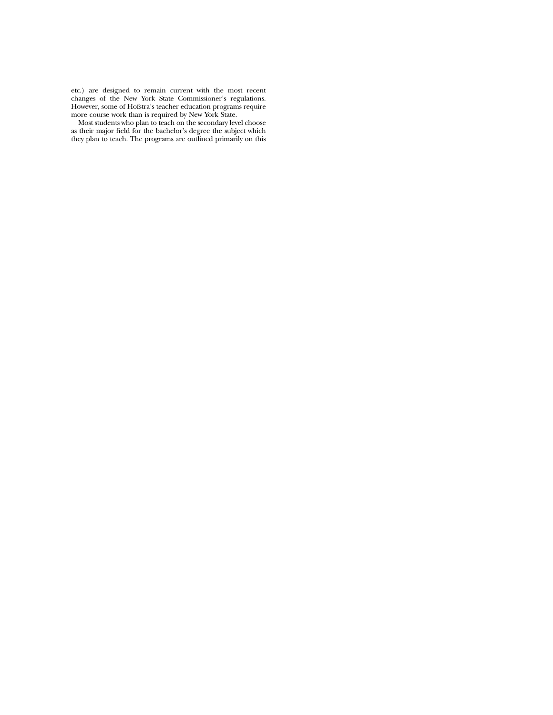etc.) are designed to remain current with the most recent changes of the New York State Commissioner's regulations. However, some of Hofstra's teacher education programs require more course work than is required by New York State.

Most students who plan to teach on the secondary level choose as their major ®eld for the bachelor's degree the subject which they plan to teach. The programs are outlined primarily on this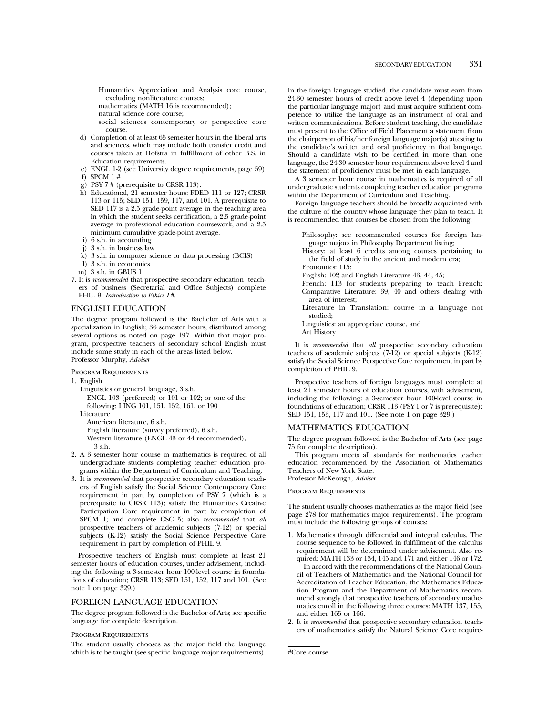Humanities Appreciation and Analysis core course, excluding nonliterature courses; mathematics (MATH 16 is recommended); natural science core course; social sciences contemporary or perspective core course.

- d) Completion of at least 65 semester hours in the liberal arts and sciences, which may include both transfer credit and courses taken at Hofstra in fulfillment of other B.S. in Education requirements.
- e) ENGL 1-2 (see University degree requirements, page 59)
- f) SPCM 1 #
- g) PSY 7 # (prerequisite to CRSR 113).
- h) Educational, 21 semester hours: FDED 111 or 127; CRSR 113 or 115; SED 151, 159, 117, and 101. A prerequisite to SED 117 is a 2.5 grade-point average in the teaching area in which the student seeks certification, a 2.5 grade-point average in professional education coursework, and a 2.5 minimum cumulative grade-point average.
- i) 6 s.h. in accounting
- j) 3 s.h. in business law
- k) 3 s.h. in computer science or data processing (BCIS)
- l) 3 s.h. in economics
- m) 3 s.h. in GBUS 1.
- 7. It is *recommended* that prospective secondary education teachers of business (Secretarial and Office Subjects) complete PHIL 9, *Introduction to Ethics I #*.

### ENGLISH EDUCATION

The degree program followed is the Bachelor of Arts with a specialization in English; 36 semester hours, distributed among several options as noted on page 197. Within that major program, prospective teachers of secondary school English must include some study in each of the areas listed below. Professor Murphy, *Adviser*

Program Requirements

1. English

- Linguistics or general language, 3 s.h.
- ENGL 103 (preferred) or 101 or 102; or one of the following: LING 101, 151, 152, 161, or 190
- Literature

American literature, 6 s.h.

English literature (survey preferred), 6 s.h.

- Western literature (ENGL 43 or 44 recommended),
- 3 s.h.
- 2. A 3 semester hour course in mathematics is required of all undergraduate students completing teacher education programs within the Department of Curriculum and Teaching.
- 3. It is *recommended* that prospective secondary education teachers of English satisfy the Social Science Contemporary Core requirement in part by completion of PSY 7 (which is a prerequisite to CRSR 113); satisfy the Humanities Creative Participation Core requirement in part by completion of SPCM 1; and complete CSC 5; also *recommended* that *all* prospective teachers of academic subjects (7-12) or special subjects (K-12) satisfy the Social Science Perspective Core requirement in part by completion of PHIL 9.

Prospective teachers of English must complete at least 21 semester hours of education courses, under advisement, including the following: a 3-semester hour 100-level course in foundations of education; CRSR 113; SED 151, 152, 117 and 101. (See note 1 on page 329.)

### FOREIGN LANGUAGE EDUCATION

The degree program followed is the Bachelor of Arts; see specific language for complete description.

#### Program Requirements

The student usually chooses as the major field the language which is to be taught (see specific language major requirements).

In the foreign language studied, the candidate must earn from 24-30 semester hours of credit above level 4 (depending upon the particular language major) and must acquire sufficient competence to utilize the language as an instrument of oral and written communications. Before student teaching, the candidate must present to the Office of Field Placement a statement from the chairperson of his/her foreign language major(s) attesting to the candidate's written and oral proficiency in that language. Should a candidate wish to be certified in more than one language, the 24-30 semester hour requirement above level 4 and the statement of proficiency must be met in each language.

A 3 semester hour course in mathematics is required of all undergraduate students completing teacher education programs within the Department of Curriculum and Teaching.

Foreign language teachers should be broadly acquainted with the culture of the country whose language they plan to teach. It is recommended that courses be chosen from the following:

- Philosophy: see recommended courses for foreign language majors in Philosophy Department listing;
- History: at least 6 credits among courses pertaining to the field of study in the ancient and modern era;
- Economics: 115; English: 102 and English Literature 43, 44, 45;
- French: 113 for students preparing to teach French; Comparative Literature: 39, 40 and others dealing with area of interest;
- Literature in Translation: course in a language not studied;
- Linguistics: an appropriate course, and
- Art History

It is *recommended* that *all* prospective secondary education teachers of academic subjects (7-12) or special subjects (K-12) satisfy the Social Science Perspective Core requirement in part by completion of PHIL 9.

Prospective teachers of foreign languages must complete at least 21 semester hours of education courses, with advisement, including the following: a 3-semester hour 100-level course in foundations of education; CRSR 113 (PSY 1 or 7 is prerequisite); SED 151, 153, 117 and 101. (See note 1 on page 329.)

### MATHEMATICS EDUCATION

The degree program followed is the Bachelor of Arts (see page 75 for complete description).

This program meets all standards for mathematics teacher education recommended by the Association of Mathematics Teachers of New York State.

Professor McKeough, *Adviser*

## Program Requirements

The student usually chooses mathematics as the major field (see page 278 for mathematics major requirements). The program must include the following groups of courses:

- 1. Mathematics through differential and integral calculus. The course sequence to be followed in fulfillment of the calculus requirement will be determined under advisement. Also required: MATH 133 or 134, 145 and 171 and either 146 or 172. In accord with the recommendations of the National Council of Teachers of Mathematics and the National Council for Accreditation of Teacher Education, the Mathematics Education Program and the Department of Mathematics recommend strongly that prospective teachers of secondary mathematics enroll in the following three courses: MATH 137, 155, and either 165 or 166.
- 2. It is *recommended* that prospective secondary education teachers of mathematics satisfy the Natural Science Core require-

#Core course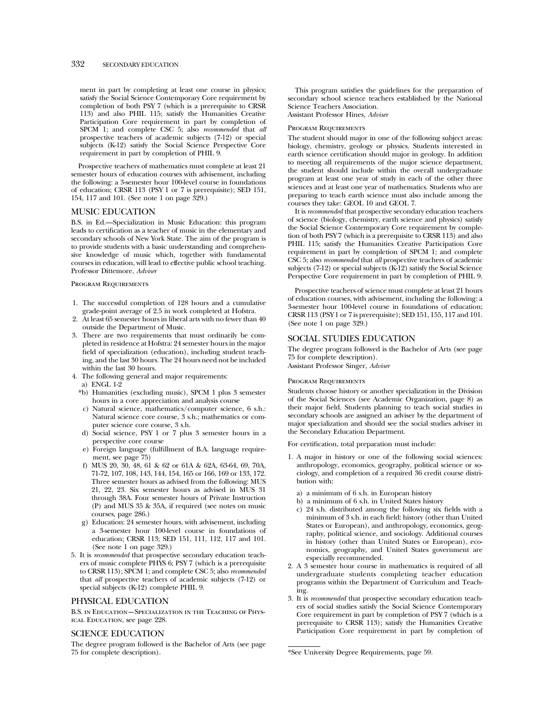## 332 SECONDARY EDUCATION

ment in part by completing at least one course in physics; satisfy the Social Science Contemporary Core requirement by completion of both PSY 7 (which is a prerequisite to CRSR 113) and also PHIL 115; satisfy the Humanities Creative Participation Core requirement in part by completion of SPCM 1; and complete CSC 5; also *recommended* that *all* prospective teachers of academic subjects (7-12) or special subjects (K-12) satisfy the Social Science Perspective Core requirement in part by completion of PHIL 9.

Prospective teachers of mathematics must complete at least 21 semester hours of education courses with advisement, including the following: a 3-semester hour 100-level course in foundations of education; CRSR 113 (PSY 1 or 7 is prerequisite); SED 151, 154, 117 and 101. (See note 1 on page 329.)

## MUSIC EDUCATION

B.S. in Ed.—Specialization in Music Education: this program leads to certification as a teacher of music in the elementary and secondary schools of New York State. The aim of the program is to provide students with a basic understanding and comprehensive knowledge of music which, together with fundamental courses in education, will lead to effective public school teaching. Professor Dittemore, *Adviser*

Program Requirements

- 1. The successful completion of 128 hours and a cumulative grade-point average of 2.5 in work completed at Hofstra.
- 2. At least 65 semester hours in liberal arts with no fewer than 40 outside the Department of Music.
- 3. There are two requirements that must ordinarily be completed in residence at Hofstra: 24 semester hours in the major field of specialization (education), including student teaching, and the last 30 hours. The 24 hours need not be included within the last 30 hours.
- 4. The following general and major requirements:
	- a) ENGL 1-2
	- \*b) Humanities (excluding music), SPCM 1 plus 3 semester hours in a core appreciation and analysis course
	- c) Natural science, mathematics/computer science, 6 s.h.: Natural science core course, 3 s.h.; mathematics or computer science core course, 3 s.h.
	- d) Social science, PSY 1 or 7 plus 3 semester hours in a perspective core course
	- e) Foreign language (fulfillment of B.A. language requirement, see page 75)
	- f) MUS 20, 30, 48, 61 & 62 or 61A & 62A, 63-64, 69, 70A, 71-72, 107, 108, 143, 144, 154, 165 or 166, 169 or 133, 172. Three semester hours as advised from the following: MUS 21, 22, 23. Six semester hours as advised in MUS 31 through 38A. Four semester hours of Private Instruction (P) and MUS 35 & 35A, if required (see notes on music courses, page 286.)
	- g) Education: 24 semester hours, with advisement, including a 3-semester hour 100-level course in foundations of education; CRSR 113; SED 151, 111, 112, 117 and 101. (See note 1 on page 329.)
- 5. It is *recommended* that prospective secondary education teachers of music complete PHYS 6; PSY 7 (which is a prerequisite to CRSR 113); SPCM 1; and complete CSC 5; also *recommended* that *all* prospective teachers of academic subjects (7-12) or special subjects (K-12) complete PHIL 9.

## PHYSICAL EDUCATION

B.S. in Education—Specialization in the Teaching of Physical Education, see page 228.

## SCIENCE EDUCATION

The degree program followed is the Bachelor of Arts (see page 75 for complete description).

This program satisfies the guidelines for the preparation of secondary school science teachers established by the National Science Teachers Association. Assistant Professor Hines, *Adviser*

#### Program Requirements

The student should major in one of the following subject areas: biology, chemistry, geology or physics. Students interested in earth science certification should major in geology. In addition to meeting all requirements of the major science department, the student should include within the overall undergraduate program at least one year of study in each of the other three sciences and at least one year of mathematics. Students who are preparing to teach earth science must also include among the courses they take: GEOL 10 and GEOL 7.

It is *recommended* that prospective secondary education teachers of science (biology, chemistry, earth science and physics) satisfy the Social Science Contemporary Core requirement by completion of both PSY 7 (which is a prerequisite to CRSR 113) and also PHIL 115; satisfy the Humanities Creative Participation Core requirement in part by completion of SPCM 1; and complete CSC 5; also *recommended* that *all* prospective teachers of academic subjects (7-12) or special subjects (K-12) satisfy the Social Science Perspective Core requirement in part by completion of PHIL 9.

Prospective teachers of science must complete at least 21 hours of education courses, with advisement, including the following: a 3-semester hour 100-level course in foundations of education; CRSR 113 (PSY 1 or 7 is prerequisite); SED 151, 155, 117 and 101. (See note 1 on page 329.)

## SOCIAL STUDIES EDUCATION

The degree program followed is the Bachelor of Arts (see page 75 for complete description). Assistant Professor Singer, *Adviser*

#### Program Requirements

Students choose history or another specialization in the Division of the Social Sciences (see Academic Organization, page 8) as their major field. Students planning to teach social studies in secondary schools are assigned an adviser by the department of major specialization and should see the social studies adviser in the Secondary Education Department.

For certification, total preparation must include:

- 1. A major in history or one of the following social sciences: anthropology, economics, geography, political science or sociology, and completion of a required 36 credit course distribution with:
	- a) a minimum of 6 s.h. in European history
	- b) a minimum of 6 s.h. in United States history
	- c) 24 s.h. distributed among the following six fields with a minimum of 3 s.h. in each field: history (other than United States or European), and anthropology, economics, geography, political science, and sociology. Additional courses in history (other than United States or European), economics, geography, and United States government are especially recommended.
- 2. A 3 semester hour course in mathematics is required of all undergraduate students completing teacher education programs within the Department of Curriculum and Teaching.
- 3. It is *recommended* that prospective secondary education teachers of social studies satisfy the Social Science Contemporary Core requirement in part by completion of PSY 7 (which is a prerequisite to CRSR 113); satisfy the Humanities Creative Participation Core requirement in part by completion of

<sup>\*</sup>See University Degree Requirements, page 59.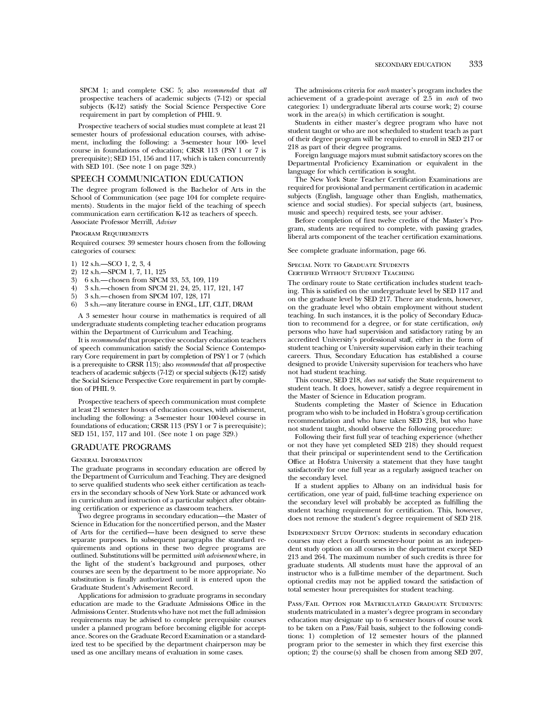SPCM 1; and complete CSC 5; also *recommended* that *all* prospective teachers of academic subjects (7-12) or special subjects (K-12) satisfy the Social Science Perspective Core requirement in part by completion of PHIL 9.

Prospective teachers of social studies must complete at least 21 semester hours of professional education courses, with advisement, including the following: a 3-semester hour 100- level course in foundations of education; CRSR 113 (PSY 1 or 7 is prerequisite); SED 151, 156 and 117, which is taken concurrently with SED 101. (See note 1 on page 329.)

#### SPEECH COMMUNICATION EDUCATION

The degree program followed is the Bachelor of Arts in the School of Communication (see page 104 for complete requirements). Students in the major field of the teaching of speech communication earn certification K-12 as teachers of speech. Associate Professor Merrill, *Adviser*

#### Program Requirements

Required courses: 39 semester hours chosen from the following categories of courses:

- 1) 12 s.h.—SCO 1, 2, 3, 4
- 2) 12 s.h.—SPCM 1, 7, 11, 125
- 3) 6 s.h.—chosen from SPCM 33, 53, 109, 119
- 4) 3 s.h.—chosen from SPCM 21, 24, 25, 117, 121, 147
- 5) 3 s.h.—chosen from SPCM 107, 128, 171
- 6) 3 s.h.—any literature course in ENGL, LIT, CLIT, DRAM

A 3 semester hour course in mathematics is required of all undergraduate students completing teacher education programs within the Department of Curriculum and Teaching.

It is *recommended* that prospective secondary education teachers of speech communication satisfy the Social Science Contemporary Core requirement in part by completion of PSY 1 or 7 (which is a prerequisite to CRSR 113); also *recommended* that *all* prospective teachers of academic subjects  $(7-12)$  or special subjects  $(K-12)$  satisfy the Social Science Perspective Core requirement in part by completion of PHIL 9.

Prospective teachers of speech communication must complete at least 21 semester hours of education courses, with advisement, including the following: a 3-semester hour 100-level course in foundations of education; CRSR 113 (PSY 1 or 7 is prerequisite); SED 151, 157, 117 and 101. (See note 1 on page 329.)

#### GRADUATE PROGRAMS

#### General Information

The graduate programs in secondary education are offered by the Department of Curriculum and Teaching. They are designed to serve qualified students who seek either certification as teachers in the secondary schools of New York State or advanced work in curriculum and instruction of a particular subject after obtaining certification or experience as classroom teachers.

Two degree programs in secondary education—the Master of Science in Education for the noncertified person, and the Master of Arts for the certified—have been designed to serve these separate purposes. In subsequent paragraphs the standard requirements and options in these two degree programs are outlined. Substitutions will be permitted *with advisement* where, in the light of the student's background and purposes, other courses are seen by the department to be more appropriate. No substitution is finally authorized until it is entered upon the Graduate Student's Advisement Record.

Applications for admission to graduate programs in secondary education are made to the Graduate Admissions Office in the Admissions Center. Students who have not met the full admission requirements may be advised to complete prerequisite courses under a planned program before becoming eligible for acceptance. Scores on the Graduate Record Examination or a standardized test to be specified by the department chairperson may be used as one ancillary means of evaluation in some cases.

The admissions criteria for *each* master's program includes the achievement of a grade-point average of 2.5 in *each* of two categories: 1) undergraduate liberal arts course work; 2) course work in the area(s) in which certification is sought.

Students in either master's degree program who have not student taught or who are not scheduled to student teach as part of their degree program will be required to enroll in SED 217 or 218 as part of their degree programs.

Foreign language majors must submit satisfactory scores on the Departmental Proficiency Examination or equivalent in the language for which certification is sought.

The New York State Teacher Certification Examinations are required for provisional and permanent certification in academic subjects (English, language other than English, mathematics, science and social studies). For special subjects (art, business, music and speech) required tests, see your adviser.

Before completion of first twelve credits of the Master's Program, students are required to complete, with passing grades, liberal arts component of the teacher certification examinations.

See complete graduate information, page 66.

### Special Note to Graduate Students

Certified Without Student Teaching

The ordinary route to State certification includes student teaching. This is satisfied on the undergraduate level by SED 117 and on the graduate level by SED 217. There are students, however, on the graduate level who obtain employment without student teaching. In such instances, it is the policy of Secondary Education to recommend for a degree, or for state certification, *only* persons who have had supervision and satisfactory rating by an accredited University's professional staff, either in the form of student teaching or University supervision early in their teaching careers. Thus, Secondary Education has established a course designed to provide University supervision for teachers who have not had student teaching.

This course, SED 218, *does not* satisfy the State requirement to student teach. It does, however, satisfy a degree requirement in the Master of Science in Education program.

Students completing the Master of Science in Education program who wish to be included in Hofstra's group certification recommendation and who have taken SED 218, but who have not student taught, should observe the following procedure:

Following their first full year of teaching experience (whether or not they have yet completed SED 218) they should request that their principal or superintendent send to the Certification Office at Hofstra University a statement that they have taught satisfactorily for one full year as a regularly assigned teacher on the secondary level.

If a student applies to Albany on an individual basis for certification, one year of paid, full-time teaching experience on the secondary level will probably be accepted as fulfilling the student teaching requirement for certification. This, however, does not remove the student's degree requirement of SED 218.

INDEPENDENT STUDY OPTION: students in secondary education courses may elect a fourth semester-hour point as an independent study option on all courses in the department except SED 213 and 264. The maximum number of such credits is three for graduate students. All students must have the approval of an instructor who is a full-time member of the department. Such optional credits may not be applied toward the satisfaction of total semester hour prerequisites for student teaching.

Pass/Fail Option for Matriculated Graduate Students: students matriculated in a master's degree program in secondary education may designate up to 6 semester hours of course work to be taken on a Pass/Fail basis, subject to the following conditions: 1) completion of 12 semester hours of the planned program prior to the semester in which they first exercise this option; 2) the course(s) shall be chosen from among SED 207,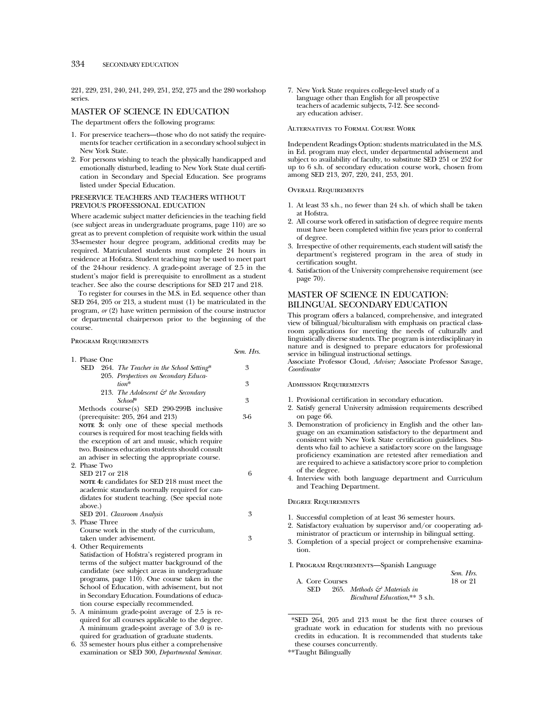## 334 SECONDARY EDUCATION

221, 229, 231, 240, 241, 249, 251, 252, 275 and the 280 workshop series.

## MASTER OF SCIENCE IN EDUCATION

The department offers the following programs:

- 1. For preservice teachers—those who do not satisfy the requirements for teacher certification in a secondary school subject in New York State.
- 2. For persons wishing to teach the physically handicapped and emotionally disturbed, leading to New York State dual certification in Secondary and Special Education. See programs listed under Special Education.

## PRESERVICE TEACHERS AND TEACHERS WITHOUT PREVIOUS PROFESSIONAL EDUCATION

Where academic subject matter deficiencies in the teaching field (see subject areas in undergraduate programs, page 110) are so great as to prevent completion of requisite work within the usual 33-semester hour degree program, additional credits may be required. Matriculated students must complete 24 hours in residence at Hofstra. Student teaching may be used to meet part of the 24-hour residency. A grade-point average of 2.5 in the student's major field is prerequisite to enrollment as a student teacher. See also the course descriptions for SED 217 and 218.

To register for courses in the M.S. in Ed. sequence other than SED 264, 205 or 213, a student must (1) be matriculated in the program, *or* (2) have written permission of the course instructor or departmental chairperson prior to the beginning of the course.

#### Program Requirements

|                                                       | Sem. Hrs. |
|-------------------------------------------------------|-----------|
| 1. Phase One                                          |           |
| <b>SED</b><br>264. The Teacher in the School Setting* | 3         |
| 205. Perspectives on Secondary Educa-                 |           |
| $tion*$                                               | 3         |
| 213. The Adolescent $\mathcal{C}$ the Secondary       |           |
| School*                                               | 3         |
| Methods course(s) SED 290-299B inclusive              |           |
| (prerequisite: $205$ , $264$ and $213$ )              | $3-6$     |
| NOTE 3: only one of these special methods             |           |
| courses is required for most teaching fields with     |           |
| the exception of art and music, which require         |           |
| two. Business education students should consult       |           |
| an adviser in selecting the appropriate course.       |           |
| 2. Phase Two                                          |           |
| SED 217 or 218                                        | 6         |
| NOTE 4: candidates for SED 218 must meet the          |           |
| academic standards normally required for can-         |           |
| didates for student teaching. (See special note       |           |
| above.)                                               |           |
| SED 201. Classroom Analysis                           | 3         |
| 3. Phase Three                                        |           |
| Course work in the study of the curriculum,           |           |
| taken under advisement.                               | 3         |
| 4. Other Requirements                                 |           |
| Satisfaction of Hofstra's registered program in       |           |
| terms of the subject matter background of the         |           |
| candidate (see subject areas in undergraduate         |           |
| programs, page 110). One course taken in the          |           |
| School of Education, with advisement, but not         |           |
| in Secondary Education. Foundations of educa-         |           |
| tion course especially recommended.                   |           |
|                                                       |           |

- 5. A minimum grade-point average of 2.5 is required for all courses applicable to the degree. A minimum grade-point average of 3.0 is required for graduation of graduate students.
- 6. 33 semester hours plus either a comprehensive examination or SED 300, *Departmental Seminar*.

7. New York State requires college-level study of a language other than English for all prospective teachers of academic subjects, 7-12. See secondary education adviser.

Alternatives to Formal Course Work

Independent Readings Option: students matriculated in the M.S. in Ed. program may elect, under departmental advisement and subject to availability of faculty, to substitute SED 251 or 252 for up to 6 s.h. of secondary education course work, chosen from among SED 213, 207, 220, 241, 253, 201.

#### Overall Requirements

- 1. At least 33 s.h., no fewer than 24 s.h. of which shall be taken at Hofstra.
- 2. All course work offered in satisfaction of degree require ments must have been completed within five years prior to conferral of degree.
- 3. Irrespective of other requirements, each student will satisfy the department's registered program in the area of study in certification sought.
- 4. Satisfaction of the University comprehensive requirement (see page 70).

## MASTER OF SCIENCE IN EDUCATION: BILINGUAL SECONDARY EDUCATION

This program offers a balanced, comprehensive, and integrated view of bilingual/biculturalism with emphasis on practical classroom applications for meeting the needs of culturally and linguistically diverse students. The program is interdisciplinary in nature and is designed to prepare educators for professional service in bilingual instructional settings.

Associate Professor Cloud, *Adviser;* Associate Professor Savage, *Coordinator*

#### Admission Requirements

- 1. Provisional certification in secondary education.
- 2. Satisfy general University admission requirements described on page 66.
- 3. Demonstration of proficiency in English and the other language on an examination satisfactory to the department and consistent with New York State certification guidelines. Students who fail to achieve a satisfactory score on the language proficiency examination are retested after remediation and are required to achieve a satisfactory score prior to completion of the degree.
- 4. Interview with both language department and Curriculum and Teaching Department.

#### Degree Requirements

- 1. Successful completion of at least 36 semester hours.
- 2. Satisfactory evaluation by supervisor and/or cooperating administrator of practicum or internship in bilingual setting.
- 3. Completion of a special project or comprehensive examination.

I. Program Requirements—Spanish Language

|      |                 |                                | Sem. Hrs. |
|------|-----------------|--------------------------------|-----------|
|      | A. Core Courses |                                | 18 or 21  |
| SED. |                 | 265. Methods & Materials in    |           |
|      |                 | Bicultural Education ** 3 s.h. |           |

\*SED 264, 205 and 213 must be the first three courses of graduate work in education for students with no previous credits in education. It is recommended that students take these courses concurrently.

<sup>\*\*</sup>Taught Bilingually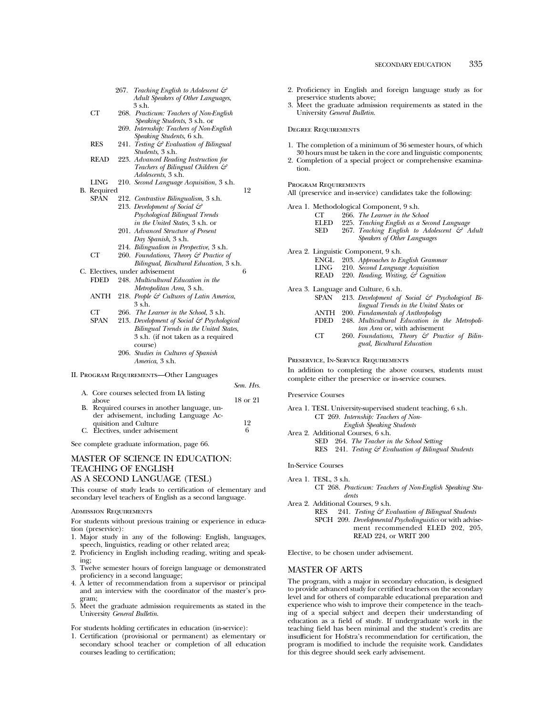|                    | 267. | Teaching English to Adolescent &                     |           |
|--------------------|------|------------------------------------------------------|-----------|
|                    |      | Adult Speakers of Other Languages,                   |           |
|                    |      | 3 s.h.                                               |           |
| CT                 |      | 268. Practicum: Teachers of Non-English              |           |
|                    |      | <i>Speaking Students</i> , 3 s.h. or                 |           |
|                    |      | 269. Internship: Teachers of Non-English             |           |
|                    |      | <i>Speaking Students</i> , 6 s.h.                    |           |
| <b>RES</b>         |      | 241. Testing & Evaluation of Bilingual               |           |
|                    |      | <i>Students</i> , 3 s.h.                             |           |
| <b>READ</b>        |      | 223. Advanced Reading Instruction for                |           |
|                    |      | Teachers of Bilingual Children &                     |           |
|                    |      | <i>Adolescents</i> , 3 s.h.                          |           |
| LING               |      | 210. Second Language Acquisition, 3 s.h.             |           |
| <b>B.</b> Required |      |                                                      | 12        |
| SPAN               |      | 212. Contrastive Bilingualism, 3 s.h.                |           |
|                    |      | 213. Development of Social &                         |           |
|                    |      | Psychological Bilingual Trends                       |           |
|                    |      | in the United States, 3 s.h. or                      |           |
|                    |      | 201. Advanced Structure of Present                   |           |
|                    |      | Day Spanish, 3 s.h.                                  |           |
|                    |      | 214. Bilingualism in Perspective, 3 s.h.             |           |
| CT                 |      | 260. Foundations, Theory & Practice of               |           |
|                    |      | Bilingual, Bicultural Education, 3 s.h.              |           |
|                    |      | C. Electives, under advisement                       | 6         |
| <b>FDED</b>        |      | 248. Multicultural Education in the                  |           |
|                    |      | Metropolitan Area, 3 s.h.                            |           |
| <b>ANTH</b>        |      | 218. People $\mathcal{C}$ Cultures of Latin America, |           |
|                    |      | 3 s.h.                                               |           |
| CT                 |      | 266. The Learner in the School, 3 s.h.               |           |
| <b>SPAN</b>        |      | 213. Development of Social & Psychological           |           |
|                    |      | Bilingual Trends in the United States,               |           |
|                    |      | 3 s.h. (if not taken as a required                   |           |
|                    |      | course)                                              |           |
|                    |      | 206. Studies in Cultures of Spanish                  |           |
|                    |      | America, 3 s.h.                                      |           |
|                    |      |                                                      |           |
|                    |      | II. Program Requirements—Other Languages             |           |
|                    |      |                                                      | Sem. Hrs. |
|                    |      |                                                      |           |

| A. Core courses selected from IA listing     |          |
|----------------------------------------------|----------|
| above                                        | 18 or 21 |
| B. Required courses in another language, un- |          |
| der advisement, including Language Ac-       |          |
| quisition and Culture                        | 19       |
| C. Electives, under advisement               | 6        |
|                                              |          |

See complete graduate information, page 66.

## MASTER OF SCIENCE IN EDUCATION: TEACHING OF ENGLISH AS A SECOND LANGUAGE (TESL)

This course of study leads to certification of elementary and secondary level teachers of English as a second language.

#### Admission Requirements

For students without previous training or experience in education (preservice):

- 1. Major study in any of the following: English, languages, speech, linguistics, reading or other related area;
- 2. Proficiency in English including reading, writing and speaking;
- 3. Twelve semester hours of foreign language or demonstrated proficiency in a second language;
- 4. A letter of recommendation from a supervisor or principal and an interview with the coordinator of the master's program;
- 5. Meet the graduate admission requirements as stated in the University *General Bulletin*.

For students holding certificates in education (in-service):

1. Certification (provisional or permanent) as elementary or secondary school teacher or completion of all education courses leading to certification;

- 2. Proficiency in English and foreign language study as for preservice students above;
- 3. Meet the graduate admission requirements as stated in the University *General Bulletin*.

Degree Requirements

- 1. The completion of a minimum of 36 semester hours, of which 30 hours must be taken in the core and linguistic components;
- 2. Completion of a special project or comprehensive examination.

Program Requirements

All (preservice and in-service) candidates take the following:

|      | Area 1. Methodological Component, 9 s.h.                   |
|------|------------------------------------------------------------|
| CT   | 266. The Learner in the School                             |
|      | ELED 225. Teaching English as a Second Language            |
| SED  | 267. Teaching English to Adolescent $\mathcal{C}$ Adult    |
|      | Speakers of Other Languages                                |
|      |                                                            |
|      | Area 2. Linguistic Component, 9 s.h.                       |
|      | <b>ENGL</b> 203. Approaches to English Grammar             |
|      | LING 210. Second Language Acquisition                      |
|      | READ 220. Reading, Writing, & Cognition                    |
|      | Area 3. Language and Culture, 6 s.h.                       |
| SPAN | 213. Development of Social $\mathcal{C}$ Psychological Bi- |
|      | lingual Trends in the United States or                     |
|      | ANTH 200. Fundamentals of Anthropology                     |
|      | FDED 248. Multicultural Education in the Metropoli-        |
|      | tan Area or, with advisement                               |
| CТ   | 260. Foundations, Theory & Practice of Bilin-              |
|      | gual, Bicultural Education                                 |

PRESERVICE, IN-SERVICE REQUIREMENTS

In addition to completing the above courses, students must complete either the preservice or in-service courses.

#### Preservice Courses

| Area 1. TESL University-supervised student teaching, 6 s.h.    |  |  |  |
|----------------------------------------------------------------|--|--|--|
| CT 269. Internship: Teachers of Non-                           |  |  |  |
| <b>English Speaking Students</b>                               |  |  |  |
| Area 2. Additional Courses, 6 s.h.                             |  |  |  |
| 264. The Teacher in the School Setting<br>SED.                 |  |  |  |
| RES 241. Testing $\mathcal G$ Evaluation of Bilingual Students |  |  |  |
|                                                                |  |  |  |
| <b>In-Service Courses</b>                                      |  |  |  |

- Area 1. TESL, 3 s.h. CT 268. *Practicum: Teachers of Non-English Speaking Students* Area 2. Additional Courses, 9 s.h.
- RES 241. *Testing & Evaluation of Bilingual Students* SPCH 209. *Developmental Psycholinguistics* or with advisement recommended ELED 202, 205, READ 224, or WRIT 200

Elective, to be chosen under advisement.

#### MASTER OF ARTS

The program, with a major in secondary education, is designed to provide advanced study for certified teachers on the secondary level and for others of comparable educational preparation and experience who wish to improve their competence in the teaching of a special subject and deepen their understanding of education as a field of study. If undergraduate work in the teaching field has been minimal and the student's credits are insufficient for Hofstra's recommendation for certification, the program is modified to include the requisite work. Candidates for this degree should seek early advisement.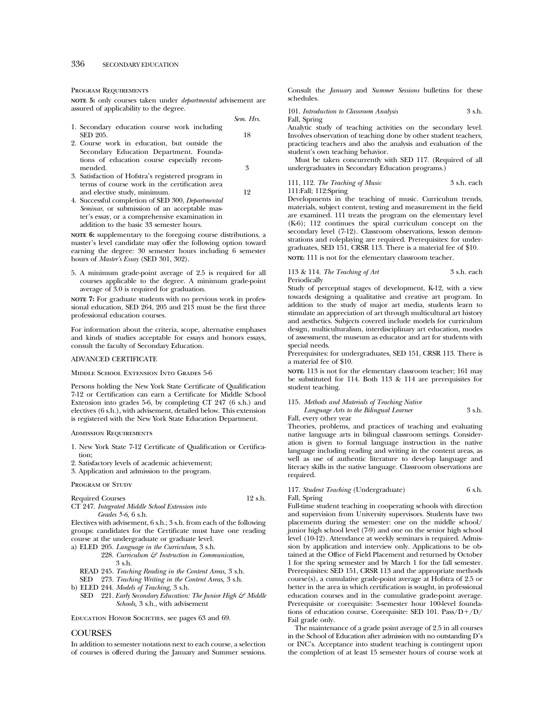## 336 SECONDARY EDUCATION

#### Program Requirements

**NOTE 5:** only courses taken under *departmental* advisement are assured of applicability to the degree.

*Sem. Hrs.*

- 1. Secondary education course work including SED 205. 18
- 2. Course work in education, but outside the Secondary Education Department. Foundations of education course especially recommended. 3
- 3. Satisfaction of Hofstra's registered program in terms of course work in the certification area and elective study, minimum. 12
- 4. Successful completion of SED 300, *Departmental Seminar*, or submission of an acceptable master's essay, or a comprehensive examination in addition to the basic 33 semester hours.

**NOTE 6:** supplementary to the foregoing course distributions, a master's level candidate may offer the following option toward earning the degree: 30 semester hours including 6 semester hours of *Master's Essay* (SED 301, 302).

5. A minimum grade-point average of 2.5 is required for all courses applicable to the degree. A minimum grade-point average of 3.0 is required for graduation.

**NOTE 7:** For graduate students with no previous work in professional education, SED 264, 205 and 213 must be the first three professional education courses.

For information about the criteria, scope, alternative emphases and kinds of studies acceptable for essays and honors essays, consult the faculty of Secondary Education.

#### ADVANCED CERTIFICATE

Middle School Extension Into Grades 5-6

Persons holding the New York State Certificate of Qualification 7-12 or Certification can earn a Certificate for Middle School Extension into grades 5-6, by completing CT 247 (6 s.h.) and electives (6 s.h.), with advisement, detailed below. This extension is registered with the New York State Education Department.

#### Admission Requirements

- 1. New York State 7-12 Certificate of Qualification or Certification;
- 2. Satisfactory levels of academic achievement;
- 3. Application and admission to the program.

#### PROGRAM OF STUDY

| <b>Required Courses</b>                         | $12$ s.h. |
|-------------------------------------------------|-----------|
| CT 247. Integrated Middle School Extension into |           |
| <i>Grades</i> 5-6, 6 s.h.                       |           |

Electives with advisement, 6 s.h.; 3 s.h. from each of the following groups: candidates for the Certificate must have one reading course at the undergraduate or graduate level.

a) ELED 205. *Language in the Curriculum,* 3 s.h.

- 228. *Curriculum & Instruction in Communication,* 3 s.h.
- READ 245. *Teaching Reading in the Content Areas,* 3 s.h.
- SED 273. *Teaching Writing in the Content Areas,* 3 s.h.
- b) ELED 244. *Models of Teaching,* 3 s.h.
- SED 221. *Early Secondary Education: The Junior High & Middle Schools,* 3 s.h., with advisement

Education Honor Societies, see pages 63 and 69.

## **COURSES**

In addition to semester notations next to each course, a selection of courses is offered during the January and Summer sessions.

Consult the *January* and *Summer Sessions* bulletins for these schedules.

#### 101. *Introduction to Classroom Analysis* 3 s.h. Fall, Spring

Analytic study of teaching activities on the secondary level. Involves observation of teaching done by other student teachers, practicing teachers and also the analysis and evaluation of the student's own teaching behavior.

Must be taken concurrently with SED 117. (Required of all undergraduates in Secondary Education programs.)

### 111, 112. *The Teaching of Music* 3 s.h. each 111:Fall; 112:Spring

Developments in the teaching of music. Curriculum trends, materials, subject content, testing and measurement in the field are examined. 111 treats the program on the elementary level (K-6); 112 continues the spiral curriculum concept on the secondary level (7-12). Classroom observations, lesson demonstrations and roleplaying are required. Prerequisites: for undergraduates, SED 151, CRSR 113. There is a material fee of \$10. **NOTE:** 111 is not for the elementary classroom teacher.

113 & 114. *The Teaching of Art* 3 s.h. each Periodically

Study of perceptual stages of development, K-12, with a view towards designing a qualitative and creative art program. In addition to the study of major art media, students learn to stimulate an appreciation of art through multicultural art history and aesthetics. Subjects covered include models for curriculum design, multiculturalism, interdisciplinary art education, modes of assessment, the museum as educator and art for students with special needs.

Prerequisites: for undergraduates, SED 151, CRSR 113. There is a material fee of \$10.

**NOTE:** 113 is not for the elementary classroom teacher; 161 may be substituted for 114. Both 113 & 114 are prerequisites for student teaching.

115. *Methods and Materials of Teaching Native*

*Language Arts to the Bilingual Learner* 3 s.h.

Fall, every other year

Theories, problems, and practices of teaching and evaluating native language arts in bilingual classroom settings. Consideration is given to formal language instruction in the native language including reading and writing in the content areas, as well as use of authentic literature to develop language and literacy skills in the native language. Classroom observations are required.

#### 117. *Student Teaching* (Undergraduate) 6 s.h. Fall, Spring

Full-time student teaching in cooperating schools with direction and supervision from University supervisors. Students have two placements during the semester: one on the middle school/ junior high school level (7-9) and one on the senior high school level (10-12). Attendance at weekly seminars is required. Admission by application and interview only. Applications to be obtained at the Office of Field Placement and returned by October 1 for the spring semester and by March 1 for the fall semester. Prerequisites: SED 151, CRSR 113 and the appropriate methods course(s), a cumulative grade-point average at Hofstra of 2.5 or better in the area in which certification is sought, in professional education courses and in the cumulative grade-point average. Prerequisite or corequisite: 3-semester hour 100-level foundations of education course. Corequisite: SED 101.  $Pass/D+/D/$ Fail grade only.

The maintenance of a grade point average of 2.5 in all courses in the School of Education after admission with no outstanding D's or INC's. Acceptance into student teaching is contingent upon the completion of at least 15 semester hours of course work at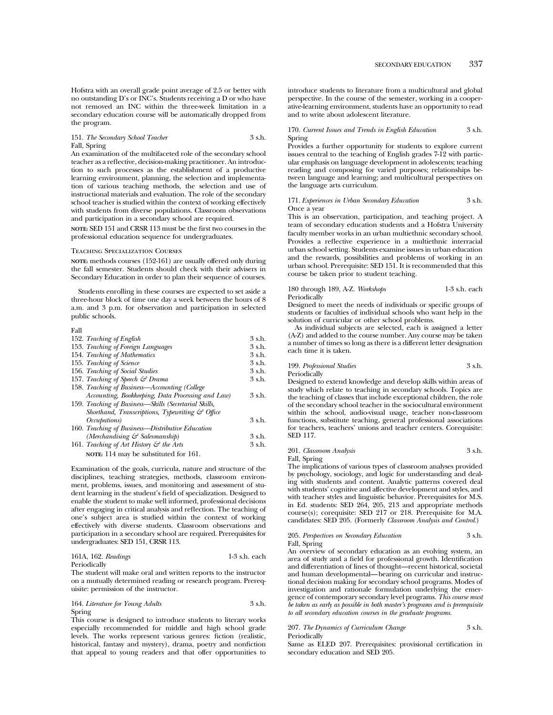Hofstra with an overall grade point average of 2.5 or better with no outstanding D's or INC's. Students receiving a D or who have not removed an INC within the three-week limitation in a secondary education course will be automatically dropped from the program.

#### 151. *The Secondary School Teacher* 3 s.h. Fall, Spring

An examination of the multifaceted role of the secondary school teacher as a reflective, decision-making practitioner. An introduction to such processes as the establishment of a productive learning environment, planning, the selection and implementation of various teaching methods, the selection and use of instructional materials and evaluation. The role of the secondary school teacher is studied within the context of working effectively with students from diverse populations. Classroom observations and participation in a secondary school are required.

**NOTE:** SED 151 and CRSR 113 must be the first two courses in the professional education sequence for undergraduates.

#### Teaching Specialization Courses

**NOTE:** methods courses (152-161) are usually offered only during the fall semester. Students should check with their advisers in Secondary Education in order to plan their sequence of courses.

Students enrolling in these courses are expected to set aside a three-hour block of time one day a week between the hours of 8 a.m. and 3 p.m. for observation and participation in selected public schools.

#### Fall

| 152. Teaching of English                                    | $3$ s.h. |
|-------------------------------------------------------------|----------|
| 153. Teaching of Foreign Languages                          | 3 s.h.   |
| 154. Teaching of Mathematics                                | 3 s.h.   |
| 155. Teaching of Science                                    | 3 s.h.   |
| 156. Teaching of Social Studies                             | $3$ s.h. |
| 157. Teaching of Speech & Drama                             | 3 s.h.   |
| 158. Teaching of Business—Accounting (College               |          |
| Accounting, Bookkeeping, Data Processing and Law)           | 3 s.h.   |
| 159. Teaching of Business-Skills (Secretarial Skills,       |          |
| Shorthand, Transcriptions, Typewriting $\mathcal{C}$ Office |          |
| <i>Occupations</i> )                                        | 3 s.h.   |
| 160. Teaching of Business-Distributive Education            |          |
| (Merchandising & Salesmanship)                              | 3 s.h.   |
| 161. Teaching of Art History $\mathcal{C}$ the Arts         | $3$ s.h. |
| NOTE: 114 may be substituted for 161.                       |          |

Examination of the goals, curricula, nature and structure of the disciplines, teaching strategies, methods, classroom environment, problems, issues, and monitoring and assessment of student learning in the student's field of specialization. Designed to enable the student to make well informed, professional decisions after engaging in critical analysis and reflection. The teaching of one's subject area is studied within the context of working effectively with diverse students. Classroom observations and participation in a secondary school are required. Prerequisites for undergraduates: SED 151, CRSR 113.

#### 161A, 162. *Readings* 1-3 s.h. each Periodically

The student will make oral and written reports to the instructor on a mutually determined reading or research program. Prerequisite: permission of the instructor.

164. *Literature for Young Adults* 3 s.h. Spring

This course is designed to introduce students to literary works especially recommended for middle and high school grade levels. The works represent various genres: fiction (realistic, historical, fantasy and mystery), drama, poetry and nonfiction that appeal to young readers and that offer opportunities to

introduce students to literature from a multicultural and global perspective. In the course of the semester, working in a cooperative-learning environment, students have an opportunity to read and to write about adolescent literature.

#### 170. *Current Issues and Trends in English Education* 3 s.h. Spring

Provides a further opportunity for students to explore current issues central to the teaching of English grades 7-12 with particular emphasis on language development in adolescents; teaching reading and composing for varied purposes; relationships between language and learning; and multicultural perspectives on the language arts curriculum.

#### 171. *Experiences in Urban Secondary Education* 3 s.h. Once a year

This is an observation, participation, and teaching project. A team of secondary education students and a Hofstra University faculty member works in an urban multiethnic secondary school. Provides a reflective experience in a multiethnic interracial urban school setting. Students examine issues in urban education and the rewards, possibilities and problems of working in an urban school. Prerequisite: SED 151. It is recommended that this course be taken prior to student teaching.

| 180 through 189, A-Z. Workshops | 1-3 s.h. each |
|---------------------------------|---------------|
| Periodically                    |               |

Designed to meet the needs of individuals or specific groups of students or faculties of individual schools who want help in the solution of curricular or other school problems.

As individual subjects are selected, each is assigned a letter (A-Z) and added to the course number. Any course may be taken a number of times so long as there is a different letter designation each time it is taken.

#### 199. *Professional Studies* 3 s.h. Periodically

Designed to extend knowledge and develop skills within areas of study which relate to teaching in secondary schools. Topics are the teaching of classes that include exceptional children, the role of the secondary school teacher in the sociocultural environment within the school, audio-visual usage, teacher non-classroom functions, substitute teaching, general professional associations for teachers, teachers' unions and teacher centers. Corequisite: SED 117.

201. *Classroom Analysis* 3 s.h. Fall, Spring

The implications of various types of classroom analyses provided by psychology, sociology, and logic for understanding and dealing with students and content. Analytic patterns covered deal with students' cognitive and affective development and styles, and with teacher styles and linguistic behavior. Prerequisites for M.S. in Ed. students: SED 264, 205, 213 and appropriate methods course(s); corequisite: SED 217 or 218. Prerequisite for M.A. candidates: SED 205. (Formerly *Classroom Analysis and Control*.)

205. *Perspectives on Secondary Education* 3 s.h. Fall, Spring

An overview of secondary education as an evolving system, an area of study and a field for professional growth. Identification and differentiation of lines of thought—recent historical, societal and human developmental—bearing on curricular and instructional decision making for secondary school programs. Modes of investigation and rationale formulation underlying the emergence of contemporary secondary level programs. *This course must be taken as early as possible in both master's programs and is prerequisite to all secondary education courses in the graduate programs.*

#### 207. *The Dynamics of Curriculum Change* 3 s.h. Periodically

Same as ELED 207. Prerequisites: provisional certification in secondary education and SED 205.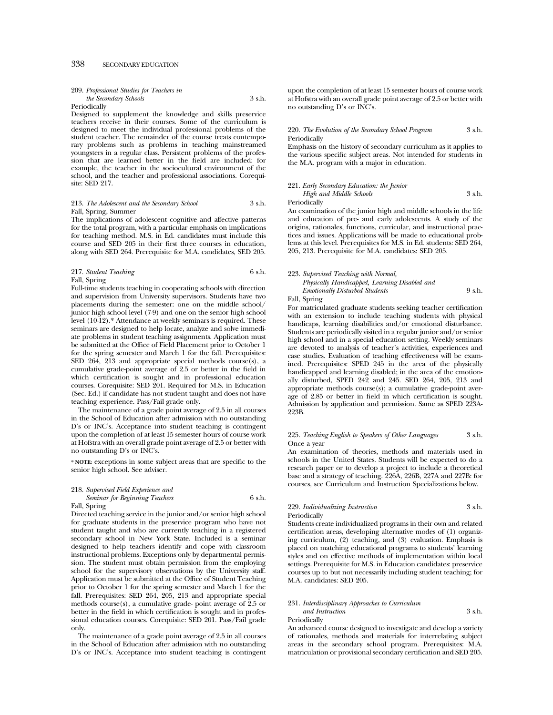## 338 SECONDARY EDUCATION

## 209. *Professional Studies for Teachers in*

*the Secondary Schools* 3 s.h. Periodically

Designed to supplement the knowledge and skills preservice teachers receive in their courses. Some of the curriculum is designed to meet the individual professional problems of the student teacher. The remainder of the course treats contemporary problems such as problems in teaching mainstreamed youngsters in a regular class. Persistent problems of the profession that are learned better in the field are included: for example, the teacher in the sociocultural environment of the school, and the teacher and professional associations. Corequisite: SED 217.

#### 213. *The Adolescent and the Secondary School* 3 s.h. Fall, Spring, Summer

The implications of adolescent cognitive and affective patterns for the total program, with a particular emphasis on implications for teaching method. M.S. in Ed. candidates must include this course and SED 205 in their first three courses in education, along with SED 264. Prerequisite for M.A. candidates, SED 205.

### 217. *Student Teaching* 6 s.h. Fall, Spring

Full-time students teaching in cooperating schools with direction and supervision from University supervisors. Students have two placements during the semester: one on the middle school/ junior high school level (7-9) and one on the senior high school level (10-12).\* Attendance at weekly seminars is required. These seminars are designed to help locate, analyze and solve immediate problems in student teaching assignments. Application must be submitted at the Office of Field Placement prior to October 1 for the spring semester and March 1 for the fall. Prerequisites: SED 264, 213 and appropriate special methods course(s), a cumulative grade-point average of 2.5 or better in the field in which certification is sought and in professional education courses. Corequisite: SED 201. Required for M.S. in Education (Sec. Ed.) if candidate has not student taught and does not have teaching experience. Pass/Fail grade only.

The maintenance of a grade point average of 2.5 in all courses in the School of Education after admission with no outstanding D's or INC's. Acceptance into student teaching is contingent upon the completion of at least 15 semester hours of course work at Hofstra with an overall grade point average of 2.5 or better with no outstanding D's or INC's.

**\* NOTE:** exceptions in some subject areas that are specific to the senior high school. See adviser.

#### 218. *Supervised Field Experience and Seminar for Beginning Teachers* 6 s.h.

Fall, Spring

Directed teaching service in the junior and/or senior high school for graduate students in the preservice program who have not student taught and who are currently teaching in a registered secondary school in New York State. Included is a seminar designed to help teachers identify and cope with classroom instructional problems. Exceptions only by departmental permission. The student must obtain permission from the employing school for the supervisory observations by the University staff. Application must be submitted at the Office of Student Teaching prior to October 1 for the spring semester and March 1 for the fall. Prerequisites: SED 264, 205, 213 and appropriate special methods course(s), a cumulative grade- point average of 2.5 or better in the field in which certification is sought and in professional education courses. Corequisite: SED 201. Pass/Fail grade only.

The maintenance of a grade point average of 2.5 in all courses in the School of Education after admission with no outstanding D's or INC's. Acceptance into student teaching is contingent upon the completion of at least 15 semester hours of course work at Hofstra with an overall grade point average of 2.5 or better with no outstanding D's or INC's.

#### 220. *The Evolution of the Secondary School Program* 3 s.h. Periodically

Emphasis on the history of secondary curriculum as it applies to the various specific subject areas. Not intended for students in the M.A. program with a major in education.

### 221. *Early Secondary Education: the Junior*

*High and Middle Schools* 3 s.h. Periodically

An examination of the junior high and middle schools in the life and education of pre- and early adolescents. A study of the origins, rationales, functions, curricular, and instructional practices and issues. Applications will be made to educational problems at this level. Prerequisites for M.S. in Ed. students: SED 264, 205, 213. Prerequisite for M.A. candidates: SED 205.

#### 223. *Supervised Teaching with Normal,*

*Physically Handicapped, Learning Disabled and Emotionally Disturbed Students* 9 s.h.

Fall, Spring

For matriculated graduate students seeking teacher certification with an extension to include teaching students with physical handicaps, learning disabilities and/or emotional disturbance. Students are periodically visited in a regular junior and/or senior high school and in a special education setting. Weekly seminars are devoted to analysis of teacher's activities, experiences and case studies. Evaluation of teaching effectiveness will be examined. Prerequisites: SPED 245 in the area of the physically handicapped and learning disabled; in the area of the emotionally disturbed, SPED 242 and 245. SED 264, 205, 213 and appropriate methods course(s); a cumulative grade-point average of 2.85 or better in field in which certification is sought. Admission by application and permission. Same as SPED 223A-223B.

#### 225. *Teaching English to Speakers of Other Languages* 3 s.h. Once a year

An examination of theories, methods and materials used in schools in the United States. Students will be expected to do a research paper or to develop a project to include a theoretical base and a strategy of teaching. 226A, 226B, 227A and 227B: for courses, see Curriculum and Instruction Specializations below.

### 229. *Individualizing Instruction* 3 s.h. Periodically

Students create individualized programs in their own and related certification areas, developing alternative modes of (1) organizing curriculum, (2) teaching, and (3) evaluation. Emphasis is placed on matching educational programs to students' learning styles and on effective methods of implementation within local settings. Prerequisite for M.S. in Education candidates: preservice courses up to but not necessarily including student teaching; for M.A. candidates: SED 205.

#### 231. *Interdisciplinary Approaches to Curriculum*

*and Instruction* 3 s.h. Periodically

An advanced course designed to investigate and develop a variety of rationales, methods and materials for interrelating subject areas in the secondary school program. Prerequisites: M.A. matriculation or provisional secondary certification and SED 205.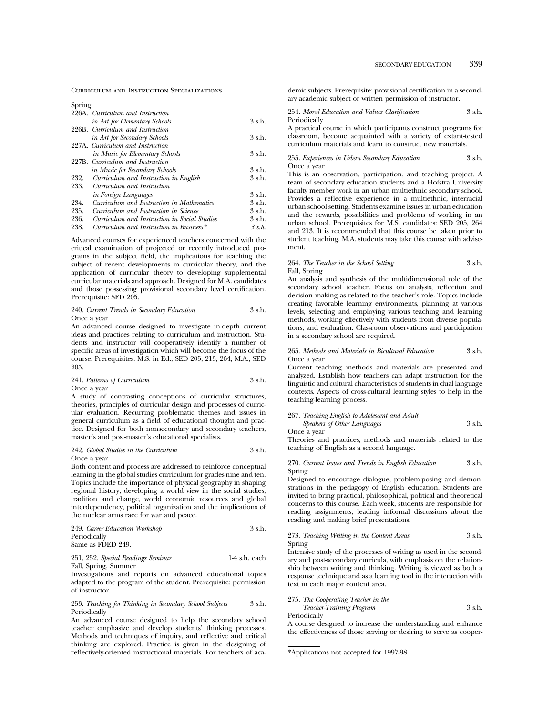Curriculum and Instruction Specializations

| Spring |                                              |                 |
|--------|----------------------------------------------|-----------------|
|        | 226A. Curriculum and Instruction             |                 |
|        | <i>in Art for Elementary Schools</i>         | 3 s.h.          |
|        | 226B. Curriculum and Instruction             |                 |
|        | in Art for Secondary Schools                 | 3 s.h.          |
|        | 227A. Curriculum and Instruction             |                 |
|        | in Music for Elementary Schools              | 3 s.h.          |
|        | 227B. Curriculum and Instruction             |                 |
|        | in Music for Secondary Schools               | 3 s.h.          |
| 232.   | Curriculum and Instruction in English        | 3 s.h.          |
| 233.   | Curriculum and Instruction                   |                 |
|        | in Foreign Languages                         | 3 s.h.          |
| 234.   | Curriculum and Instruction in Mathematics    | 3 s.h.          |
| 235.   | Curriculum and Instruction in Science        | 3 s.h.          |
| 236.   | Curriculum and Instruction in Social Studies | 3 s.h.          |
| 238.   | Curriculum and Instruction in Business*      | $3 \,$ s. $h$ . |
|        |                                              |                 |

Advanced courses for experienced teachers concerned with the critical examination of projected or recently introduced programs in the subject field, the implications for teaching the subject of recent developments in curricular theory, and the application of curricular theory to developing supplemental curricular materials and approach. Designed for M.A. candidates and those possessing provisional secondary level certification. Prerequisite: SED 205.

#### 240. *Current Trends in Secondary Education* 3 s.h. Once a year

An advanced course designed to investigate in-depth current ideas and practices relating to curriculum and instruction. Students and instructor will cooperatively identify a number of specific areas of investigation which will become the focus of the course. Prerequisites: M.S. in Ed., SED 205, 213, 264; M.A., SED 205.

#### 241. *Patterns of Curriculum* 3 s.h. Once a year

A study of contrasting conceptions of curricular structures, theories, principles of curricular design and processes of curricular evaluation. Recurring problematic themes and issues in general curriculum as a field of educational thought and practice. Designed for both nonsecondary and secondary teachers, master's and post-master's educational specialists.

#### 242. *Global Studies in the Curriculum* 3 s.h. Once a year

Both content and process are addressed to reinforce conceptual learning in the global studies curriculum for grades nine and ten. Topics include the importance of physical geography in shaping regional history, developing a world view in the social studies, tradition and change, world economic resources and global interdependency, political organization and the implications of the nuclear arms race for war and peace.

| 249. Career Education Workshop | 3 s.h. |
|--------------------------------|--------|
| Periodically                   |        |
| Same as FDED 249.              |        |
|                                |        |

#### 251, 252. *Special Readings Seminar* 1-4 s.h. each Fall, Spring, Summer

Investigations and reports on advanced educational topics adapted to the program of the student. Prerequisite: permission of instructor.

253. *Teaching for Thinking in Secondary School Subjects* 3 s.h. Periodically

An advanced course designed to help the secondary school teacher emphasize and develop students' thinking processes. Methods and techniques of inquiry, and reflective and critical thinking are explored. Practice is given in the designing of reflectively-oriented instructional materials. For teachers of academic subjects. Prerequisite: provisional certification in a secondary academic subject or written permission of instructor.

| 254. Moral Education and Values Clarification | 3 s.h. |
|-----------------------------------------------|--------|
| Periodically                                  |        |

A practical course in which participants construct programs for classroom, become acquainted with a variety of extant-tested curriculum materials and learn to construct new materials.

255. *Experiences in Urban Secondary Education* 3 s.h. Once a year

This is an observation, participation, and teaching project. A team of secondary education students and a Hofstra University faculty member work in an urban multiethnic secondary school. Provides a reflective experience in a multiethnic, interracial urban school setting. Students examine issues in urban education and the rewards, possibilities and problems of working in an urban school. Prerequisites for M.S. candidates: SED 205, 264 and 213. It is recommended that this course be taken prior to student teaching. M.A. students may take this course with advisement.

### 264. *The Teacher in the School Setting* 3 s.h. Fall, Spring

An analysis and synthesis of the multidimensional role of the secondary school teacher. Focus on analysis, reflection and decision making as related to the teacher's role. Topics include creating favorable learning environments, planning at various levels, selecting and employing various teaching and learning methods, working effectively with students from diverse populations, and evaluation. Classroom observations and participation in a secondary school are required.

#### 265. *Methods and Materials in Bicultural Education* 3 s.h. Once a year

Current teaching methods and materials are presented and analyzed. Establish how teachers can adapt instruction for the linguistic and cultural characteristics of students in dual language contexts. Aspects of cross-cultural learning styles to help in the teaching-learning process.

## 267. *Teaching English to Adolescent and Adult*

*Speakers of Other Languages* 3 s.h. Once a year

Theories and practices, methods and materials related to the teaching of English as a second language.

270. *Current Issues and Trends in English Education* 3 s.h. Spring

Designed to encourage dialogue, problem-posing and demonstrations in the pedagogy of English education. Students are invited to bring practical, philosophical, political and theoretical concerns to this course. Each week, students are responsible for reading assignments, leading informal discussions about the reading and making brief presentations.

273. *Teaching Writing in the Content Areas* 3 s.h. Spring

Intensive study of the processes of writing as used in the secondary and post-secondary curricula, with emphasis on the relationship between writing and thinking. Writing is viewed as both a response technique and as a learning tool in the interaction with text in each major content area.

#### 275. *The Cooperating Teacher in the*

*Teacher-Training Program* 3 s.h.

Periodically

A course designed to increase the understanding and enhance the effectiveness of those serving or desiring to serve as cooper-

<sup>\*</sup>Applications not accepted for 1997-98.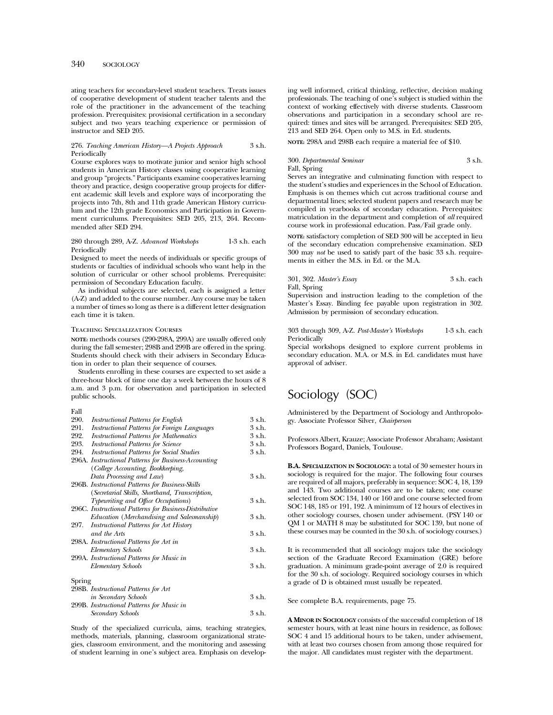## 340 SOCIOLOGY

ating teachers for secondary-level student teachers. Treats issues of cooperative development of student teacher talents and the role of the practitioner in the advancement of the teaching profession. Prerequisites: provisional certification in a secondary subject and two years teaching experience or permission of instructor and SED 205.

### 276. *Teaching American History—A Projects Approach* 3 s.h. Periodically

Course explores ways to motivate junior and senior high school students in American History classes using cooperative learning and group "projects." Participants examine cooperatives learning theory and practice, design cooperative group projects for different academic skill levels and explore ways of incorporating the projects into 7th, 8th and 11th grade American History curriculum and the 12th grade Economics and Participation in Government curriculums. Prerequisites: SED 205, 213, 264. Recommended after SED 294.

#### 280 through 289, A-Z. *Advanced Workshops* 1-3 s.h. each Periodically

Designed to meet the needs of individuals or specific groups of students or faculties of individual schools who want help in the solution of curricular or other school problems. Prerequisite: permission of Secondary Education faculty.

As individual subjects are selected, each is assigned a letter (A-Z) and added to the course number. Any course may be taken a number of times so long as there is a different letter designation each time it is taken.

#### Teaching Specialization Courses

**NOTE:** methods courses (290-298A, 299A) are usually offered only during the fall semester; 298B and 299B are offered in the spring. Students should check with their advisers in Secondary Education in order to plan their sequence of courses.

Students enrolling in these courses are expected to set aside a three-hour block of time one day a week between the hours of 8 a.m. and 3 p.m. for observation and participation in selected public schools.

 $E<sub>a</sub>11$ 

| 290.   | <b>Instructional Patterns for English</b>              | 3 s.h. |
|--------|--------------------------------------------------------|--------|
| 291.   | <b>Instructional Patterns for Foreign Languages</b>    | 3 s.h. |
| 292.   | <b>Instructional Patterns for Mathematics</b>          | 3 s.h. |
| 293.   | <b>Instructional Patterns for Science</b>              | 3 s.h. |
| 294.   | <b>Instructional Patterns for Social Studies</b>       | 3 s.h. |
|        | 296A. Instructional Patterns for Business-Accounting   |        |
|        | (College Accounting, Bookkeeping,                      |        |
|        | Data Processing and Law)                               | 3 s.h. |
|        | 296B. Instructional Patterns for Business-Skills       |        |
|        | (Secretarial Skills, Shorthand, Transcription,         |        |
|        | Typewriting and Office Occupations)                    | 3 s.h. |
|        | 296C. Instructional Patterns for Business-Distributive |        |
|        | Education (Merchandising and Salesmanship)             | 3 s.h. |
| 297.   | <b>Instructional Patterns for Art History</b>          |        |
|        | and the Arts                                           | 3 s.h. |
|        | 298A. Instructional Patterns for Art in                |        |
|        | Elementary Schools                                     | 3 s.h. |
|        | 299A. Instructional Patterns for Music in              |        |
|        | Elementary Schools                                     | 3 s.h. |
| Spring |                                                        |        |
|        | 298B. Instructional Patterns for Art                   |        |
|        | in Secondary Schools                                   | 3 s.h. |
|        | 299B. Instructional Patterns for Music in              |        |
|        | Secondary Schools                                      | 3 s.h. |
|        |                                                        |        |

Study of the specialized curricula, aims, teaching strategies, methods, materials, planning, classroom organizational strategies, classroom environment, and the monitoring and assessing of student learning in one's subject area. Emphasis on developing well informed, critical thinking, reflective, decision making professionals. The teaching of one's subject is studied within the context of working effectively with diverse students. Classroom observations and participation in a secondary school are required: times and sites will be arranged. Prerequisites: SED 205, 213 and SED 264. Open only to M.S. in Ed. students.

**NOTE:** 298A and 298B each require a material fee of \$10.

## 300. *Departmental Seminar* 3 s.h. Fall, Spring

Serves an integrative and culminating function with respect to the student's studies and experiences in the School of Education. Emphasis is on themes which cut across traditional course and departmental lines; selected student papers and research may be compiled in yearbooks of secondary education. Prerequisites: matriculation in the department and completion of *all* required course work in professional education. Pass/Fail grade only.

**NOTE:** satisfactory completion of SED 300 will be accepted in lieu of the secondary education comprehensive examination. SED 300 may *not* be used to satisfy part of the basic 33 s.h. requirements in either the M.S. in Ed. or the M.A.

## 301, 302. *Master's Essay* 3 s.h. each Fall, Spring

Supervision and instruction leading to the completion of the Master's Essay. Binding fee payable upon registration in 302. Admission by permission of secondary education.

303 through 309, A-Z. *Post-Master's Workshops* 1-3 s.h. each Periodically

Special workshops designed to explore current problems in secondary education. M.A. or M.S. in Ed. candidates must have approval of adviser.

## Sociology (SOC)

Administered by the Department of Sociology and Anthropology. Associate Professor Silver, *Chairperson*

Professors Albert, Krauze; Associate Professor Abraham; Assistant Professors Bogard, Daniels, Toulouse.

**B.A. SPECIALIZATION IN SOCIOLOGY:** a total of 30 semester hours in sociology is required for the major. The following four courses are required of all majors, preferably in sequence: SOC 4, 18, 139 and 143. Two additional courses are to be taken; one course selected from SOC 134, 140 or 160 and one course selected from SOC 148, 185 or 191, 192. A minimum of 12 hours of electives in other sociology courses, chosen under advisement. (PSY 140 or QM 1 or MATH 8 may be substituted for SOC 139, but none of these courses may be counted in the 30 s.h. of sociology courses.)

It is recommended that all sociology majors take the sociology section of the Graduate Record Examination (GRE) before graduation. A minimum grade-point average of 2.0 is required for the 30 s.h. of sociology. Required sociology courses in which a grade of D is obtained must usually be repeated.

## See complete B.A. requirements, page 75.

**A MINOR IN SOCIOLOGY** consists of the successful completion of 18 semester hours, with at least nine hours in residence, as follows: SOC 4 and 15 additional hours to be taken, under advisement, with at least two courses chosen from among those required for the major. All candidates must register with the department.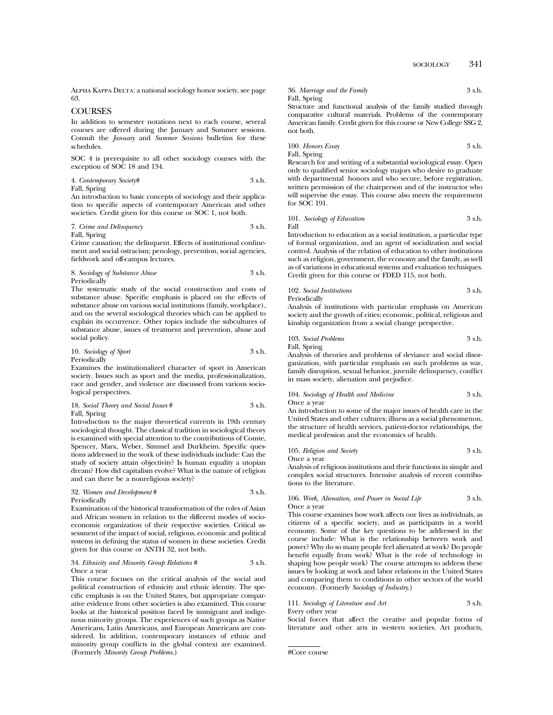## **COURSES**

In addition to semester notations next to each course, several courses are offered during the January and Summer sessions. Consult the *January* and *Summer Sessions* bulletins for these schedules.

SOC 4 is prerequisite to all other sociology courses with the exception of SOC 18 and 134.

4. *Contemporary Society#* 3 s.h. Fall, Spring

An introduction to basic concepts of sociology and their application to specific aspects of contemporary American and other societies. Credit given for this course or SOC 1, not both.

7. *Crime and Delinquency* 3 s.h. Fall, Spring

Crime causation; the delinquent. Effects of institutional confinement and social ostracism; penology, prevention, social agencies, fieldwork and off-campus lectures.

8. *Sociology of Substance Abuse* 3 s.h. Periodically

The systematic study of the social construction and costs of substance abuse. Specific emphasis is placed on the effects of substance abuse on various social institutions (family, workplace), and on the several sociological theories which can be applied to explain its occurrence. Other topics include the subcultures of substance abuse, issues of treatment and prevention, abuse and social policy.

10. *Sociology of Sport* 3 s.h. Periodically

Examines the institutionalized character of sport in American society. Issues such as sport and the media, professionalization, race and gender, and violence are discussed from various sociological perspectives.

18. *Social Theory and Social Issues* # 3 s.h. Fall, Spring

Introduction to the major theoretical currents in 19th century sociological thought. The classical tradition in sociological theory is examined with special attention to the contributions of Comte, Spencer, Marx, Weber, Simmel and Durkheim. Specific questions addressed in the work of these individuals include: Can the study of society attain objectivity? Is human equality a utopian dream? How did capitalism evolve? What is the nature of religion and can there be a nonreligious society?

32. *Women and Development* # 3 s.h. Periodically

Examination of the historical transformation of the roles of Asian and African women in relation to the different modes of socioeconomic organization of their respective societies. Critical assessment of the impact of social, religious, economic and political systems in defining the status of women in these societies. Credit given for this course or ANTH 32, not both.

#### 34. *Ethnicity and Minority Group Relations #* 3 s.h. Once a year

This course focuses on the critical analysis of the social and political construction of ethnicity and ethnic identity. The specific emphasis is on the United States, but appropriate comparative evidence from other societies is also examined. This course looks at the historical position faced by immigrant and indigenous minority groups. The experiences of such groups as Native Americans, Latin Americans, and European Americans are considered. In addition, contemporary instances of ethnic and minority group conflicts in the global context are examined. (Formerly *Minority Group Problems*.)

36. *Marriage and the Family* 3 s.h. Fall, Spring

Structure and functional analysis of the family studied through comparative cultural materials. Problems of the contemporary American family. Credit given for this course or New College SSG 2, not both.

100. *Honors Essay* 3 s.h. Fall, Spring

Research for and writing of a substantial sociological essay. Open only to qualified senior sociology majors who desire to graduate with departmental honors and who secure, before registration, written permission of the chairperson and of the instructor who will supervise the essay. This course also meets the requirement for SOC 191.

101. *Sociology of Education* 3 s.h. Fall

Introduction to education as a social institution, a particular type of formal organization, and an agent of socialization and social control. Analysis of the relation of education to other institutions such as religion, government, the economy and the family, as well as of variations in educational systems and evaluation techniques. Credit given for this course or FDED 115, not both.

102. *Social Institutions* 3 s.h. Periodically

Analysis of institutions with particular emphasis on American society and the growth of cities; economic, political, religious and kinship organization from a social change perspective.

103. *Social Problems* 3 s.h. Fall, Spring

Analysis of theories and problems of deviance and ganization, with particular emphasis on such problems as war, family disruption, sexual behavior, juvenile delinquency, conflict in mass society, alienation and prejudice.

#### 104. *Sociology of Health and Medicine* 3 s.h. Once a year

An introduction to some of the major issues of health care in the United States and other cultures; illness as a social phenomenon, the structure of health services, patient-doctor relationships, the medical profession and the economics of health.

105. *Religion and Society* 3 s.h.

Analysis of religious institutions and their functions in simple and complex social structures. Intensive analysis of recent contributions to the literature.

106. *Work, Alienation, and Power in Social Life* 3 s.h. Once a year

This course examines how work affects our lives as individuals, as citizens of a specific society, and as participants in a world economy. Some of the key questions to be addressed in the course include: What is the relationship between work and power? Why do so many people feel alienated at work? Do people benefit equally from work? What is the role of technology in shaping how people work? The course attempts to address these issues by looking at work and labor relations in the United States and comparing them to conditions in other sectors of the world economy. (Formerly *Sociology of Industry*.)

#### 111. *Sociology of Literature and Art* 3 s.h. Every other year

Social forces that affect the creative and popular forms of literature and other arts in western societies. Art products,

 $\Omega$ 

<sup>#</sup>Core course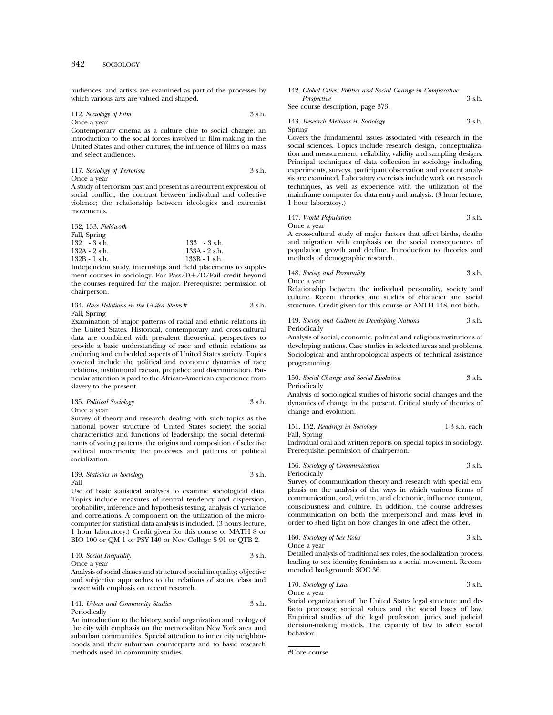## 342 SOCIOLOGY

audiences, and artists are examined as part of the processes by which various arts are valued and shaped.

112. *Sociology of Film* 3 s.h. Once a year

Contemporary cinema as a culture clue to social change; an introduction to the social forces involved in film-making in the United States and other cultures; the influence of films on mass and select audiences.

117. *Sociology of Terrorism* 3 s.h. Once a year

A study of terrorism past and present as a recurrent expression of social conflict; the contrast between individual and collective violence; the relationship between ideologies and extremist movements.

#### 132, 133. *Fieldwork*

| Fall, Spring    |                |
|-----------------|----------------|
| $132 - 3$ s.h.  | $133 - 3$ s.h. |
| $132A - 2$ s.h. | 133A - 2 s.h.  |
| $132B - 1$ s.h. | 133B - 1 s.h.  |
|                 |                |

Independent study, internships and field placements to supplement courses in sociology. For Pass/D $+$ /D/Fail credit beyond the courses required for the major. Prerequisite: permission of chairperson.

134. *Race Relations in the United States* # 3 s.h. Fall, Spring

Examination of major patterns of racial and ethnic relations in the United States. Historical, contemporary and cross-cultural data are combined with prevalent theoretical perspectives to provide a basic understanding of race and ethnic relations as enduring and embedded aspects of United States society. Topics covered include the political and economic dynamics of race relations, institutional racism, prejudice and discrimination. Particular attention is paid to the African-American experience from slavery to the present.

135. *Political Sociology* 3 s.h. Once a year

Survey of theory and research dealing with such topics as the national power structure of United States society; the social characteristics and functions of leadership; the social determinants of voting patterns; the origins and composition of selective political movements; the processes and patterns of political socialization.

139. *Statistics in Sociology* 3 s.h. Fall

Use of basic statistical analyses to examine sociological data. Topics include measures of central tendency and dispersion, probability, inference and hypothesis testing, analysis of variance and correlations. A component on the utilization of the microcomputer for statistical data analysis is included. (3 hours lecture, 1 hour laboratory.) Credit given for this course or MATH 8 or BIO 100 or QM 1 or PSY 140 or New College S 91 or QTB 2.

140. *Social Inequality* 3 s.h. Once a year

Analysis of social classes and structured social inequality; objective and subjective approaches to the relations of status, class and power with emphasis on recent research.

141. *Urban and Community Studies* 3 s.h. Periodically

An introduction to the history, social organization and ecology of the city with emphasis on the metropolitan New York area and suburban communities. Special attention to inner city neighborhoods and their suburban counterparts and to basic research methods used in community studies.

142. *Global Cities: Politics and Social Change in Comparative Perspective* 3 s.h.

See course description, page 373.

143. *Research Methods in Sociology* 3 s.h. Spring

Covers the fundamental issues associated with research in the social sciences. Topics include research design, conceptualization and measurement, reliability, validity and sampling designs. Principal techniques of data collection in sociology including experiments, surveys, participant observation and content analysis are examined. Laboratory exercises include work on research techniques, as well as experience with the utilization of the mainframe computer for data entry and analysis. (3 hour lecture, 1 hour laboratory.)

147. *World Population* 3 s.h. Once a year

A cross-cultural study of major factors that affect births, deaths and migration with emphasis on the social consequences of population growth and decline. Introduction to theories and methods of demographic research.

148. *Society and Personality* 3 s.h. Once a year

Relationship between the individual personality, society and culture. Recent theories and studies of character and social structure. Credit given for this course or ANTH 148, not both.

149. *Society and Culture in Developing Nations* 3 s.h. Periodically

Analysis of social, economic, political and religious institutions of developing nations. Case studies in selected areas and problems. Sociological and anthropological aspects of technical assistance programming.

#### 150. *Social Change and Social Evolution* 3 s.h. Periodically

Analysis of sociological studies of historic social changes and the dynamics of change in the present. Critical study of theories of change and evolution.

151, 152. *Readings in Sociology* 1-3 s.h. each Fall, Spring

Individual oral and written reports on special topics in sociology. Prerequisite: permission of chairperson.

156. *Sociology of Communication* 3 s.h. Periodically

Survey of communication theory and research with special emphasis on the analysis of the ways in which various forms of communication, oral, written, and electronic, influence content, consciousness and culture. In addition, the course addresses communication on both the interpersonal and mass level in order to shed light on how changes in one affect the other.

160. *Sociology of Sex Roles* 3 s.h. Once a year

Detailed analysis of traditional sex roles, the socialization process leading to sex identity; feminism as a social movement. Recommended background: SOC 36.

170. *Sociology of Law* 3 s.h. Once a year

Social organization of the United States legal structure and defacto processes; societal values and the social bases of law. Empirical studies of the legal profession, juries and judicial decision-making models. The capacity of law to affect social behavior.

```
#Core course
```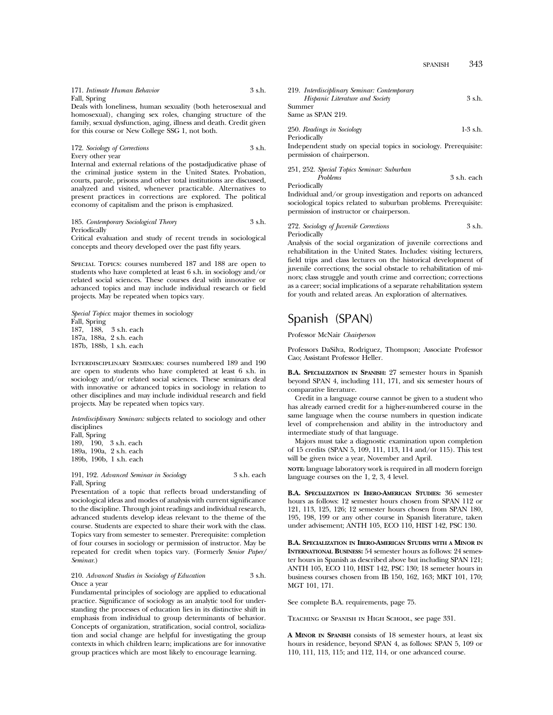171. *Intimate Human Behavior* 3 s.h. Fall, Spring

Deals with loneliness, human sexuality (both heterosexual and homosexual), changing sex roles, changing structure of the family, sexual dysfunction, aging, illness and death. Credit given for this course or New College SSG 1, not both.

172. *Sociology of Corrections* 3 s.h. Every other year

Internal and external relations of the postadjudicative phase of the criminal justice system in the United States. Probation, courts, parole, prisons and other total institutions are discussed, analyzed and visited, whenever practicable. Alternatives to present practices in corrections are explored. The political economy of capitalism and the prison is emphasized.

185. *Contemporary Sociological Theory* 3 s.h. Periodically

Critical evaluation and study of recent trends in sociological concepts and theory developed over the past fifty years.

Special Topics: courses numbered 187 and 188 are open to students who have completed at least 6 s.h. in sociology and/or related social sciences. These courses deal with innovative or advanced topics and may include individual research or field projects. May be repeated when topics vary.

*Special Topics*: major themes in sociology Fall, Spring 187, 188, 3 s.h. each 187a, 188a, 2 s.h. each 187b, 188b, 1 s.h. each

Interdisciplinary Seminars: courses numbered 189 and 190 are open to students who have completed at least 6 s.h. in sociology and/or related social sciences. These seminars deal with innovative or advanced topics in sociology in relation to other disciplines and may include individual research and field projects. May be repeated when topics vary.

*Interdisciplinary Seminars:* subjects related to sociology and other disciplines

Fall, Spring 189, 190, 3 s.h. each 189a, 190a, 2 s.h. each 189b, 190b, 1 s.h. each

191, 192. *Advanced Seminar in Sociology* 3 s.h. each Fall, Spring

Presentation of a topic that reflects broad understanding of sociological ideas and modes of analysis with current significance to the discipline. Through joint readings and individual research, advanced students develop ideas relevant to the theme of the course. Students are expected to share their work with the class. Topics vary from semester to semester. Prerequisite: completion of four courses in sociology or permission of instructor. May be repeated for credit when topics vary. (Formerly *Senior Paper/ Seminar*.)

210. *Advanced Studies in Sociology of Education* 3 s.h. Once a year

Fundamental principles of sociology are applied to educational practice. Significance of sociology as an analytic tool for understanding the processes of education lies in its distinctive shift in emphasis from individual to group determinants of behavior. Concepts of organization, stratification, social control, socialization and social change are helpful for investigating the group contexts in which children learn; implications are for innovative group practices which are most likely to encourage learning.

| 219. Interdisciplinary Seminar: Contemporary |        |
|----------------------------------------------|--------|
| Hispanic Literature and Society              | 3 s.h. |
| Summer                                       |        |
| Same as SPAN 219.                            |        |
|                                              |        |

250. *Readings in Sociology* 1-3 s.h. Periodically

Independent study on special topics in sociology. Prerequisite: permission of chairperson.

251, 252. *Special Topics Seminar: Suburban Problems* 3 s.h. each Periodically

Individual and/or group investigation and reports on advanced sociological topics related to suburban problems. Prerequisite: permission of instructor or chairperson.

272. *Sociology of Juvenile Corrections* 3 s.h. **Periodically** 

Analysis of the social organization of juvenile corrections and rehabilitation in the United States. Includes: visiting lecturers, field trips and class lectures on the historical development of juvenile corrections; the social obstacle to rehabilitation of minors; class struggle and youth crime and correction; corrections as a career; social implications of a separate rehabilitation system for youth and related areas. An exploration of alternatives.

## Spanish (SPAN)

Professor McNair *Chairperson*

Professors DaSilva, Rodriguez, Thompson; Associate Professor Cao; Assistant Professor Heller.

**B.A. SPECIALIZATION IN SPANISH:** 27 semester hours in Spanish beyond SPAN 4, including 111, 171, and six semester hours of comparative literature.

Credit in a language course cannot be given to a student who has already earned credit for a higher-numbered course in the same language when the course numbers in question indicate level of comprehension and ability in the introductory and intermediate study of that language.

Majors must take a diagnostic examination upon completion of 15 credits (SPAN 5, 109, 111, 113, 114 and/or 115). This test will be given twice a year, November and April.

**NOTE:** language laboratory work is required in all modern foreign language courses on the 1, 2, 3, 4 level.

**B.A. SPECIALIZATION IN IBERO-AMERICAN STUDIES:** 36 semester hours as follows: 12 semester hours chosen from SPAN 112 or 121, 113, 125, 126; 12 semester hours chosen from SPAN 180, 195, 198, 199 or any other course in Spanish literature, taken under advisement; ANTH 105, ECO 110, HIST 142, PSC 130.

**B.A. SPECIALIZATION IN IBERO-AMERICAN STUDIES WITH A MINOR IN INTERNATIONAL BUSINESS:** 54 semester hours as follows: 24 semester hours in Spanish as described above but including SPAN 121; ANTH 105, ECO 110, HIST 142, PSC 130; 18 semeter hours in business courses chosen from IB 150, 162, 163; MKT 101, 170; MGT 101, 171.

See complete B.A. requirements, page 75.

Teaching of Spanish in High School, see page 331.

**A MINOR IN SPANISH** consists of 18 semester hours, at least six hours in residence, beyond SPAN 4, as follows: SPAN 5, 109 or 110, 111, 113, 115; and 112, 114, or one advanced course.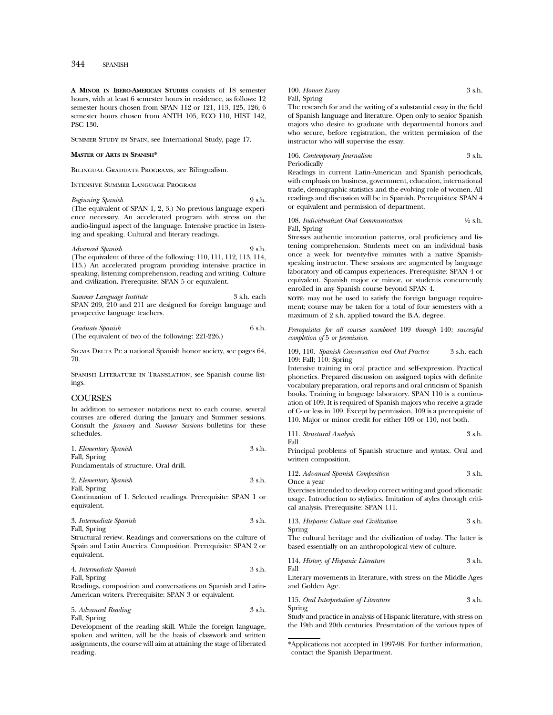## 344 SPANISH

**A MINOR IN IBERO-AMERICAN STUDIES** consists of 18 semester hours, with at least 6 semester hours in residence, as follows: 12 semester hours chosen from SPAN 112 or 121, 113, 125, 126; 6 semester hours chosen from ANTH 105, ECO 110, HIST 142, PSC 130.

Summer Study in Spain, see International Study, page 17.

#### **MASTER OF ARTS IN SPANISH\***

Bilingual Graduate Programs, see Bilingualism.

Intensive Summer Language Program

*Beginning Spanish* 9 s.h. (The equivalent of SPAN 1, 2, 3.) No previous language experience necessary. An accelerated program with stress on the audio-lingual aspect of the language. Intensive practice in listening and speaking. Cultural and literary readings.

*Advanced Spanish* 9 s.h. (The equivalent of three of the following: 110, 111, 112, 113, 114, 115.) An accelerated program providing intensive practice in speaking, listening comprehension, reading and writing. Culture and civilization. Prerequisite: SPAN 5 or equivalent.

*Summer Language Institute* 3 s.h. each SPAN 209, 210 and 211 are designed for foreign language and prospective language teachers.

*Graduate Spanish* 6 s.h. (The equivalent of two of the following: 221-226.)

SIGMA DELTA PI: a national Spanish honor society, see pages 64, 70.

Spanish Literature in Translation, see Spanish course listings.

## **COURSES**

In addition to semester notations next to each course, several courses are offered during the January and Summer sessions. Consult the *January* and *Summer Sessions* bulletins for these schedules.

| 1. Elementary Spanish | 3 s.h. |
|-----------------------|--------|
| Fall, Spring          |        |

Fundamentals of structure. Oral drill.

| 2. Elementary Spanish | 3 s.h. |
|-----------------------|--------|
| Fall, Spring          |        |

Continuation of 1. Selected readings. Prerequisite: SPAN 1 or equivalent.

| 3. Intermediate Spanish | 3 s.h. |
|-------------------------|--------|
| Fall, Spring            |        |

Structural review. Readings and conversations on the culture of Spain and Latin America. Composition. Prerequisite: SPAN 2 or equivalent.

| 4. Intermediate Spanish | 3 s.h. |
|-------------------------|--------|
| Fall, Spring            |        |

Readings, composition and conversations on Spanish and Latin-American writers. Prerequisite: SPAN 3 or equivalent.

5. *Advanced Reading* 3 s.h. Fall, Spring

Development of the reading skill. While the foreign language, spoken and written, will be the basis of classwork and written assignments, the course will aim at attaining the stage of liberated reading.



The research for and the writing of a substantial essay in the field of Spanish language and literature. Open only to senior Spanish majors who desire to graduate with departmental honors and who secure, before registration, the written permission of the instructor who will supervise the essay.

106. *Contemporary Journalism* 3 s.h. Periodically

Readings in current Latin-American and Spanish periodicals, with emphasis on business, government, education, international trade, demographic statistics and the evolving role of women. All readings and discussion will be in Spanish. Prerequisites: SPAN 4 or equivalent and permission of department.

108. *Individualized Oral Communication*  $\frac{1}{2}$  s.h. Fall, Spring

Stresses authentic intonation patterns, oral proficiency and listening comprehension. Students meet on an individual basis once a week for twenty-five minutes with a native Spanishspeaking instructor. These sessions are augmented by language laboratory and off-campus experiences. Prerequisite: SPAN 4 or equivalent. Spanish major or minor, or students concurrently enrolled in any Spanish course beyond SPAN 4.

**NOTE:** may not be used to satisfy the foreign language requirement; course may be taken for a total of four semesters with a maximum of 2 s.h. applied toward the B.A. degree.

*Prerequisites for all courses numbered* 109 *through* 140*: successful completion of* 5 *or permission*.

109, 110. *Spanish Conversation and Oral Practice* 3 s.h. each 109: Fall; 110: Spring

Intensive training in oral practice and self-expression. Practical phonetics. Prepared discussion on assigned topics with definite vocabulary preparation, oral reports and oral criticism of Spanish books. Training in language laboratory. SPAN 110 is a continuation of 109. It is required of Spanish majors who receive a grade of C- or less in 109. Except by permission, 109 is a prerequisite of 110. Major or minor credit for either 109 or 110, not both.

111. *Structural Analysis* 3 s.h. Fall

Principal problems of Spanish structure and syntax. Oral and written composition.

112. *Advanced Spanish Composition* 3 s.h. Once a year

Exercises intended to develop correct writing and good idiomatic usage. Introduction to stylistics. Imitation of styles through critical analysis. Prerequisite: SPAN 111.

113. *Hispanic Culture and Civilization* 3 s.h. Spring

The cultural heritage and the civilization of today. The latter is based essentially on an anthropological view of culture.

114. *History of Hispanic Literature* 3 s.h. Fall

Literary movements in literature, with stress on the Middle Ages and Golden Age.

115. *Oral Interpretation of Literature* 3 s.h. Spring

Study and practice in analysis of Hispanic literature, with stress on the 19th and 20th centuries. Presentation of the various types of

<sup>\*</sup>Applications not accepted in 1997-98. For further information, contact the Spanish Department.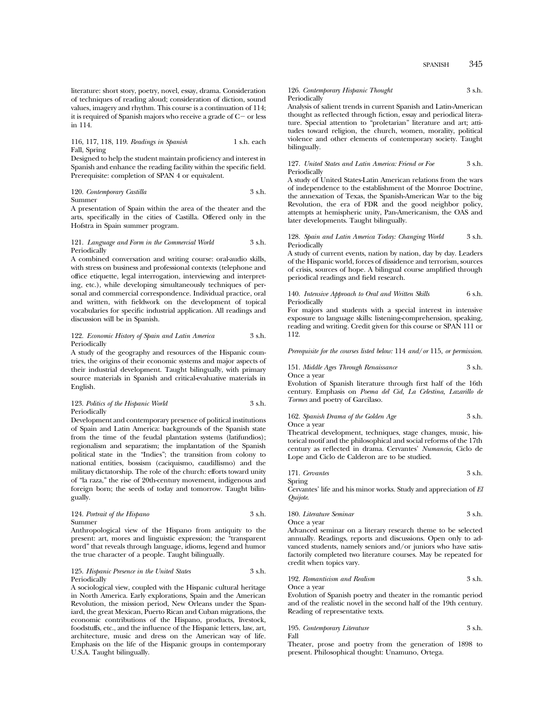literature: short story, poetry, novel, essay, drama. Consideration of techniques of reading aloud; consideration of diction, sound values, imagery and rhythm. This course is a continuation of 114; it is required of Spanish majors who receive a grade of  $C-$  or less in 114.

116, 117, 118, 119. *Readings in Spanish* 1 s.h. each Fall, Spring

Designed to help the student maintain proficiency and interest in Spanish and enhance the reading facility within the specific field. Prerequisite: completion of SPAN 4 or equivalent.

120. *Contemporary Castilla* 3 s.h. Summer

A presentation of Spain within the area of the theater and the arts, specifically in the cities of Castilla. Offered only in the Hofstra in Spain summer program.

#### 121. *Language and Form in the Commercial World* 3 s.h. Periodically

A combined conversation and writing course: oral-audio skills, with stress on business and professional contexts (telephone and office etiquette, legal interrogation, interviewing and interpreting, etc.), while developing simultaneously techniques of personal and commercial correspondence. Individual practice, oral and written, with fieldwork on the development of topical vocabularies for specific industrial application. All readings and discussion will be in Spanish.

#### 122. *Economic History of Spain and Latin America* 3 s.h. Periodically

A study of the geography and resources of the Hispanic countries, the origins of their economic systems and major aspects of their industrial development. Taught bilingually, with primary source materials in Spanish and critical-evaluative materials in English.

#### 123. *Politics of the Hispanic World* 3 s.h. Periodically

Development and contemporary presence of political institutions of Spain and Latin America: backgrounds of the Spanish state from the time of the feudal plantation systems (latifundios); regionalism and separatism; the implantation of the Spanish political state in the "Indies"; the transition from colony to national entities, bossism (caciquismo, caudillismo) and the military dictatorship. The role of the church: efforts toward unity of "la raza," the rise of 20th-century movement, indigenous and foreign born; the seeds of today and tomorrow. Taught bilingually.

124. *Portrait of the Hispano* 3 s.h. Summer

Anthropological view of the Hispano from antiquity to the present: art, mores and linguistic expression; the "transparent word" that reveals through language, idioms, legend and humor the true character of a people. Taught bilingually.

#### 125. *Hispanic Presence in the United States* 3 s.h. **Periodically**

A sociological view, coupled with the Hispanic cultural heritage in North America. Early explorations, Spain and the American Revolution, the mission period, New Orleans under the Spaniard, the great Mexican, Puerto Rican and Cuban migrations, the economic contributions of the Hispano, products, livestock, foodstuffs, etc., and the influence of the Hispanic letters, law, art, architecture, music and dress on the American way of life. Emphasis on the life of the Hispanic groups in contemporary U.S.A. Taught bilingually.

126. *Contemporary Hispanic Thought* 3 s.h. Periodically

Analysis of salient trends in current Spanish and Latin-American thought as reflected through fiction, essay and periodical literature. Special attention to "proletarian" literature and art; attitudes toward religion, the church, women, morality, political violence and other elements of contemporary society. Taught bilingually.

127. *United States and Latin America: Friend or Foe* 3 s.h. Periodically

A study of United States-Latin American relations from the wars of independence to the establishment of the Monroe Doctrine, the annexation of Texas, the Spanish-American War to the big Revolution, the era of FDR and the good neighbor policy, attempts at hemispheric unity, Pan-Americanism, the OAS and later developments. Taught bilingually.

128. *Spain and Latin America Today: Changing World* 3 s.h. Periodically

A study of current events, nation by nation, day by day. Leaders of the Hispanic world, forces of dissidence and terrorism, sources of crisis, sources of hope. A bilingual course amplified through periodical readings and field research.

140. *Intensive Approach to Oral and Written Skills* 6 s.h. Periodically

For majors and students with a special interest in intensive exposure to language skills: listening-comprehension, speaking, reading and writing. Credit given for this course or SPAN 111 or 112.

*Prerequisite for the courses listed below:* 114 *and*/*or* 115, *or permission*.

#### 151. *Middle Ages Through Renaissance* 3 s.h. Once a year

Evolution of Spanish literature through first half of the 16th century. Emphasis on *Poema del Cid, La Celestina, Lazarillo de Tormes* and poetry of Garcilaso.

162. *Spanish Drama of the Golden Age* 3 s.h. Once a year

Theatrical development, techniques, stage changes, music, historical motif and the philosophical and social reforms of the 17th century as reflected in drama. Cervantes' *Numancia*, Ciclo de Lope and Ciclo de Calderon are to be studied.

171. *Cervantes* 3 s.h.

Spring

Cervantes' life and his minor works. Study and appreciation of *El Quijote*.

## 180. *Literature Seminar* 3 s.h. Once a year

Advanced seminar on a literary research theme to be selected annually. Readings, reports and discussions. Open only to advanced students, namely seniors and/or juniors who have satisfactorily completed two literature courses. May be repeated for credit when topics vary.

192. *Romanticism and Realism* 3 s.h. Once a year

Evolution of Spanish poetry and theater in the romantic period and of the realistic novel in the second half of the 19th century. Reading of representative texts.

| 195. Contemporary Literature | 3 s.h. |
|------------------------------|--------|
| Fall                         |        |

Theater, prose and poetry from the generation of 1898 to present. Philosophical thought: Unamuno, Ortega.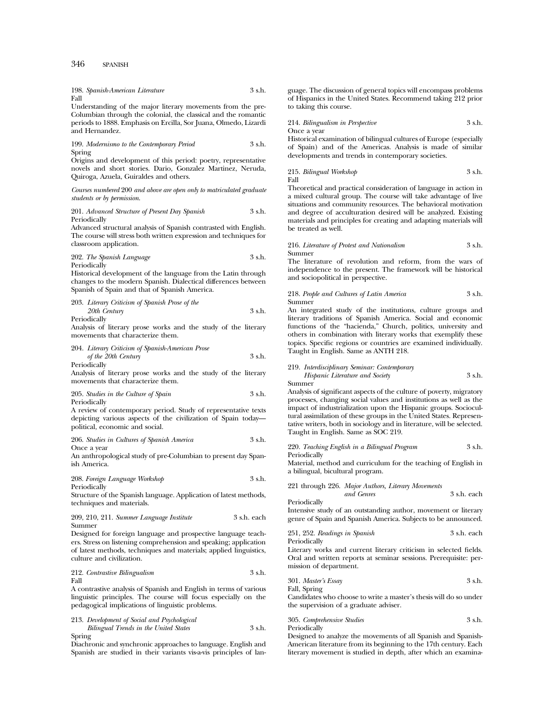## 346 SPANISH

198. *Spanish-American Literature* 3 s.h. Fall

Understanding of the major literary movements from the pre-Columbian through the colonial, the classical and the romantic periods to 1888. Emphasis on Ercilla, Sor Juana, Olmedo, Lizardi and Hernandez.

199. *Modernismo to the Contemporary Period* 3 s.h. Spring

Origins and development of this period: poetry, representative novels and short stories. Dario, Gonzalez Martinez, Neruda, Quiroga, Azuela, Guiraldes and others.

*Courses numbered* 200 *and above are open only to matriculated graduate students or by permission*.

#### 201. *Advanced Structure of Present Day Spanish* 3 s.h. Periodically

Advanced structural analysis of Spanish contrasted with English. The course will stress both written expression and techniques for classroom application.

202. *The Spanish Language* 3 s.h. Periodically

Historical development of the language from the Latin through changes to the modern Spanish. Dialectical differences between Spanish of Spain and that of Spanish America.

203. *Literary Criticism of Spanish Prose of the 20th Century* 3 s.h. Periodically

Analysis of literary prose works and the study of the literary movements that characterize them.

204. *Literary Criticism of Spanish-American Prose of the 20th Century* 3 s.h. Periodically

Analysis of literary prose works and the study of the literary movements that characterize them.

205. *Studies in the Culture of Spain* 3 s.h. Periodically

A review of contemporary period. Study of representative texts depicting various aspects of the civilization of Spain today political, economic and social.

206. *Studies in Cultures of Spanish America* 3 s.h. Once a year

An anthropological study of pre-Columbian to present day Spanish America.

208. *Foreign Language Workshop* 3 s.h. Periodically

Structure of the Spanish language. Application of latest methods, techniques and materials.

209, 210, 211. *Summer Language Institute* 3 s.h. each Summer

Designed for foreign language and prospective language teachers. Stress on listening comprehension and speaking; application of latest methods, techniques and materials; applied linguistics, culture and civilization.

212. *Contrastive Bilingualism* 3 s.h. Fall

A contrastive analysis of Spanish and English in terms of various linguistic principles. The course will focus especially on the pedagogical implications of linguistic problems.

#### 213. *Development of Social and Psychological Bilingual Trends in the United States* 3 s.h. Spring

Diachronic and synchronic approaches to language. English and Spanish are studied in their variants vis-a-vis principles of language. The discussion of general topics will encompass problems of Hispanics in the United States. Recommend taking 212 prior to taking this course.

214. *Bilingualism in Perspective* 3 s.h. Once a year

Historical examination of bilingual cultures of Europe (especially of Spain) and of the Americas. Analysis is made of similar developments and trends in contemporary societies.

215. *Bilingual Workshop* 3 s.h. Fall

Theoretical and practical consideration of language in action in a mixed cultural group. The course will take advantage of live situations and community resources. The behavioral motivation and degree of acculturation desired will be analyzed. Existing materials and principles for creating and adapting materials will be treated as well.

#### 216. *Literature of Protest and Nationalism* 3 s.h. Summer

The literature of revolution and reform, from the wars of independence to the present. The framework will be historical and sociopolitical in perspective.

#### 218. *People and Cultures of Latin America* 3 s.h. Summer

An integrated study of the institutions, culture groups and literary traditions of Spanish America. Social and economic functions of the "hacienda," Church, politics, university and others in combination with literary works that exemplify these topics. Specific regions or countries are examined individually. Taught in English. Same as ANTH 218.

## 219. *Interdisciplinary Seminar: Contemporary*

*Hispanic Literature and Society* 3 s.h. Summer

Analysis of significant aspects of the culture of poverty, migratory processes, changing social values and institutions as well as the impact of industrialization upon the Hispanic groups. Sociocultural assimilation of these groups in the United States. Representative writers, both in sociology and in literature, will be selected. Taught in English. Same as SOC 219.

220. *Teaching English in a Bilingual Program* 3 s.h. Periodically

Material, method and curriculum for the teaching of English in a bilingual, bicultural program.

221 through 226. *Major Authors, Literary Movements*

*and Genres* 3 s.h. each Periodically

Intensive study of an outstanding author, movement or literary genre of Spain and Spanish America. Subjects to be announced.

251, 252. *Readings in Spanish* 3 s.h. each Periodically

Literary works and current literary criticism in selected fields. Oral and written reports at seminar sessions. Prerequisite: permission of department.

301. *Master's Essay* 3 s.h. Fall, Spring

Candidates who choose to write a master's thesis will do so under the supervision of a graduate adviser.

| 305. Comprehensive Studies | 3 s.h. |
|----------------------------|--------|
| Periodically               |        |

Designed to analyze the movements of all Spanish and Spanish-American literature from its beginning to the 17th century. Each literary movement is studied in depth, after which an examina-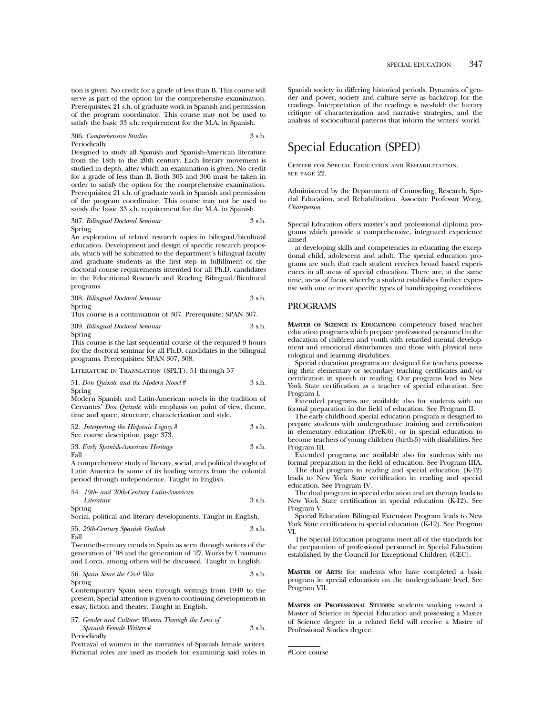tion is given. No credit for a grade of less than B. This course will serve as part of the option for the comprehensive examination. Prerequisites: 21 s.h. of graduate work in Spanish and permission of the program coordinator. This course may not be used to satisfy the basic 33 s.h. requirement for the M.A. in Spanish.

306. *Comprehensive Studies* 3 s.h. Periodically

Designed to study all Spanish and Spanish-American literature from the 18th to the 20th century. Each literary movement is studied in depth, after which an examination is given. No credit for a grade of less than B. Both 305 and 306 must be taken in order to satisfy the option for the comprehensive examination. Prerequisites: 21 s.h. of graduate work in Spanish and permission of the program coordinator. This course may not be used to satisfy the basic 33 s.h. requirement for the M.A. in Spanish.

307. *Bilingual Doctoral Seminar* 3 s.h. Spring

An exploration of related research topics in bilingual/bicultural education. Development and design of specific research proposals, which will be submitted to the department's bilingual faculty and graduate students as the first step in fulfillment of the doctoral course requirements intended for all Ph.D. candidates in the Educational Research and Reading Bilingual/Bicultural programs.

308. *Bilingual Doctoral Seminar* 3 s.h. Spring

This course is a continuation of 307. Prerequisite: SPAN 307.

309. *Bilingual Doctoral Seminar* 3 s.h. Spring

This course is the last sequential course of the required 9 hours for the doctoral seminar for all Ph.D. candidates in the bilingual programs. Prerequisites: SPAN 307, 308.

Literature in Translation (SPLT): 51 through 57

51. *Don Quixote and the Modern Novel* # 3 s.h. Spring

Modern Spanish and Latin-American novels in the tradition of Cervantes' *Don Quixote*, with emphasis on point of view, theme, time and space, structure, characterization and style.

52. *Interpreting the Hispanic Legacy* # 3 s.h. See course description, page 373.

53. *Early Spanish-American Heritage* 3 s.h. Fall

A comprehensive study of literary, social, and political thought of Latin America by some of its leading writers from the colonial period through independence. Taught in English.

54. *19th- and 20th-Century Latin-American Literature* 3 s.h. Spring Social, political and literary developments. Taught in English.

55. *20th-Century Spanish Outlook* 3 s.h. Fall

Twentieth-century trends in Spain as seen through writers of the generation of '98 and the generation of '27. Works by Unamuno and Lorca, among others will be discussed. Taught in English.

56. *Spain Since the Civil War* 3 s.h.

Spring

Contemporary Spain seen through writings from 1940 to the present. Special attention is given to continuing developments in essay, fiction and theater. Taught in English.

57. *Gender and Culture: Women Through the Lens of Spanish Female Writers* # 3 s.h. Periodically

Portrayal of women in the narratives of Spanish female writers. Fictional roles are used as models for examining said roles in Spanish society in differing historical periods. Dynamics of gender and power, society and culture serve as backdrop for the readings. Interpretation of the readings is two-fold: the literary critique of characterization and narrative strategies, and the analysis of sociocultural patterns that inform the writers' world.

## Special Education (SPED)

Center for Special Education and Rehabilitation, see page 22.

Administered by the Department of Counseling, Research, Special Education, and Rehabilitation. Associate Professor Wong, *Chairperson*

Special Education offers master's and professional diploma programs which provide a comprehensive, integrated experience aimed

at developing skills and competencies in educating the exceptional child, adolescent and adult. The special education programs are such that each student receives broad based experiences in all areas of special education. There are, at the same time, areas of focus, whereby a student establishes further expertise with one or more specific types of handicapping conditions.

## PROGRAMS

**MASTER OF SCIENCE IN EDUCATION:** competency based teacher education programs which prepare professional personnel in the education of children and youth with retarded mental development and emotional disturbances and those with physical neurological and learning disabilities.

Special education programs are designed for teachers possessing their elementary or secondary teaching certificates and/or certification in speech or reading. Our programs lead to New York State certification as a teacher of special education. See Program I.

Extended programs are available also for students with no formal preparation in the field of education. See Program II.

The early childhood special education program is designed to prepare students with undergraduate training and certification in elementary education (PreK-6), or in special education to become teachers of young children (birth-5) with disabilities. See Program III.

Extended programs are available also for students with no formal preparation in the field of education. See Program IIIA.

The dual program in reading and special education (K-12) leads to New York State certification in reading and special education. See Program IV.

The dual program in special education and art therapy leads to New York State certification in special education ( $\tilde{K}$ -12). See Program V.

Special Education Bilingual Extension Program leads to New York State certification in special education (K-12). See Program VI.

The Special Education programs meet all of the standards for the preparation of professional personnel in Special Education established by the Council for Exceptional Children (CEC).

**MASTER OF ARTS:** for students who have completed a basic program in special education on the undergraduate level. See Program VII.

**MASTER OF PROFESSIONAL STUDIES:** students working toward a Master of Science in Special Education and possessing a Master of Science degree in a related field will receive a Master of Professional Studies degree.

<sup>#</sup>Core course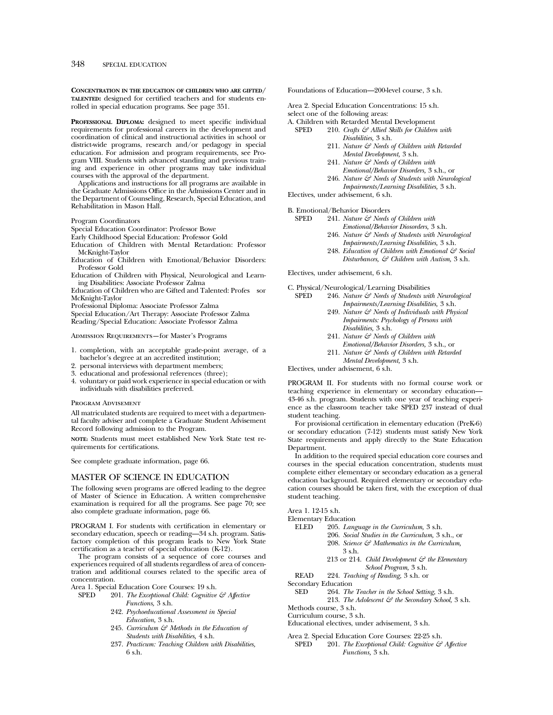## 348 SPECIAL EDUCATION

**CONCENTRATION IN THE EDUCATION OF CHILDREN WHO ARE GIFTED/ TALENTED:** designed for certified teachers and for students enrolled in special education programs. See page 351.

**PROFESSIONAL DIPLOMA:** designed to meet specific individual requirements for professional careers in the development and coordination of clinical and instructional activities in school or district-wide programs, research and/or pedagogy in special education. For admission and program requirements, see Program VIII. Students with advanced standing and previous training and experience in other programs may take individual courses with the approval of the department.

Applications and instructions for all programs are available in the Graduate Admissions Office in the Admissions Center and in the Department of Counseling, Research, Special Education, and Rehabilitation in Mason Hall.

Program Coordinators

Special Education Coordinator: Professor Bowe

Early Childhood Special Education: Professor Gold

Education of Children with Mental Retardation: Professor McKnight-Taylor

- Education of Children with Emotional/Behavior Disorders: Professor Gold
- Education of Children with Physical, Neurological and Learning Disabilities: Associate Professor Zalma

Education of Children who are Gifted and Talented: Profes sor McKnight-Taylor

Professional Diploma: Associate Professor Zalma

Special Education/Art Therapy: Associate Professor Zalma Reading/Special Education: Associate Professor Zalma

Admission Requirements—for Master's Programs

- 1. completion, with an acceptable grade-point average, of a bachelor's degree at an accredited institution;
- 2. personal interviews with department members;
- 3. educational and professional references (three);
- 4. voluntary or paid work experience in special education or with individuals with disabilities preferred.

#### Program Advisement

All matriculated students are required to meet with a departmental faculty adviser and complete a Graduate Student Advisement Record following admission to the Program.

**NOTE:** Students must meet established New York State test requirements for certifications.

See complete graduate information, page 66.

## MASTER OF SCIENCE IN EDUCATION

The following seven programs are offered leading to the degree of Master of Science in Education. A written comprehensive examination is required for all the programs. See page 70; see also complete graduate information, page 66.

PROGRAM I. For students with certification in elementary or secondary education, speech or reading—34 s.h. program. Satisfactory completion of this program leads to New York State certification as a teacher of special education (K-12).

The program consists of a sequence of core courses and experiences required of all students regardless of area of concentration and additional courses related to the specific area of concentration.

Area 1. Special Education Core Courses: 19 s.h.<br>SPED 201. The Exceptional Child: Cognitive

- 201. *The Exceptional Child: Cognitive & Affective Functions,* 3 s.h.
	- 242. *Psychoeducational Assessment in Special Education,* 3 s.h.
	- 245. *Curriculum & Methods in the Education of Students with Disabilities,* 4 s.h.
	- 237. *Practicum: Teaching Children with Disabilities,* 6 s.h.

Foundations of Education—200-level course, 3 s.h.

Area 2. Special Education Concentrations: 15 s.h. select one of the following areas:

A. Children with Retarded Mental Development<br>SPED 210. Crafts  $\mathcal{F}$  Allied Skills for Children

- 210. *Crafts*  $G$  Allied Skills for Children with *Disabilities,* 3 s.h.
	- 211. *Nature & Needs of Children with Retarded Mental Development,* 3 s.h.
	- 241. *Nature & Needs of Children with Emotional/Behavior Disorders,* 3 s.h., or
	- 246. *Nature & Needs of Students with Neurological Impairments/Learning Disabilities,* 3 s.h.

Electives, under advisement, 6 s.h.

B. Emotional/Behavior Disorders<br>SPED 941. Nature  $\xi \vec{\sigma}$  Needs

- 241. Nature  $\mathcal{C}$  Needs of Children with
- *Emotional/Behavior Diosorders,* 3 s.h. 246. *Nature & Needs of Students with Neurological*
- *Impairments/Learning Disabilities,* 3 s.h. 248. *Education of Children with Emotional & Social*
- *Disturbances, & Children with Autism,* 3 s.h.

Electives, under advisement, 6 s.h.

C. Physical/Neurological/Learning Disabilities<br>SPED 246. Nature  $\mathcal{E}^2$  Needs of Students with

- 246. *Nature & Needs of Students with Neurological Impairments/Learning Disabilities,* 3 s.h.
	- 249. *Nature & Needs of Individuals with Physical Impairments: Psychology of Persons with Disabilities,* 3 s.h.
	- 241. *Nature & Needs of Children with Emotional/Behavior Disorders,* 3 s.h., or
	- 211. *Nature & Needs of Children with Retarded*

*Mental Development,* 3 s.h.

Electives, under advisement, 6 s.h.

PROGRAM II. For students with no formal course work or teaching experience in elementary or secondary education— 43-46 s.h. program. Students with one year of teaching experience as the classroom teacher take SPED 237 instead of dual student teaching.

For provisional certification in elementary education (PreK-6) or secondary education (7-12) students must satisfy New York State requirements and apply directly to the State Education Department.

In addition to the required special education core courses and courses in the special education concentration, students must complete either elementary or secondary education as a general education background. Required elementary or secondary education courses should be taken first, with the exception of dual student teaching.

Area 1. 12-15 s.h.

- Elementary Education<br>ELED 205. Lang ELED 205. *Language in the Curriculum,* 3 s.h. 206. *Social Studies in the Curriculum,* 3 s.h., or 208. *Science & Mathematics in the Curriculum,* 3 s.h.
	- 213 or 214. *Child Development & the Elementary School Program,* 3 s.h.
	- READ 224. *Teaching of Reading,* 3 s.h. or

Secondary Education

- SED 264. *The Teacher in the School Setting,* 3 s.h.
- 213. *The Adolescent & the Secondary School*, 3 s.h. Methods course, 3 s.h.
- Curriculum course, 3 s.h.
- Educational electives, under advisement, 3 s.h.
- Area 2. Special Education Core Courses: 22-25 s.h.
- SPED 201. *The Exceptional Child: Cognitive & Affective Functions,* 3 s.h.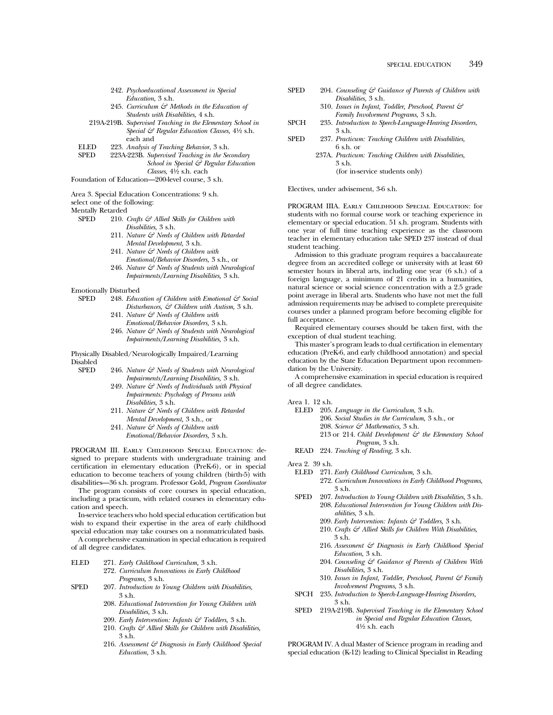- 242. *Psychoeducational Assessment in Special Education,* 3 s.h.
- 245. *Curriculum & Methods in the Education of Students with Disabilities,* 4 s.h.
- 219A-219B. *Supervised Teaching in the Elementary School in Special & Regular Education Classes,* 41⁄2 s.h. each and
- ELED 223. *Analysis of Teaching Behavior*, 3 s.h.
- 223A-223B. Supervised Teaching in the Secondary
- *School in Special & Regular Education Classes,* 41⁄2 s.h. each Foundation of Education—200-level course, 3 s.h.

Area 3. Special Education Concentrations: 9 s.h.

select one of the following:

Mentally Retarded<br>SPED 210.

- 210. *Crafts*  $G$  Allied Skills for Children with *Disabilities,* 3 s.h.
	- 211. *Nature & Needs of Children with Retarded Mental Development,* 3 s.h.
	- 241. *Nature & Needs of Children with Emotional/Behavior Disorders,* 3 s.h., or
	- 246. *Nature & Needs of Students with Neurological Impairments/Learning Disabilities,* 3 s.h.

Emotionally Disturbed

- SPED 248. *Education of Children with Emotional & Social Disturbances, & Children with Autism,* 3 s.h.
	- 241. *Nature & Needs of Children with Emotional/Behavior Disorders,* 3 s.h.
	- 246. *Nature & Needs of Students with Neurological Impairments/Learning Disabilities,* 3 s.h.

Physically Disabled/Neurologically Impaired/Learning Disabled<br>SPED

- 246. *Nature & Needs of Students with Neurological Impairments/Learning Disabilities,* 3 s.h.
	- 249. *Nature & Needs of Individuals with Physical Impairments: Psychology of Persons with Disabilities,* 3 s.h.
	- 211. *Nature & Needs of Children with Retarded Mental Development,* 3 s.h., or
	- 241. *Nature & Needs of Children with Emotional/Behavior Disorders,* 3 s.h.

PROGRAM III. Early Childhood Special Education: designed to prepare students with undergraduate training and certification in elementary education (PreK-6), or in special education to become teachers of young children (birth-5) with disabilities—36 s.h. program. Professor Gold, *Program Coordinator*

The program consists of core courses in special education, including a practicum, with related courses in elementary education and speech.

In-service teachers who hold special education certification but wish to expand their expertise in the area of early childhood special education may take courses on a nonmatriculated basis. A comprehensive examination in special education is required

of all degree candidates.

- ELED 271. *Early Childhood Curriculum,* 3 s.h.
	- 272. *Curriculum Innovations in Early Childhood Programs,* 3 s.h.
- SPED 207. *Introduction to Young Children with Disabilities,* 3 s.h.
	- 208. *Educational Intervention for Young Children with Disabilities,* 3 s.h.
	- 209. *Early Intervention: Infants & Toddlers,* 3 s.h.
	- 210. *Crafts & Allied Skills for Children with Disabilities,* 3 s.h.
	- 216. *Assessment & Diagnosis in Early Childhood Special Education,* 3 s.h.
- SPED 204. *Counseling & Guidance of Parents of Children with Disabilities,* 3 s.h.
	- 310. *Issues in Infant, Toddler, Preschool, Parent & Family Involvement Programs,* 3 s.h.
- SPCH 235. *Introduction to Speech-Language-Hearing Disorders*, 3 s.h.
- SPED 237. *Practicum: Teaching Children with Disabilities,* 6 s.h. or
	- 237A. *Practicum: Teaching Children with Disabilities,* 3 s.h. (for in-service students only)

Electives, under advisement, 3-6 s.h.

PROGRAM IIIA. Early Childhood Special Education: for students with no formal course work or teaching experience in elementary or special education. 51 s.h. program. Students with one year of full time teaching experience as the classroom teacher in elementary education take SPED 237 instead of dual student teaching.

Admission to this graduate program requires a baccalaureate degree from an accredited college or university with at least 60 semester hours in liberal arts, including one year (6 s.h.) of a foreign language, a minimum of 21 credits in a humanities, natural science or social science concentration with a 2.5 grade point average in liberal arts. Students who have not met the full admission requirements may be advised to complete prerequisite courses under a planned program before becoming eligible for full acceptance.

Required elementary courses should be taken first, with the exception of dual student teaching.

This master's program leads to dual certification in elementary education (PreK-6, and early childhood annotation) and special education by the State Education Department upon recommendation by the University.

A comprehensive examination in special education is required of all degree candidates.

#### Area 1. 12 s.h.

- ELED 205. *Language in the Curriculum,* 3 s.h.
	- 206. *Social Studies in the Curriculum,* 3 s.h., or
		- 208. *Science & Mathematics,* 3 s.h.
	- 213 or 214. *Child Development*  $\mathcal{C}$  *the Elementary School Program,* 3 s.h.
- READ 224. *Teaching of Reading,* 3 s.h.

Area 2. 39 s.h.

- ELED 271. *Early Childhood Curriculum,* 3 s.h.
	- 272. *Curriculum Innovations in Early Childhood Programs,* 3 s.h.
- SPED 207. *Introduction to Young Children with Disabilities,* 3 s.h. 208. *Educational Intervention for Young Children with Disabilities,* 3 s.h.
	- 209. *Early Intervention: Infants & Toddlers,* 3 s.h.
	- 210. *Crafts & Allied Skills for Children With Disabilities,* 3 s.h.
	- 216. *Assessment & Diagnosis in Early Childhood Special Education,* 3 s.h.
	- 204. *Counseling & Guidance of Parents of Children With Disabilities,* 3 s.h.
	- 310. *Issues in Infant, Toddler, Preschool, Parent & Family Involvement Programs,* 3 s.h.
- SPCH 235. *Introduction to Speech-Language-Hearing Disorders,* 3 s.h.
- SPED 219A-219B. *Supervised Teaching in the Elementary School in Special and Regular Education Classes,* 41⁄2 s.h. each

PROGRAM IV. A dual Master of Science program in reading and special education (K-12) leading to Clinical Specialist in Reading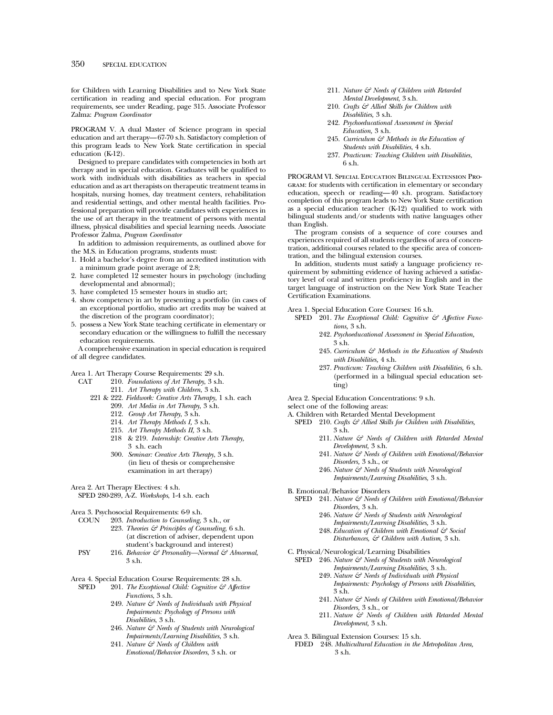## 350 SPECIAL EDUCATION

for Children with Learning Disabilities and to New York State certification in reading and special education. For program requirements, see under Reading, page 315. Associate Professor Zalma: *Program Coordinator*

PROGRAM V. A dual Master of Science program in special education and art therapy—67-70 s.h. Satisfactory completion of this program leads to New York State certification in special education (K-12).

Designed to prepare candidates with competencies in both art therapy and in special education. Graduates will be qualified to work with individuals with disabilities as teachers in special education and as art therapists on therapeutic treatment teams in hospitals, nursing homes, day treatment centers, rehabilitation and residential settings, and other mental health facilities. Professional preparation will provide candidates with experiences in the use of art therapy in the treatment of persons with mental illness, physical disabilities and special learning needs. Associate Professor Zalma, *Program Coordinator*

In addition to admission requirements, as outlined above for the M.S. in Education programs, students must:

- 1. Hold a bachelor's degree from an accredited institution with a minimum grade point average of 2.8;
- 2. have completed 12 semester hours in psychology (including developmental and abnormal);
- 3. have completed 15 semester hours in studio art;
- 4. show competency in art by presenting a portfolio (in cases of an exceptional portfolio, studio art credits may be waived at the discretion of the program coordinator);
- 5. possess a New York State teaching certificate in elementary or secondary education or the willingness to fulfill the necessary education requirements.

A comprehensive examination in special education is required of all degree candidates.

- Area 1. Art Therapy Course Requirements: 29 s.h.<br>CAT 210. Foundations of Art Therapy, 3 s.h.
	- 210. Foundations of Art Therapy, 3 s.h.
		- 211. *Art Therapy with Children*, 3 s.h.
	- 221 & 222. *Fieldwork: Creative Arts Therapy*, 1 s.h. each 209. *Art Media in Art Therapy*, 3 s.h.
		-
		- 212. *Group Art Therapy*, 3 s.h.
		- 214. *Art Therapy Methods I,* 3 s.h.
		- 215. *Art Therapy Methods II,* 3 s.h.
		- 218 & 219. *Internship: Creative Arts Therapy,* 3 s.h. each
		- 300. *Seminar: Creative Arts Therapy*, 3 s.h. (in lieu of thesis or comprehensive examination in art therapy)

Area 2. Art Therapy Electives: 4 s.h.

SPED 280-289, A-Z. *Workshops*, 1-4 s.h. each

Area 3. Psychosocial Requirements: 6-9 s.h.<br>COUN 203. Introduction to Counseling,

- 203. *Introduction to Counseling*, 3 s.h., or 223. *Theories & Principles of Counseling*, 6 s.h. (at discretion of adviser, dependent upon student's background and interest)
- PSY 216. *Behavior & Personality—Normal & Abnormal*, 3 s.h.

Area 4. Special Education Course Requirements: 28 s.h.

- SPED 201. *The Exceptional Child: Cognitive & Affective Functions*, 3 s.h.
	- 249. *Nature & Needs of Individuals with Physical Impairments: Psychology of Persons with Disabilities*, 3 s.h.
	- 246. *Nature & Needs of Students with Neurological Impairments/Learning Disabilities*, 3 s.h.
	- 241. *Nature & Needs of Children with Emotional/Behavior Disorders*, 3 s.h. or
- 211. *Nature & Needs of Children with Retarded Mental Development*, 3 s.h.
- 210. *Crafts & Allied Skills for Children with Disabilities,* 3 s.h.
- 242. *Psychoeducational Assessment in Special Education,* 3 s.h.
- 245. *Curriculum & Methods in the Education of Students with Disabilities*, 4 s.h.
- 237. *Practicum: Teaching Children with Disabilities*, 6 s.h.

PROGRAM VI. Special Education Bilingual Extension Program: for students with certification in elementary or secondary education, speech or reading—40 s.h. program. Satisfactory completion of this program leads to New York State certification as a special education teacher (K-12) qualified to work with bilingual students and/or students with native languages other than English.

The program consists of a sequence of core courses and experiences required of all students regardless of area of concentration, additional courses related to the specific area of concentration, and the bilingual extension courses.

In addition, students must satisfy a language proficiency requirement by submitting evidence of having achieved a satisfactory level of oral and written proficiency in English and in the target language of instruction on the New York State Teacher Certification Examinations.

Area 1. Special Education Core Courses: 16 s.h.

- SPED 201. *The Exceptional Child: Cognitive & Affective Functions,* 3 s.h.
	- 242. *Psychoeducational Assessment in Special Education,* 3 s.h.
	- 245. *Curriculum & Methods in the Education of Students with Disabilities,* 4 s.h.
	- 237. *Practicum: Teaching Children with Disabilities,* 6 s.h. (performed in a bilingual special education setting)

Area 2. Special Education Concentrations: 9 s.h.

select one of the following areas:

- A. Children with Retarded Mental Development
	- SPED 210. *Crafts*  $\mathcal{F}$  Allied Skills for Children with Disabilities, 3 s.h.
		- 211. *Nature & Needs of Children with Retarded Mental Development,* 3 s.h.
		- 241. *Nature & Needs of Children with Emotional/Behavior Disorders,* 3 s.h., or
		- 246. *Nature & Needs of Students with Neurological Impairments/Learning Disabilities,* 3 s.h.

B. Emotional/Behavior Disorders

- SPED 241. *Nature & Needs of Children with Emotional/Behavior Disorders,* 3 s.h.
	- 246. *Nature & Needs of Students with Neurological Impairments/Learning Disabilities,* 3 s.h.
	- 248. *Education of Children with Emotional & Social Disturbances, & Children with Autism,* 3 s.h.
- C. Physical/Neurological/Learning Disabilities
	- SPED 246. *Nature & Needs of Students with Neurological Impairments/Learning Disabilities,* 3 s.h.
		- 249. *Nature & Needs of Individuals with Physical Impairments: Psychology of Persons with Disabilities,* 3 s.h.
		- 241. *Nature & Needs of Children with Emotional/Behavior Disorders,* 3 s.h., or
		- 211. *Nature & Needs of Children with Retarded Mental Development,* 3 s.h.

Area 3. Bilingual Extension Courses: 15 s.h.

FDED 248. *Multicultural Education in the Metropolitan Area,* 3 s.h.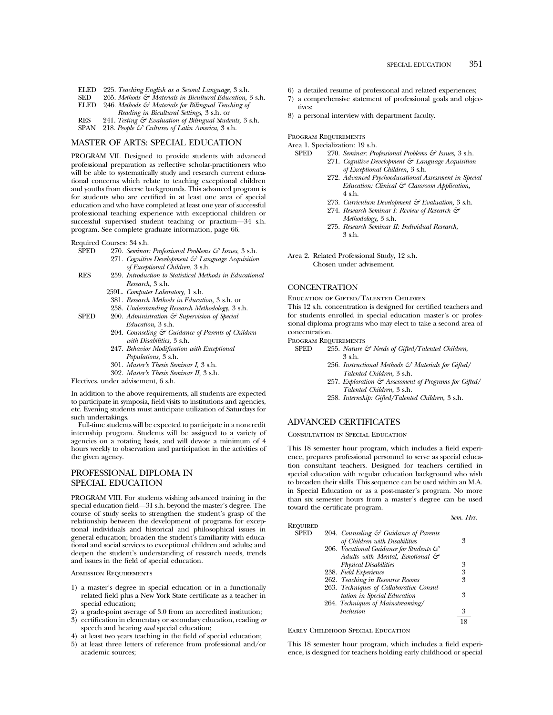- ELED 225. *Teaching English as a Second Language,* 3 s.h.
- SED 265. *Methods*  $\mathcal{E}^{\mathcal{F}}$  Materials in Bicultural Education, 3 s.h.<br>ELED 246. *Methods*  $\mathcal{E}^{\mathcal{F}}$  Materials for Bilingual Teaching of 246. Methods & Materials for Bilingual Teaching of

*Reading in Bicultural Settings,* 3 s.h. or

- RES 241. *Testing & Evaluation of Bilingual Students,* 3 s.h.
- SPAN 218. *People & Cultures of Latin America,* 3 s.h.

## MASTER OF ARTS: SPECIAL EDUCATION

PROGRAM VII. Designed to provide students with advanced professional preparation as reflective scholar-practitioners who will be able to systematically study and research current educational concerns which relate to teaching exceptional children and youths from diverse backgrounds. This advanced program is for students who are certified in at least one area of special education and who have completed at least one year of successful professional teaching experience with exceptional children or successful supervised student teaching or practium—34 s.h. program. See complete graduate information, page 66.

Required Courses: 34 s.h.<br>SPED 270. Seminar

- 270. *Seminar: Professional Problems & Issues*, 3 s.h. 271. *Cognitive Development & Language Acquisition of Exceptional Children,* 3 s.h.
- RES 259. *Introduction to Statistical Methods in Educational Research,* 3 s.h.
	- 259L. *Computer Laboratory,* 1 s.h.
	- 381. *Research Methods in Education,* 3 s.h. or
	- 258. *Understanding Research Methodology,* 3 s.h.
- SPED 200. *Administration*  $\mathcal{E}$  Supervision of Special *Education,* 3 s.h.
	- 204. *Counseling & Guidance of Parents of Children with Disabilities,* 3 s.h.
	- 247. *Behavior Modification with Exceptional Populations,* 3 s.h.
	- 301. *Master's Thesis Seminar I,* 3 s.h.
	- 302. *Master's Thesis Seminar II,* 3 s.h.

Electives, under advisement, 6 s.h.

In addition to the above requirements, all students are expected to participate in symposia, field visits to institutions and agencies, etc. Evening students must anticipate utilization of Saturdays for such undertakings.

Full-time students will be expected to participate in a noncredit internship program. Students will be assigned to a variety of agencies on a rotating basis, and will devote a minimum of 4 hours weekly to observation and participation in the activities of the given agency.

## PROFESSIONAL DIPLOMA IN SPECIAL EDUCATION

PROGRAM VIII. For students wishing advanced training in the special education field—31 s.h. beyond the master's degree. The course of study seeks to strengthen the student's grasp of the relationship between the development of programs for exceptional individuals and historical and philosophical issues in general education; broaden the student's familiarity with educational and social services to exceptional children and adults; and deepen the student's understanding of research needs, trends and issues in the field of special education.

ADMISSION REQUIREMENTS

- 1) a master's degree in special education or in a functionally related field plus a New York State certificate as a teacher in special education;
- 2) a grade-point average of 3.0 from an accredited institution;
- 3) certification in elementary or secondary education, reading *or* speech and hearing *and* special education;
- 4) at least two years teaching in the field of special education;
- 5) at least three letters of reference from professional and/or academic sources;
- 6) a detailed resume of professional and related experiences;
- 7) a comprehensive statement of professional goals and objectives:
- 8) a personal interview with department faculty.

Program Requirements

- Area 1. Specialization: 19 s.h.<br>SPED 970 Seminar Pro
	- SPED 270. *Seminar: Professional Problems & Issues,* 3 s.h. 271. *Cognitive Development & Language Acquisition of Exceptional Children,* 3 s.h.
		- 272. *Advanced Psychoeducational Assessment in Special Education: Clinical & Classroom Application,* 4 s.h.
		- 273. *Curriculum Development & Evaluation,* 3 s.h.
		- 274. *Research Seminar I: Review of Research & Methodology,* 3 s.h.
		- 275. *Research Seminar II: Individual Research,* 3 s.h.
- Area 2. Related Professional Study, 12 s.h. Chosen under advisement.

## **CONCENTRATION**

Education of Gifted/Talented Children

This 12 s.h. concentration is designed for certified teachers and for students enrolled in special education master's or professional diploma programs who may elect to take a second area of concentration.

- Program Requirements
	- SPED 255. *Nature & Needs of Gifted/Talented Children,* 3 s.h.
		- 256. *Instructional Methods & Materials for Gifted/ Talented Children,* 3 s.h.
		- 257. *Exploration & Assessment of Programs for Gifted/ Talented Children,* 3 s.h.
		- 258. *Internship: Gifted/Talented Children,* 3 s.h.

## ADVANCED CERTIFICATES

Consultation in Special Education

This 18 semester hour program, which includes a field experience, prepares professional personnel to serve as special education consultant teachers. Designed for teachers certified in special education with regular education background who wish to broaden their skills. This sequence can be used within an M.A. in Special Education or as a post-master's program. No more than six semester hours from a master's degree can be used toward the certificate program.

| REQUIRED    |                                                   |   |
|-------------|---------------------------------------------------|---|
| <b>SPED</b> | 204. Counseling $\mathcal{C}$ Guidance of Parents |   |
|             | of Children with Disabilities                     | 3 |
|             | 206. Vocational Guidance for Students &           |   |
|             | Adults with Mental, Emotional &                   |   |
|             | <b>Physical Disabilities</b>                      | 3 |
|             | 238. Field Experience                             | 3 |
|             | 262. Teaching in Resource Rooms                   | 3 |
|             | 263. Techniques of Collaborative Consul-          |   |
|             | tation in Special Education                       | 3 |
|             | 264. Techniques of Mainstreaming/                 |   |
|             | <i>Inclusion</i>                                  | 3 |
|             |                                                   |   |

Early Childhood Special Education

This 18 semester hour program, which includes a field experience, is designed for teachers holding early childhood or special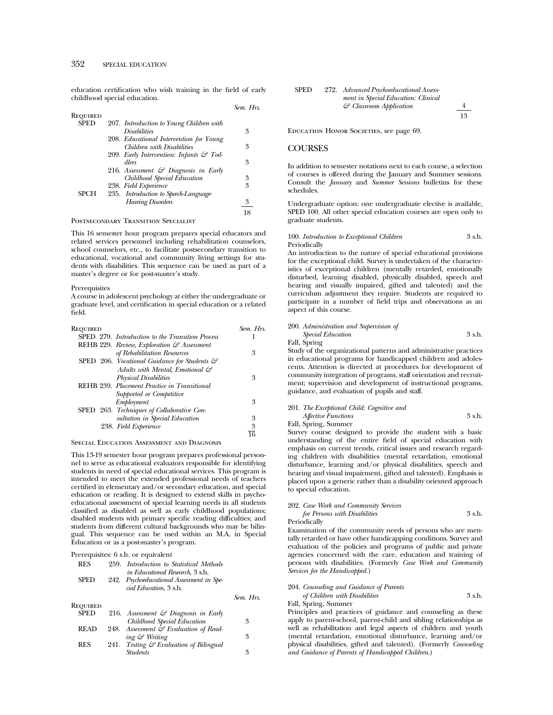education certification who wish training in the field of early childhood special education.

|             |                                                 | Sem. Hrs. |
|-------------|-------------------------------------------------|-----------|
| Required    |                                                 |           |
| <b>SPED</b> | 207. Introduction to Young Children with        |           |
|             | Disabilities                                    | 3         |
|             | 208. Educational Intervention for Young         |           |
|             | Children with Disabilities                      | 3         |
|             | 209. Early Intervention: Infants & Tod-         |           |
|             | dlers                                           | 3         |
|             | 216. Assessment $\mathcal G$ Diagnosis in Early |           |
|             | Childhood Special Education                     | 3         |
|             | 238. Field Experience                           | 3         |
| SPCH        | 235. Introduction to Speech-Language-           |           |
|             | <b>Hearing Disorders</b>                        | 3         |
|             |                                                 | 18        |
|             |                                                 |           |

#### Postsecondary Transition Specialist

This 16 semester hour program prepares special educators and related services personnel including rehabilitation counselors, school counselors, etc., to facilitate postsecondary transition to educational, vocational and community living settings for students with disabilities. This sequence can be used as part of a master's degree or for post-master's study.

Prerequisites

A course in adolescent psychology at either the undergraduate or graduate level, and certification in special education or a related field.

| <b>REQUIRED</b>                                            | Sem Hrs |
|------------------------------------------------------------|---------|
| SPED 279. Introduction to the Transition Process           |         |
| REHB 229. Review, Exploration & Assessment                 |         |
| of Rehabilitation Resources                                | 3       |
| SPED 206. Vocational Guidance for Students $\mathcal{C}^2$ |         |
| Adults with Mental, Emotional &                            |         |
| <b>Physical Disabilities</b>                               | 3       |
| REHB 239. Placement Practice in Transitional               |         |
| Supported or Competitive                                   |         |
| Employment                                                 | 3       |
| SPED 263. Techniques of Collaborative Con-                 |         |
| sultation in Special Education                             | 3       |
| 238. Field Experience                                      | 3       |
|                                                            |         |

#### Special Education Assessment and Diagnosis

This 13-19 semester hour program prepares professional personnel to serve as educational evaluators responsible for identifying students in need of special educational services. This program is intended to meet the extended professional needs of teachers certified in elementary and/or secondary education, and special education or reading. It is designed to extend skills in psychoeducational assessment of special learning needs in all students classified as disabled as well as early childhood populations; disabled students with primary specific reading difficulties; and students from different cultural backgrounds who may be bilingual. This sequence can be used within an M.A. in Special Education or as a post-master's program.

Prerequisites: 6 s.h. or equivalent

| <b>RES</b>  | 259. Introduction to Statistical Methods        |           |
|-------------|-------------------------------------------------|-----------|
|             | <i>in Educational Research</i> , 3 s.h.         |           |
| <b>SPED</b> | 242. Psychoeducational Assessment in Spe-       |           |
|             | cial Education, 3 s.h.                          |           |
|             |                                                 | Sem. Hrs. |
| REQUIRED    |                                                 |           |
| SPED        | 216. Assessment $\mathcal G$ Diagnosis in Early |           |

|             |      | Childhood Special Education       | 3 |
|-------------|------|-----------------------------------|---|
| <b>READ</b> | 248. | Assessment & Evaluation of Read-  |   |
|             |      | ing & Writing                     | 3 |
| <b>RES</b>  | 241. | Testing & Evaluation of Bilingual |   |
|             |      | <b>Students</b>                   | 3 |

SFED 272. Advanced Psychoducational Assess-  
\nment in Special Education: Clinical  
\n
$$
\mathcal{E}
$$
 Classroom Application

\n13

Education Honor Societies, see page 69.

#### **COURSES**

In addition to semester notations next to each course, a selection of courses is offered during the January and Summer sessions. Consult the *January* and *Summer Sessions* bulletins for these schedules.

Undergraduate option: one undergraduate elective is available, SPED 100. All other special education courses are open only to graduate students.

#### 100. *Introduction to Exceptional Children* 3 s.h. Periodically

An introduction to the nature of special educational provisions for the exceptional child. Survey is undertaken of the characteristics of exceptional children (mentally retarded, emotionally disturbed, learning disabled, physically disabled, speech and hearing and visually impaired, gifted and talented) and the curriculum adjustment they require. Students are required to participate in a number of field trips and observations as an aspect of this course.

#### 200. *Administration and Supervision of Special Education* 3 s.h. Fall, Spring

Study of the organizational patterns and administrative practices in educational programs for handicapped children and adolescents. Attention is directed at procedures for development of community integration of programs, staff orientation and recruitment; supervision and development of instructional programs, guidance, and evaluation of pupils and staff.

## 201. *The Exceptional Child: Cognitive and*

*Affective Functions* 3 s.h. Fall, Spring, Summer

Survey course designed to provide the student with a basic understanding of the entire field of special education with emphasis on current trends, critical issues and research regarding children with disabilities (mental retardation, emotional disturbance, learning and/or physical disabilities, speech and hearing and visual impairment, gifted and talented). Emphasis is placed upon a generic rather than a disability oriented approach to special education.

## 202. *Case Work and Community Services*

*for Persons with Disabilities* 3 s.h. Periodically

Examination of the community needs of persons who are mentally retarded or have other handicapping conditions. Survey and evaluation of the policies and programs of public and private agencies concerned with the care, education and training of persons with disabilities. (Formerly *Case Work and Community Services for the Handicapped.*)

## 204. *Counseling and Guidance of Parents*

*of Children with Disabilities* 3 s.h. Fall, Spring, Summer

Principles and practices of guidance and counseling as these apply to parent-school, parent-child and sibling relationships as well as rehabilitation and legal aspects of children and youth (mental retardation, emotional disturbance, learning and/or physical disabilities, gifted and talented). (Formerly *Counseling and Guidance of Parents of Handicapped Children*.)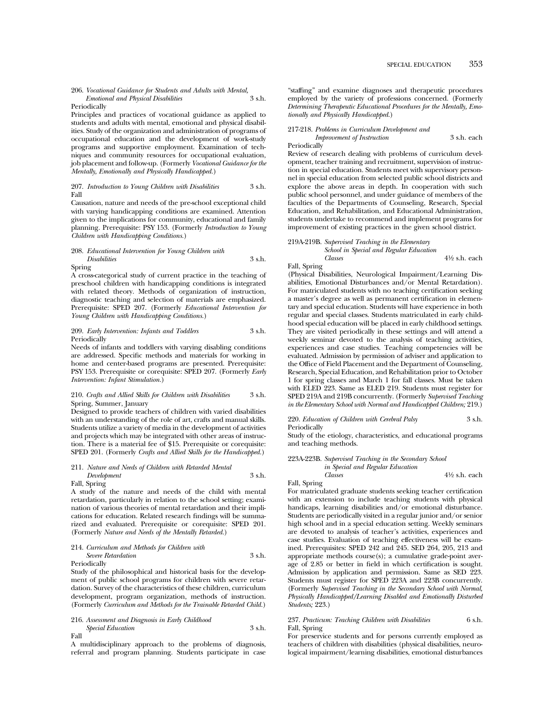#### 206. *Vocational Guidance for Students and Adults with Mental, Emotional and Physical Disabilities* 3 s.h. Periodically

Principles and practices of vocational guidance as applied to students and adults with mental, emotional and physical disabilities. Study of the organization and administration of programs of occupational education and the development of work-study programs and supportive employment. Examination of techniques and community resources for occupational evaluation, job placement and follow-up. (Formerly *Vocational Guidance for the Mentally, Emotionally and Physically Handicapped.*)

#### 207. *Introduction to Young Children with Disabilities* 3 s.h. Fall

Causation, nature and needs of the pre-school exceptional child with varying handicapping conditions are examined. Attention given to the implications for community, educational and family planning. Prerequisite: PSY 153. (Formerly *Introduction to Young Children with Handicapping Conditions.*)

#### 208. *Educational Intervention for Young Children with Disabilities* 3 s.h. Spring

A cross-categorical study of current practice in the teaching of preschool children with handicapping conditions is integrated with related theory. Methods of organization of instruction, diagnostic teaching and selection of materials are emphasized. Prerequisite: SPED 207. (Formerly *Educational Intervention for*

*Young Children with Handicapping Conditions.*)

## 209. *Early Intervention: Infants and Toddlers* 3 s.h. Periodically

Needs of infants and toddlers with varying disabling conditions are addressed. Specific methods and materials for working in home and center-based programs are presented. Prerequisite: PSY 153. Prerequisite or corequisite: SPED 207. (Formerly *Early Intervention: Infant Stimulation.*)

#### 210. *Crafts and Allied Skills for Children with Disabilities* 3 s.h. Spring, Summer, January

Designed to provide teachers of children with varied disabilities with an understanding of the role of art, crafts and manual skills. Students utilize a variety of media in the development of activities and projects which may be integrated with other areas of instruction. There is a material fee of \$15. Prerequisite or corequisite: SPED 201. (Formerly *Crafts and Allied Skills for the Handicapped.*)

#### 211. *Nature and Needs of Children with Retarded Mental Development* 3 s.h. Fall, Spring

A study of the nature and needs of the child with mental retardation, particularly in relation to the school setting; examination of various theories of mental retardation and their implications for education. Related research findings will be summarized and evaluated. Prerequisite or corequisite: SPED 201. (Formerly *Nature and Needs of the Mentally Retarded.*)

214. *Curriculum and Methods for Children with Severe Retardation* 3 s.h.

Periodically Study of the philosophical and historical basis for the development of public school programs for children with severe retardation. Survey of the characteristics of these children, curriculum development, program organization, methods of instruction. (Formerly *Curriculum and Methods for the Trainable Retarded Child.*)

216. *Assessment and Diagnosis in Early Childhood Special Education* 3 s.h.

Fall

A multidisciplinary approach to the problems of diagnosis, referral and program planning. Students participate in case "staffing" and examine diagnoses and therapeutic procedures employed by the variety of professions concerned. (Formerly *Determining Therapeutic Educational Procedures for the Mentally, Emotionally and Physically Handicapped*.)

#### 217-218. *Problems in Curriculum Development and Improvement of Instruction* 3 s.h. each

Periodically

Review of research dealing with problems of curriculum development, teacher training and recruitment, supervision of instruction in special education. Students meet with supervisory personnel in special education from selected public school districts and explore the above areas in depth. In cooperation with such public school personnel, and under guidance of members of the faculties of the Departments of Counseling, Research, Special Education, and Rehabilitation, and Educational Administration, students undertake to recommend and implement programs for improvement of existing practices in the given school district.

#### 219A-219B. *Supervised Teaching in the Elementary School in Special and Regular Education Classes* 41⁄2 s.h. each

Fall, Spring

(Physical Disabilities, Neurological Impairment/Learning Disabilities, Emotional Disturbances and/or Mental Retardation). For matriculated students with no teaching certification seeking a master's degree as well as permanent certification in elementary and special education. Students will have experience in both regular and special classes. Students matriculated in early childhood special education will be placed in early childhood settings. They are visited periodically in these settings and will attend a weekly seminar devoted to the analysis of teaching activities, experiences and case studies. Teaching competencies will be evaluated. Admission by permission of adviser and application to the Office of Field Placement and the Department of Counseling, Research, Special Education, and Rehabilitation prior to October 1 for spring classes and March 1 for fall classes. Must be taken with ELED 223. Same as ELED 219. Students must register for SPED 219A and 219B concurrently. (Formerly *Supervised Teaching in the Elementary School with Normal and Handicapped Children;* 219.)

220. *Education of Children with Cerebral Palsy* 3 s.h. Periodically

Study of the etiology, characteristics, and educational programs and teaching methods.

#### 223A-223B. *Supervised Teaching in the Secondary School in Special and Regular Education*

*Classes* 4<sup>1/2</sup>/<sub>2</sub> s.h. each Fall, Spring

For matriculated graduate students seeking teacher certification with an extension to include teaching students with physical handicaps, learning disabilities and/or emotional disturbance. Students are periodically visited in a regular junior and/or senior high school and in a special education setting. Weekly seminars are devoted to analysis of teacher's activities, experiences and case studies. Evaluation of teaching effectiveness will be examined. Prerequisites: SPED 242 and 245. SED 264, 205, 213 and appropriate methods course(s); a cumulative grade-point average of 2.85 or better in field in which certification is sought. Admission by application and permission. Same as SED 223. Students must register for SPED 223A and 223B concurrently. (Formerly *Supervised Teaching in the Secondary School with Normal, Physically Handicapped/Learning Disabled and Emotionally Disturbed Students;* 223.)

#### 237. *Practicum: Teaching Children with Disabilities* 6 s.h. Fall, Spring

For preservice students and for persons currently employed as teachers of children with disabilities (physical disabilities, neurological impairment/learning disabilities, emotional disturbances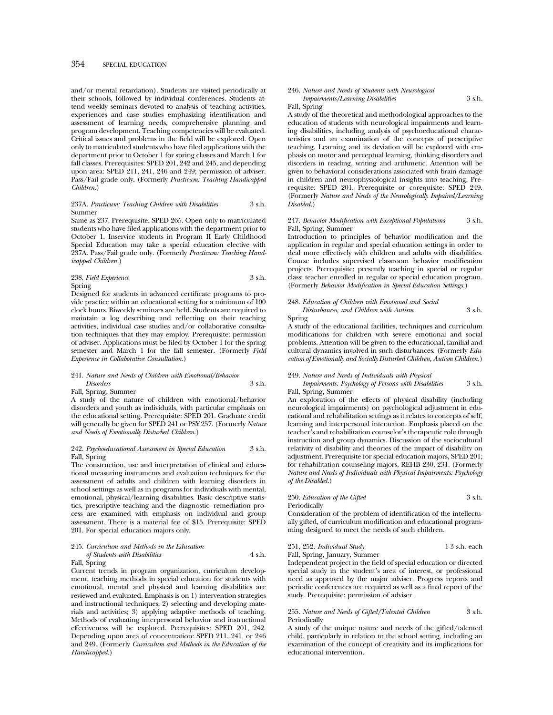## 354 SPECIAL EDUCATION

and/or mental retardation). Students are visited periodically at their schools, followed by individual conferences. Students attend weekly seminars devoted to analysis of teaching activities, experiences and case studies emphasizing identification and assessment of learning needs, comprehensive planning and program development. Teaching competencies will be evaluated. Critical issues and problems in the field will be explored. Open only to matriculated students who have filed applications with the department prior to October 1 for spring classes and March 1 for fall classes. Prerequisites: SPED 201, 242 and 245, and depending upon area: SPED 211, 241, 246 and 249; permission of adviser. Pass/Fail grade only. (Formerly *Practicum: Teaching Handicapped Children.*)

#### 237A. *Practicum: Teaching Children with Disabilities* 3 s.h. Summer

Same as 237. Prerequisite: SPED 265. Open only to matriculated students who have filed applications with the department prior to October 1. Inservice students in Program II Early Childhood Special Education may take a special education elective with 237A. Pass/Fail grade only. (Formerly *Practicum: Teaching Handicapped Children.*)

#### 238. *Field Experience* 3 s.h. Spring

Designed for students in advanced certificate programs to provide practice within an educational setting for a minimum of 100 clock hours. Biweekly seminars are held. Students are required to maintain a log describing and reflecting on their teaching activities, individual case studies and/or collaborative consultation techniques that they may employ. Prerequisite: permission of adviser. Applications must be filed by October 1 for the spring semester and March 1 for the fall semester. (Formerly *Field Experience in Collaborative Consultation*.)

#### 241. *Nature and Needs of Children with Emotional/Behavior Disorders* 3 s.h.

Fall, Spring, Summer

A study of the nature of children with emotional/behavior disorders and youth as individuals, with particular emphasis on the educational setting. Prerequisite: SPED 201. Graduate credit will generally be given for SPED 241 or PSY 257. (Formerly *Nature and Needs of Emotionally Disturbed Children.*)

#### 242. *Psychoeducational Assessment in Special Education* 3 s.h. Fall, Spring

The construction, use and interpretation of clinical and educational measuring instruments and evaluation techniques for the assessment of adults and children with learning disorders in school settings as well as in programs for individuals with mental, emotional, physical/learning disabilities. Basic descriptive statistics, prescriptive teaching and the diagnostic- remediation process are examined with emphasis on individual and group assessment. There is a material fee of \$15. Prerequisite: SPED 201. For special education majors only.

## 245. *Curriculum and Methods in the Education of Students with Disabilities* 4 s.h.

Fall, Spring

Current trends in program organization, curriculum development, teaching methods in special education for students with emotional, mental and physical and learning disabilities are reviewed and evaluated. Emphasis is on 1) intervention strategies and instructional techniques; 2) selecting and developing materials and activities; 3) applying adaptive methods of teaching. Methods of evaluating interpersonal behavior and instructional effectiveness will be explored. Prerequisites: SPED 201, 242. Depending upon area of concentration: SPED 211, 241, or 246 and 249. (Formerly *Curriculum and Methods in the Education of the Handicapped.*)

#### 246. *Nature and Needs of Students with Neurological Impairments/Learning Disabilities* 3 s.h.

Fall, Spring

A study of the theoretical and methodological approaches to the education of students with neurological impairments and learning disabilities, including analysis of psychoeducational characteristics and an examination of the concepts of prescriptive teaching. Learning and its deviation will be explored with emphasis on motor and perceptual learning, thinking disorders and disorders in reading, writing and arithmetic. Attention will be given to behavioral considerations associated with brain damage in children and neurophysiological insights into teaching. Prerequisite: SPED 201. Prerequisite or corequisite: SPED 249. (Formerly *Nature and Needs of the Neurologically Impaired/Learning Disabled.*)

#### 247. *Behavior Modification with Exceptional Populations* 3 s.h. Fall, Spring, Summer

Introduction to principles of behavior modification and the application in regular and special education settings in order to deal more effectively with children and adults with disabilities. Course includes supervised classroom behavior modification projects. Prerequisite: presently teaching in special or regular class; teacher enrolled in regular or special education program. (Formerly *Behavior Modification in Special Education Settings.*)

#### 248. *Education of Children with Emotional and Social Disturbances, and Children with Autism* 3 s.h. Spring

A study of the educational facilities, techniques and curriculum modifications for children with severe emotional and social problems. Attention will be given to the educational, familial and cultural dynamics involved in such disturbances. (Formerly *Education of Emotionally and Socially Disturbed Children, Autism Children.*)

#### 249. *Nature and Needs of Individuals with Physical*

*Impairments: Psychology of Persons with Disabilities* 3 s.h. Fall, Spring, Summer

An exploration of the effects of physical disability (including neurological impairments) on psychological adjustment in educational and rehabilitation settings as it relates to concepts of self, learning and interpersonal interaction. Emphasis placed on the teacher's and rehabilitation counselor's therapeutic role through instruction and group dynamics. Discussion of the sociocultural relativity of disability and theories of the impact of disability on adjustment. Prerequisite for special education majors, SPED 201; for rehabilitation counseling majors, REHB 230, 231. (Formerly *Nature and Needs of Individuals with Physical Impairments: Psychology of the Disabled.*)

## 250. *Education of the Gifted* 3 s.h. Periodically

Consideration of the problem of identification of the intellectually gifted, of curriculum modification and educational programming designed to meet the needs of such children.

#### 251, 252. *Individual Study* 1-3 s.h. each Fall, Spring, January, Summer

Independent project in the field of special education or directed special study in the student's area of interest, or professional need as approved by the major adviser. Progress reports and periodic conferences are required as well as a final report of the study. Prerequisite: permission of adviser.

#### 255. *Nature and Needs of Gifted/Talented Children* 3 s.h. Periodically

A study of the unique nature and needs of the gifted/talented child, particularly in relation to the school setting, including an examination of the concept of creativity and its implications for educational intervention.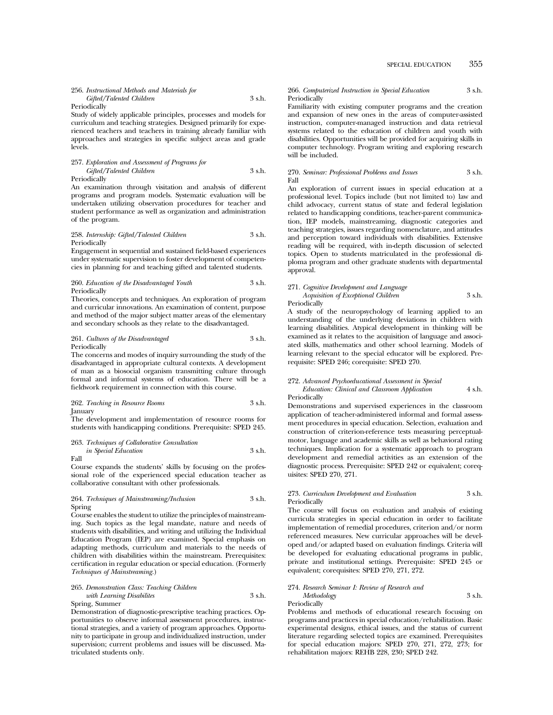256. *Instructional Methods and Materials for Gifted/Talented Children* 3 s.h. Periodically

Study of widely applicable principles, processes and models for curriculum and teaching strategies. Designed primarily for experienced teachers and teachers in training already familiar with approaches and strategies in specific subject areas and grade levels.

257. *Exploration and Assessment of Programs for Gifted/Talented Children* 3 s.h.

Periodically

An examination through visitation and analysis of different programs and program models. Systematic evaluation will be undertaken utilizing observation procedures for teacher and student performance as well as organization and administration of the program.

#### 258. *Internship: Gifted/Talented Children* 3 s.h. **Periodically**

Engagement in sequential and sustained field-based experiences under systematic supervision to foster development of competencies in planning for and teaching gifted and talented students.

260. *Education of the Disadvantaged Youth* 3 s.h. Periodically

Theories, concepts and techniques. An exploration of program and curricular innovations. An examination of content, purpose and method of the major subject matter areas of the elementary and secondary schools as they relate to the disadvantaged.

261. *Cultures of the Disadvantaged* 3 s.h. Periodically

The concerns and modes of inquiry surrounding the study of the disadvantaged in appropriate cultural contexts. A development of man as a biosocial organism transmitting culture through formal and informal systems of education. There will be a fieldwork requirement in connection with this course.

262. *Teaching in Resource Rooms* 3 s.h. January

The development and implementation of resource rooms for students with handicapping conditions. Prerequisite: SPED 245.

263. *Techniques of Collaborative Consultation in Special Education* 3 s.h. Fall

Course expands the students' skills by focusing on the professional role of the experienced special education teacher as collaborative consultant with other professionals.

264. *Techniques of Mainstreaming/Inclusion* 3 s.h. Spring

Course enables the student to utilize the principles of mainstreaming. Such topics as the legal mandate, nature and needs of students with disabilities, and writing and utilizing the Individual Education Program (IEP) are examined. Special emphasis on adapting methods, curriculum and materials to the needs of children with disabilities within the mainstream. Prerequisites: certification in regular education or special education. (Formerly *Techniques of Mainstreaming.*)

265. *Demonstration Class: Teaching Children with Learning Disabilites* 3 s.h. Spring, Summer

Demonstration of diagnostic-prescriptive teaching practices. Opportunities to observe informal assessment procedures, instructional strategies, and a variety of program approaches. Opportunity to participate in group and individualized instruction, under supervision; current problems and issues will be discussed. Matriculated students only.

266. *Computerized Instruction in Special Education* 3 s.h. **Periodically** 

Familiarity with existing computer programs and the creation and expansion of new ones in the areas of computer-assisted instruction, computer-managed instruction and data retrieval systems related to the education of children and youth with disabilities. Opportunities will be provided for acquiring skills in computer technology. Program writing and exploring research will be included.

#### 270. *Seminar: Professional Problems and Issues* 3 s.h. Fall

An exploration of current issues in special education at a professional level. Topics include (but not limited to) law and child advocacy, current status of state and federal legislation related to handicapping conditions, teacher-parent communication, IEP models, mainstreaming, diagnostic categories and teaching strategies, issues regarding nomenclature, and attitudes and perception toward individuals with disabilities. Extensive reading will be required, with in-depth discussion of selected topics. Open to students matriculated in the professional diploma program and other graduate students with departmental approval.

#### 271. *Cognitive Development and Language Acquisition of Exceptional Children* 3 s.h. Periodically

A study of the neuropsychology of learning applied to an understanding of the underlying deviations in children with learning disabilities. Atypical development in thinking will be examined as it relates to the acquisition of language and associated skills, mathematics and other school learning. Models of learning relevant to the special educator will be explored. Prerequisite: SPED 246; corequisite: SPED 270.

## 272. *Advanced Psychoeducational Assessment in Special*

*Education: Clinical and Classroom Application* 4 s.h. Periodically

Demonstrations and supervised experiences in the classroom application of teacher-administered informal and formal assessment procedures in special education. Selection, evaluation and construction of criterion-reference tests measuring perceptualmotor, language and academic skills as well as behavioral rating techniques. Implication for a systematic approach to program development and remedial activities as an extension of the diagnostic process. Prerequisite: SPED 242 or equivalent; corequisites: SPED 270, 271.

#### 273. *Curriculum Development and Evaluation* 3 s.h. Periodically

The course will focus on evaluation and analysis of existing curricula strategies in special education in order to facilitate implementation of remedial procedures, criterion and/or norm referenced measures. New curricular approaches will be developed and/or adapted based on evaluation findings. Criteria will be developed for evaluating educational programs in public, private and institutional settings. Prerequisite: SPED 245 or equivalent; corequisites: SPED 270, 271, 272.

#### 274. *Research Seminar I: Review of Research and*

*Methodology* 3 s.h. Periodically

Problems and methods of educational research focusing on programs and practices in special education/rehabilitation. Basic experimental designs, ethical issues, and the status of current literature regarding selected topics are examined. Prerequisites for special education majors: SPED 270, 271, 272, 273; for rehabilitation majors: REHB 228, 230; SPED 242.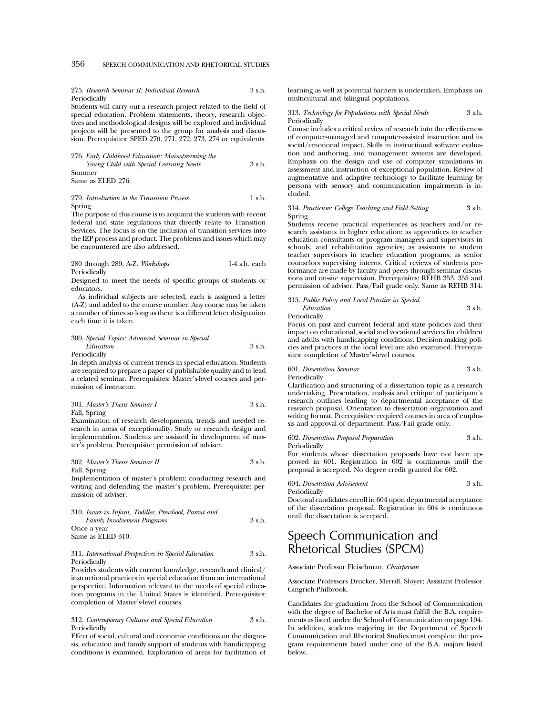## 356 SPEECH COMMUNICATION AND RHETORICAL STUDIES

| 275. Research Seminar II: Individual Research | $3$ s.h. |
|-----------------------------------------------|----------|
| Periodically                                  |          |

Students will carry out a research project related to the field of special education. Problem statements, theory, research objectives and methodological designs will be explored and individual projects will be presented to the group for analysis and discussion. Prerequisites: SPED 270, 271, 272, 273, 274 or equivalents.

276. *Early Childhood Education: Mainstreaming the Young Child with Special Learning Needs* 3 s.h. Summer Same as ELED 276.

#### 279. *Introduction to the Transition Process* 1 s.h. Spring

The purpose of this course is to acquaint the students with recent federal and state regulations that directly relate to Transition Services. The focus is on the inclusion of transition services into the IEP process and product. The problems and issues which may be encountered are also addressed.

280 through 289, A-Z. *Workshops* 1-4 s.h. each Periodically

Designed to meet the needs of specific groups of students or educators.

As individual subjects are selected, each is assigned a letter (A-Z) and added to the course number. Any course may be taken a number of times so long as there is a different letter designation each time it is taken.

300. *Special Topics: Advanced Seminar in Special Education* 3 s.h. Periodically

In-depth analysis of current trends in special education. Students are required to prepare a paper of publishable quality and to lead a related seminar. Prerequisites: Master's-level courses and permission of instructor.

301. *Master's Thesis Seminar I* 3 s.h. Fall, Spring

Examination of research developments, trends and needed research in areas of exceptionality. Study or research design and implementation. Students are assisted in development of master's problem. Prerequisite: permission of adviser.

302. *Master's Thesis Seminar II* 3 s.h. Fall, Spring

Implementation of master's problem: conducting research and writing and defending the master's problem. Prerequisite: permission of adviser.

310. *Issues in Infant, Toddler, Preschool, Parent and Family Involvement Programs* 3 s.h. Once a year

Same as ELED 310.

#### 311. *International Perspectives in Special Education* 3 s.h. Periodically

Provides students with current knowledge, research and clinical/ instructional practices in special education from an international perspective. Information relevant to the needs of special education programs in the United States is identified. Prerequisites: completion of Master's-level courses.

#### 312. *Contemporary Cultures and Special Education* 3 s.h. Periodically

Effect of social, cultural and economic conditions on the diagnosis, education and family support of students with handicapping conditions is examined. Exploration of areas for facilitation of learning as well as potential barriers is undertaken. Emphasis on multicultural and bilingual populations.

313. *Technology for Populations with Special Needs* 3 s.h. Periodically

Course includes a critical review of research into the effectiveness of computer-managed and computer-assisted instruction and its social/emotional impact. Skills in instructional software evaluation and authoring, and management systems are developed. Emphasis on the design and use of computer simulations in assessment and instruction of exceptional population. Review of augmentative and adaptive technology to facilitate learning by persons with sensory and communication impairments is included.

314. *Practicum: College Teaching and Field Setting* 3 s.h. Spring

Students receive practical experiences as teachers and/or research assistants in higher education; as apprentices to teacher education consultants or program managers and supervisors in schools, and rehabilitation agencies; as assistants to student teacher supervisors in teacher education programs; as senior counselors supervising interns. Critical reviews of students performance are made by faculty and peers through seminar discussions and on-site supervision. Prerequisites: REHB 353, 355 and permission of adviser. Pass/Fail grade only. Same as REHB 314.

#### 315. *Public Policy and Local Practice in Special Education* 3 s.h.

Periodically

Focus on past and current federal and state policies and their impact on educational, social and vocational services for children and adults with handicapping conditions. Decision-making policies and practices at the local level are also examined. Prerequisites: completion of Master's-level courses.

#### 601. *Dissertation Seminar* 3 s.h. Periodically

Clarification and structuring of a dissertation topic as a research undertaking. Presentation, analysis and critique of participant's research outlines leading to departmental acceptance of the research proposal. Orientation to dissertation organization and writing format. Prerequisites: required courses in area of emphasis and approval of department. Pass/Fail grade only.

#### 602. *Dissertation Proposal Preparation* 3 s.h. Periodically

For students whose dissertation proposals have not been approved in 601. Registration in 602 is continuous until the proposal is accepted. No degree credit granted for 602.

604. *Dissertation Advisement* 3 s.h.

Periodically

Doctoral candidates enroll in 604 upon departmental acceptance of the dissertation proposal. Registration in 604 is continuous until the dissertation is accepted.

## Speech Communication and Rhetorical Studies (SPCM)

Associate Professor Fleischman, *Chairperson*

Associate Professors Drucker, Merrill, Sloyer; Assistant Professor Gingrich-Philbrook.

Candidates for graduation from the School of Communication with the degree of Bachelor of Arts must fulfill the B.A. requirements as listed under the School of Communication on page 104. In addition, students majoring in the Department of Speech Communication and Rhetorical Studies must complete the program requirements listed under one of the B.A. majors listed below.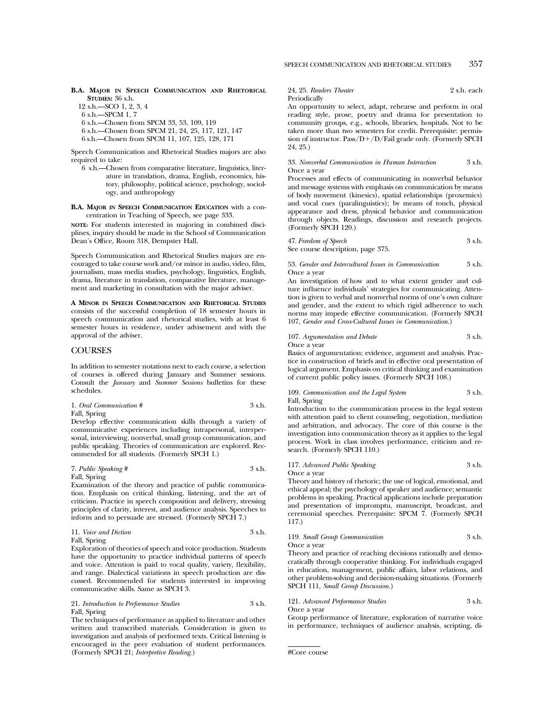**B.A. MAJOR IN SPEECH COMMUNICATION AND RHETORICAL STUDIES:** 36 s.h.

12 s.h.—SCO 1, 2, 3, 4

6 s.h.—SPCM 1, 7

6 s.h.—Chosen from SPCM 33, 53, 109, 119

6 s.h.—Chosen from SPCM 21, 24, 25, 117, 121, 147

6 s.h.—Chosen from SPCM 11, 107, 125, 128, 171

Speech Communication and Rhetorical Studies majors are also required to take:

6 s.h.—Chosen from comparative literature, linguistics, literature in translation, drama, English, economics, history, philosophy, political science, psychology, sociology, and anthropology

#### **B.A. MAJOR IN SPEECH COMMUNICATION EDUCATION** with a concentration in Teaching of Speech, see page 333.

**NOTE:** For students interested in majoring in combined disciplines, inquiry should be made in the School of Communication Dean's Office, Room 318, Dempster Hall.

Speech Communication and Rhetorical Studies majors are encouraged to take course work and/or minor in audio, video, film, journalism, mass media studies, psychology, linguistics, English, drama, literature in translation, comparative literature, management and marketing in consultation with the major adviser.

**A MINOR IN SPEECH COMMUNICATION AND RHETORICAL STUDIES** consists of the successful completion of 18 semester hours in speech communication and rhetorical studies, with at least 6 semester hours in residence, under advisement and with the approval of the adviser.

## **COURSES**

In addition to semester notations next to each course, a selection of courses is offered during January and Summer sessions. Consult the *January* and *Summer Sessions* bulletins for these schedules.

| 1. Oral Communication # | 3 s.h. |
|-------------------------|--------|
| Fall, Spring            |        |

Develop effective communication skills through a variety of communicative experiences including intrapersonal, interpersonal, interviewing, nonverbal, small group communication, and public speaking. Theories of communication are explored. Recommended for all students. (Formerly SPCH 1.)

#### 7. *Public Speaking #* 3 s.h. Fall, Spring

Examination of the theory and practice of public communication. Emphasis on critical thinking, listening, and the art of criticism. Practice in speech composition and delivery, stressing principles of clarity, interest, and audience analysis. Speeches to inform and to persuade are stressed. (Formerly SPCH 7.)

11. *Voice and Diction* 3 s.h. Fall, Spring

Exploration of theories of speech and voice production. Students have the opportunity to practice individual patterns of speech and voice. Attention is paid to vocal quality, variety, flexibility, and range. Dialectical variations in speech production are discussed. Recommended for students interested in improving communicative skills. Same as SPCH 3.

21. *Introduction to Performance Studies* 3 s.h. Fall, Spring

The techniques of performance as applied to literature and other written and transcribed materials. Consideration is given to investigation and analysis of performed texts. Critical listening is encouraged in the peer evaluation of student performances. (Formerly SPCH 21; *Interpretive Reading.*)

24, 25. *Readers Theater* 2 s.h. each Periodically

An opportunity to select, adapt, rehearse and perform in oral reading style, prose, poetry and drama for presentation to community groups, e.g., schools, libraries, hospitals. Not to be taken more than two semesters for credit. Prerequisite: permission of instructor. Pass/D+/D/Fail grade only. (Formerly SPCH 24, 25.)

33. *Nonverbal Communication in Human Interaction* 3 s.h. Once a year

Processes and effects of communicating in nonverbal behavior and message systems with emphasis on communication by means of body movement (kinesics), spatial relationships (proxemics) and vocal cues (paralinguistics); by means of touch, physical appearance and dress, physical behavior and communication through objects. Readings, discussion and research projects. (Formerly SPCH 120.)

47. *Freedom of Speech* 3 s.h. See course description, page 375.

53. *Gender and Intercultural Issues in Communication* 3 s.h. Once a year

An investigation of how and to what extent gender and culture influence individuals' strategies for communicating. Attention is given to verbal and nonverbal norms of one's own culture and gender, and the extent to which rigid adherence to such norms may impede effective communication. (Formerly SPCH 107, *Gender and Cross-Cultural Issues in Communication.*)

107. *Argumentation and Debate* 3 s.h. Once a year

Basics of argumentation; evidence, argument and analysis. Practice in construction of briefs and in effective oral presentation of logical argument. Emphasis on critical thinking and examination of current public policy issues. (Formerly SPCH 108.)

109. *Communication and the Legal System* 3 s.h. Fall, Spring

Introduction to the communication process in the legal system with attention paid to client counseling, negotiation, mediation and arbitration, and advocacy. The core of this course is the investigation into communication theory as it applies to the legal process. Work in class involves performance, criticism and research. (Formerly SPCH 110.)

117. *Advanced Public Speaking* 3 s.h. Once a year

Theory and history of rhetoric; the use of logical, emotional, and ethical appeal; the psychology of speaker and audience; semantic problems in speaking. Practical applications include preparation and presentation of impromptu, manuscript, broadcast, and ceremonial speeches. Prerequisite: SPCM 7. (Formerly SPCH 117.)

119. *Small Group Communication* 3 s.h. Once a year

Theory and practice of reaching decisions rationally and democratically through cooperative thinking. For individuals engaged in education, management, public affairs, labor relations, and other problem-solving and decision-making situations. (Formerly SPCH 111, *Small Group Discussion.*)

121. *Advanced Performance Studies* 3 s.h. Once a year

Group performance of literature, exploration of narrative voice in performance, techniques of audience analysis, scripting, di-

<sup>#</sup>Core course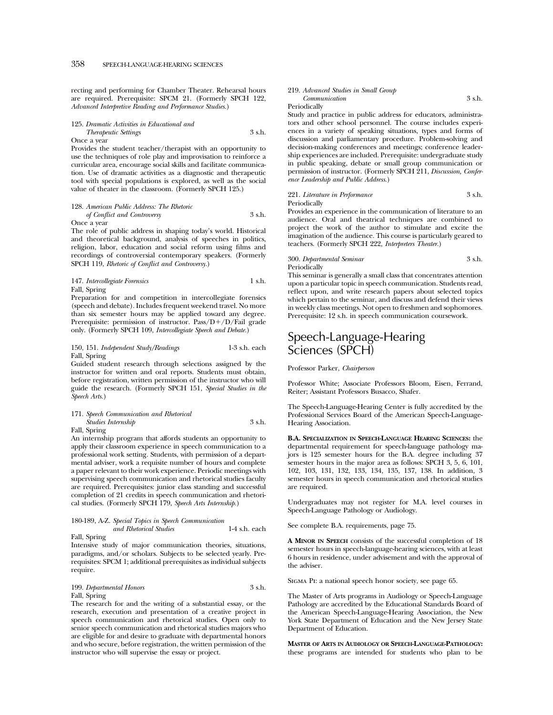## 358 SPEECH-LANGUAGE-HEARING SCIENCES

recting and performing for Chamber Theater. Rehearsal hours are required. Prerequisite: SPCM 21. (Formerly SPCH 122, *Advanced Interpretive Reading and Performance Studies.*)

#### 125. *Dramatic Activities in Educational and Therapeutic Settings* 3 s.h.

#### Once a year

Provides the student teacher/therapist with an opportunity to use the techniques of role play and improvisation to reinforce a curricular area, encourage social skills and facilitate communication. Use of dramatic activities as a diagnostic and therapeutic tool with special populations is explored, as well as the social value of theater in the classroom. (Formerly SPCH 125.)

128. *American Public Address: The Rhetoric of Conflict and Controversy* 3 s.h.

Once a year

The role of public address in shaping today's world. Historical and theoretical background, analysis of speeches in politics, religion, labor, education and social reform using films and recordings of controversial contemporary speakers. (Formerly SPCH 119, *Rhetoric of Conflict and Controversy.*)

147. *Intercollegiate Forensics* 1 s.h. Fall, Spring

Preparation for and competition in intercollegiate forensics (speech and debate). Includes frequent weekend travel. No more than six semester hours may be applied toward any degree. Prerequisite: permission of instructor.  $Pass/D+/D/Fail$  grade only. (Formerly SPCH 109, *Intercollegiate Speech and Debate.*)

#### 150, 151. *Independent Study/Readings* 1-3 s.h. each Fall, Spring

Guided student research through selections assigned by the instructor for written and oral reports. Students must obtain, before registration, written permission of the instructor who will guide the research. (Formerly SPCH 151, *Special Studies in the Speech Arts.*)

## 171. *Speech Communication and Rhetorical Studies Internship* 3 s.h.

Fall, Spring

An internship program that affords students an opportunity to apply their classroom experience in speech communication to a professional work setting. Students, with permission of a departmental adviser, work a requisite number of hours and complete a paper relevant to their work experience. Periodic meetings with supervising speech communication and rhetorical studies faculty are required. Prerequisites: junior class standing and successful completion of 21 credits in speech communication and rhetorical studies. (Formerly SPCH 179, *Speech Arts Internship.*)

## 180-189, A-Z. *Special Topics in Speech Communication and Rhetorical Studies* 1-4 s.h. each

Fall, Spring

Intensive study of major communication theories, situations, paradigms, and/or scholars. Subjects to be selected yearly. Prerequisites: SPCM 1; additional prerequisites as individual subjects require.

## 199. *Departmental Honors* 3 s.h. Fall, Spring

The research for and the writing of a substantial essay, or the research, execution and presentation of a creative project in speech communication and rhetorical studies. Open only to senior speech communication and rhetorical studies majors who are eligible for and desire to graduate with departmental honors and who secure, before registration, the written permission of the instructor who will supervise the essay or project.

219. *Advanced Studies in Small Group Communication* 3 s.h.

#### Periodically

Study and practice in public address for educators, administrators and other school personnel. The course includes experiences in a variety of speaking situations, types and forms of discussion and parliamentary procedure. Problem-solving and decision-making conferences and meetings; conference leadership experiences are included. Prerequisite: undergraduate study in public speaking, debate or small group communication or permission of instructor. (Formerly SPCH 211, *Discussion, Conference Leadership and Public Address.*)

#### 221. *Literature in Performance* 3 s.h. Periodically

Provides an experience in the communication of literature to an audience. Oral and theatrical techniques are combined to project the work of the author to stimulate and excite the imagination of the audience. This course is particularly geared to teachers. (Formerly SPCH 222, *Interpreters Theater.*)

## 300. *Departmental Seminar* 3 s.h. Periodically

This seminar is generally a small class that concentrates attention upon a particular topic in speech communication. Students read, reflect upon, and write research papers about selected topics which pertain to the seminar, and discuss and defend their views in weekly class meetings. Not open to freshmen and sophomores. Prerequisite: 12 s.h. in speech communication coursework.

## Speech-Language-Hearing Sciences (SPCH)

#### Professor Parker, *Chairperson*

Professor White; Associate Professors Bloom, Eisen, Ferrand, Reiter; Assistant Professors Busacco, Shafer.

The Speech-Language-Hearing Center is fully accredited by the Professional Services Board of the American Speech-Language-Hearing Association.

**B.A. SPECIALIZATION IN SPEECH-LANGUAGE HEARING SCIENCES:** the departmental requirement for speech-language pathology majors is 125 semester hours for the B.A. degree including 37 semester hours in the major area as follows: SPCH 3, 5, 6, 101, 102, 103, 131, 132, 133, 134, 135, 137, 138. In addition, 3 semester hours in speech communication and rhetorical studies are required.

Undergraduates may not register for M.A. level courses in Speech-Language Pathology or Audiology.

See complete B.A. requirements, page 75.

**A MINOR IN SPEECH** consists of the successful completion of 18 semester hours in speech-language-hearing sciences, with at least 6 hours in residence, under advisement and with the approval of the adviser.

SIGMA PI: a national speech honor society, see page 65.

The Master of Arts programs in Audiology or Speech-Language Pathology are accredited by the Educational Standards Board of the American Speech-Language-Hearing Association, the New York State Department of Education and the New Jersey State Department of Education.

**MASTER OF ARTS IN AUDIOLOGY OR SPEECH-LANGUAGE-PATHOLOGY:** these programs are intended for students who plan to be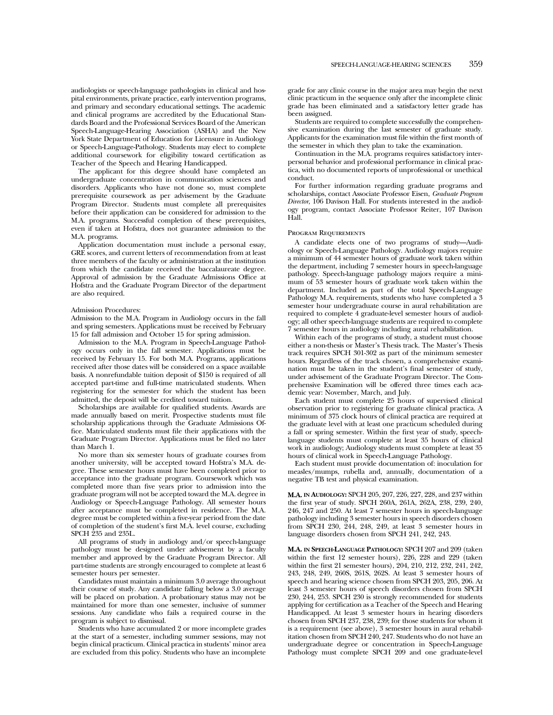audiologists or speech-language pathologists in clinical and hospital environments, private practice, early intervention programs, and primary and secondary educational settings. The academic and clinical programs are accredited by the Educational Standards Board and the Professional Services Board of the American Speech-Language-Hearing Association (ASHA) and the New York State Department of Education for Licensure in Audiology or Speech-Language-Pathology. Students may elect to complete additional coursework for eligibility toward certification as Teacher of the Speech and Hearing Handicapped.

The applicant for this degree should have completed an undergraduate concentration in communication sciences and disorders. Applicants who have not done so, must complete prerequisite coursework as per advisement by the Graduate Program Director. Students must complete all prerequisites before their application can be considered for admission to the M.A. programs. Successful completion of these prerequisites, even if taken at Hofstra, does not guarantee admission to the M.A. programs.

Application documentation must include a personal essay, GRE scores, and current letters of recommendation from at least three members of the faculty or administration at the institution from which the candidate received the baccalaureate degree. Approval of admission by the Graduate Admissions Office at Hofstra and the Graduate Program Director of the department are also required.

#### Admission Procedures:

Admission to the M.A. Program in Audiology occurs in the fall and spring semesters. Applications must be received by February 15 for fall admission and October 15 for spring admission.

Admission to the M.A. Program in Speech-Language Pathology occurs only in the fall semester. Applications must be received by February 15. For both M.A. Programs, applications received after those dates will be considered on a space available basis. A nonrefundable tuition deposit of \$150 is required of all accepted part-time and full-time matriculated students. When registering for the semester for which the student has been admitted, the deposit will be credited toward tuition.

Scholarships are available for qualified students. Awards are made annually based on merit. Prospective students must file scholarship applications through the Graduate Admissions Office. Matriculated students must file their applications with the Graduate Program Director. Applications must be filed no later than March 1.

No more than six semester hours of graduate courses from another university, will be accepted toward Hofstra's M.A. degree. These semester hours must have been completed prior to acceptance into the graduate program. Coursework which was completed more than five years prior to admission into the graduate program will not be accepted toward the M.A. degree in Audiology or Speech-Language Pathology. All semester hours after acceptance must be completed in residence. The M.A. degree must be completed within a five-year period from the date of completion of the student's first M.A. level course, excluding SPCH 235 and 235L.

All programs of study in audiology and/or speech-language pathology must be designed under advisement by a faculty member and approved by the Graduate Program Director. All part-time students are strongly encouraged to complete at least 6 semester hours per semester.

Candidates must maintain a minimum 3.0 average throughout their course of study. Any candidate falling below a 3.0 average will be placed on probation. A probationary status may not be maintained for more than one semester, inclusive of summer sessions. Any candidate who fails a required course in the program is subject to dismissal.

Students who have accumulated 2 or more incomplete grades at the start of a semester, including summer sessions, may not begin clinical practicum. Clinical practica in students' minor area are excluded from this policy. Students who have an incomplete

grade for any clinic course in the major area may begin the next clinic practicum in the sequence only after the incomplete clinic grade has been eliminated and a satisfactory letter grade has been assigned.

Students are required to complete successfully the comprehensive examination during the last semester of graduate study. Applicants for the examination must file within the first month of the semester in which they plan to take the examination.

Continuation in the M.A. programs requires satisfactory interpersonal behavior and professional performance in clinical practica, with no documented reports of unprofessional or unethical conduct.

For further information regarding graduate programs and scholarships, contact Associate Professor Eisen, *Graduate Program Director*, 106 Davison Hall. For students interested in the audiology program, contact Associate Professor Reiter, 107 Davison Hall.

#### Program Requirements

A candidate elects one of two programs of study—Audiology or Speech-Language Pathology. Audiology majors require a minimum of 44 semester hours of graduate work taken within the department, including 7 semester hours in speech-language pathology. Speech-language pathology majors require a minimum of 53 semester hours of graduate work taken within the department. Included as part of the total Speech-Language Pathology M.A. requirements, students who have completed a 3 semester hour undergraduate course in aural rehabilitation are required to complete 4 graduate-level semester hours of audiology; all other speech-language students are required to complete 7 semester hours in audiology including aural rehabilitation.

Within each of the programs of study, a student must choose either a non-thesis or Master's Thesis track. The Master's Thesis track requires SPCH 301-302 as part of the minimum semester hours. Regardless of the track chosen, a comprehensive examination must be taken in the student's final semester of study, under advisement of the Graduate Program Director. The Comprehensive Examination will be offered three times each academic year: November, March, and July.

Each student must complete 25 hours of supervised clinical observation prior to registering for graduate clinical practica. A minimum of 375 clock hours of clinical practica are required at the graduate level with at least one practicum scheduled during a fall or spring semester. Within the first year of study, speechlanguage students must complete at least 35 hours of clinical work in audiology; Audiology students must complete at least 35 hours of clinical work in Speech-Language Pathology.

Each student must provide documentation of: inoculation for measles/mumps, rubella and, annually, documentation of a negative TB test and physical examination.

**M.A. IN AUDIOLOGY:** SPCH 205, 207, 226, 227, 228, and 237 within the first year of study. SPCH 260A, 261A, 262A, 238, 239, 240, 246, 247 and 250. At least 7 semester hours in speech-language pathology including 3 semester hours in speech disorders chosen from SPCH 230, 244, 248, 249, at least 3 semester hours in language disorders chosen from SPCH 241, 242, 243.

**M.A. IN SPEECH-LANGUAGE PATHOLOGY:** SPCH 207 and 209 (taken within the first 12 semester hours), 226, 228 and 229 (taken within the first 21 semester hours), 204, 210, 212, 232, 241, 242, 243, 248, 249, 260S, 261S, 262S. At least 3 semester hours of speech and hearing science chosen from SPCH 203, 205, 206. At least 3 semester hours of speech disorders chosen from SPCH 230, 244, 253. SPCH 230 is strongly recommended for students applying for certification as a Teacher of the Speech and Hearing Handicapped. At least 3 semester hours in hearing disorders chosen from SPCH 237, 238, 239; for those students for whom it is a requirement (see above), 3 semester hours in aural rehabilitation chosen from SPCH 240, 247. Students who do not have an undergraduate degree or concentration in Speech-Language Pathology must complete SPCH 209 and one graduate-level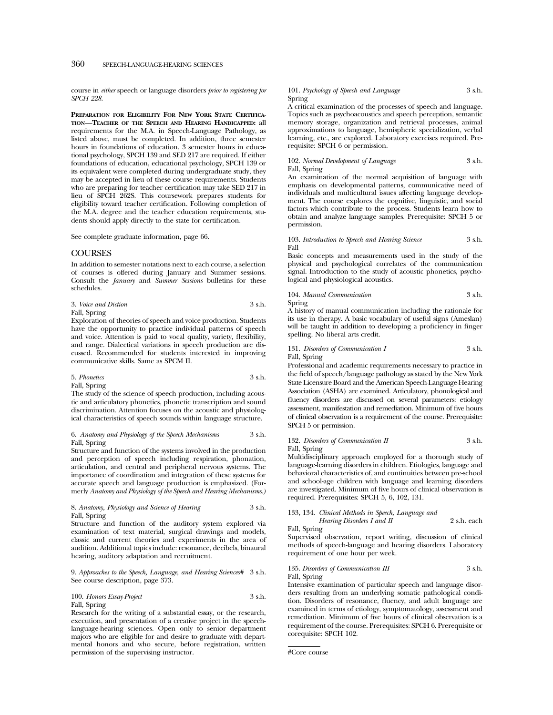## 360 SPEECH-LANGUAGE-HEARING SCIENCES

course in *either* speech or language disorders *prior to registering for SPCH 228*.

**PREPARATION FOR ELIGIBILITY FOR NEW YORK STATE CERTIFICA-TION—TEACHER OF THE SPEECH AND HEARING HANDICAPPED:** all requirements for the M.A. in Speech-Language Pathology, as listed above, must be completed. In addition, three semester hours in foundations of education, 3 semester hours in educational psychology, SPCH 139 and SED 217 are required. If either foundations of education, educational psychology, SPCH 139 or its equivalent were completed during undergraduate study, they may be accepted in lieu of these course requirements. Students who are preparing for teacher certification may take SED 217 in lieu of SPCH 262S. This coursework prepares students for eligibility toward teacher certification. Following completion of the M.A. degree and the teacher education requirements, students should apply directly to the state for certification.

See complete graduate information, page 66.

### **COURSES**

In addition to semester notations next to each course, a selection of courses is offered during January and Summer sessions. Consult the *January* and *Summer Sessions* bulletins for these schedules.

| 3. Voice and Diction | 3 s.h. |
|----------------------|--------|
| Fall, Spring         |        |

Exploration of theories of speech and voice production. Students have the opportunity to practice individual patterns of speech and voice. Attention is paid to vocal quality, variety, flexibility, and range. Dialectical variations in speech production are discussed. Recommended for students interested in improving communicative skills. Same as SPCM II.

5. *Phonetics* 3 s.h. Fall, Spring

The study of the science of speech production, including acoustic and articulatory phonetics, phonetic transcription and sound discrimination. Attention focuses on the acoustic and physiological characteristics of speech sounds within language structure.

#### 6. *Anatomy and Physiology of the Speech Mechanisms* 3 s.h. Fall, Spring

Structure and function of the systems involved in the production and perception of speech including respiration, phonation, articulation, and central and peripheral nervous systems. The importance of coordination and integration of these systems for accurate speech and language production is emphasized. (Formerly *Anatomy and Physiology of the Speech and Hearing Mechanisms.)*

#### 8. *Anatomy, Physiology and Science of Hearing* 3 s.h. Fall, Spring

Structure and function of the auditory system explored via examination of text material, surgical drawings and models, classic and current theories and experiments in the area of audition. Additional topics include: resonance, decibels, binaural hearing, auditory adaptation and recruitment.

#### 9. *Approaches to the Speech, Language, and Hearing Sciences#* 3 s.h. See course description, page 373.

100. *Honors Essay-Project* 3 s.h. Fall, Spring

Research for the writing of a substantial essay, or the research, execution, and presentation of a creative project in the speechlanguage-hearing sciences. Open only to senior department majors who are eligible for and desire to graduate with departmental honors and who secure, before registration, written permission of the supervising instructor.

#### 101. *Psychology of Speech and Language* 3 s.h. Spring

A critical examination of the processes of speech and language. Topics such as psychoacoustics and speech perception, semantic memory storage, organization and retrieval processes, animal approximations to language, hemispheric specialization, verbal learning, etc., are explored. Laboratory exercises required. Prerequisite: SPCH 6 or permission.

#### 102. *Normal Development of Language* 3 s.h. Fall, Spring

An examination of the normal acquisition of language with emphasis on developmental patterns, communicative need of individuals and multicultural issues affecting language development. The course explores the cognitive, linguistic, and social factors which contribute to the process. Students learn how to obtain and analyze language samples. Prerequisite: SPCH 5 or permission.

103. *Introduction to Speech and Hearing Science* 3 s.h. Fall

Basic concepts and measurements used in the study of the physical and psychological correlates of the communication signal. Introduction to the study of acoustic phonetics, psychological and physiological acoustics.

104. *Manual Communication* 3 s.h. Spring

A history of manual communication including the rationale for its use in therapy. A basic vocabulary of useful signs (Ameslan) will be taught in addition to developing a proficiency in finger spelling. No liberal arts credit.

131. *Disorders of Communication I* 3 s.h. Fall, Spring

Professional and academic requirements necessary to practice in the field of speech/language pathology as stated by the New York State Licensure Board and the American Speech-Language-Hearing Association (ASHA) are examined. Articulatory, phonological and fluency disorders are discussed on several parameters: etiology assessment, manifestation and remediation. Minimum of five hours of clinical observation is a requirement of the course. Prerequisite: SPCH 5 or permission.

#### 132. *Disorders of Communication II* 3 s.h. Fall, Spring

Multidisciplinary approach employed for a thorough study of language-learning disorders in children. Etiologies, language and behavioral characteristics of, and continuities between pre-school and school-age children with language and learning disorders are investigated. Minimum of five hours of clinical observation is required. Prerequisites: SPCH 5, 6, 102, 131.

## 133, 134. *Clinical Methods in Speech, Language and*

*Hearing Disorders I and II* 2 s.h. each Fall, Spring

Supervised observation, report writing, discussion of clinical methods of speech-language and hearing disorders. Laboratory requirement of one hour per week.

#### 135. *Disorders of Communication III* 3 s.h. Fall, Spring

Intensive examination of particular speech and language disorders resulting from an underlying somatic pathological condition. Disorders of resonance, fluency, and adult language are examined in terms of etiology, symptomatology, assessment and remediation. Minimum of five hours of clinical observation is a requirement of the course. Prerequisites: SPCH 6. Prerequisite or corequisite: SPCH 102.

```
#Core course
```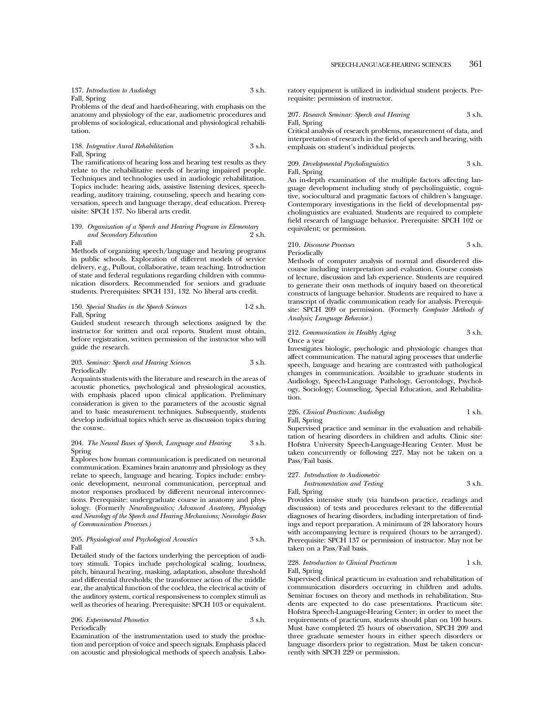137. *Introduction to Audiology* 3 s.h. Fall, Spring

Problems of the deaf and hard-of-hearing, with emphasis on the anatomy and physiology of the ear, audiometric procedures and problems of sociological, educational and physiological rehabilitation.

138. *Integrative Aural Rehabilitation* 3 s.h. Fall, Spring

The ramifications of hearing loss and hearing test results as they relate to the rehabilitative needs of hearing impaired people. Techniques and technologies used in audiologic rehabilitation. Topics include: hearing aids, assistive listening devices, speechreading, auditory training, counseling, speech and hearing conversation, speech and language therapy, deaf education. Prerequisite: SPCH 137. No liberal arts credit.

#### 139. *Organization of a Speech and Hearing Program in Elementary and Secondary Education* Fall

Methods of organizing speech/language and hearing programs in public schools. Exploration of different models of service delivery, e.g., Pullout, collaborative, team teaching. Introduction of state and federal regulations regarding children with communication disorders. Recommended for seniors and graduate students. Prerequisites: SPCH 131, 132. No liberal arts credit.

150. *Special Studies in the Speech Sciences* 1-2 s.h. Fall, Spring

Guided student research through selections assigned by the instructor for written and oral reports. Student must obtain, before registration, written permission of the instructor who will guide the research.

#### 203. *Seminar: Speech and Hearing Sciences* 3 s.h. Periodically

Acquaints students with the literature and research in the areas of acoustic phonetics, psychological and physiological acoustics, with emphasis placed upon clinical application. Preliminary consideration is given to the parameters of the acoustic signal and to basic measurement techniques. Subsequently, students develop individual topics which serve as discussion topics during the course.

#### 204. *The Neural Bases of Speech, Language and Hearing* 3 s.h. Spring

Explores how human communication is predicated on neuronal communication. Examines brain anatomy and physiology as they relate to speech, language and hearing. Topics include: embryonic development, neuronal communication, perceptual and motor responses produced by different neuronal interconnections. Prerequisite: undergraduate course in anatomy and physiology. (Formerly *Neurolingusitics; Advanced Anatomy, Physiology and Neurology of the Speech and Hearing Mechanisms; Neurologic Bases of Communication Processes.)*

#### 205. *Physiological and Psychological Acoustics* 3 s.h. Fall

Detailed study of the factors underlying the perception of auditory stimuli. Topics include psychological scaling, loudness, pitch, binaural hearing, masking, adaptation, absolute threshold and differential thresholds; the transformer action of the middle ear, the analytical function of the cochlea, the electrical activity of the auditory system, cortical responsiveness to complex stimuli as well as theories of hearing. Prerequisite: SPCH 103 or equivalent.

206. *Experimental Phonetics* 3 s.h. Periodically

Examination of the instrumentation used to study the production and perception of voice and speech signals. Emphasis placed on acoustic and physiological methods of speech analysis. Laboratory equipment is utilized in individual student projects. Prerequisite: permission of instructor.

207. *Research Seminar: Speech and Hearing* 3 s.h. Fall, Spring

Critical analysis of research problems, measurement of data, and interpretation of research in the field of speech and hearing, with emphasis on student's individual projects.

209. *Developmental Psycholinguistics* 3 s.h. Fall, Spring

An in-depth examination of the multiple factors affecting language development including study of psycholinguistic, cognitive, sociocultural and pragmatic factors of children's language. Contemporary investigations in the field of developmental psycholinguistics are evaluated. Students are required to complete field research of language behavior. Prerequisite: SPCH 102 or equivalent; or permission.

## 210. *Discourse Processes* 3 s.h. Periodically

Methods of computer analysis of normal and disordered discourse including interpretation and evaluation. Course consists of lecture, discussion and lab experience. Students are required to generate their own methods of inquiry based on theoretical constructs of language behavior. Students are required to have a transcript of dyadic communication ready for analysis. Prerequisite: SPCH 209 or permission. (Formerly *Computer Methods of Analysis; Language Behavior.*)

#### 212. *Communication in Healthy Aging* 3 s.h. Once a year

Investigates biologic, psychologic and physiologic changes that affect communication. The natural aging processes that underlie speech, language and hearing are contrasted with pathological changes in communication. Available to graduate students in Audiology, Speech-Language Pathology, Gerontology, Psychology, Sociology; Counseling, Special Education, and Rehabilitation.

#### 226. *Clinical Practicum: Audiology* 1 s.h. Fall, Spring

Supervised practice and seminar in the evaluation and rehabilitation of hearing disorders in children and adults. Clinic site: Hofstra University Speech-Language-Hearing Center. Must be taken concurrently or following 227. May not be taken on a Pass/Fail basis.

#### 227. *Introduction to Audiometric*

*Instrumentation and Testing* 3 s.h. Fall, Spring

Provides intensive study (via hands-on practice, readings and discussion) of tests and procedures relevant to the differential diagnoses of hearing disorders, including interpretation of findings and report preparation. A minimum of 28 laboratory hours with accompanying lecture is required (hours to be arranged). Prerequisite: SPCH 137 or permission of instructor. May not be taken on a Pass/Fail basis.

#### 228. *Introduction to Clinical Practicum* 1 s.h. Fall, Spring

Supervised clinical practicum in evaluation and rehabilitation of communication disorders occurring in children and adults. Seminar focuses on theory and methods in rehabilitation. Students are expected to do case presentations. Practicum site: Hofstra Speech-Language-Hearing Center; in order to meet the requirements of practicum, students should plan on 100 hours. Must have completed 25 hours of observation, SPCH 209 and three graduate semester hours in either speech disorders or language disorders prior to registration. Must be taken concurrently with SPCH 229 or permission.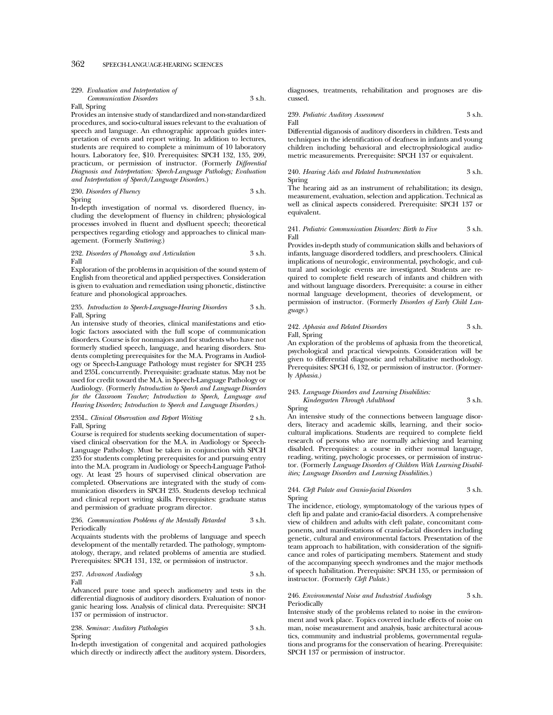## 362 SPEECH-LANGUAGE-HEARING SCIENCES

#### 229. *Evaluation and Interpretation of Communication Disorders* 3 s.h.

## Fall, Spring

Provides an intensive study of standardized and non-standardized procedures, and socio-cultural issues relevant to the evaluation of speech and language. An ethnographic approach guides interpretation of events and report writing. In addition to lectures, students are required to complete a minimum of 10 laboratory hours. Laboratory fee, \$10. Prerequisites: SPCH 132, 135, 209, practicum, or permission of instructor. (Formerly *Differential Diagnosis and Interpretation: Speech-Language Pathology; Evaluation and Interpretation of Speech/Language Disorders*.)

230. *Disorders of Fluency* 3 s.h. Spring

In-depth investigation of normal vs. disordered fluency, including the development of fluency in children; physiological processes involved in fluent and dysfluent speech; theoretical perspectives regarding etiology and approaches to clinical management. (Formerly *Stuttering*.)

#### 232. *Disorders of Phonology and Articulation* 3 s.h. Fall

Exploration of the problems in acquisition of the sound system of English from theoretical and applied perspectives. Consideration is given to evaluation and remediation using phonetic, distinctive feature and phonological approaches.

#### 235. *Introduction to Speech-Language-Hearing Disorders* 3 s.h. Fall, Spring

An intensive study of theories, clinical manifestations and etiologic factors associated with the full scope of communication disorders. Course is for nonmajors and for students who have not formerly studied speech, language, and hearing disorders. Students completing prerequisites for the M.A. Programs in Audiology or Speech-Language Pathology must register for SPCH 235 and 235L concurrently. Prerequisite: graduate status. May not be used for credit toward the M.A. in Speech-Language Pathology or Audiology. (Formerly *Introduction to Speech and Language Disorders for the Classroom Teacher; Introduction to Speech, Language and Hearing Disorders; Introduction to Speech and Language Disorders.)*

#### 235L. *Clinical Observation and Report Writing* 2 s.h. Fall, Spring

Course is required for students seeking documentation of supervised clinical observation for the M.A. in Audiology or Speech-Language Pathology. Must be taken in conjunction with SPCH 235 for students completing prerequisites for and pursuing entry into the M.A. program in Audiology or Speech-Language Pathology. At least 25 hours of supervised clinical observation are completed. Observations are integrated with the study of communication disorders in SPCH 235. Students develop technical and clinical report writing skills. Prerequisites: graduate status and permission of graduate program director.

#### 236. *Communication Problems of the Mentally Retarded* 3 s.h. **Periodically**

Acquaints students with the problems of language and speech development of the mentally retarded. The pathology, symptomatology, therapy, and related problems of amentia are studied. Prerequisites: SPCH 131, 132, or permission of instructor.

237. *Advanced Audiology* 3 s.h. Fall

Advanced pure tone and speech audiometry and tests in the differential diagnosis of auditory disorders. Evaluation of nonorganic hearing loss. Analysis of clinical data. Prerequisite: SPCH 137 or permission of instructor.

## 238. *Seminar: Auditory Pathologies* 3 s.h. Spring

In-depth investigation of congenital and acquired pathologies which directly or indirectly affect the auditory system. Disorders,

diagnoses, treatments, rehabilitation and prognoses are discussed.

### 239. *Pediatric Auditory Assessment* 3 s.h. Fall

Differential diganosis of auditory disorders in children. Tests and techniques in the identification of deafness in infants and young children including behavioral and electrophysiological audiometric measurements. Prerequisite: SPCH 137 or equivalent.

#### 240. *Hearing Aids and Related Instrumentation* 3 s.h. Spring

The hearing aid as an instrument of rehabilitation; its design, measurement, evaluation, selection and application. Technical as well as clinical aspects considered. Prerequisite: SPCH 137 or equivalent.

#### 241. *Pediatric Communication Disorders: Birth to Five* 3 s.h. Fall

Provides in-depth study of communication skills and behaviors of infants, language disordered toddlers, and preschoolers. Clinical implications of neurologic, environmental, psychologic, and cultural and sociologic events are investigated. Students are required to complete field research of infants and children with and without language disorders. Prerequisite: a course in either normal language development, theories of development, or permission of instructor. (Formerly *Disorders of Early Child Language.*)

## 242. *Aphasia and Related Disorders* 3 s.h. Fall, Spring

An exploration of the problems of aphasia from the theoretical, psychological and practical viewpoints. Consideration will be given to differential diagnostic and rehabilitative methodology. Prerequisites: SPCH 6, 132, or permission of instructor. (Formerly *Aphasia.)*

## 243. *Language Disorders and Learning Disabilities: Kindergarten Through Adulthood* 3 s.h.

Spring An intensive study of the connections between language disorders, literacy and academic skills, learning, and their sociocultural implications. Students are required to complete field research of persons who are normally achieving and learning disabled. Prerequisites: a course in either normal language, reading, writing, psychologic processes, or permission of instructor. (Formerly *Language Disorders of Children With Learning Disabilities; Language Disorders and Learning Disabilities.*)

#### 244. *Cleft Palate and Cranio-facial Disorders* 3 s.h. Spring

The incidence, etiology, symptomatology of the various types of cleft lip and palate and cranio-facial disorders. A comprehensive view of children and adults with cleft palate, concomitant components, and manifestations of cranio-facial disorders including genetic, cultural and environmental factors. Presentation of the team approach to habilitation, with consideration of the significance and roles of participating members. Statement and study of the accompanying speech syndromes and the major methods of speech habilitation. Prerequisite: SPCH 135, or permission of instructor. (Formerly *Cleft Palate*.)

#### 246. *Environmental Noise and Industrial Audiology* 3 s.h. Periodically

Intensive study of the problems related to noise in the environment and work place. Topics covered include effects of noise on man, noise measurement and analysis, basic architectural acoustics, community and industrial problems, governmental regulations and programs for the conservation of hearing. Prerequisite: SPCH 137 or permission of instructor.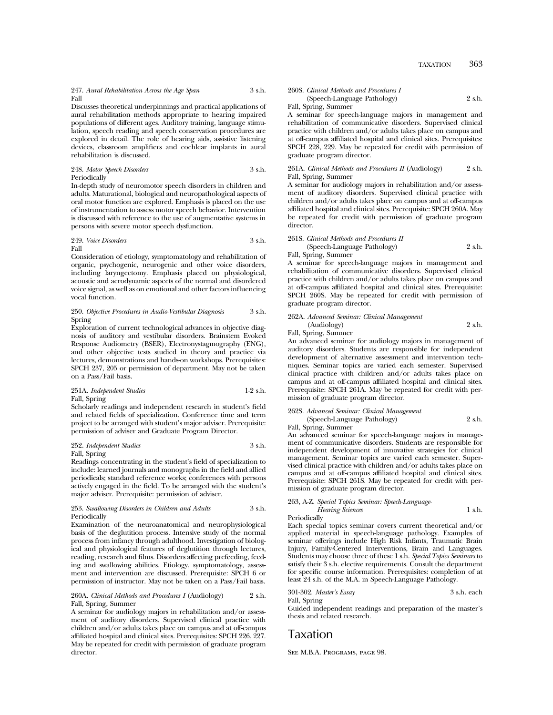Discusses theoretical underpinnings and practical applications of aural rehabilitation methods appropriate to hearing impaired populations of different ages. Auditory training, language stimulation, speech reading and speech conservation procedures are explored in detail. The role of hearing aids, assistive listening devices, classroom amplifiers and cochlear implants in aural rehabilitation is discussed.

248. *Motor Speech Disorders* 3 s.h. Periodically

In-depth study of neuromotor speech disorders in children and adults. Maturational, biological and neuropathological aspects of oral motor function are explored. Emphasis is placed on the use of instrumentation to assess motor speech behavior. Intervention is discussed with reference to the use of augmentative systems in persons with severe motor speech dysfunction.

#### 249. *Voice Disorders* 3 s.h. Fall

Consideration of etiology, symptomatology and rehabilitation of organic, psychogenic, neurogenic and other voice disorders, including laryngectomy. Emphasis placed on physiological, acoustic and aerodynamic aspects of the normal and disordered voice signal, as well as on emotional and other factors influencing vocal function.

#### 250. *Objective Procedures in Audio-Vestibular Diagnosis* 3 s.h. Spring

Exploration of current technological advances in objective diagnosis of auditory and vestibular disorders. Brainstem Evoked Response Audiometry (BSER), Electronystagmography (ENG), and other objective tests studied in theory and practice via lectures, demonstrations and hands-on workshops. Prerequisites: SPCH 237, 205 or permission of department. May not be taken on a Pass/Fail basis.

251A. *Independent Studies* 1-2 s.h. Fall, Spring

Scholarly readings and independent research in student's field and related fields of specialization. Conference time and term project to be arranged with student's major adviser. Prerequisite: permission of adviser and Graduate Program Director.

252. *Independent Studies* 3 s.h. Fall, Spring

Readings concentrating in the student's field of specialization to include: learned journals and monographs in the field and allied periodicals; standard reference works; conferences with persons actively engaged in the field. To be arranged with the student's major adviser. Prerequisite: permission of adviser.

#### 253. *Swallowing Disorders in Children and Adults* 3 s.h. Periodically

Examination of the neuroanatomical and neurophysiological basis of the deglutition process. Intensive study of the normal process from infancy through adulthood. Investigation of biological and physiological features of deglutition through lectures, reading, research and films. Disorders affecting prefeeding, feeding and swallowing abilities. Etiology, symptomatology, assessment and intervention are discussed. Prerequisite: SPCH 6 or permission of instructor. May not be taken on a Pass/Fail basis.

#### 260A. *Clinical Methods and Procedures I* (Audiology) 2 s.h. Fall, Spring, Summer

A seminar for audiology majors in rehabilitation and/or assessment of auditory disorders. Supervised clinical practice with children and/or adults takes place on campus and at off-campus affiliated hospital and clinical sites. Prerequisites: SPCH 226, 227. May be repeated for credit with permission of graduate program director.

## 260S. *Clinical Methods and Procedures I* (Speech-Language Pathology) 2 s.h.

## Fall, Spring, Summer

A seminar for speech-language majors in management and rehabilitation of communicative disorders. Supervised clinical practice with children and/or adults takes place on campus and at off-campus affiliated hospital and clinical sites. Prerequisites: SPCH 228, 229. May be repeated for credit with permission of graduate program director.

#### 261A. *Clinical Methods and Procedures II* (Audiology) 2 s.h. Fall, Spring, Summer

A seminar for audiology majors in rehabilitation and/or assessment of auditory disorders. Supervised clinical practice with children and/or adults takes place on campus and at off-campus affiliated hospital and clinical sites. Prerequisite: SPCH 260A. May be repeated for credit with permission of graduate program director.

## 261S. *Clinical Methods and Procedures II*

(Speech-Language Pathology) 2 s.h.

Fall, Spring, Summer

A seminar for speech-language majors in management and rehabilitation of communicative disorders. Supervised clinical practice with children and/or adults takes place on campus and at off-campus affiliated hospital and clinical sites. Prerequisite: SPCH 260S. May be repeated for credit with permission of graduate program director.

## 262A. *Advanced Seminar: Clinical Management*

(Audiology) 2 s.h. Fall, Spring, Summer

An advanced seminar for audiology majors in management of auditory disorders. Students are responsible for independent development of alternative assessment and intervention techniques. Seminar topics are varied each semester. Supervised clinical practice with children and/or adults takes place on campus and at off-campus affiliated hospital and clinical sites. Prerequisite: SPCH 261A. May be repeated for credit with permission of graduate program director.

## 262S. *Advanced Seminar: Clinical Management* (Speech-Language Pathology) 2 s.h.

Fall, Spring, Summer

An advanced seminar for speech-language majors in management of communicative disorders. Students are responsible for independent development of innovative strategies for clinical management. Seminar topics are varied each semester. Supervised clinical practice with children and/or adults takes place on campus and at off-campus affiliated hospital and clinical sites. Prerequisite: SPCH 261S. May be repeated for credit with permission of graduate program director.

#### 263, A-Z. *Special Topics Seminar: Speech-Language-Hearing Sciences* 1 s.h.

Periodically

Each special topics seminar covers current theoretical and/or applied material in speech-language pathology. Examples of seminar offerings include High Risk Infants, Traumatic Brain Injury, Family-Centered Interventions, Brain and Languages. Students may choose three of these 1 s.h. *Special Topics Seminars* to satisfy their 3 s.h. elective requirements. Consult the department for specific course information. Prerequisites: completion of at least 24 s.h. of the M.A. in Speech-Language Pathology.

## 301-302. *Master's Essay* 3 s.h. each

Fall, Spring Guided independent readings and preparation of the master's thesis and related research.

## Taxation

See M.B.A. Programs, page 98.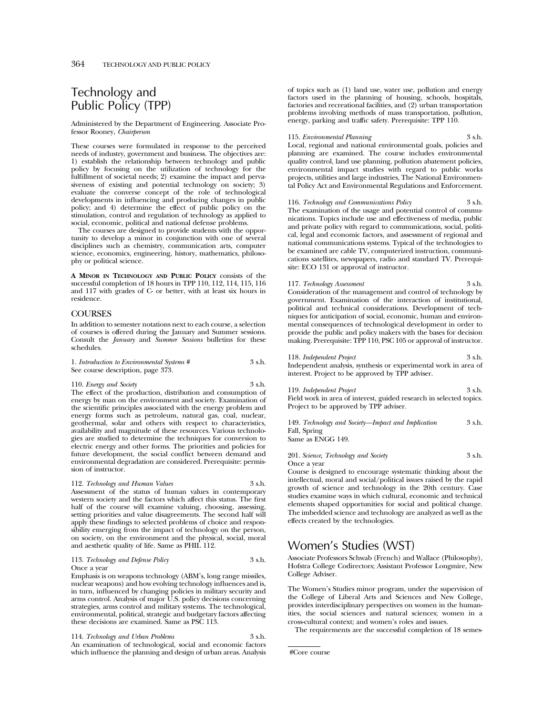## Technology and Public Policy (TPP)

Administered by the Department of Engineering. Associate Professor Rooney, *Chairperson*

These courses were formulated in response to the perceived needs of industry, government and business. The objectives are: 1) establish the relationship between technology and public policy by focusing on the utilization of technology for the fulfillment of societal needs; 2) examine the impact and pervasiveness of existing and potential technology on society; 3) evaluate the converse concept of the role of technological developments in influencing and producing changes in public policy; and 4) determine the effect of public policy on the stimulation, control and regulation of technology as applied to social, economic, political and national defense problems.

The courses are designed to provide students with the opportunity to develop a minor in conjunction with one of several disciplines such as chemistry, communication arts, computer science, economics, engineering, history, mathematics, philosophy or political science.

**A MINOR IN TECHNOLOGY AND PUBLIC POLICY** consists of the successful completion of 18 hours in TPP 110, 112, 114, 115, 116 and 117 with grades of C- or better, with at least six hours in residence.

## **COURSES**

In addition to semester notations next to each course, a selection of courses is offered during the January and Summer sessions. Consult the *January* and *Summer Sessions* bulletins for these schedules.

| 1. Introduction to Environmental Systems # | 3 s.h. |
|--------------------------------------------|--------|
| See course description, page 373.          |        |

110. *Energy and Society* 3 s.h.

The effect of the production, distribution and consumption of energy by man on the environment and society. Examination of the scientific principles associated with the energy problem and energy forms such as petroleum, natural gas, coal, nuclear, geothermal, solar and others with respect to characteristics, availability and magnitude of these resources. Various technologies are studied to determine the techniques for conversion to electric energy and other forms. The priorities and policies for future development, the social conflict between demand and environmental degradation are considered. Prerequisite: permission of instructor.

112. *Technology and Human Values* 3 s.h. Assessment of the status of human values in contemporary western society and the factors which affect this status. The first half of the course will examine valuing, choosing, assessing, setting priorities and value disagreements. The second half will apply these findings to selected problems of choice and responsibility emerging from the impact of technology on the person, on society, on the environment and the physical, social, moral and aesthetic quality of life. Same as PHIL 112.

#### 113. *Technology and Defense Policy* 3 s.h. Once a year

Emphasis is on weapons technology (ABM's, long range missiles, nuclear weapons) and how evolving technology influences and is, in turn, influenced by changing policies in military security and arms control. Analysis of major U.S. policy decisions concerning strategies, arms control and military systems. The technological, environmental, political, strategic and budgetary factors affecting these decisions are examined. Same as PSC 113.

114. *Technology and Urban Problems* 3 s.h. An examination of technological, social and economic factors which influence the planning and design of urban areas. Analysis of topics such as (1) land use, water use, pollution and energy factors used in the planning of housing, schools, hospitals, factories and recreational facilities, and (2) urban transportation problems involving methods of mass transportation, pollution, energy, parking and traffic safety. Prerequisite: TPP 110.

115. *Environmental Planning* 3 s.h. Local, regional and national environmental goals, policies and planning are examined. The course includes environmental quality control, land use planning, pollution abatement policies, environmental impact studies with regard to public works projects, utilities and large industries, The National Environmental Policy Act and Environmental Regulations and Enforcement.

116. *Technology and Communications Policy* 3 s.h. The examination of the usage and potential control of communications. Topics include use and effectiveness of media, public and private policy with regard to communications, social, political, legal and economic factors, and assessment of regional and national communications systems. Typical of the technologies to be examined are cable TV, computerized instruction, communications satellites, newspapers, radio and standard TV. Prerequisite: ECO 131 or approval of instructor.

117. *Technology Assessment* 3 s.h. Consideration of the management and control of technology by government. Examination of the interaction of institutional, political and technical considerations. Development of techniques for anticipation of social, economic, human and environmental consequences of technological development in order to provide the public and policy makers with the bases for decision making. Prerequisite: TPP 110, PSC 105 or approval of instructor.

118. *Independent Project* 3 s.h. Independent analysis, synthesis or experimental work in area of interest. Project to be approved by TPP adviser.

119. *Independent Project* 3 s.h. Field work in area of interest, guided research in selected topics. Project to be approved by TPP adviser.

149. *Technology and Society—Impact and Implication* 3 s.h. Fall, Spring Same as ENGG 149.

201. *Science, Technology and Society* 3 s.h. Once a year

Course is designed to encourage systematic thinking about the intellectual, moral and social/political issues raised by the rapid growth of science and technology in the 20th century. Case studies examine ways in which cultural, economic and technical elements shaped opportunities for social and political change. The imbedded science and technology are analyzed as well as the effects created by the technologies.

## Women's Studies (WST)

Associate Professors Schwab (French) and Wallace (Philosophy), Hofstra College Codirectors; Assistant Professor Longmire, New College Adviser.

The Women's Studies minor program, under the supervision of the College of Liberal Arts and Sciences and New College, provides interdisciplinary perspectives on women in the humanities, the social sciences and natural sciences; women in a cross-cultural context; and women's roles and issues.

The requirements are the successful completion of 18 semes-

<sup>#</sup>Core course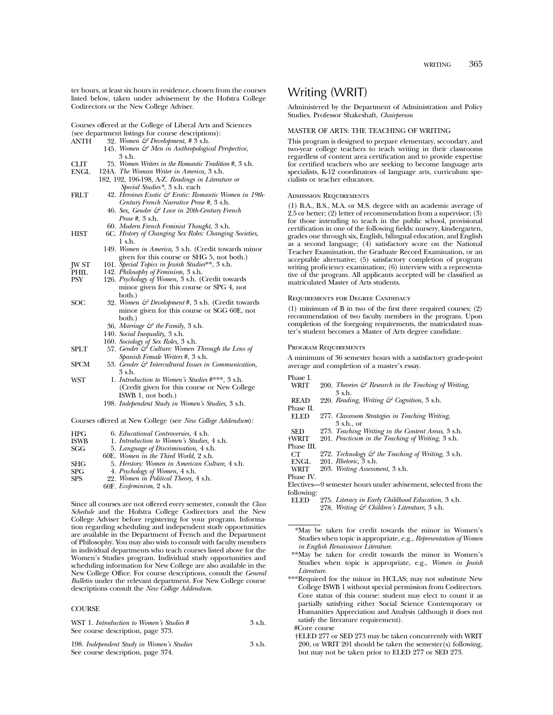ter hours, at least six hours in residence, chosen from the courses listed below, taken under advisement by the Hofstra College Codirectors or the New College Adviser.

Courses offered at the College of Liberal Arts and Sciences (see department listings for course descriptions):

- ANTH 32. Women & Development, # 3 s.h.
	- 145. *Women & Men in Anthropological Perspective*, 3 s.h.
- CLIT 75. *Women Writers in the Romantic Tradition* #, 3 s.h.
	- ENGL 124A. *The Woman Writer in America,* 3 s.h. 182, 192, 196-198, A-Z. *Readings in Literature or Special Studies\*,* 3 s.h. each
- FRLT 42. *Heroines Exotic & Erotic: Romantic Women in 19th-Century French Narrative Prose #*, 3 s.h. 46. *Sex, Gender & Love in 20th-Century French*
	- *Prose #,* 3 s.h.
	- 60. *Modern French Feminist Thought,* 3 s.h.
- HIST 6C. *History of Changing Sex Roles: Changing Societies,* 1 s.h.
	- 149. *Women in America,* 3 s.h. (Credit towards minor given for this course or SHG 5, not both.)
- JW ST 101. *Special Topics in Jewish Studies*\*\*, 3 s.h.
- 142. Philosophy of Feminism, 3 s.h.
- PSY 126. *Psychology of Women*, 3 s.h. (Credit towards minor given for this course or SPG 4, not both.)
- SOC 32. *Women & Development* #, 3 s.h. (Credit towards minor given for this course or SGG 60E, not both.)
	- 36. *Marriage & the Family,* 3 s.h.
	- 140. *Social Inequality,* 3 s.h.
	- 160. *Sociology of Sex Roles,* 3 s.h.
- SPLT 57. *Gender*  $\mathcal{E}^{\check{\sigma}}$  *Culture: Women Through the Lens of Spanish Female Writers* #, 3 s.h.
- SPCM 53. *Gender & Intercultural Issues in Communication*, 3 s.h.
- WST 1. *Introduction to Women's Studies* #\*\*\*, 3 s.h. (Credit given for this course or New College ISWB 1, not both.)
	- 198. *Independent Study in Women's Studies,* 3 s.h.

Courses offered at New College (see *New College Addendum*):

| HPG    |  | 6. <i>Educational Controversies</i> , 4 s.h.             |  |
|--------|--|----------------------------------------------------------|--|
| TOTATD |  | Technological contract to MI can see the Charlier of the |  |

- ISWB 1. *Introduction to Women's Studies,* 4 s.h.
	- SGG 5. *Language of Discrimination,* 4 s.h.
	- 60E. *Women in the Third World,* 2 s.h.
- SHG 5. *Herstory: Women in American Culture,* 4 s.h.<br>SPG 4. *Psychology of Women*, 4 s.h.
- SPG 4. *Psychology of Women*, 4 s.h.<br>SPS 22. *Women in Political Theory*,
	- 22. Women in Political Theory, 4 s.h.
		- 60F. *Ecofeminism,* 2 s.h.

Since all courses are not offered every semester, consult the *Class Schedule* and the Hofstra College Codirectors and the New College Adviser before registering for your program. Information regarding scheduling and independent study opportunities are available in the Department of French and the Department of Philosophy. You may also wish to consult with faculty members in individual departments who teach courses listed above for the Women's Studies program. Individual study opportunities and scheduling information for New College are also available in the New College Office. For course descriptions, consult the *General Bulletin* under the relevant department. For New College course descriptions consult the *New College Addendum.*

#### **COURSE**

| WST 1. Introduction to Women's Studies #<br>See course description, page 373.  | 3 s.h.   |
|--------------------------------------------------------------------------------|----------|
| 198. Independent Study in Women's Studies<br>See course description, page 374. | $3$ s.h. |

## Writing (WRIT)

Administered by the Department of Administration and Policy Studies. Professor Shakeshaft, *Chairperson*

## MASTER OF ARTS: THE TEACHING OF WRITING

This program is designed to prepare elementary, secondary, and two-year college teachers to teach writing in their classrooms regardless of content area certification and to provide expertise for certified teachers who are seeking to become language arts specialists, K-12 coordinators of language arts, curriculum specialists or teacher educators.

#### Admission Requirements

(1) B.A., B.S., M.A. or M.S. degree with an academic average of 2.5 or better; (2) letter of recommendation from a supervisor; (3) for those intending to teach in the public school, provisional certification in one of the following fields: nursery, kindergarten, grades one through six, English, bilingual education, and English as a second language; (4) satisfactory score on the National Teacher Examination, the Graduate Record Examination, or an acceptable alternative; (5) satisfactory completion of program writing proficiency examination; (6) interview with a representative of the program. All applicants accepted will be classified as matriculated Master of Arts students.

#### REQUIREMENTS FOR DEGREE CANDIDACY

(1) minimum of B in two of the first three required courses; (2) recommendation of two faculty members in the program. Upon completion of the foregoing requirements, the matriculated master's student becomes a Master of Arts degree candidate.

#### Program Requirements

A minimum of 36 semester hours with a satisfactory grade-point average and completion of a master's essay.

- Phase I. 200. *Theories & Research in the Teaching of Writing,* 3 s.h. READ 220. *Reading, Writing & Cognition,* 3 s.h.
- Phase II.
	- 277. Classroom Strategies in Teaching Writing, 3 s.h., or
	-
- SED 273. *Teaching Writing in the Content Areas,* 3 s.h. †WRIT 201. *Practicum in the Teaching of Writing,* 3 s.h.
- Phase III.
- 
- CT 272. *Technology & the Teaching of Writing,* 3 s.h.
- ENGL 201. *Rhetoric,* 3 s.h. WRIT 203. *Writing Assessment,* 3 s.h.
- 
- Phase IV.<br>Electives--9 semester hours under advisement, selected from the following:
	- 275. *Literacy in Early Childhood Education*, 3 s.h. 278. *Writing & Children's Literature,* 3 s.h.

\*May be taken for credit towards the minor in Women's Studies when topic is appropriate, e.g., *Representation of Women in English Renaissance Literature.*

- \*\*May be taken for credit towards the minor in Women's Studies when topic is appropriate, e.g., *Women in Jewish Literature.*
- \*\*\*Required for the minor in HCLAS; may not substitute New College ISWB 1 without special permission from Codirectors. Core status of this course: student may elect to count it as partially satisfying either Social Science Contemporary or Humanities Appreciation and Analysis (although it does not satisfy the literature requirement). #Core course
	- †ELED 277 or SED 273 may be taken concurrently with WRIT 200, or WRIT 201 should be taken the semester(s) following, but may not be taken prior to ELED 277 or SED 273.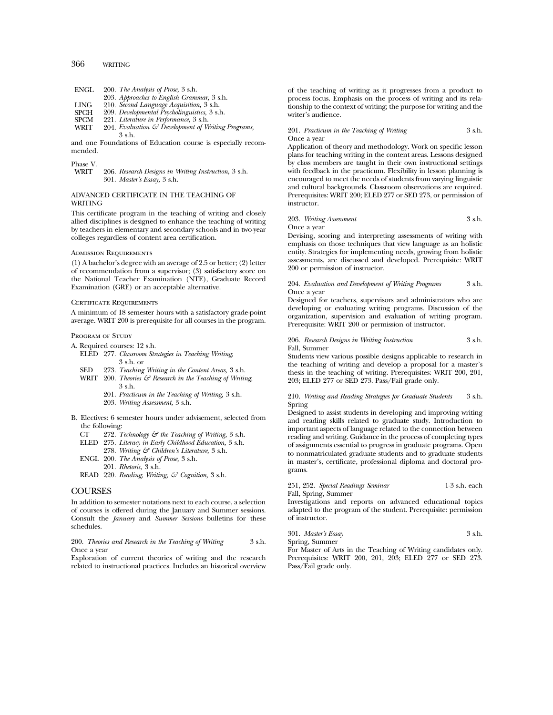366 WRITING

| ENGL  | 200. The Analysis of Prose, 3 s.h.         |
|-------|--------------------------------------------|
|       | 203. Approaches to English Grammar, 3 s.h. |
| LING- | 210. Second Language Acquisition, 3 s.h.   |

- SPCH 209. *Developmental Psycholinguistics,* 3 s.h.
- SPCM 221. *Literature in Performance*, 3 s.h.<br>WRIT 204. *Evaluation & Development of* W

204. *Evaluation & Development of Writing Programs*, 3 s.h.

and one Foundations of Education course is especially recommended.

## Phase V.

206. *Research Designs in Writing Instruction*, 3 s.h. 301. *Master's Essay,* 3 s.h.

### ADVANCED CERTIFICATE IN THE TEACHING OF WRITING

This certificate program in the teaching of writing and closely allied disciplines is designed to enhance the teaching of writing by teachers in elementary and secondary schools and in two-year colleges regardless of content area certification.

#### Admission Requirements

(1) A bachelor's degree with an average of 2.5 or better; (2) letter of recommendation from a supervisor; (3) satisfactory score on the National Teacher Examination (NTE), Graduate Record Examination (GRE) or an acceptable alternative.

#### CERTIFICATE REQUIREMENTS

A minimum of 18 semester hours with a satisfactory grade-point average. WRIT 200 is prerequisite for all courses in the program.

## PROGRAM OF STUDY

A. Required courses: 12 s.h.

- ELED 277. *Classroom Strategies in Teaching Writing,* 3 s.h. or
- SED 273. *Teaching Writing in the Content Areas,* 3 s.h.
- WRIT 200. *Theories & Research in the Teaching of Writing,* 3 s.h.
	- 201. *Practicum in the Teaching of Writing,* 3 s.h.
	- 203. *Writing Assessment,* 3 s.h.
- B. Electives: 6 semester hours under advisement, selected from the following:
	- CT 272. *Technology & the Teaching of Writing,* 3 s.h.
	- ELED 275. *Literacy in Early Childhood Education,* 3 s.h.
	- 278. *Writing & Children's Literature,* 3 s.h.
	- ENGL 200. *The Analysis of Prose,* 3 s.h.
	- 201. *Rhetoric,* 3 s.h.
	- READ 220. *Reading, Writing, & Cognition,* 3 s.h.

#### COURSES

In addition to semester notations next to each course, a selection of courses is offered during the January and Summer sessions. Consult the *January* and *Summer Sessions* bulletins for these schedules.

#### 200. *Theories and Research in the Teaching of Writing* 3 s.h. Once a year

Exploration of current theories of writing and the research related to instructional practices. Includes an historical overview

of the teaching of writing as it progresses from a product to process focus. Emphasis on the process of writing and its relationship to the context of writing; the purpose for writing and the writer's audience.

#### 201. *Practicum in the Teaching of Writing* 3 s.h. Once a year

Application of theory and methodology. Work on specific lesson plans for teaching writing in the content areas. Lessons designed by class members are taught in their own instructional settings with feedback in the practicum. Flexibility in lesson planning is encouraged to meet the needs of students from varying linguistic and cultural backgrounds. Classroom observations are required. Prerequisites: WRIT 200; ELED 277 or SED 273, or permission of instructor.

## 203. *Writing Assessment* 3 s.h. Once a year

Devising, scoring and interpreting assessments of writing with emphasis on those techniques that view language as an holistic entity. Strategies for implementing needs, growing from holistic assessments, are discussed and developed. Prerequisite: WRIT 200 or permission of instructor.

#### 204. *Evaluation and Development of Writing Programs* 3 s.h. Once a year

Designed for teachers, supervisors and administrators who are developing or evaluating writing programs. Discussion of the organization, supervision and evaluation of writing program. Prerequisite: WRIT 200 or permission of instructor.

#### 206. *Research Designs in Writing Instruction* 3 s.h. Fall, Summer

Students view various possible designs applicable to research in the teaching of writing and develop a proposal for a master's thesis in the teaching of writing. Prerequisites: WRIT 200, 201, 203; ELED 277 or SED 273. Pass/Fail grade only.

#### 210. *Writing and Reading Strategies for Graduate Students* 3 s.h. Spring

Designed to assist students in developing and improving writing and reading skills related to graduate study. Introduction to important aspects of language related to the connection between reading and writing. Guidance in the process of completing types of assignments essential to progress in graduate programs. Open to nonmatriculated graduate students and to graduate students in master's, certificate, professional diploma and doctoral programs.

#### 251, 252. *Special Readings Seminar* 1-3 s.h. each Fall, Spring, Summer

Investigations and reports on advanced educational topics adapted to the program of the student. Prerequisite: permission of instructor.

301. *Master's Essay* 3 s.h. Spring, Summer

For Master of Arts in the Teaching of Writing candidates only. Prerequisites: WRIT 200, 201, 203; ELED 277 or SED 273. Pass/Fail grade only.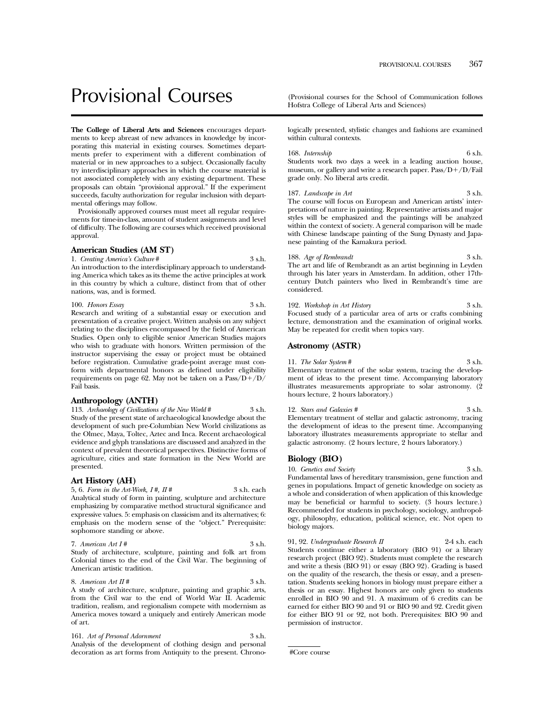# Provisional Courses (Provisional courses for the School of Communication follows

**The College of Liberal Arts and Sciences** encourages departments to keep abreast of new advances in knowledge by incorporating this material in existing courses. Sometimes departments prefer to experiment with a different combination of material or in new approaches to a subject. Occasionally faculty try interdisciplinary approaches in which the course material is not associated completely with any existing department. These proposals can obtain "provisional approval." If the experiment succeeds, faculty authorization for regular inclusion with departmental offerings may follow.

Provisionally approved courses must meet all regular requirements for time-in-class, amount of student assignments and level of difficulty. The following are courses which received provisional approval.

## **American Studies (AM ST)**

1. *Creating America's Culture* # 3 s.h. An introduction to the interdisciplinary approach to understanding America which takes as its theme the active principles at work in this country by which a culture, distinct from that of other nations, was, and is formed.

#### 100. *Honors Essay* 3 s.h.

Research and writing of a substantial essay or execution and presentation of a creative project. Written analysis on any subject relating to the disciplines encompassed by the field of American Studies. Open only to eligible senior American Studies majors who wish to graduate with honors. Written permission of the instructor supervising the essay or project must be obtained before registration. Cumulative grade-point average must conform with departmental honors as defined under eligibility requirements on page 62. May not be taken on a  $Pass/D+/D/$ Fail basis.

## **Anthropology (ANTH)**

113. *Archaeology of Civilizations of the New World* # 3 s.h. Study of the present state of archaeological knowledge about the development of such pre-Columbian New World civilizations as the Olmec, Maya, Toltec, Aztec and Inca. Recent archaeological evidence and glyph translations are discussed and analyzed in the context of prevalent theoretical perspectives. Distinctive forms of agriculture, cities and state formation in the New World are presented.

#### **Art History (AH)**

5, 6. *Form in the Art-Work, I*#, *II* # 3 s.h. each Analytical study of form in painting, sculpture and architecture emphasizing by comparative method structural significance and expressive values. 5: emphasis on classicism and its alternatives; 6: emphasis on the modern sense of the "object." Prerequisite: sophomore standing or above.

7. *American Art I #* 3 s.h. Study of architecture, sculpture, painting and folk art from Colonial times to the end of the Civil War. The beginning of American artistic tradition.

8. *American Art II* #  $\frac{3 \text{ s.h}}{2}$ A study of architecture, sculpture, painting and graphic arts, from the Civil war to the end of World War II. Academic tradition, realism, and regionalism compete with modernism as America moves toward a uniquely and entirely American mode of art.

161. *Art of Personal Adornment* 3 s.h. Analysis of the development of clothing design and personal decoration as art forms from Antiquity to the present. ChronoHofstra College of Liberal Arts and Sciences)

logically presented, stylistic changes and fashions are examined within cultural contexts.

168. *Internship* 6 s.h. Students work two days a week in a leading auction house, museum, or gallery and write a research paper. Pass/D+/D/Fail grade only. No liberal arts credit.

187. *Landscape in Art* 3 s.h. The course will focus on European and American artists' interpretations of nature in painting. Representative artists and major styles will be emphasized and the paintings will be analyzed within the context of society. A general comparison will be made with Chinese landscape painting of the Sung Dynasty and Japanese painting of the Kamakura period.

188. *Age of Rembrandt* 3 s.h. The art and life of Rembrandt as an artist beginning in Leyden through his later years in Amsterdam. In addition, other 17thcentury Dutch painters who lived in Rembrandt's time are considered.

192. *Workshop in Art History* 3 s.h. Focused study of a particular area of arts or crafts combining lecture, demonstration and the examination of original works. May be repeated for credit when topics vary.

### **Astronomy (ASTR)**

11. *The Solar System* # 3 s.h. Elementary treatment of the solar system, tracing the development of ideas to the present time. Accompanying laboratory illustrates measurements appropriate to solar astronomy. (2 hours lecture, 2 hours laboratory.)

12. *Stars and Galaxies #* 3 s.h. Elementary treatment of stellar and galactic astronomy, tracing the development of ideas to the present time. Accompanying laboratory illustrates measurements appropriate to stellar and galactic astronomy. (2 hours lecture, 2 hours laboratory.)

#### **Biology (BIO)**

10. *Genetics and Society* 3 s.h. Fundamental laws of hereditary transmission, gene function and genes in populations. Impact of genetic knowledge on society as a whole and consideration of when application of this knowledge may be beneficial or harmful to society. (3 hours lecture.) Recommended for students in psychology, sociology, anthropology, philosophy, education, political science, etc. Not open to biology majors.

91, 92. *Undergraduate Research II* 2-4 s.h. each Students continue either a laboratory (BIO 91) or a library research project (BIO 92). Students must complete the research and write a thesis (BIO 91) or essay (BIO 92). Grading is based on the quality of the research, the thesis or essay, and a presentation. Students seeking honors in biology must prepare either a thesis or an essay. Highest honors are only given to students enrolled in BIO 90 and 91. A maximum of 6 credits can be earned for either BIO 90 and 91 or BIO 90 and 92. Credit given for either BIO 91 or 92, not both. Prerequisites: BIO 90 and permission of instructor.

#Core course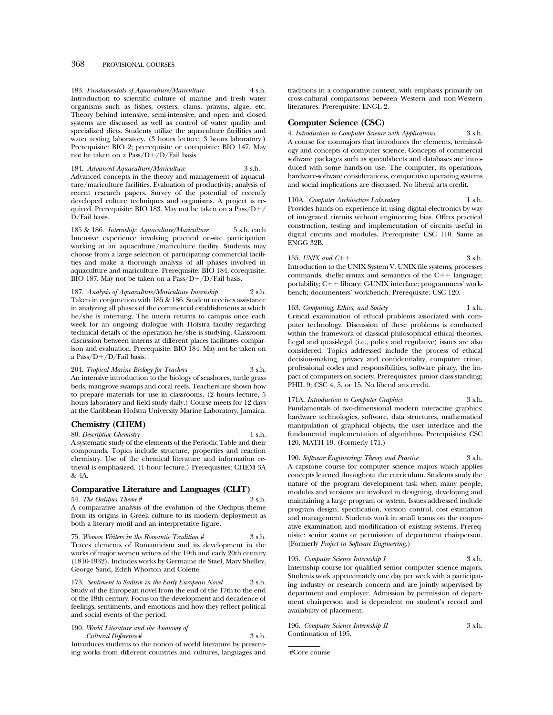183. *Fundamentals of Aquaculture/Mariculture* 4 s.h. Introduction to scientific culture of marine and fresh water organisms such as fishes, oysters, clams, prawns, algae, etc. Theory behind intensive, semi-intensive, and open and closed systems are discussed as well as control of water quality and specialized diets. Students utilize the aquaculture facilities and water testing laboratory. (3 hours lecture, 3 hours laboratory.) Prerequisite: BIO 2; prerequisite or corequisite: BIO 147. May not be taken on a Pass/D $+$ /D/Fail basis.

184. *Advanced Aquaculture/Mariculture* 3 s.h. Advanced concepts in the theory and management of aquaculture/mariculture facilities. Evaluation of productivity; analysis of recent research papers. Survey of the potential of recently developed culture techniques and organisms. A project is required. Prerequisite: BIO 183. May not be taken on a Pass/D+/ D/Fail basis.

185 & 186. *Internship: Aquaculture/Mariculture* 5 s.h. each Intensive experience involving practical on-site participation working at an aquaculture/mariculture facility. Students may choose from a large selection of participating commercial facilities and make a thorough analysis of all phases involved in aquaculture and mariculture. Prerequisite: BIO 184; corequisite: BIO 187. May not be taken on a  $Pass/D+/D/Fall \ basis$ .

187. *Analysis of Aquaculture/Mariculture Internship* 2 s.h. Taken in conjunction with 185 & 186. Student receives assistance in analyzing all phases of the commercial establishments at which he/she is interning. The intern returns to campus once each week for an ongoing dialogue with Hofstra faculty regarding technical details of the operation he/she is studying. Classroom discussion between interns at different places facilitates comparison and evaluation. Prerequisite: BIO 184. May not be taken on a Pass/ $D+/D$ /Fail basis.

204. *Tropical Marine Biology for Teachers* 3 s.h. An intensive introduction to the biology of seashores, turtle grass beds, mangrove swamps and coral reefs. Teachers are shown how to prepare materials for use in classrooms. (2 hours lecture, 5 hours laboratory and field study daily.) Course meets for 12 days at the Caribbean Hofstra University Marine Laboratory, Jamaica.

# **Chemistry (CHEM)**

80. *Descriptive Chemistry* 1 s.h. A systematic study of the elements of the Periodic Table and their compounds. Topics include structure, properties and reaction chemistry. Use of the chemical literature and information retrieval is emphasized. (1 hour lecture.) Prerequisites: CHEM 3A  $\&$  4A.

#### **Comparative Literature and Languages (CLIT)**

#### 54. *The Oedipus Theme* # 3 s.h.

A comparative analysis of the evolution of the Oedipus theme from its origins in Greek culture to its modern deployment as both a literary motif and an interpretative figure.

75. *Women Writers in the Romantic Tradition #* 3 s.h. Traces elements of Romanticism and its development in the works of major women writers of the 19th and early 20th century (1810-1932). Includes works by Germaine de Stael, Mary Shelley, George Sand, Edith Whorton and Colette.

173. *Sentiment to Sadism in the Early European Novel* 3 s.h. Study of the European novel from the end of the 17th to the end of the 18th century. Focus on the development and decadence of feelings, sentiments, and emotions and how they reflect political and social events of the period.

190. *World Literature and the Anatomy of Cultural Difference* # 3 s.h.

Introduces students to the notion of world literature by presenting works from different countries and cultures, languages and traditions in a comparative context, with emphasis primarily on cross-cultural comparisons between Western and non-Western literatures. Prerequisite: ENGL 2.

#### **Computer Science (CSC)**

4. *Introduction to Computer Science with Applications* 3 s.h. A course for nonmajors that introduces the elements, terminology and concepts of computer science. Concepts of commercial software packages such as spreadsheets and databases are introduced with some hands-on use. The computer, its operations, hardware-software considerations, comparative operating systems and social implications are discussed. No liberal arts credit.

110A. *Computer Architecture Laboratory* 1 s.h. Provides hands-on experience in using digital electronics by way of integrated circuits without engineering bias. Offers practical construction, testing and implementation of circuits useful in digital circuits and modules. Prerequisite: CSC 110. Same as ENGG 32B.

155. *UNIX and C*++ 3 s.h. Introduction to the UNIX System V. UNIX file systems, processes commands, shells; syntax and semantics of the  $C++$  language; portability; C++ library; C-UNIX interface; programmers' workbench; documenters' workbench. Prerequisite: CSC 120.

163. *Computing, Ethics, and Society* 1 s.h. Critical examination of ethical problems associated with computer technology. Discussion of these problems is conducted within the framework of classical philosophical ethical theories. Legal and quasi-legal (i.e., policy and regulative) issues are also considered. Topics addressed include the process of ethical decision-making, privacy and confidentiality, computer crime, professional codes and responsibilities, software piracy, the impact of computers on society. Prerequisites: junior class standing; PHIL 9; CSC 4, 5, or 15. No liberal arts credit.

171A. *Introduction to Computer Graphics* 3 s.h. Fundamentals of two-dimensional modern interactive graphics: hardware technologies, software, data structures, mathematical manipulation of graphical objects, the user interface and the fundamental implementation of algorithms. Prerequisites: CSC 120, MATH 19. (Formerly 171.)

190. *Software Engineering: Theory and Practice* 3 s.h. A capstone course for computer science majors which applies concepts learned throughout the curriculum. Students study the nature of the program development task when many people, modules and versions are involved in designing, developing and maintaining a large program or system. Issues addressed include program design, specification, version control, cost estimation and management. Students work in small teams on the cooperative examination and modification of existing systems. Prerequisite: senior status or permission of department chairperson. (Formerly *Project in Software Engineering.*)

195. *Computer Science Internship I* 3 s.h. Internship course for qualified senior computer science majors. Students work approximately one day per week with a participating industry or research concern and are jointly supervised by department and employer. Admission by permission of department chairperson and is dependent on student's record and availability of placement.

196. *Computer Science Internship II* 3 s.h. Continuation of 195.

<sup>#</sup>Core course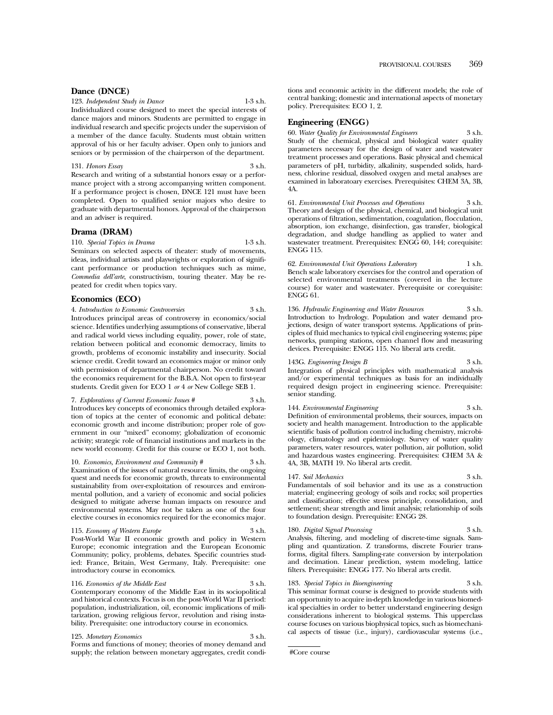# **Dance (DNCE)**

123. *Independent Study in Dance* 1-3 s.h. Individualized course designed to meet the special interests of dance majors and minors. Students are permitted to engage in individual research and specific projects under the supervision of a member of the dance faculty. Students must obtain written approval of his or her faculty adviser. Open only to juniors and seniors or by permission of the chairperson of the department.

131. *Honors Essay* Research and writing of a substantial honors essay or a performance project with a strong accompanying written component. If a performance project is chosen, DNCE 121 must have been completed. Open to qualified senior majors who desire to graduate with departmental honors. Approval of the chairperson and an adviser is required.

# **Drama (DRAM)**

110. *Special Topics in Drama* 1-3 s.h. Seminars on selected aspects of theater: study of movements, ideas, individual artists and playwrights or exploration of significant performance or production techniques such as mime, *Commedia dell'arte*, constructivism, touring theater. May be repeated for credit when topics vary.

#### **Economics (ECO)**

4. *Introduction to Economic Controversies* 3 s.h. Introduces principal areas of controversy in economics/social science. Identifies underlying assumptions of conservative, liberal and radical world views including equality, power, role of state, relation between political and economic democracy, limits to growth, problems of economic instability and insecurity. Social science credit. Credit toward an economics major or minor only with permission of departmental chairperson. No credit toward the economics requirement for the B.B.A. Not open to first-year students. Credit given for ECO 1 *or* 4 *or* New College SEB 1.

7. *Explorations of Current Economic Issues #* 3 s.h. Introduces key concepts of economics through detailed exploration of topics at the center of economic and political debate: economic growth and income distribution; proper role of government in our "mixed" economy; globalization of economic activity; strategic role of financial institutions and markets in the new world economy. Credit for this course or ECO 1, not both.

10. *Economics, Environment and Community* # Examination of the issues of natural resource limits, the ongoing quest and needs for economic growth, threats to environmental sustainability from over-exploitation of resources and environmental pollution, and a variety of economic and social policies designed to mitigate adverse human impacts on resource and environmental systems. May not be taken as one of the four elective courses in economics required for the economics major.

115. *Economy of Western Europe* Post-World War II economic growth and policy in Western Europe; economic integration and the European Economic Community; policy, problems, debates. Specific countries studied: France, Britain, West Germany, Italy. Prerequisite: one introductory course in economics.

116. *Economics of the Middle East* 3 s.h. Contemporary economy of the Middle East in its sociopolitical and historical contexts. Focus is on the post-World War II period: population, industrialization, oil, economic implications of militarization, growing religious fervor, revolution and rising instability. Prerequisite: one introductory course in economics.

125. *Monetary Economics* 3 s.h. Forms and functions of money; theories of money demand and supply; the relation between monetary aggregates, credit conditions and economic activity in the different models; the role of central banking; domestic and international aspects of monetary policy. Prerequisites: ECO 1, 2.

#### **Engineering (ENGG)**

60. *Water Quality for Environmental Engineers* 3 s.h. Study of the chemical, physical and biological water quality parameters necessary for the design of water and wastewater treatment processes and operations. Basic physical and chemical parameters of pH, turbidity, alkalinity, suspended solids, hardness, chlorine residual, dissolved oxygen and metal analyses are examined in laboratoary exercises. Prerequisites: CHEM 3A, 3B, 4A.

61. *Environmental Unit Processes and Operations* 3 s.h. Theory and design of the physical, chemical, and biological unit operations of filtration, sedimentation, coagulation, flocculation, absorption, ion exchange, disinfection, gas transfer, biological degradation, and sludge handling as applied to water and wastewater treatment. Prerequisites: ENGG 60, 144; corequisite: ENGG 115.

62. *Environmental Unit Operations Laboratory* 1 s.h. Bench scale laboratory exercises for the control and operation of selected environmental treatments (covered in the lecture course) for water and wastewater. Prerequisite or corequisite: ENGG 61.

136. *Hydraulic Engineering and Water Resources* 3 s.h. Introduction to hydrology. Population and water demand projections, design of water transport systems. Applications of principles of fluid mechanics to typical civil engineering systems; pipe networks, pumping stations, open channel flow and measuring devices. Prerequisite: ENGG 115. No liberal arts credit.

143G. *Engineering Design B* 3 s.h. Integration of physical principles with mathematical analysis and/or experimental techniques as basis for an individually required design project in engineering science. Prerequisite: senior standing.

144. *Environmental Engineering* 3 s.h. Definition of environmental problems, their sources, impacts on society and health management. Introduction to the applicable scientific basis of pollution control including chemistry, microbiology, climatology and epidemiology. Survey of water quality parameters, water resources, water pollution, air pollution, solid and hazardous wastes engineering. Prerequisites: CHEM 3A & 4A, 3B, MATH 19. No liberal arts credit.

# 147. *Soil Mechanics* 3 s.h. Fundamentals of soil behavior and its use as a construction

material; engineering geology of soils and rocks; soil properties and classification; effective stress principle, consolidation, and settlement; shear strength and limit analysis; relationship of soils to foundation design. Prerequisite: ENGG 28.

# 180. *Digital Signal Processing* 3 s.h.

Analysis, filtering, and modeling of discrete-time signals. Sampling and quantization. Z transforms, discrete Fourier transforms, digital filters. Sampling-rate conversion by interpolation and decimation. Linear prediction, system modeling, lattice filters. Prerequisite: ENGG 177. No liberal arts credit.

183. *Special Topics in Bioengineering* 3 s.h. This seminar format course is designed to provide students with an opportunity to acquire in-depth knowledge in various biomedical specialties in order to better understand engineering design considerations inherent to biological systems. This upperclass course focuses on various biophysical topics, such as biomechanical aspects of tissue (i.e., injury), cardiovascular systems (i.e.,

<sup>#</sup>Core course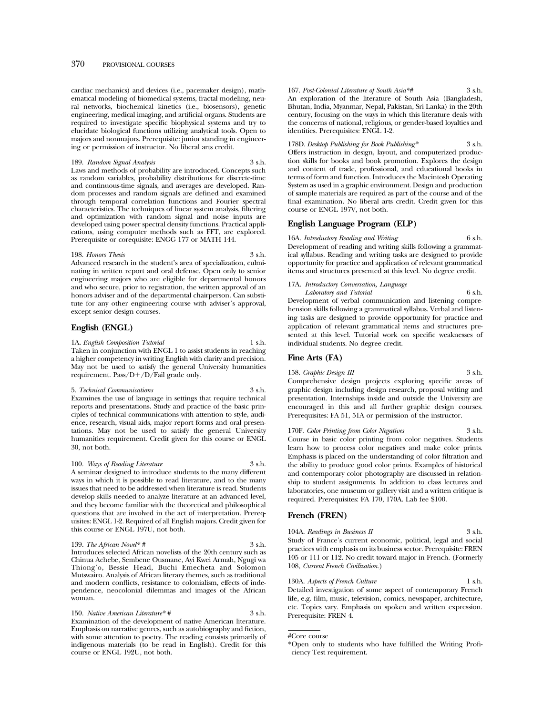cardiac mechanics) and devices (i.e., pacemaker design), mathematical modeling of biomedical systems, fractal modeling, neural networks, biochemical kinetics (i.e., biosensors), genetic engineering, medical imaging, and artificial organs. Students are required to investigate specific biophysical systems and try to elucidate biological functions utilizing analytical tools. Open to majors and nonmajors. Prerequisite: junior standing in engineering or permission of instructor. No liberal arts credit.

189. *Random Signal Analysis* 3 s.h. Laws and methods of probability are introduced. Concepts such as random variables, probability distributions for discrete-time and continuous-time signals, and averages are developed. Random processes and random signals are defined and examined through temporal correlation functions and Fourier spectral characteristics. The techniques of linear system analysis, filtering and optimization with random signal and noise inputs are developed using power spectral density functions. Practical applications, using computer methods such as FFT, are explored. Prerequisite or corequisite: ENGG 177 or MATH 144.

#### 198. *Honors Thesis* 3 s.h.

Advanced research in the student's area of specialization, culminating in written report and oral defense. Open only to senior engineering majors who are eligible for departmental honors and who secure, prior to registration, the written approval of an honors adviser and of the departmental chairperson. Can substitute for any other engineering course with adviser's approval, except senior design courses.

# **English (ENGL)**

30, not both.

1A. *English Composition Tutorial* 1 s.h. Taken in conjunction with ENGL 1 to assist students in reaching a higher competency in writing English with clarity and precision. May not be used to satisfy the general University humanities requirement. Pass/ $D+/D/F$ ail grade only.

5. *Technical Communications* 3 s.h. Examines the use of language in settings that require technical reports and presentations. Study and practice of the basic principles of technical communications with attention to style, audience, research, visual aids, major report forms and oral presentations. May not be used to satisfy the general University humanities requirement. Credit given for this course or ENGL

100. *Ways of Reading Literature* 3 s.h. A seminar designed to introduce students to the many different ways in which it is possible to read literature, and to the many issues that need to be addressed when literature is read. Students develop skills needed to analyze literature at an advanced level, and they become familiar with the theoretical and philosophical questions that are involved in the act of interpretation. Prerequisites: ENGL 1-2. Required of all English majors. Credit given for this course or ENGL 197U, not both.

139. *The African Novel*\* # 3 s.h. Introduces selected African novelists of the 20th century such as Chinua Achebe, Sembene Ousmane, Ayi Kwei Armah, Ngugi wa Thiong'o, Bessie Head, Buchi Emecheta and Solomon Mutswairo. Analysis of African literary themes, such as traditional and modern conflicts, resistance to colonialism, effects of independence, neocolonial dilemmas and images of the African woman.

150. *Native American Literature\* #* 3 s.h. Examination of the development of native American literature. Emphasis on narrative genres, such as autobiography and fiction, with some attention to poetry. The reading consists primarily of indigenous materials (to be read in English). Credit for this course or ENGL 192U, not both.

167. *Post-Colonial Literature of South Asia\*#* 3 s.h. An exploration of the literature of South Asia (Bangladesh, Bhutan, India, Myanmar, Nepal, Pakistan, Sri Lanka) in the 20th century, focusing on the ways in which this literature deals with the concerns of national, religious, or gender-based loyalties and identities. Prerequisites: ENGL 1-2.

178D. *Desktop Publishing for Book Publishing\** 3 s.h. Offers instruction in design, layout, and computerized production skills for books and book promotion. Explores the design and content of trade, professional, and educational books in terms of form and function. Introduces the Macintosh Operating System as used in a graphic environment. Design and production of sample materials are required as part of the course and of the final examination. No liberal arts credit. Credit given for this course or ENGL 197V, not both.

# **English Language Program (ELP)**

16A. *Introductory Reading and Writing* 6 s.h. Development of reading and writing skills following a grammatical syllabus. Reading and writing tasks are designed to provide opportunity for practice and application of relevant grammatical items and structures presented at this level. No degree credit.

17A. *Introductory Conversation, Language*

*Laboratory and Tutorial* 6 s.h. Development of verbal communication and listening comprehension skills following a grammatical syllabus. Verbal and listening tasks are designed to provide opportunity for practice and application of relevant grammatical items and structures presented at this level. Tutorial work on specific weaknesses of individual students. No degree credit.

#### **Fine Arts (FA)**

158. *Graphic Design III* 3 s.h. Comprehensive design projects exploring specific areas of graphic design including design research, proposal writing and presentation. Internships inside and outside the University are encouraged in this and all further graphic design courses. Prerequisites: FA 51, 51A or permission of the instructor.

170F. *Color Printing from Color Negatives* 3 s.h. Course in basic color printing from color negatives. Students learn how to process color negatives and make color prints. Emphasis is placed on the understanding of color filtration and the ability to produce good color prints. Examples of historical and contemporary color photography are discussed in relationship to student assignments. In addition to class lectures and laboratories, one museum or gallery visit and a written critique is required. Prerequisites: FA 170, 170A. Lab fee \$100.

# **French (FREN)**

104A. *Readings in Business II* 3 s.h. Study of France's current economic, political, legal and social practices with emphasis on its business sector. Prerequisite: FREN 105 or 111 or 112. No credit toward major in French. (Formerly 108, *Current French Civilization.*)

130A. *Aspects of French Culture* 1 s.h. Detailed investigation of some aspect of contemporary French life, e.g. film, music, television, comics, newspaper, architecture, etc. Topics vary. Emphasis on spoken and written expression. Prerequisite: FREN 4.

<sup>#</sup>Core course

<sup>\*</sup>Open only to students who have fulfilled the Writing Proficiency Test requirement.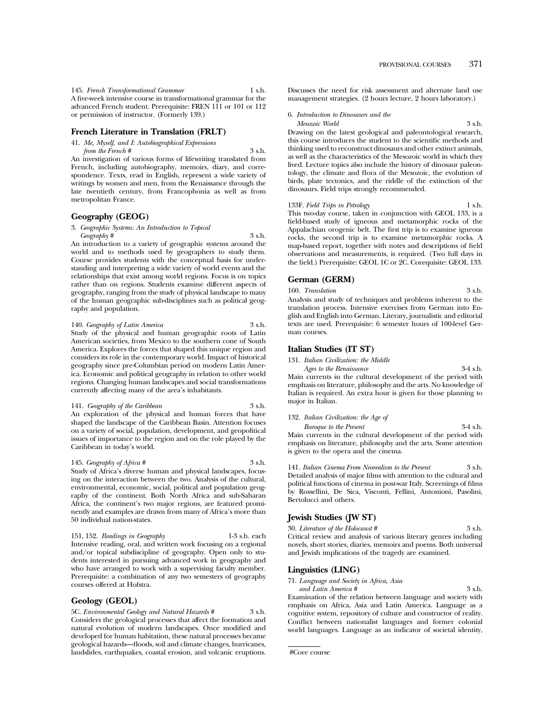145. *French Transformational Grammar* 1 s.h. A five-week intensive course in transformational grammar for the advanced French student. Prerequisite: FREN 111 or 101 or 112 or permission of instructor. (Formerly 139.)

# **French Literature in Translation (FRLT)**

41. *Me, Myself, and I: Autobiographical Expressions*

*from the French* # 3 s.h. An investigation of various forms of lifewriting translated from French, including autobiography, memoirs, diary, and correspondence. Texts, read in English, represent a wide variety of writings by women and men, from the Renaissance through the late twentieth century, from Francophonia as well as from metropolitan France.

#### **Geography (GEOG)**

3. *Geographic Systems: An Introduction to Topical Geography* # 3 s.h.

An introduction to a variety of geographic systems around the world and to methods used by geographers to study them. Course provides students with the conceptual basis for understanding and interpreting a wide variety of world events and the relationships that exist among world regions. Focus is on topics rather than on regions. Students examine different aspects of geography, ranging from the study of physical landscape to many of the human geographic sub-disciplines such as political geography and population.

140. *Geography of Latin America* 3 s.h. Study of the physical and human geographic roots of Latin American societies, from Mexico to the southern cone of South America. Explores the forces that shaped this unique region and considers its role in the contemporary world. Impact of historical geography since pre-Columbian period on modern Latin America. Economic and political geography in relation to other world regions. Changing human landscapes and social transformations currently affecting many of the area's inhabitants.

141. *Geography of the Caribbean* 3 s.h. An exploration of the physical and human forces that have shaped the landscape of the Caribbean Basin. Attention focuses on a variety of social, population, development, and geopolitical issues of importance to the region and on the role played by the Caribbean in today's world.

145. *Geography of Africa* # 3 s.h. Study of Africa's diverse human and physical landscapes, focusing on the interaction between the two. Analysis of the cultural, environmental, economic, social, political and population geography of the continent. Both North Africa and sub-Saharan Africa, the continent's two major regions, are featured prominently and examples are drawn from many of Africa's more than 50 individual nation-states.

151, 152. *Readings in Geography* 1-3 s.h. each Intensive reading, oral, and written work focusing on a regional and/or topical subdiscipline of geography. Open only to students interested in pursuing advanced work in geography and who have arranged to work with a supervising faculty member. Prerequisite: a combination of any two semesters of geography courses offered at Hofstra.

#### **Geology (GEOL)**

5C. *Environmental Geology and Natural Hazards #* 3 s.h. Considers the geological processes that affect the formation and natural evolution of modern landscapes. Once modified and developed for human habitation, these natural processes became geological hazards—floods, soil and climate changes, hurricanes, landslides, earthquakes, coastal erosion, and volcanic eruptions.

Discusses the need for risk assessment and alternate land use management strategies. (2 hours lecture, 2 hours laboratory.)

PROVISIONAL COURSES 371

# 6. *Introduction to Dinosaurs and the*

*Mesozoic World* 3 s.h. Drawing on the latest geological and paleontological research, this course introduces the student to the scientific methods and thinking used to reconstruct dinosaurs and other extinct animals, as well as the characteristics of the Mesozoic world in which they lived. Lecture topics also include the history of dinosaur paleontology, the climate and flora of the Mesozoic, the evolution of birds, plate tectonics, and the riddle of the extinction of the dinosaurs. Field trips strongly recommended.

# 133F. *Field Trips in Petrology* 1 s.h.

This two-day course, taken in conjunction with GEOL 133, is a field-based study of igneous and metamorphic rocks of the Appalachian orogenic belt. The first trip is to examine igneous rocks, the second trip is to examine metamorphic rocks. A map-based report, together with notes and descriptions of field observations and measurements, is required. (Two full days in the field.) Prerequisite: GEOL 1C or 2C. Corequisite: GEOL 133.

#### **German (GERM)**

160. Translation 3 s.h. Analysis and study of techniques and problems inherent to the translation process. Intensive exercises from German into English and English into German. Literary, journalistic and editorial texts are used. Prerequisite: 6 semester hours of 100-level German courses.

#### **Italian Studies (IT ST)**

131. *Italian Civilization: the Middle*

*Ages to the Renaissance* 3-4 s.h. Main currents in the cultural development of the period with emphasis on literature, philosophy and the arts. No knowledge of Italian is required. An extra hour is given for those planning to major in Italian.

# 132. *Italian Civilization: the Age of*

*Baroque to the Present* 3-4 s.h. Main currents in the cultural development of the period with emphasis on literature, philosophy and the arts. Some attention is given to the opera and the cinema.

141. *Italian Cinema From Neorealism to the Present* 3 s.h. Detailed analysis of major films with attention to the cultural and political functions of cinema in post-war Italy. Screenings of films by Rossellini, De Sica, Visconti, Fellini, Antonioni, Pasolini, Bertolucci and others.

# **Jewish Studies (JW ST)**

30. *Literature of the Holocaust #* 3 s.h. Critical review and analysis of various literary genres including novels, short stories, diaries, memoirs and poems. Both universal and Jewish implications of the tragedy are examined.

#### **Linguistics (LING)**

71. *Language and Society in Africa, Asia*

*and Latin America #* 3 s.h. Examination of the relation between language and society with emphasis on Africa, Asia and Latin America. Language as a cognitive system, repository of culture and constructor of reality. Conflict between nationalist languages and former colonial world languages. Language as an indicator of societal identity,

<sup>#</sup>Core course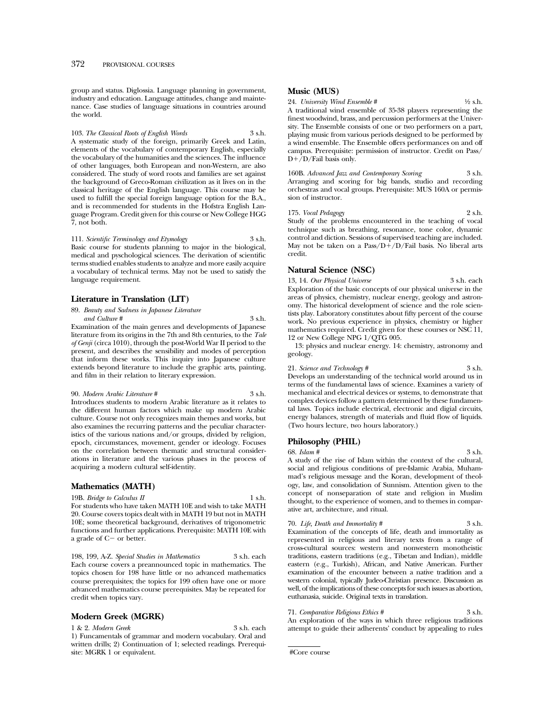group and status. Diglossia. Language planning in government, industry and education. Language attitudes, change and maintenance. Case studies of language situations in countries around the world.

103. *The Classical Roots of English Words* 3 s.h. A systematic study of the foreign, primarily Greek and Latin, elements of the vocabulary of contemporary English, especially the vocabulary of the humanities and the sciences. The influence of other languages, both European and non-Western, are also considered. The study of word roots and families are set against the background of Greco-Roman civilization as it lives on in the classical heritage of the English language. This course may be used to fulfill the special foreign language option for the B.A., and is recommended for students in the Hofstra English Language Program. Credit given for this course or New College HGG 7, not both.

111. *Scientific Terminology and Etymology* 3 s.h. Basic course for students planning to major in the biological, medical and pyschological sciences. The derivation of scientific terms studied enables students to analyze and more easily acquire a vocabulary of technical terms. May not be used to satisfy the language requirement.

#### **Literature in Translation (LIT)**

89. *Beauty and Sadness in Japanese Literature and Culture #* 3 s.h.

Examination of the main genres and developments of Japanese literature from its origins in the 7th and 8th centuries, to the *Tale of Genji* (circa 1010), through the post-World War II period to the present, and describes the sensibility and modes of perception that inform these works. This inquiry into Japanese culture extends beyond literature to include the graphic arts, painting, and film in their relation to literary expression.

90. *Modern Arabic Literature #* 3 s.h. Introduces students to modern Arabic literature as it relates to the different human factors which make up modern Arabic culture. Course not only recognizes main themes and works, but also examines the recurring patterns and the peculiar characteristics of the various nations and/or groups, divided by religion, epoch, circumstances, movement, gender or ideology. Focuses on the correlation between thematic and structural considerations in literature and the various phases in the process of acquiring a modern cultural self-identity.

# **Mathematics (MATH)**

19B. *Bridge to Calculus II* 1 s.h. For students who have taken MATH 10E and wish to take MATH 20. Course covers topics dealt with in MATH 19 but not in MATH 10E; some theoretical background, derivatives of trigonometric functions and further applications. Prerequisite: MATH 10E with a grade of  $C-$  or better.

198, 199, A-Z. *Special Studies in Mathematics* 3 s.h. each Each course covers a preannounced topic in mathematics. The topics chosen for 198 have little or no advanced mathematics course prerequisites; the topics for 199 often have one or more advanced mathematics course prerequisites. May be repeated for credit when topics vary.

### **Modern Greek (MGRK)**

1 & 2. *Modern Greek* 3 s.h. each 1) Funcamentals of grammar and modern vocabulary. Oral and written drills; 2) Continuation of 1; selected readings. Prerequisite: MGRK 1 or equivalent.

# **Music (MUS)**

24. *University Wind Ensemble* #  $\frac{1}{2}$  s.h. A traditional wind ensemble of 35-38 players representing the finest woodwind, brass, and percussion performers at the University. The Ensemble consists of one or two performers on a part, playing music from various periods designed to be performed by a wind ensemble. The Ensemble offers performances on and off campus. Prerequisite: permission of instructor. Credit on Pass/  $D+/D$ /Fail basis only.

160B. *Advanced Jazz and Contemporary Scoring* 3 s.h. Arranging and scoring for big bands, studio and recording orchestras and vocal groups. Prerequisite: MUS 160A or permission of instructor.

175. *Vocal Pedagogy* 2 s.h. Study of the problems encountered in the teaching of vocal technique such as breathing, resonance, tone color, dynamic control and diction. Sessions of supervised teaching are included. May not be taken on a Pass/ $D+/D$ /Fail basis. No liberal arts credit.

#### **Natural Science (NSC)**

13, 14. *Our Physical Universe* 3 s.h. each Exploration of the basic concepts of our physical universe in the areas of physics, chemistry, nuclear energy, geology and astronomy. The historical development of science and the role scientists play. Laboratory constitutes about fifty percent of the course work. No previous experience in physics, chemistry or higher mathematics required. Credit given for these courses or NSC 11, 12 or New College NPG 1/QTG 005.

13: physics and nuclear energy. 14: chemistry, astronomy and geology.

21. *Science and Technology* # 3 s.h. Develops an understanding of the technical world around us in terms of the fundamental laws of science. Examines a variety of mechanical and electrical devices or systems, to demonstrate that complex devices follow a pattern determined by these fundamental laws. Topics include electrical, electronic and digial circuits, energy balances, strength of materials and fluid flow of liquids. (Two hours lecture, two hours laboratory.)

# **Philosophy (PHIL)**

68. *Islam #* 3 s.h. A study of the rise of Islam within the context of the cultural, social and religious conditions of pre-Islamic Arabia, Muhammad's religious message and the Koran, development of theology, law, and consolidation of Sunnism. Attention given to the concept of nonseparation of state and religion in Muslim thought, to the experience of women, and to themes in comparative art, architecture, and ritual.

70. *Life, Death and Immortality* # 3 s.h. Examination of the concepts of life, death and immortality as represented in religious and literary texts from a range of cross-cultural sources: western and nonwestern monotheistic traditions, eastern traditions (e.g., Tibetan and Indian), middle eastern (e.g., Turkish), African, and Native American. Further examination of the encounter between a native tradition and a western colonial, typically Judeo-Christian presence. Discussion as well, of the implications of these concepts for such issues as abortion, euthanasia, suicide. Original texts in translation.

71. *Comparative Religious Ethics* # 3 s.h. An exploration of the ways in which three religious traditions attempt to guide their adherents' conduct by appealing to rules

<sup>#</sup>Core course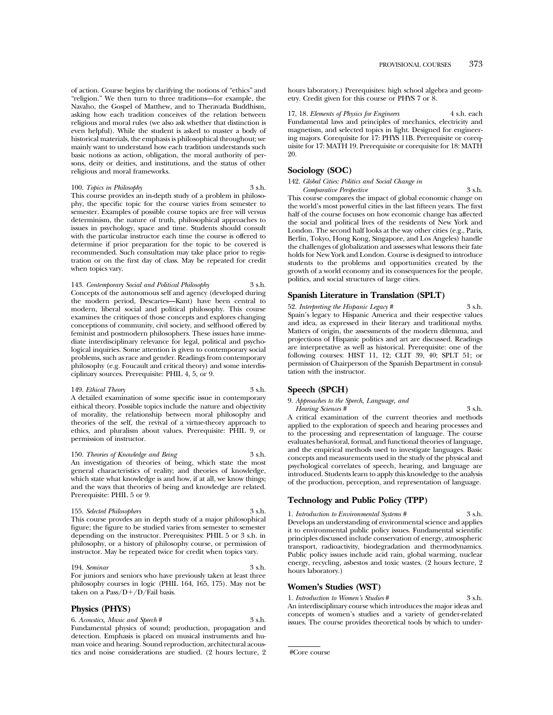of action. Course begins by clarifying the notions of "ethics" and "religion." We then turn to three traditions—for example, the Navaho, the Gospel of Matthew, and to Theravada Buddhism, asking how each tradition conceives of the relation between religious and moral rules (we also ask whether that distinction is even helpful). While the student is asked to master a body of historical materials, the emphasis is philosophical throughout; we mainly want to understand how each tradition understands such basic notions as action, obligation, the moral authority of persons, deity or deities, and institutions, and the status of other religious and moral frameworks.

100. *Topics in Philosophy* 3 s.h.

This course provides an in-depth study of a problem in philosophy, the specific topic for the course varies from semester to semester. Examples of possible course topics are free will versus determinism, the nature of truth, philosophical approaches to issues in psychology, space and time. Students should consult with the particular instructor each time the course is offered to determine if prior preparation for the topic to be covered is recommended. Such consultation may take place prior to registration or on the first day of class. May be repeated for credit when topics vary.

143. *Contemporary Social and Political Philosophy* 3 s.h. Concepts of the autonomous self and agency (developed during the modern period, Descartes—Kant) have been central to modern, liberal social and political philosophy. This course examines the critiques of those concepts and explores changing conceptions of community, civil society, and selfhood offered by feminist and postmodern philosophers. These issues have immediate interdisciplinary relevance for legal, political and psychological inquiries. Some attention is given to contemporary social problems, such as race and gender. Readings from contemporary philosophy (e.g. Foucault and critical theory) and some interdisciplinary sources. Prerequisite: PHIL 4, 5, or 9.

#### 149. *Ethical Theory* 3 s.h.

A detailed examination of some specific issue in contemporary eithical theory. Possible topics include the nature and objectivity of morality, the relationship between moral philosophy and theories of the self, the revival of a virtue-theory approach to ethics, and pluralism about values. Prerequisite: PHIL 9, or permission of instructor.

150. *Theories of Knowledge and Being* 3 s.h. An investigation of theories of being, which state the most general characteristics of reality; and theories of knowledge, which state what knowledge is and how, if at all, we know things; and the ways that theories of being and knowledge are related. Prerequisite: PHIL 5 or 9.

# 155. *Selected Philosophers* 3 s.h.

This course provdes an in depth study of a major philosophical figure; the figure to be studied varies from semester to semester depending on the instructor. Prerequisites: PHIL 5 or 3 s.h. in philosophy, or a history of philosophy course, or permission of instructor. May be repeated twice for credit when topics vary.

#### 194. *Seminar* 3 s.h. For juniors and seniors who have previously taken at least three philosophy courses in logic (PHIL 164, 165, 175). May not be taken on a Pass/ $D+/D$ /Fail basis.

# **Physics (PHYS)**

6. *Acoustics, Music and Speech* # 3 s.h. Fundamental physics of sound; production, propagation and detection. Emphasis is placed on musical instruments and human voice and hearing. Sound reproduction, architectural acoustics and noise considerations are studied. (2 hours lecture, 2

hours laboratory.) Prerequisites: high school algebra and geometry. Credit given for this course or PHYS 7 or 8.

17, 18. *Elements of Physics for Engineers* 4 s.h. each Fundamental laws and principles of mechanics, electricity and magnetism, and selected topics in light. Designed for engineering majors. Corequisite for 17: PHYS 11B. Prerequisite or corequisite for 17: MATH 19. Prerequisite or corequisite for 18: MATH 20.

# **Sociology (SOC)**

142. *Global Cities: Politics and Social Change in*

*Comparative Perspective* 3 s.h. This course compares the impact of global economic change on the world's most powerful cities in the last fifteen years. The first half of the course focuses on how economic change has affected the social and political lives of the residents of New York and London. The second half looks at the way other cities (e.g., Paris, Berlin, Tokyo, Hong Kong, Singapore, and Los Angeles) handle the challenges of globalization and assesses what lessons their fate holds for New York and London. Course is designed to introduce students to the problems and opportunities created by the growth of a world economy and its consequences for the people, politics, and social structures of large cities.

# **Spanish Literature in Translation (SPLT)**

52. *Interpreting the Hispanic Legacy* # 3 s.h. Spain's legacy to Hispanic America and their respective values and idea, as expressed in their literary and traditional myths. Matters of origin, the assessments of the modern dilemma, and projections of Hispanic politics and art are discussed. Readings are interpretative as well as historical. Prerequisite: one of the following courses: HIST 11, 12; CLIT 39, 40; SPLT 51; or permission of Chairperson of the Spanish Department in consultation with the instructor.

#### **Speech (SPCH)**

9. *Approaches to the Speech, Language, and*

*Hearing Sciences #* 3 s.h. A critical examination of the current theories and methods applied to the exploration of speech and hearing processes and to the processing and representation of language. The course evaluates behavioral, formal, and functional theories of language, and the empirical methods used to investigate languages. Basic concepts and measurements used in the study of the physical and psychological correlates of speech, hearing, and language are introduced. Students learn to apply this knowledge to the analysis of the production, perception, and representation of language.

# **Technology and Public Policy (TPP)**

1. *Introduction to Environmental Systems* # 3 s.h. Develops an understanding of environmental science and applies it to environmental public policy issues. Fundamental scientific principles discussed include conservation of energy, atmospheric transport, radioactivity, biodegradation and thermodynamics. Public policy issues include acid rain, global warming, nuclear energy, recycling, asbestos and toxic wastes. (2 hours lecture, 2 hours laboratory.)

#### **Women's Studies (WST)**

1. *Introduction to Women's Studies* # 3 s.h. An interdisciplinary course which introduces the major ideas and concepts of women's studies and a variety of gender-related issues. The course provides theoretical tools by which to under-

<sup>#</sup>Core course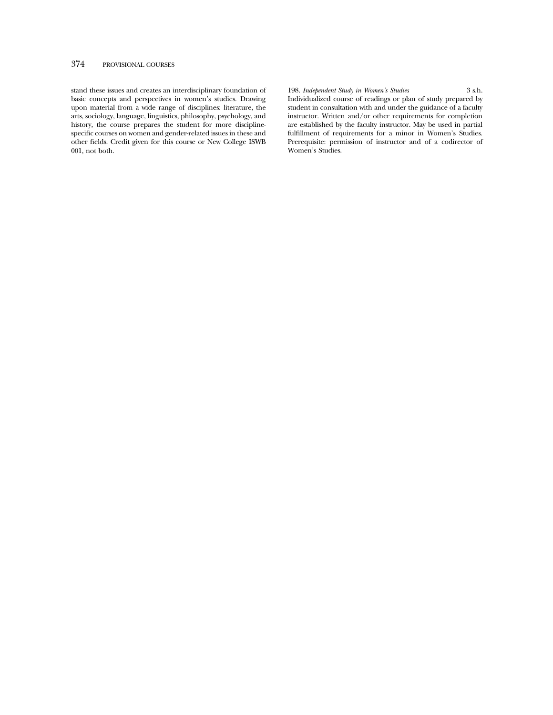stand these issues and creates an interdisciplinary foundation of basic concepts and perspectives in women's studies. Drawing upon material from a wide range of disciplines: literature, the arts, sociology, language, linguistics, philosophy, psychology, and history, the course prepares the student for more disciplinespecific courses on women and gender-related issues in these and other fields. Credit given for this course or New College ISWB 001, not both.

198. *Independent Study in Women's Studies* 3 s.h. Individualized course of readings or plan of study prepared by student in consultation with and under the guidance of a faculty instructor. Written and/or other requirements for completion are established by the faculty instructor. May be used in partial fulfillment of requirements for a minor in Women's Studies. Prerequisite: permission of instructor and of a codirector of Women's Studies.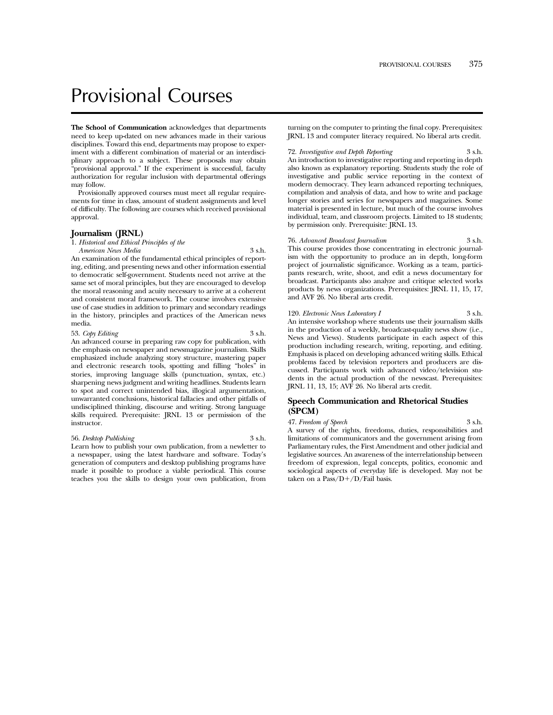# Provisional Courses

**The School of Communication** acknowledges that departments need to keep up-dated on new advances made in their various disciplines. Toward this end, departments may propose to experiment with a different combination of material or an interdisciplinary approach to a subject. These proposals may obtain "provisional approval." If the experiment is successful, faculty authorization for regular inclusion with departmental offerings may follow.

Provisionally approved courses must meet all regular requirements for time in class, amount of student assignments and level of difficulty. The following are courses which received provisional approval.

# **Journalism (JRNL)**

1. *Historical and Ethical Principles of the*

*American News Media* 3 s.h.

An examination of the fundamental ethical principles of reporting, editing, and presenting news and other information essential to democratic self-government. Students need not arrive at the same set of moral principles, but they are encouraged to develop the moral reasoning and acuity necessary to arrive at a coherent and consistent moral framework. The course involves extensive use of case studies in addition to primary and secondary readings in the history, principles and practices of the American news media.

53. Copy Editing

An advanced course in preparing raw copy for publication, with the emphasis on newspaper and newsmagazine journalism. Skills emphasized include analyzing story structure, mastering paper and electronic research tools, spotting and filling "holes" in stories, improving language skills (punctuation, syntax, etc.) sharpening news judgment and writing headlines. Students learn to spot and correct unintended bias, illogical argumentation, unwarranted conclusions, historical fallacies and other pitfalls of undisciplined thinking, discourse and writing. Strong language skills required. Prerequisite: JRNL 13 or permission of the instructor.

56. *Desktop Publishing* 3 s.h. Learn how to publish your own publication, from a newletter to a newspaper, using the latest hardware and software. Today's generation of computers and desktop publishing programs have made it possible to produce a viable periodical. This course teaches you the skills to design your own publication, from

turning on the computer to printing the final copy. Prerequisites: JRNL 13 and computer literacy required. No liberal arts credit.

#### 72. Investigative and Depth Reporting

An introduction to investigative reporting and reporting in depth also known as explanatory reporting. Students study the role of investigative and public service reporting in the context of modern democracy. They learn advanced reporting techniques, compilation and analysis of data, and how to write and package longer stories and series for newspapers and magazines. Some material is presented in lecture, but much of the course involves individual, team, and classroom projects. Limited to 18 students; by permission only. Prerequisite: JRNL 13.

76. *Advanced Broadcast Journalism* 3 s.h. This course provides those concentrating in electronic journalism with the opportunity to produce an in depth, long-form project of journalistic significance. Working as a team, participants research, write, shoot, and edit a news documentary for broadcast. Participants also analyze and critique selected works products by news organizations. Prerequisites: JRNL 11, 15, 17, and AVF 26. No liberal arts credit.

120. *Electronic News Laboratory I* 3 s.h. An intensive workshop where students use their journalism skills in the production of a weekly, broadcast-quality news show (i.e., News and Views). Students participate in each aspect of this production including research, writing, reporting, and editing. Emphasis is placed on developing advanced writing skills. Ethical problems faced by television reporters and producers are discussed. Participants work with advanced video/television students in the actual production of the newscast. Prerequisites: JRNL 11, 13, 15; AVF 26. No liberal arts credit.

# **Speech Communication and Rhetorical Studies (SPCM)**

47. *Freedom of Speech* 3 s.h. A survey of the rights, freedoms, duties, responsibilities and limitations of communicators and the government arising from Parliamentary rules, the First Amendment and other judicial and legislative sources. An awareness of the interrelationship between freedom of expression, legal concepts, politics, economic and sociological aspects of everyday life is developed. May not be taken on a Pass/ $D+/D$ /Fail basis.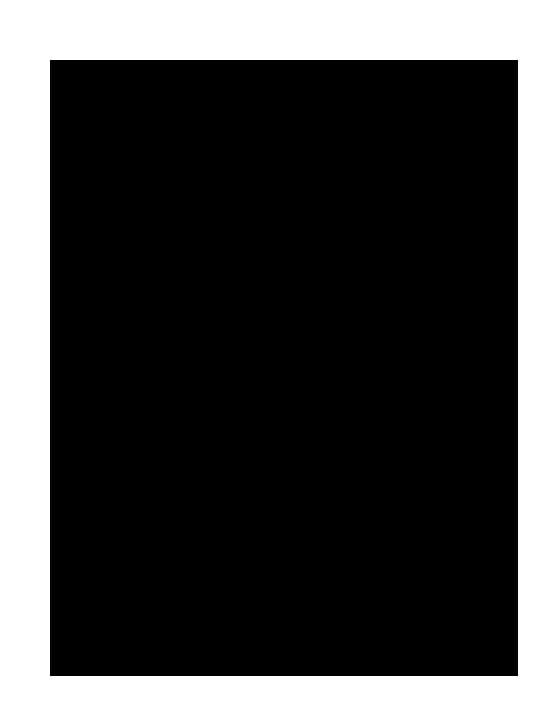